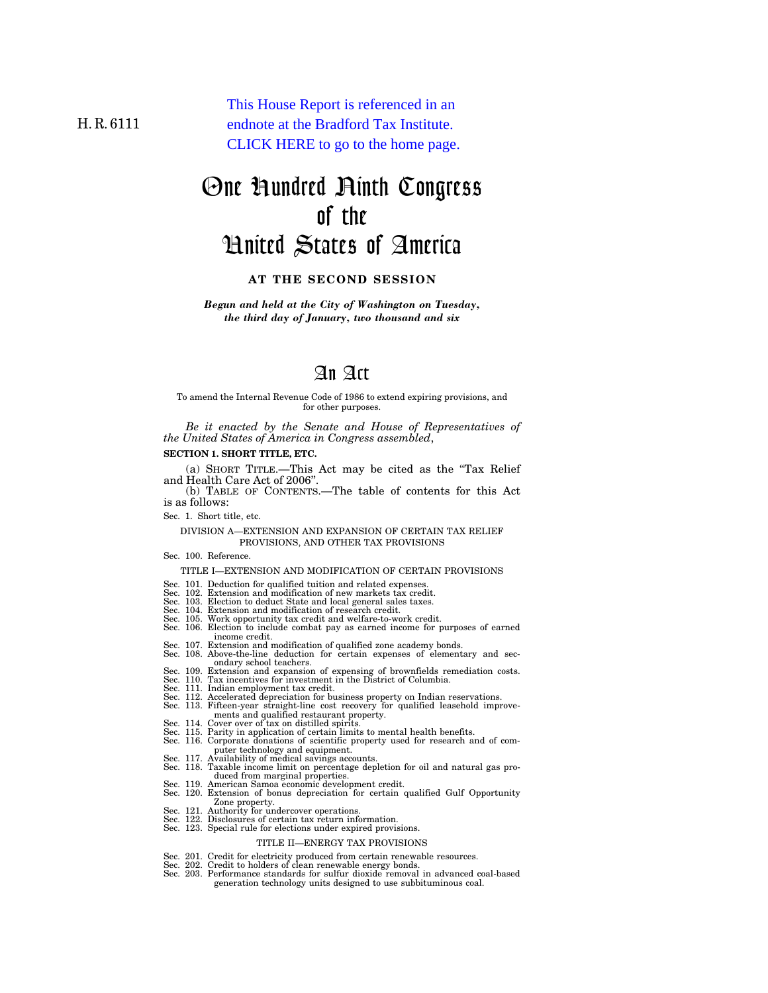This House Report is referenced in an endnote at the Bradford Tax Institute. [CLICK HERE to go to the home page.](http://www.bradfordtaxinstitute.com/)

# One Hundred Ninth Congress of the United States of America

### **AT THE SECOND SESSION**

*Begun and held at the City of Washington on Tuesday, the third day of January, two thousand and six* 

# An Act

To amend the Internal Revenue Code of 1986 to extend expiring provisions, and for other purposes.

*Be it enacted by the Senate and House of Representatives of the United States of America in Congress assembled*,

#### **SECTION 1. SHORT TITLE, ETC.**

(a) SHORT TITLE.—This Act may be cited as the ''Tax Relief and Health Care Act of 2006''.

(b) TABLE OF CONTENTS.—The table of contents for this Act is as follows:

Sec. 1. Short title, etc.

#### DIVISION A—EXTENSION AND EXPANSION OF CERTAIN TAX RELIEF PROVISIONS, AND OTHER TAX PROVISIONS

Sec. 100. Reference.

#### TITLE I—EXTENSION AND MODIFICATION OF CERTAIN PROVISIONS

- 
- Sec. 101. Deduction for qualified tuition and related expenses. Sec. 102. Extension and modification of new markets tax credit.
- Sec. 103. Election to deduct State and local general sales taxes. Sec. 104. Extension and modification of research credit. Sec. 105. Work opportunity tax credit and welfare-to-work credit.
- 
- Sec. 106. Election to include combat pay as earned income for purposes of earned income credit.
- 
- Sec. 107. Extension and modification of qualified zone academy bonds. Sec. 108. Above-the-line deduction for certain expenses of elementary and secondary school teachers.
- Sec. 109. Extension and expansion of expensing of brownfields remediation costs. Sec. 110. Tax incentives for investment in the District of Columbia.
- Sec. 111. Indian employment tax credit.
- 
- Sec. 112. Accelerated depreciation for business property on Indian reservations. Sec. 113. Fifteen-year straight-line cost recovery for qualified leasehold improve-ments and qualified restaurant property.
- 
- 
- Sec. 114. Cover over of tax on distilled spirits.<br>Sec. 115. Parity in application of certain limits to mental health benefits.<br>Sec. 116. Corporate donations of scientific property used for research and of computer technology and equipment. Sec. 117. Availability of medical savings accounts. Sec. 118. Taxable income limit on percentage depletion for oil and natural gas pro-
- 
- 
- duced from marginal properties.<br>
Sec. 119. American Samoa economic development credit.<br>
Sec. 120. Extension of bonus depreciation for certain qualified Gulf Opportunity<br>
Zone property.
- 
- Sec. 121. Authority for undercover operations. Sec. 122. Disclosures of certain tax return information. Sec. 123. Special rule for elections under expired provisions.

- TITLE II—ENERGY TAX PROVISIONS
- Sec. 201. Credit for electricity produced from certain renewable resources. Sec. 202. Credit to holders of clean renewable energy bonds.
- 
- Sec. 203. Performance standards for sulfur dioxide removal in advanced coal-based generation technology units designed to use subbituminous coal.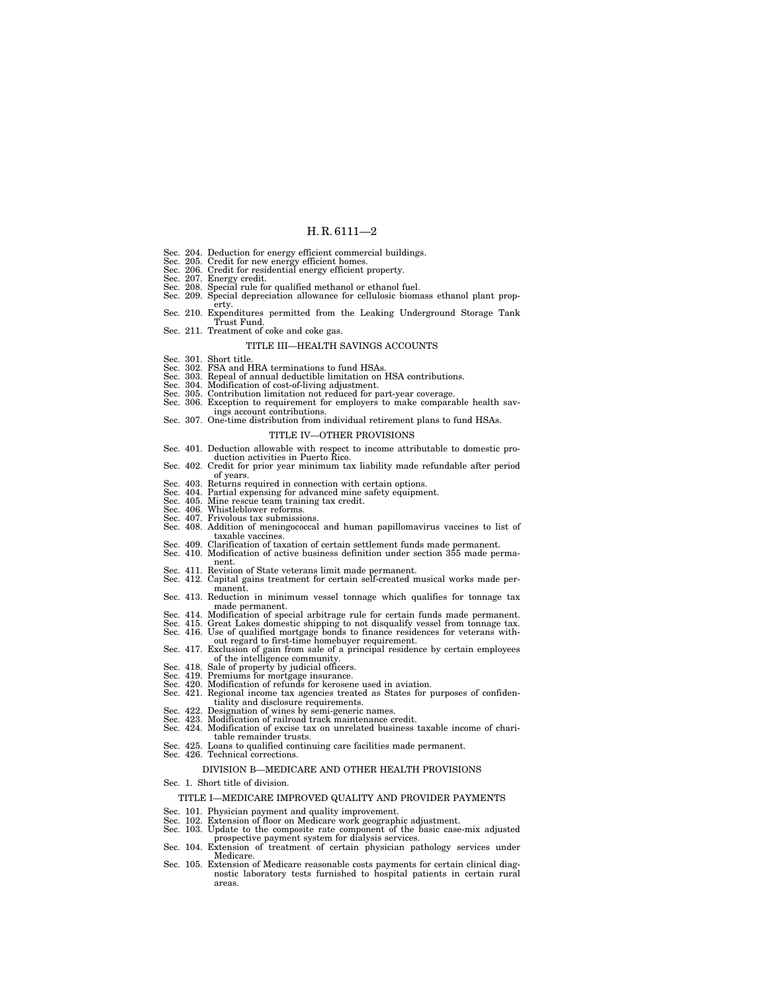- Sec. 204. Deduction for energy efficient commercial buildings.<br>Sec. 205. Credit for new energy efficient homes.<br>Sec. 206. Credit for residential energy efficient property.<br>Sec. 207. Energy credit.<br>Sec. 208. Special rule fo
- 
- 
- 
- Sec. 209. Special depreciation allowance for cellulosic biomass ethanol plant prop-
- erty.
- Sec. 210. Expenditures permitted from the Leaking Underground Storage Tank Trust Fund. Sec. 211. Treatment of coke and coke gas.

#### TITLE III—HEALTH SAVINGS ACCOUNTS

- Sec. 301. Short title.
- Sec. 302. FSA and HRA terminations to fund HSAs.
- Sec. 303. Repeal of annual deductible limitation on HSA contributions. Sec. 304. Modification of cost-of-living adjustment. Sec. 305. Contribution limitation not reduced for part-year coverage.
- 
- Sec. 306. Exception to requirement for employers to make comparable health sav-
- ings account contributions. Sec. 307. One-time distribution from individual retirement plans to fund HSAs.
- 

### TITLE IV—OTHER PROVISIONS

- Sec. 401. Deduction allowable with respect to income attributable to domestic production activities in Puerto Rico.
- Sec. 402. Credit for prior year minimum tax liability made refundable after period of years.
- Sec. 403. Returns required in connection with certain options.
- Sec. 404. Partial expensing for advanced mine safety equipment. Sec. 405. Mine rescue team training tax credit. Sec. 406. Whistleblower reforms. Sec. 407. Frivolous tax submissions.
- 
- 
- Sec. 408. Addition of meningococcal and human papillomavirus vaccines to list of taxable vaccines.
- Sec. 409. Clarification of taxation of certain settlement funds made permanent.
- Sec. 410. Modification of active business definition under section 355 made permanent.
- Sec. 411. Revision of State veterans limit made permanent. Sec. 412. Capital gains treatment for certain self-created musical works made per-
- manent. Sec. 413. Reduction in minimum vessel tonnage which qualifies for tonnage tax
- made permanent.
- 
- Sec. 414. Modification of special arbitrage rule for certain funds made permanent.<br>Sec. 415. Great Lakes domestic shipping to not disqualify vessel from tonnage tax.<br>Sec. 416. Use of qualified mortgage bonds to finance res
- out regard to first-time homebuyer requirement. Sec. 417. Exclusion of gain from sale of a principal residence by certain employees of the intelligence community.
- 
- 
- 
- Sec. 418. Sale of property by judicial officers.<br>Sec. 419. Premiums for mortgage insurance.<br>Sec. 420. Modification of refunds for kerosene used in aviation.<br>Sec. 421. Regional income tax agencies treated as States for purp tiality and disclosure requirements.
- 
- 
- Sec. 422. Designation of wines by semi-generic names. Sec. 423. Modification of railroad track maintenance credit. Sec. 424. Modification of excise tax on unrelated business taxable income of charitable remainder trusts. Sec. 425. Loans to qualified continuing care facilities made permanent.
- 
- Sec. 426. Technical corrections.

#### DIVISION B—MEDICARE AND OTHER HEALTH PROVISIONS

#### Sec. 1. Short title of division.

#### TITLE I—MEDICARE IMPROVED QUALITY AND PROVIDER PAYMENTS

- 
- Sec. 101. Physician payment and quality improvement. Sec. 102. Extension of floor on Medicare work geographic adjustment.
- Sec. 103. Update to the composite rate component of the basic case-mix adjusted prospective payment system for dialysis services. Sec. 104. Extension of treatment of certain physician pathology services under
- Medicare.
- Sec. 105. Extension of Medicare reasonable costs payments for certain clinical diag-nostic laboratory tests furnished to hospital patients in certain rural areas.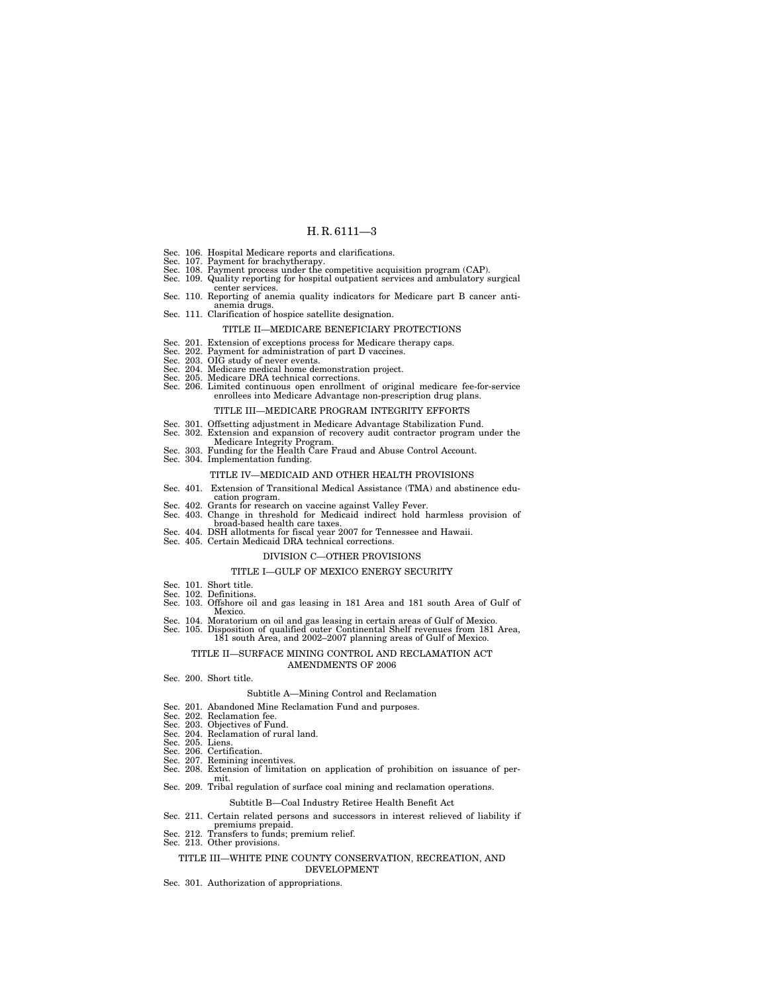- 
- 
- Sec. 106. Hospital Medicare reports and clarifications. Sec. 107. Payment for brachytherapy. Sec. 108. Payment process under the competitive acquisition program (CAP).
- Sec. 109. Quality reporting for hospital outpatient services and ambulatory surgical center services.
- Sec. 110. Reporting of anemia quality indicators for Medicare part B cancer antianemia drugs.
- Sec. 111. Clarification of hospice satellite designation.

#### TITLE II—MEDICARE BENEFICIARY PROTECTIONS

- 
- Sec. 201. Extension of exceptions process for Medicare therapy caps. Sec. 202. Payment for administration of part D vaccines.
- 
- 
- 
- Sec. 203. OIG study of never events. Sec. 204. Medicare medical home demonstration project. Sec. 205. Medicare DRA technical corrections. Sec. 206. Limited continuous open enrollment of original medicare fee-for-service enrollees into Medicare Advantage non-prescription drug plans.

#### TITLE III—MEDICARE PROGRAM INTEGRITY EFFORTS

- Sec. 301. Offsetting adjustment in Medicare Advantage Stabilization Fund.
- Extension and expansion of recovery audit contractor program under the Medicare Integrity Program.
	-
- Sec. 303. Funding for the Health Care Fraud and Abuse Control Account. Sec. 304. Implementation funding.

#### TITLE IV—MEDICAID AND OTHER HEALTH PROVISIONS

- Sec. 401. Extension of Transitional Medical Assistance (TMA) and abstinence edu-
- cation program. Sec. 402. Grants for research on vaccine against Valley Fever.
- Sec. 403. Change in threshold for Medicaid indirect hold harmless provision of broad-based health care taxes.
- Sec. 404. DSH allotments for fiscal year 2007 for Tennessee and Hawaii.
- Sec. 405. Certain Medicaid DRA technical corrections.

#### DIVISION C—OTHER PROVISIONS

#### TITLE I—GULF OF MEXICO ENERGY SECURITY

- 
- 
- Sec. 101. Short title. Sec. 102. Definitions. Sec. 103. Offshore oil and gas leasing in 181 Area and 181 south Area of Gulf of Mexico.
- 
- Sec. 104. Moratorium on oil and gas leasing in certain areas of Gulf of Mexico.<br>Sec. 105. Disposition of qualified outer Continental Shelf revenues from 181 Area,<br>181 south Area, and 2002–2007 planning areas of Gulf of Mex

#### TITLE II—SURFACE MINING CONTROL AND RECLAMATION ACT

#### AMENDMENTS OF 2006

Sec. 200. Short title.

#### Subtitle A—Mining Control and Reclamation

- Sec. 201. Abandoned Mine Reclamation Fund and purposes.
- 
- Sec. 202. Reclamation fee. Sec. 203. Objectives of Fund.
- Sec. 204. Reclamation of rural land. Sec. 205. Liens. Sec. 206. Certification.
- 
- 
- 
- Sec. 207. Remining incentives. Sec. 208. Extension of limitation on application of prohibition on issuance of permit.

## Sec. 209. Tribal regulation of surface coal mining and reclamation operations.

#### Subtitle B—Coal Industry Retiree Health Benefit Act

- Sec. 211. Certain related persons and successors in interest relieved of liability if
- premiums prepaid. Sec. 212. Transfers to funds; premium relief.
- Sec. 213. Other provisions.

#### TITLE III—WHITE PINE COUNTY CONSERVATION, RECREATION, AND DEVELOPMENT

Sec. 301. Authorization of appropriations.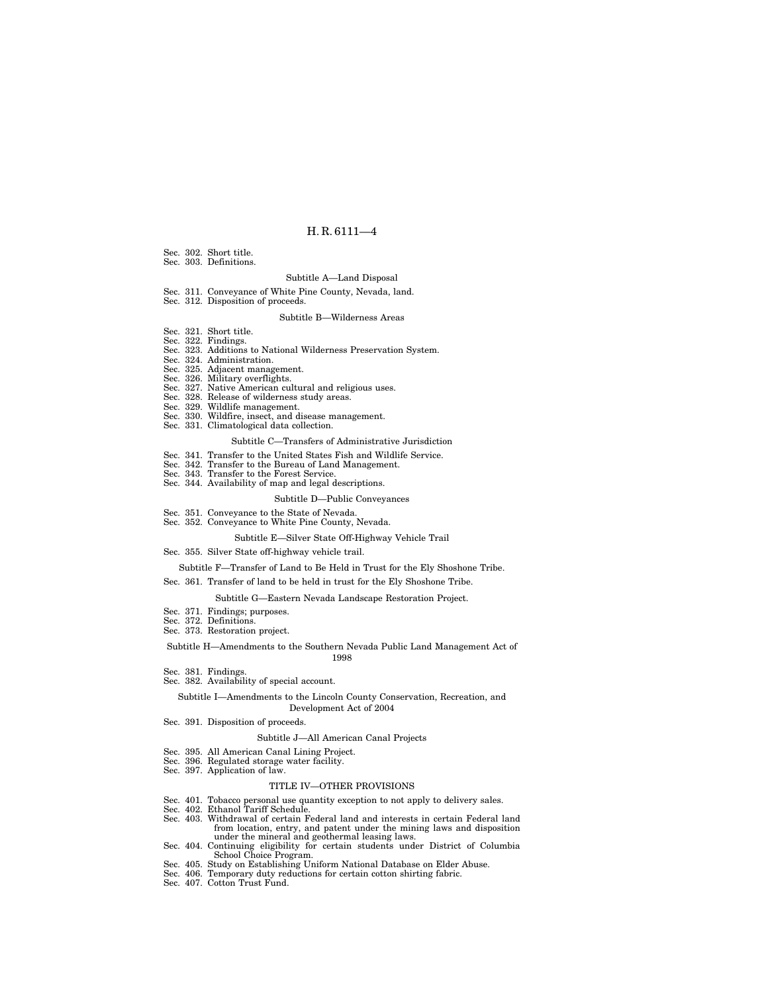Sec. 302. Short title. Sec. 303. Definitions.

#### Subtitle A—Land Disposal

- Sec. 311. Conveyance of White Pine County, Nevada, land.
- Sec. 312. Disposition of proceeds.

#### Subtitle B—Wilderness Areas

- Sec. 321. Short title.
- Sec. 322. Findings.
- Sec. 323. Additions to National Wilderness Preservation System.
- Sec. 324. Administration.
- Sec. 325. Adjacent management.
- Sec. 326. Military overflights. Sec. 327. Native American cultural and religious uses.
- Sec. 328. Release of wilderness study areas.
- Sec. 329. Wildlife management.
- Sec. 330. Wildfire, insect, and disease management.
- Sec. 331. Climatological data collection.

#### Subtitle C—Transfers of Administrative Jurisdiction

- Sec. 341. Transfer to the United States Fish and Wildlife Service.
- Sec. 342. Transfer to the Bureau of Land Management. Sec. 343. Transfer to the Forest Service.
- 
- Sec. 344. Availability of map and legal descriptions.

#### Subtitle D—Public Conveyances

- Sec. 351. Conveyance to the State of Nevada.
- Sec. 352. Conveyance to White Pine County, Nevada.

#### Subtitle E—Silver State Off-Highway Vehicle Trail

Sec. 355. Silver State off-highway vehicle trail.

#### Subtitle F—Transfer of Land to Be Held in Trust for the Ely Shoshone Tribe.

Sec. 361. Transfer of land to be held in trust for the Ely Shoshone Tribe.

#### Subtitle G—Eastern Nevada Landscape Restoration Project.

- Sec. 371. Findings; purposes.
- Sec. 372. Definitions.
- Sec. 373. Restoration project.

#### Subtitle H—Amendments to the Southern Nevada Public Land Management Act of 1998

- Sec. 381. Findings.
- Sec. 382. Availability of special account.

#### Subtitle I—Amendments to the Lincoln County Conservation, Recreation, and Development Act of 2004

Sec. 391. Disposition of proceeds.

#### Subtitle J—All American Canal Projects

- Sec. 395. All American Canal Lining Project.
- Sec. 396. Regulated storage water facility.
- Sec. 397. Application of law.

#### TITLE IV—OTHER PROVISIONS

- 
- 
- Sec. 401. Tobacco personal use quantity exception to not apply to delivery sales. Sec. 402. Ethanol Tariff Schedule. Sec. 403. Withdrawal of certain Federal land and interests in certain Federal land from location, entry, and patent under the mining laws and disposition under the mineral and geothermal leasing laws.
- Sec. 404. Continuing eligibility for certain students under District of Columbia School Choice Program.
- Sec. 405. Study on Establishing Uniform National Database on Elder Abuse. Sec. 406. Temporary duty reductions for certain cotton shirting fabric.
- Sec. 407. Cotton Trust Fund.
-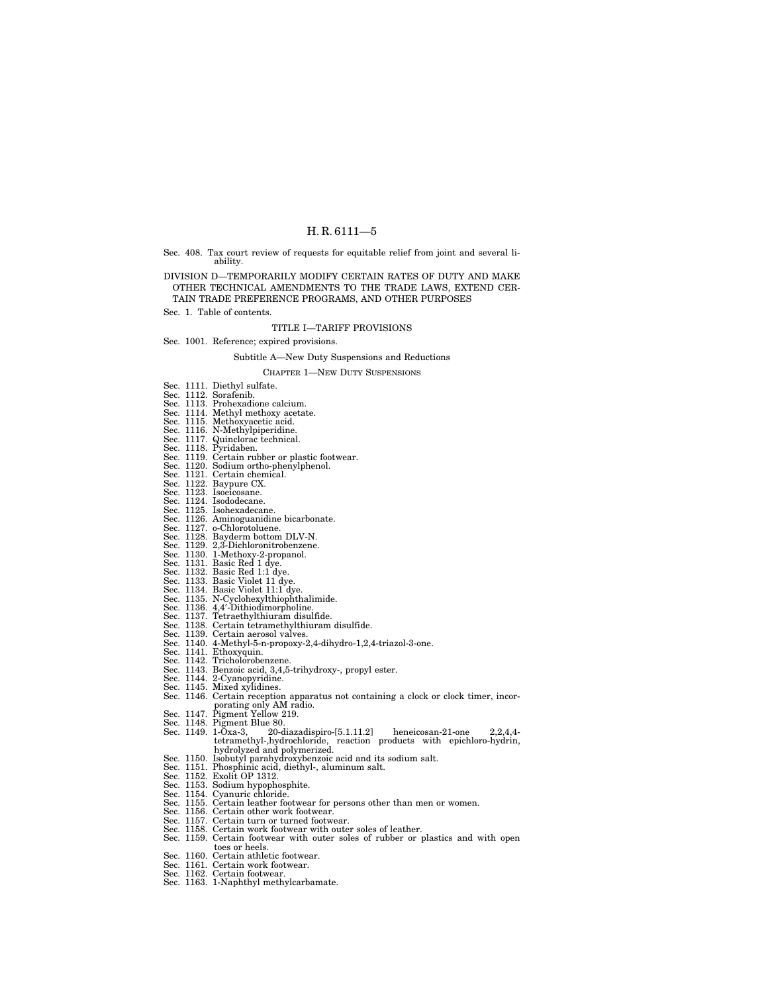Sec. 408. Tax court review of requests for equitable relief from joint and several liability.

DIVISION D—TEMPORARILY MODIFY CERTAIN RATES OF DUTY AND MAKE OTHER TECHNICAL AMENDMENTS TO THE TRADE LAWS, EXTEND CER-

TAIN TRADE PREFERENCE PROGRAMS, AND OTHER PURPOSES

Sec. 1. Table of contents.

#### TITLE I—TARIFF PROVISIONS

#### Sec. 1001. Reference; expired provisions.

#### Subtitle A—New Duty Suspensions and Reductions

#### CHAPTER 1—NEW DUTY SUSPENSIONS

- Sec. 1111. Diethyl sulfate. Sec. 1112. Sorafenib.
- 
- Sec. 1113. Prohexadione calcium.
- Sec. 1114. Methyl methoxy acetate.<br>Sec. 1115. Methoxyacetic acid.<br>Sec. 1116. N-Methylpiperidine.
- Sec. 1115. Methoxyacetic acid. Sec. 1116. N-Methylpiperidine.
- 
- Sec. 1117. Quinclorac technical.<br>Sec. 1118. Pyridaben.<br>Sec. 1119. Certain rubber or pla
- Pyridaben.
- Sec. 1119. Certain rubber or plastic footwear.<br>Sec. 1120. Sodium ortho-phenylphenol.<br>Sec. 1121. Certain chemical.
- Sec. 1120. Sodium ortho-phenylphenol. Sec. 1121. Certain chemical.
- 
- Sec. 1122. Baypure CX.<br>Sec. 1123. Isoeicosane.<br>Sec. 1124. Isododecane. Isoeicosane.
- Sec. 1124. Isododecane.<br>Sec. 1125. Isohexadecan
- Isohexadecane.
- Sec. 1126. Aminoguanidine bicarbonate.<br>Sec. 1127. o-Chlorotoluene.<br>Sec. 1128. Bayderm bottom DLV-N.
- Sec. 1127. o-Chlorotoluene. Sec. 1128. Bayderm bottom DLV-N.
- 
- Sec. 1129. 2,3-Dichloronitrobenzene.<br>Sec. 1129. 2,3-Dichloronitrobenzene.<br>Sec. 1130. 1-Methoxy-2-propanol.<br>Sec. 1131. Basic Red 1 dye.
- Sec. 1130. 1-Methoxy-2-propanol. Sec. 1131. Basic Red 1 dye.
- 
- 
- Sec. 1132. Basic Red 1:1 dye. Sec. 1133. Basic Violet 11 dye. Sec. 1134. Basic Violet 11:1 dye.
- Sec. 1135. N-Cyclohexytthiophthalimide.<br>Sec. 1136. 4,4'-Dithiodimorpholine.<br>Sec. 1137. Tetraethylthiuram disulfide.<br>Sec. 1138. Certain tetramethylthiuram
- Sec. 1135. N-Cyclohexylthiophthalimide. Sec. 1136. 4,4′-Dithiodimorpholine.
- 
- 
- Sec. 1138. Certain tetramethylthiuram disulfide.<br>Sec. 1139. Certain aerosol valves.<br>Sec. 1140. 4-Methyl-5-n-propoxy-2,4-dihydro-1,2,4 Sec. 1139. Certain aerosol valves. Sec. 1140. 4-Methyl-5-n-propoxy-2,4-dihydro-1,2,4-triazol-3-one.
- Sec. 1141. Ethoxyquin.
- 
- Sec. 1142. Tricholorobenzene. Sec. 1143. Benzoic acid, 3,4,5-trihydroxy-, propyl ester.
- Sec. 1144. 2-Cyanopyridine.<br>Sec. 1145. Mixed xvlidines.
- Mixed xylidines.
- Sec. 1146. Certain reception apparatus not containing a clock or clock timer, incor-porating only AM radio.
- 
- 
- Sec. 1147. Pigment Yellow 219. Sec. 1148. Pigment Blue 80. Sec. 1149. 1-Oxa-3, 20-diazadispiro-[5.1.11.2] heneicosan-21-one 2,2,4,4 tetramethyl-,hydrochloride, reaction products with epichloro-hydrin, hydrolyzed and polymerized. Sec. 1150. Isobutyl parahydroxybenzoic acid and its sodium salt. Sec. 1151. Phosphinic acid, diethyl-, aluminum salt.
- 
- 
- Sec. 1152. Exolit OP 1312. Sec. 1153. Sodium hypophosphite.
- 
- Sec. 1154. Cyanuric chloride. Sec. 1155. Certain leather footwear for persons other than men or women. Sec. 1156. Certain other work footwear.
- 
- 
- Sec. 1157. Certain turn or turned footwear. Sec. 1158. Certain work footwear with outer soles of leather.
- Sec. 1159. Certain footwear with outer soles of rubber or plastics and with open toes or heels.
- 
- Sec. 1160. Certain athletic footwear. Sec. 1161. Certain work footwear.
- Sec. 1162. Certain footwear.
- Sec. 1163. 1-Naphthyl methylcarbamate.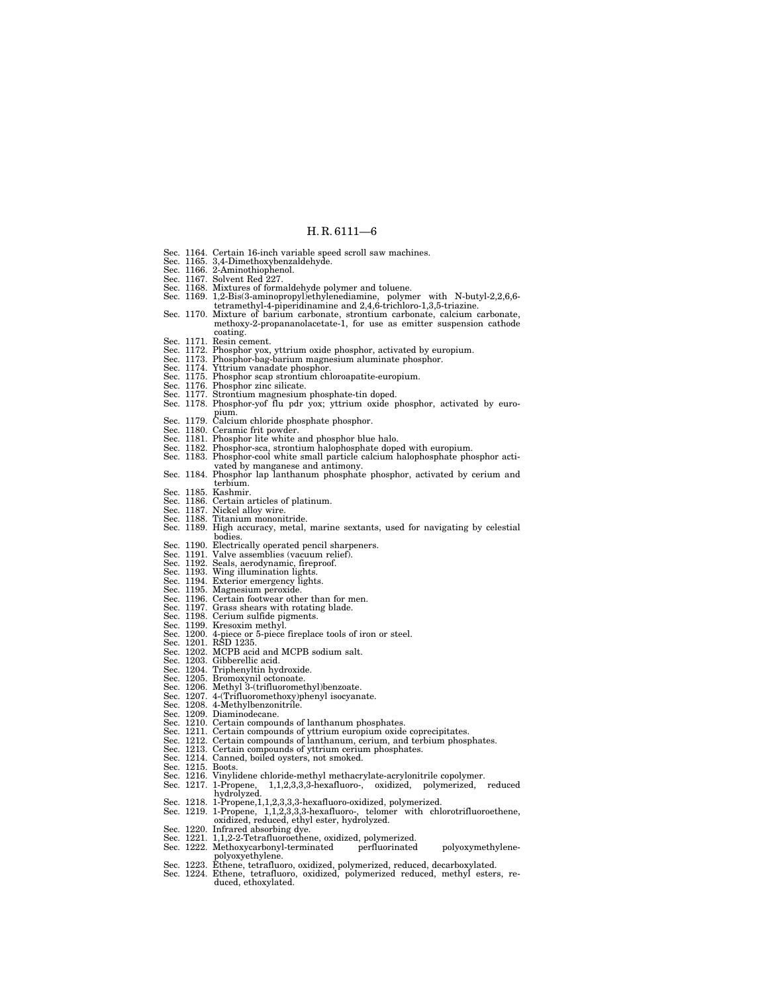- Sec. 1164. Certain 16-inch variable speed scroll saw machines. Sec. 1165. 3,4-Dimethoxybenzaldehyde.
- 
- Sec. 1166. 2-Aminothiophenol. Sec. 1167. Solvent Red 227.
- Sec. 1168. Mixtures of formaldehyde polymer and toluene.
- 
- Sec. 1169. 1,2-Bis(3-aminopropyl)ethylenediamine, polymer with N-butyl-2,2,6,6-<br>tetramethyl-4-piperidinamine and 2,4,6-trichloro-1,3,5-triazine.<br>Sec. 1170. Mixture of barium carbonate, strontium carbonate, calcium carbonat
- coating. Sec. 1171. Resin cement.
- 
- Sec. 1172. Phosphor yox, yttrium oxide phosphor, activated by europium. Sec. 1173. Phosphor-bag-barium magnesium aluminate phosphor.
- Sec. 1174. Yttrium vanadate phosphor.
- Sec. 1175. Phosphor scap strontium chloroapatite-europium. Sec. 1176. Phosphor zinc silicate.
- 
- 
- Sec. 1177. Strontium magnesium phosphate-tin doped. Sec. 1178. Phosphor-yof flu pdr yox; yttrium oxide phosphor, activated by europium. Sec. 1179. Calcium chloride phosphate phosphor.
- 
- 
- Sec. 1180. Ceramic frit powder.<br>Sec. 1181. Phosphor lite white a<br>Sec. 1182. Phosphor-sca, stronti Sec. 1181. Phosphor lite white and phosphor blue halo. Sec. 1182. Phosphor-sca, strontium halophosphate doped with europium.
- Sec. 1183. Phosphor-cool white small particle calcium halophosphate phosphor acti-
- vated by manganese and antimony. Sec. 1184. Phosphor lap lanthanum phosphate phosphor, activated by cerium and
- terbium.
- Sec. 1185. Kashmir. Sec. 1186. Certain articles of platinum.
- 
- Sec. 1187. Nickel alloy wire. Sec. 1188. Titanium mononitride.
- Sec. 1189. High accuracy, metal, marine sextants, used for navigating by celestial bodies.
- Sec. 1190. Electrically operated pencil sharpeners.<br>Sec. 1191. Valve assemblies (vacuum relief).<br>Sec. 1192. Seals, aerodynamic, fireproof.
- Sec. 1191. Valve assemblies (vacuum relief). Sec. 1192. Seals, aerodynamic, fireproof.
- 
- Sec. 1193. Wing illumination lights.<br>Sec. 1194. Exterior emergency light
- 
- Sec. 1194. Exterior emergency lights. Sec. 1195. Magnesium peroxide. Sec. 1196. Certain footwear other than for men.
- Sec. 1196. Certain footwear other than for m<br>Sec. 1197. Grass shears with rotating blade.<br>Sec. 1198. Cerium sulfide pigments.
- Sec. 1191. Chass shows what commis-<br>Sec. 1198. Cerium sulfide pigments.<br>Sec. 1199. Kresoxim methyl.
- 
- 
- Sec. 1199. Kresoxim methyl.<br>Sec. 1200. 4-piece or 5-piece<br>Sec. 1201. RSD 1235. Sec. 1200. 4-piece or 5-piece fireplace tools of iron or steel. Sec. 1201. RSD 1235.
- Sec. 1202. MCPB acid and MCPB sodium salt.<br>Sec. 1203. Gibberellic acid.<br>Sec. 1204. Triphenyltin hydroxide.
- Sec. 1203. Gibberellic acid. Sec. 1204. Triphenyltin hydroxide.
- 
- Sec. 1205. Bromoxynil octonoate.<br>Sec. 1206. Methyl 3-(trifluoromet)
- Sec. 1206. Methyl 3-(trifluoromethyl)benzoate. Sec. 1207. 4-(Trifluoromethoxy)phenyl isocyanate. Sec. 1208. 4-Methylbenzonitrile.
- 
- Sec. 1208. 4-Methylbenzon<br>Sec. 1209. Diaminodecane.<br>Sec. 1210. Certain compour
- Sec. 1210. Certain compounds of lanthanum phosphates.<br>Sec. 1211. Certain compounds of yttrium europium oxide
- 
- Sec. 1211. Certain compounds of yttrium europium oxide coprecipitates.<br>Sec. 1211. Certain compounds of yttrium europium oxide coprecipitates. Sec. 1212. Certain compounds of lanthanum, cerium, and terbium phosphates.<br>Sec. 1213. Certain compounds of vitrium cerium phosphates.
- Sec. 1213. Certain compounds of yttrium cerium phosphates.<br>Sec. 1214. Canned, boiled oysters, not smoked.
- Canned, boiled oysters, not smoked.
- Sec. 1215.<br>Sec. 1216.
- Sec. 1215. Boots.<br>Sec. 1216. Vinylidene chloride-methyl methacrylate-acrylonitrile copolymer.<br>Sec. 1217. 1-Propene, 1,1,2,3,3,3-hexafluoro-, oxidized, polymerized,
- Sec. 1217. 1-Propene, 1,1,2,3,3,3-hexafluoro-, oxidized, polymerized, reduced hydrolyzed.
- Sec. 1218. 1-Propene,1,1,2,3,3,3-hexafluoro-oxidized, polymerized. Sec. 1219. 1-Propene, 1,1,2,3,3,3-hexafluoro-, telomer with chlorotrifluoroethene,
- 
- 
- oxidized, reduced, ethyl ester, hydrolyzed. Sec. 1220. Infrared absorbing dye. Sec. 1221. 1,1,2-2-Tetrafluoroethene, oxidized, polymerized. Sec. 1222. Methoxycarbonyl-terminated perfluorinated polyoxymethylene-
- polyoxyethylene. Sec. 1223. Ethene, tetrafluoro, oxidized, polymerized, reduced, decarboxylated. Sec. 1224. Ethene, tetrafluoro, oxidized, polymerized reduced, methyl esters, reduced, ethoxylated.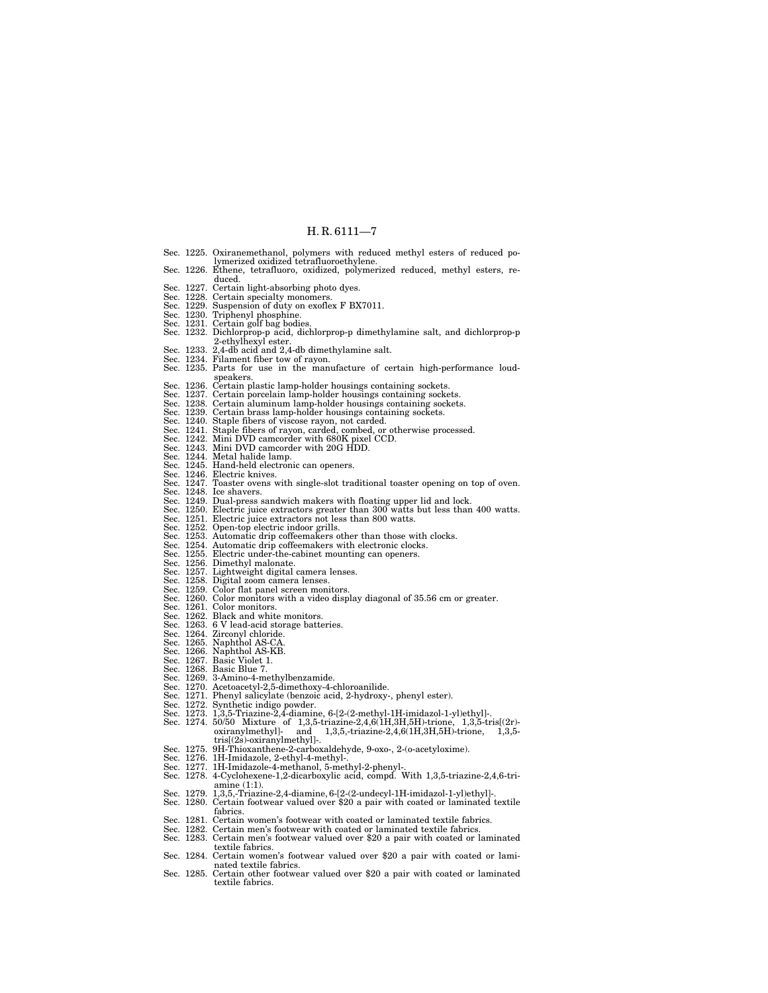- Sec. 1225. Oxiranemethanol, polymers with reduced methyl esters of reduced po-lymerized oxidized tetrafluoroethylene.
- Sec. 1226. Ethene, tetrafluoro, oxidized, polymerized reduced, methyl esters, reduced.
- Sec. 1227. Certain light-absorbing photo dyes.<br>Sec. 1228. Certain specialty monomers.
- Sec. 1228. Certain specialty monomers.<br>Sec. 1229. Suspension of duty on exofle
- Sec. 1229. Suspension of duty on exoflex F BX7011. Sec. 1230. Triphenyl phosphine. Sec. 1231. Certain golf bag bodies.
- 
- Sec. 1232. Dichlorprop-p acid, dichlorprop-p dimethylamine salt, and dichlorprop-p 2-ethylhexyl ester.
- Sec. 1233. 2,4-db acid and 2,4-db dimethylamine salt. Sec. 1234. Filament fiber tow of rayon.
- Sec. 1235. Parts for use in the manufacture of certain high-performance loudspeakers.
- 
- Sec. 1236. Certain plastic lamp-holder housings containing sockets. Sec. 1237. Certain porcelain lamp-holder housings containing sockets. Sec. 1238. Certain aluminum lamp-holder housings containing sockets.
- 
- 
- Sec. 1239. Certain brass lamp-holder housings containing sockets. Sec. 1240. Staple fibers of viscose rayon, not carded. Sec. 1241. Staple fibers of rayon, carded, combed, or otherwise processed.
- 
- Sec. 1242. Mini DVD camcorder with 680K pixel CCD. Sec. 1243. Mini DVD camcorder with 20G HDD.
- 
- Sec. 1244. Metal halide lamp.<br>Sec. 1245. Hand-held electron Sec. 1245. Hand-held electronic can openers.<br>Sec. 1246. Electric knives.
- Sec. 1246. Electric knives.<br>Sec. 1247. Toaster ovens v
- Sec. 1247. Toaster ovens with single-slot traditional toaster opening on top of oven.
- Sec. 1248. Ice shavers.<br>Sec. 1249. Dual-press s
- Sec. 1249. Dual-press sandwich makers with floating upper lid and lock. Sec. 1250. Electric juice extractors greater than 300 watts but less than 400 watts.
- Sec. 1251. Electric juice extractors not less than 800 watts. Sec. 1252. Open-top electric indoor grills.
- 
- Sec. 1253. Automatic drip coffeemakers other than those with clocks.<br>Sec. 1254. Automatic drip coffeemakers with electronic clocks.
- Sec. 1254. Automatic drip coffeemakers with electronic clocks.<br>Sec. 1255. Electric under-the-cabinet mounting can openers.
- Sec. 1255. Electric under-the-cabinet mounting can openers. Sec. 1256. Dimethyl malonate.
- 
- 
- Sec. 1257. Lightweight digital camera lenses.<br>Sec. 1258. Digital zoom camera lenses.<br>Sec. 1259. Color flat panel screen monitors. Sec. 1258. Digital zoom camera lenses. Sec. 1259. Color flat panel screen monitors.
- Sec. 1260. Color monitors with a video display diagonal of 35.56 cm or greater. Sec. 1261. Color monitors.
- 
- 
- Sec. 1262. Black and white monitors.<br>Sec. 1263. 6 V lead-acid storage batter Sec. 1263. 6 V lead-acid storage batteries. Sec. 1264. Zirconyl chloride.
- 
- 
- Sec. 1265. Naphthol AS-CA.<br>Sec. 1266. Naphthol AS-KE. Sec. 1266. Naphthol AS-KB.<br>Sec. 1267. Basic Violet 1.<br>Sec. 1268. Basic Blue 7.
- 
- Sec. 1267. Basic Violet 1. Sec. 1268. Basic Blue 7.
- Sec. 1269. 3-Amino-4-methylbenzamide.<br>Sec. 1270. Acetoacetyl-2,5-dimethoxy-4-<br>Sec. 1271. Phenyl salicylate (benzoic aci
- 
- Acetoacetyl-2,5-dimethoxy-4-chloroanilide.<br>Phenyl salicylate (benzoic acid, 2-hydroxy-, phenyl ester).
- 
- 
- Sec. 1271. Phenyl salicylate (benzoic acid, 2-hydroxy-, phenyl ester).<br>
Sec. 1272. Synthetic indigo powder.<br>
Sec. 1273. 1,3,5-Triazine-2,4-diamine, 6-[2-(2-methyl-1H-imidazol-1-yl)ethyl]-.<br>
Sec. 1274. 50/50 Mixture of 1,3,
- Sec. 1275. 9H-Thioxanthene-2-carboxaldehyde, 9-oxo-, 2-(o-acetyloxime).
- 
- Sec. 1276. 1H-Imidazole, 2-ethyl-4-methyl-<br>Sec. 1277. 1H-Imidazole-4-methanol, 5-methyl-<br>Sec. 1278. 4-Cyclohexene-1.2-dicarboxylic a
- Sec. 1277. 1H-Imidazole-4-methanol, 5-methyl-2-phenyl-. Sec. 1278. 4-Cyclohexene-1,2-dicarboxylic acid, compd. With 1,3,5-triazine-2,4,6-triamine (1:1).
- Sec. 1279. 1,3,5,-Triazine-2,4-diamine, 6-[2-(2-undecyl-1H-imidazol-1-yl)ethyl]-. Sec. 1280. Certain footwear valued over \$20 a pair with coated or laminated textile fabrics.
- 
- Sec. 1281. Certain women's footwear with coated or laminated textile fabrics.<br>Sec. 1282. Certain men's footwear with coated or laminated textile fabrics.<br>Sec. 1283. Certain men's footwear valued over \$20 a pair with coated
- Sec. 1282. Certain men's footwear with coated or laminated textile fabrics. Sec. 1283. Certain men's footwear valued over \$20 a pair with coated or laminated textile fabrics.
- Sec. 1284. Certain women's footwear valued over \$20 a pair with coated or laminated textile fabrics.
- Sec. 1285. Certain other footwear valued over \$20 a pair with coated or laminated textile fabrics.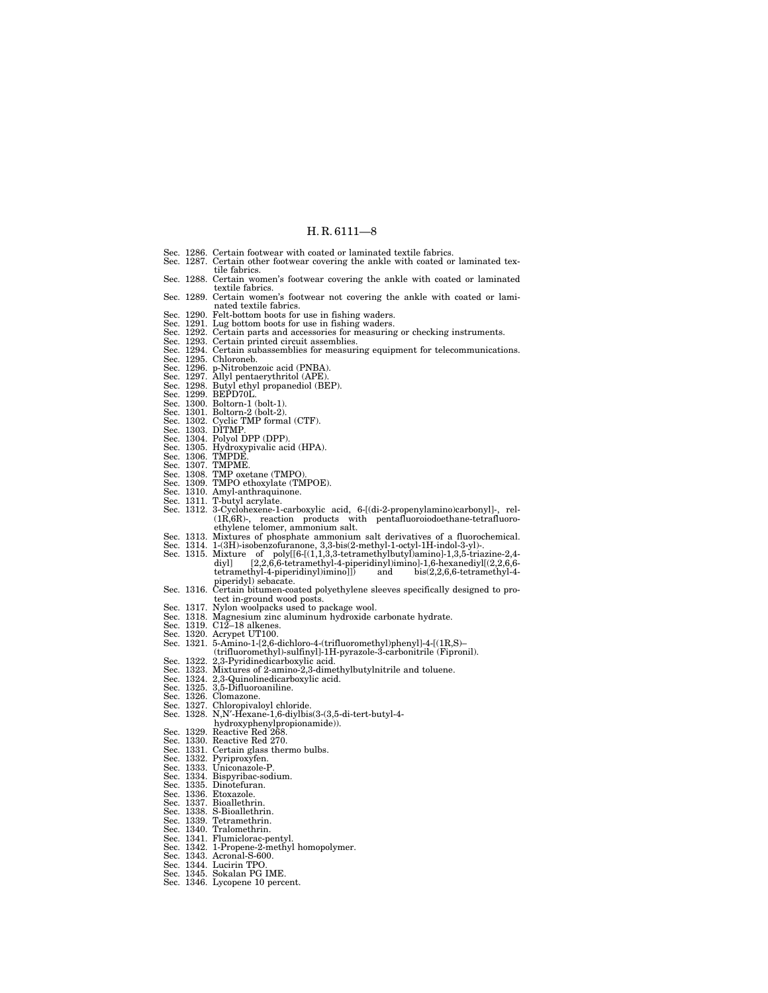- Sec. 1286. Certain footwear with coated or laminated textile fabrics.<br>Sec. 1287. Certain other footwear covering the ankle with coated or Certain other footwear covering the ankle with coated or laminated tex-
- 
- tile fabrics. Sec. 1288. Certain women's footwear covering the ankle with coated or laminated textile fabrics.
- Sec. 1289. Certain women's footwear not covering the ankle with coated or laminated textile fabrics. Sec. 1290. Felt-bottom boots for use in fishing waders.
- 
- Sec. 1291. Lug bottom boots for use in fishing waders.<br>Sec. 1292. Certain parts and accessories for measuring
- Sec. 1292. Certain parts and accessories for measuring or checking instruments. Sec. 1293. Certain printed circuit assemblies.
- 
- Sec. 1294. Certain subassemblies for measuring equipment for telecommunications.
- 
- Sec. 1295. Chloroneb. Sec. 1296. p-Nitrobenzoic acid (PNBA). Sec. 1297. Allyl pentaerythritol (APE). Sec. 1298. Butyl ethyl propanediol (BEP). Sec. 1299. BEPD70L.
- 
- 
- 
- Sec. 1300. Boltorn-1 (bolt-1).<br>Sec. 1301. Boltorn-2 (bolt-2).<br>Sec. 1302. Cyclic TMP forma
- Sec. 1301. Boltorn-2 (bolt-2). Sec. 1302. Cyclic TMP formal (CTF).
- 
- Sec. 1303. DITMP.<br>Sec. 1304. Polyol I<br>Sec. 1305. Hydroxy
- Sec. 1304. Polyol DPP (DPP). Sec. 1305. Hydroxypivalic acid (HPA).
- Sec. 1306. TMPDE.<br>Sec. 1307. TMPME.
- Sec. 1307.<br>Sec. 1308.
- 
- Sec. 1308. TMP oxetane (TMPO). Sec. 1309. TMPO ethoxylate (TMPOE).
- Sec. 1310. Amyl-anthraquinone. Sec. 1311. T-butyl acrylate.
- 
- Sec. 1312. 3-Cyclohexene-1-carboxylic acid, 6-[(di-2-propenylamino)carbonyl]-, rel- (1R,6R)-, reaction products with pentafluoroiodoethane-tetrafluoro-ethylene telomer, ammonium salt.
- Sec. 1313. Mixtures of phosphate ammonium salt derivatives of a fluorochemical. Sec. 1314. 1-(3H)-isobenzofuranone, 3,3-bis(2-methyl-1-octyl-1H-indol-3-yl)-.
- Sec. 1315. Mixture of poly[[6-[(1,1,3,3-tetramethylbutyl)amino]-1,3,5-triazine-2,4- diyl] [2,2,6,6-tetramethyl-4-piperidinyl)imino]-1,6-hexanediyl[(2,2,6,6 tetramethyl-4-piperidinyl)imino]]) and bis(2,2,6,6-tetramethyl-4 piperidyl) sebacate.
- Sec. 1316. Certain bitumen-coated polyethylene sleeves specifically designed to pro-tect in-ground wood posts.
- Sec. 1317. Nylon woolpacks used to package wool.
- Sec. 1318. Magnesium zinc aluminum hydroxide carbonate hydrate. Sec. 1319. C12–18 alkenes.
- 
- 
- Sec. 1320. Acrypet UT100. Sec. 1321. 5-Amino-1-[2,6-dichloro-4-(trifluoromethyl)phenyl]-4-[(1R,S)–
	- (trifluoromethyl)-sulfinyl]-1H-pyrazole-3-carbonitrile (Fipronil).
- 
- Sec. 1322. 2,3-Pyridinedicarboxylic acid.<br>Sec. 1323. Mixtures of 2-amino-2,3-dime<br>Sec. 1324. 2,3-Quinolinedicarboxylic acid. Sec. 1323. Mixtures of 2-amino-2,3-dimethylbutylnitrile and toluene. Sec. 1324. 2,3-Quinolinedicarboxylic acid.
- 
- Sec. 1325. 3,5-Difluoroaniline.<br>Sec. 1326. Clomazone.
- Sec. 1326. Clomazone. Sec. 1327. Chloropivaloyl chloride.
- Sec. 1328. N,N′-Hexane-1,6-diylbis(3-(3,5-di-tert-butyl-4-
- hydroxyphenylpropionamide)). Sec. 1329. Reactive Red 268.
- 
- 
- Sec. 1330. Reactive Red 270.<br>Sec. 1331. Certain glass then<br>Sec. 1332. Pyriproxyfen. Sec. 1331. Certain glass thermo bulbs. Sec. 1332. Pyriproxyfen. Sec. 1333. Uniconazole-P.
- 
- 
- Sec. 1334. Bispyribac-sodium. Sec. 1335. Dinotefuran.
- 
- Sec. 1336. Etoxazole.<br>Sec. 1337. Bioallethri
- Sec. 1337. Bioallethrin.
- Sec. 1338. S-Bioallethrin. Sec. 1339. Tetramethrin.<br>Sec. 1340. Tralomethrin.
- Sec. 1340. Tralomethrin.<br>Sec. 1341. Flumiclorac-po
- Sec. 1341. Flumiclorac-pentyl.<br>Sec. 1342. 1-Propene-2-methyl
- Sec. 1342. 1-Propene-2-methyl homopolymer.<br>Sec. 1343. Acronal-S-600.<br>Sec. 1344. Lucirin TPO.
- Sec. 1343. Acronal-S-600. Sec. 1344. Lucirin TPO.
- Sec. 1345. Sokalan PG IME.
- Sec. 1346. Lycopene 10 percent.
-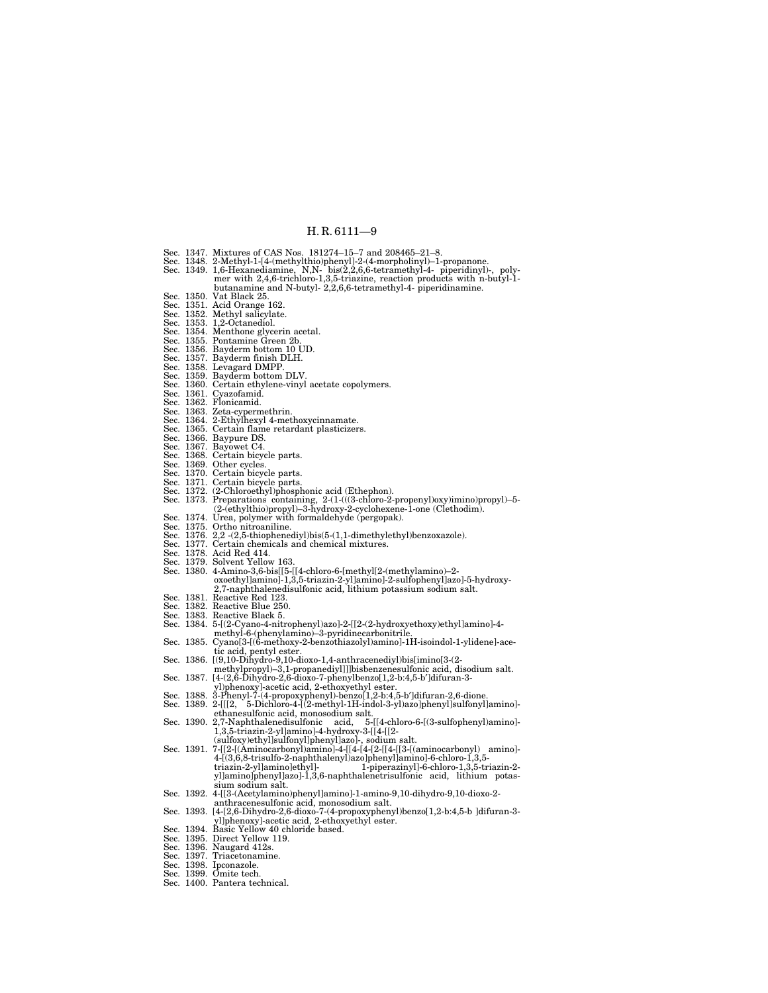- 
- Sec. 1347. Mixtures of CAS Nos. 181274–15–7 and 208465–21–8.<br>Sec. 1348. 2-Methyl-1-[4-(methylthio)phenyl]-2-(4-morpholinyl)–1-propanone.<br>Sec. 1349. 1,6-Hexanediamine, N,N- bis(2,2,6,6-tetramethyl-4- piperidinyl)-, poly-<br>me
- 
- 
- Sec. 1350. Vat Black 25. Sec. 1351. Acid Orange 162. Sec. 1352. Methyl salicylate.
- 
- Sec. 1353. 1,2-Octanediol. Sec. 1354. Menthone glycerin acetal. Sec. 1355. Pontamine Green 2b.
- 
- Sec. 1356. Bayderm bottom 10 UD. Sec. 1357. Bayderm finish DLH.
- 
- 
- Sec. 1358. Levagard DMPP.<br>Sec. 1359. Bayderm bottom<br>Sec. 1360. Certain ethylene
- Sec. 1359. Bayderm bottom DLV. Sec. 1360. Certain ethylene-vinyl acetate copolymers.
- Sec. 1361. Cyazofamid. Sec. 1362. Flonicamid.
- 
- Sec. 1363. Zeta-cypermethrin. Sec. 1364. 2-Ethylhexyl 4-methoxycinnamate.
- 
- Sec. 1365. Certain flame retardant plasticizers. Sec. 1366. Baypure DS. Sec. 1367. Bayowet C4.
- 
- 
- Sec. 1368. Certain bicycle parts. Sec. 1369. Other cycles.
- 
- Sec. 1370. Certain bicycle parts. Sec. 1371. Certain bicycle parts.
- 
- Sec. 1372. (2-Chloroethyl)phosphonic acid (Ethephon). Sec. 1373. Preparations containing, 2-(1-(((3-chloro-2-propenyl)oxy)imino)propyl)–5- (2-(ethylthio)propyl)–3-hydroxy-2-cyclohexene-1-one (Clethodim).
- Sec. 1374. Urea, polymer with formaldehyde (pergopak). Sec. 1375. Ortho nitroaniline.
- 
- Sec. 1376. 2,2 -(2,5-thiophenediyl)bis(5-(1,1-dimethylethyl)benzoxazole). Sec. 1377. Certain chemicals and chemical mixtures. Sec. 1378. Acid Red 414.
- 
- Sec. 1379. Solvent Yellow 163.<br>Sec. 1380. 4-Amino-3.6-bis[[5-]
- Sec. 1380. 4-Amino-3,6-bis[[5-[[4-chloro-6-[methyl[2-(methylamino)–2- oxoethyl]amino]-1,3,5-triazin-2-yl]amino]-2-sulfophenyl]azo]-5-hydroxy-2,7-naphthalenedisulfonic acid, lithium potassium sodium salt.
- Sec. 1381. Reactive Red 123. Sec. 1382. Reactive Blue 250.
- 
- Sec. 1383. Reactive Black 5.
- Sec. 1384. 5-[(2-Cyano-4-nitrophenyl)azo]-2-[[2-(2-hydroxyethoxy)ethyl]amino]-4- methyl-6-(phenylamino)–3-pyridinecarbonitrile. Sec. 1385. Cyano[3-[(6-methoxy-2-benzothiazolyl)amino]-1H-isoindol-1-ylidene]-ace-
- tic acid, pentyl ester. Sec. 1386. [(9,10-Dihydro-9,10-dioxo-1,4-anthracenediyl)bis[imino[3-(2-
- methylpropyl)–3,1-propanediyl]]]bisbenzenesulfonic acid, disodium salt. Sec. 1387. [4-(2,6-Dihydro-2,6-dioxo-7-phenylbenzo[1,2-b:4,5-b′]difuran-3-
- 
- 
- yl)phenoxy]-acetic acid, 2-ethoxyethyl ester. Sec. 1388. 3-Phenyl-7-(4-propoxyphenyl)-benzo[1,2-b:4,5-b′]difuran-2,6-dione. Sec. 1389. 2-[[[2, 5-Dichloro-4-[(2-methyl-1H-indol-3-yl)azo]phenyl]sulfonyl]amino]-
- 
- ethanesulfonic acid, monosodium salt. Sec. 1390. 2,7-Naphthalenedisulfonic acid, 5-[[4-chloro-6-[(3-sulfophenyl)amino]- 1,3,5-triazin-2-yl]amino]-4-hydroxy-3-[[4-[[2-
- (sulfoxy)ethyl]sulfonyl]phenyl]azo]-, sodium salt. Sec. 1391. 7-[[2-[(Aminocarbonyl)amino]-4-[[4-[4-[2-[[4-[[3-[(aminocarbonyl) amino]- 4-[(3,6,8-trisulfo-2-naphthalenyl)azo]phenyl]amino]-6-chloro-1,3,5 triazin-2-yl]amino]ethyl]- 1-piperazinyl]-6-chloro-1,3,5-triazin-2- yl]amino]phenyl]azo]-1,3,6-naphthalenetrisulfonic acid, lithium potas-sium sodium salt.
- Sec. 1392. 4-[[3-(Acetylamino)phenyl]amino]-1-amino-9,10-dihydro-9,10-dioxo-2-
- anthracenesulfonic acid, monosodium salt.<br>Sec. 1393. [4-[2,6-Dihydro-2,6-dioxo-7-(4-propoxyphenyl)benzo[1,2-b:4,5-b ]difuran-3-<br>Sec. 1394. Basic Yellow 40 chloride based.<br>Sec. 1394. Basic Yellow 40 chloride based.
- 
- 
- Sec. 1396. Naugard 412s.
- Triacetonamine.<br>Ipconazole.
- Sec. 1397.<br>Sec. 1398.<br>Sec. 1399.
- Sec. 1400. Pantera technical.
- Omite tech.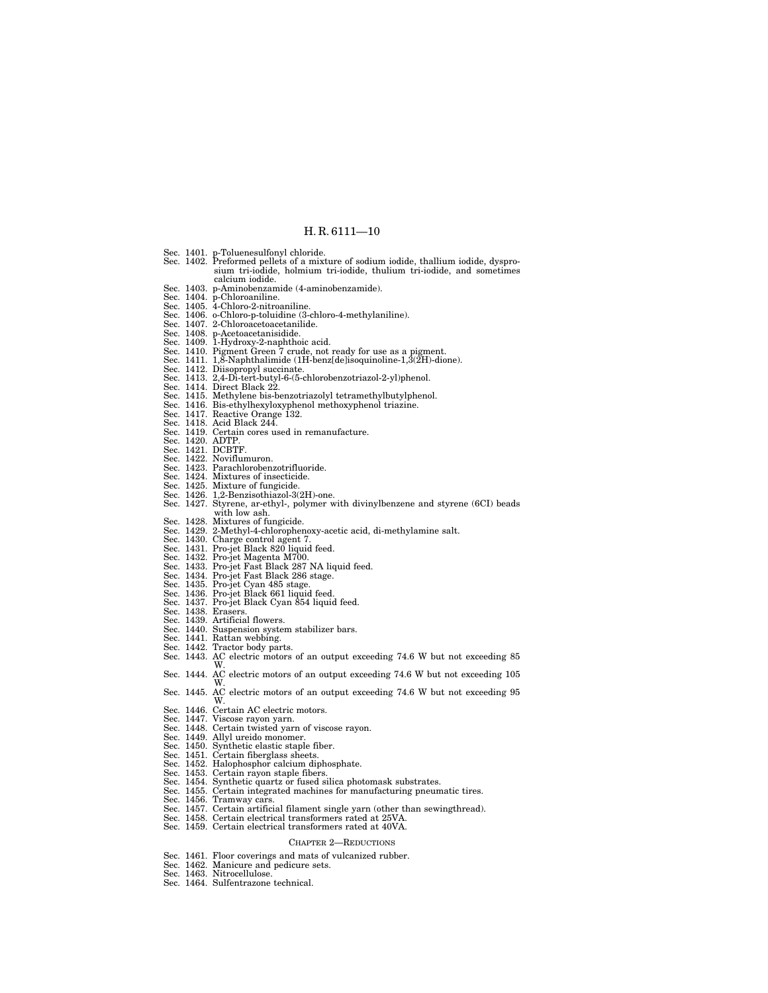- 
- Sec. 1401. p-Toluenesulfonyl chloride. Sec. 1402. Preformed pellets of a mixture of sodium iodide, thallium iodide, dysprosium tri-iodide, holmium tri-iodide, thulium tri-iodide, and sometimes calcium iodide.
- Sec. 1403. p-Aminobenzamide (4-aminobenzamide).
- p-Chloroaniline.
- 
- Sec. 1405. 4-Chloro-2-nitroaniline. Sec. 1406. o-Chloro-p-toluidine (3-chloro-4-methylaniline). Sec. 1407. 2-Chloroacetoacetanilide.
- 
- 
- 
- Sec. 1408. p-Acetoacetanisidide.<br>Sec. 1409. 1-Hydroxy-2-naphthoic acid.<br>Sec. 1410. Pigment Green 7 crude, not ready for use as a pigment.<br>Sec. 1411. 1,8-Naphthalimide (1H-benz[de]isoquinoline-1,3(2H)-dione).
- 
- Sec. 1412. Diisopropyl succinate. Sec. 1413. 2,4-Di-tert-butyl-6-(5-chlorobenzotriazol-2-yl)phenol.
- Sec. 1414. Direct Black 22.<br>Sec. 1415. Methylene bis-b
- Sec. 1415. Methylene bis-benzotriazolyl tetramethylbutylphenol.
- Sec. 1416. Bis-ethylhexyloxyphenol methoxyphenol triazine.
- Sec. 1417. Reactive Orange 132.<br>Sec. 1418. Acid Black 244.
- Acid Black 244.
- Certain cores used in remanufacture.<br>ADTP.
- Sec. 1419. Certain<br>Sec. 1420. ADTP.<br>Sec. 1421. DCBTF.
- Sec. 1421.<br>Sec. 1422.
- Sec. 1422. Noviflumuron.<br>Sec. 1423. Parachloroben:<br>Sec. 1424. Mixtures of ins Parachlorobenzotrifluoride.
- 
- 
- Sec. 1424. Mixtures of insecticide.<br>Sec. 1425. Mixture of fungicide.<br>Sec. 1426. 1.2-Benzisothiazol-3(2F Sec. 1425. Mixture of fungicide. Sec. 1426. 1,2-Benzisothiazol-3(2H)-one.
- Sec. 1427. Styrene, ar-ethyl-, polymer with divinylbenzene and styrene (6CI) beads with low ash.
- 
- Sec. 1428. Mixtures of fungicide.<br>Sec. 1429. 2-Methyl-4-chloropher<br>Sec. 1430. Charge control agent Sec. 1429. 2-Methyl-4-chlorophenoxy-acetic acid, di-methylamine salt. Sec. 1430. Charge control agent 7.
- 
- 
- Sec. 1431. Pro-jet Black 820 liquid feed. Sec. 1432. Pro-jet Magenta M700. Sec. 1433. Pro-jet Fast Black 287 NA liquid feed. Sec. 1433. Pro-jet Fast Black 287 NA li<br>Sec. 1434. Pro-jet Fast Black 286 stage.<br>Sec. 1435. Pro-jet Black 661 liquid feed
- 
- 
- Sec. 1435. Pro-jet Cyan 485 stage. Sec. 1436. Pro-jet Black 661 liquid feed.
- Sec. 1437. Pro-jet Black Cyan 854 liquid feed.
- Sec. 1438.
- Sec. 1439. Artificial flowers.<br>Sec. 1440. Suspension syste
- Sec. 1440. Suspension system stabilizer bars. Sec. 1441. Rattan webbing.
- 
- Sec. 1442. Tractor body parts. Sec. 1443. AC electric motors of an output exceeding 74.6 W but not exceeding 85
- W. Sec. 1444. AC electric motors of an output exceeding 74.6 W but not exceeding 105 W.
- Sec. 1445. AC electric motors of an output exceeding 74.6 W but not exceeding 95 W.
- Sec. 1446. Certain AC electric motors.<br>Sec. 1447. Viscose rayon yarn.
- Sec. 1447. Viscose rayon yarn.
- Sec. 1448. Certain twisted yarn of viscose rayon.
- 
- Sec. 1449. Allyl ureido monomer.<br>Sec. 1450. Synthetic elastic staple<br>Sec. 1451. Certain fiberglass shee Sec. 1450. Synthetic elastic staple fiber. Sec. 1451. Certain fiberglass sheets.
- Sec. 1452. Halophosphor calcium diphosphate.<br>Sec. 1453. Certain rayon staple fibers.
- 
- Sec. 1453. Certain rayon staple fibers.<br>Sec. 1454. Synthetic quartz or fused si
- Sec. 1454. Synthetic quartz or fused silica photomask substrates. Sec. 1455. Certain integrated machines for manufacturing pneumatic tires.
- 
- Sec. 1456. Tramway cars. Sec. 1457. Certain artificial filament single yarn (other than sewingthread).
- Sec. 1458. Certain electrical transformers rated at 25VA. Sec. 1459. Certain electrical transformers rated at 40VA.

- CHAPTER 2—REDUCTIONS
- Sec. 1461. Floor coverings and mats of vulcanized rubber. Sec. 1462. Manicure and pedicure sets.
- Sec. 1463. Nitrocellulose.
- 
- Sec. 1464. Sulfentrazone technical.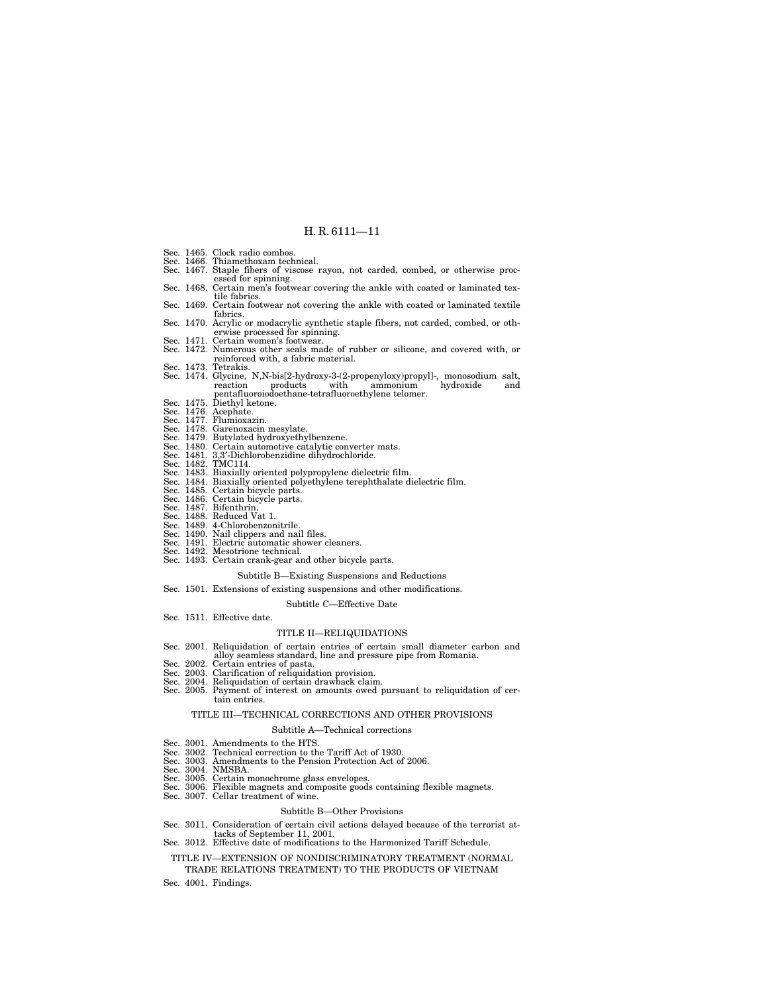- 
- Sec. 1465. Clock radio combos. Sec. 1466. Thiamethoxam technical.
- Sec. 1467. Staple fibers of viscose rayon, not carded, combed, or otherwise processed for spinning. Sec. 1468. Certain men's footwear covering the ankle with coated or laminated tex-
- tile fabrics. Sec. 1469. Certain footwear not covering the ankle with coated or laminated textile
- fabrics.
- Sec. 1470. Acrylic or modacrylic synthetic staple fibers, not carded, combed, or otherwise processed for spinning.
- Sec. 1471. Certain women's footwear.
- Sec. 1472. Numerous other seals made of rubber or silicone, and covered with, or reinforced with, a fabric material.
- Sec. 1473. Tetrakis. Sec. 1474. Glycine, N,N-bis[2-hydroxy-3-(2-propenyloxy)propyl]-, monosodium salt, reaction products with ammonium hydroxide and pentafluoroiodoethane-tetrafluoroethylene telomer.
- Sec. 1475. Diethyl ketone.
- Sec. 1476.<br>Sec. 1477. Acephate.<br>Flumioxazin.
- 
- 
- Sec. 1478. Garenoxacin mesylate. Sec. 1479. Butylated hydroxyethylbenzene. Sec. 1480. Certain automotive catalytic converter mats. Sec. 1480. Certain automotive catalytic converter<br>Sec. 1481. 3,3'-Dichlorobenzidine dihydrochloride.<br>Sec. 1482. TMC114.
- 
- Sec. 1482. TMC114.<br>Sec. 1483. Biaxially<br>Sec. 1484. Biaxially
- Sec. 1483. Biaxially oriented polypropylene dielectric film. Sec. 1484. Biaxially oriented polyethylene terephthalate dielectric film.
- 
- Sec. 1485. Certain bicycle parts. Sec. 1486. Certain bicycle parts. Sec. 1487. Bifenthrin.
- 
- Sec. 1488. Reduced Vat 1.
- 
- 
- Sec. 1489. 4-Chlorobenzonitrile. Sec. 1490. Nail clippers and nail files. Sec. 1491. Electric automatic shower cleaners.
- Sec. 1492. Mesotrione technical.<br>Sec. 1493. Certain crank-gear a
- Certain crank-gear and other bicycle parts.

#### Subtitle B—Existing Suspensions and Reductions

Sec. 1501. Extensions of existing suspensions and other modifications.

#### Subtitle C—Effective Date

Sec. 1511. Effective date.

#### TITLE II—RELIQUIDATIONS

- Sec. 2001. Reliquidation of certain entries of certain small diameter carbon and alloy seamless standard, line and pressure pipe from Romania.
- Sec. 2002. Certain entries of pasta.
- Sec. 2003. Clarification of reliquidation provision. Sec. 2004. Reliquidation of certain drawback claim.
- 
- Sec. 2005. Payment of interest on amounts owed pursuant to reliquidation of certain entries.

#### TITLE III—TECHNICAL CORRECTIONS AND OTHER PROVISIONS

#### Subtitle A—Technical corrections

- 
- Sec. 3001. Amendments to the HTS. Sec. 3002. Technical correction to the Tariff Act of 1930.
- Sec. 3003. Amendments to the Pension Protection Act of 2006.
- 
- Sec. 3004. NMSBA. Sec. 3005. Certain monochrome glass envelopes.
- Sec. 3006. Flexible magnets and composite goods containing flexible magnets.
- Sec. 3007. Cellar treatment of wine.

#### Subtitle B—Other Provisions

- Sec. 3011. Consideration of certain civil actions delayed because of the terrorist at-
- tacks of September 11, 2001. Sec. 3012. Effective date of modifications to the Harmonized Tariff Schedule.

# TITLE IV—EXTENSION OF NONDISCRIMINATORY TREATMENT (NORMAL

- TRADE RELATIONS TREATMENT) TO THE PRODUCTS OF VIETNAM
- Sec. 4001. Findings.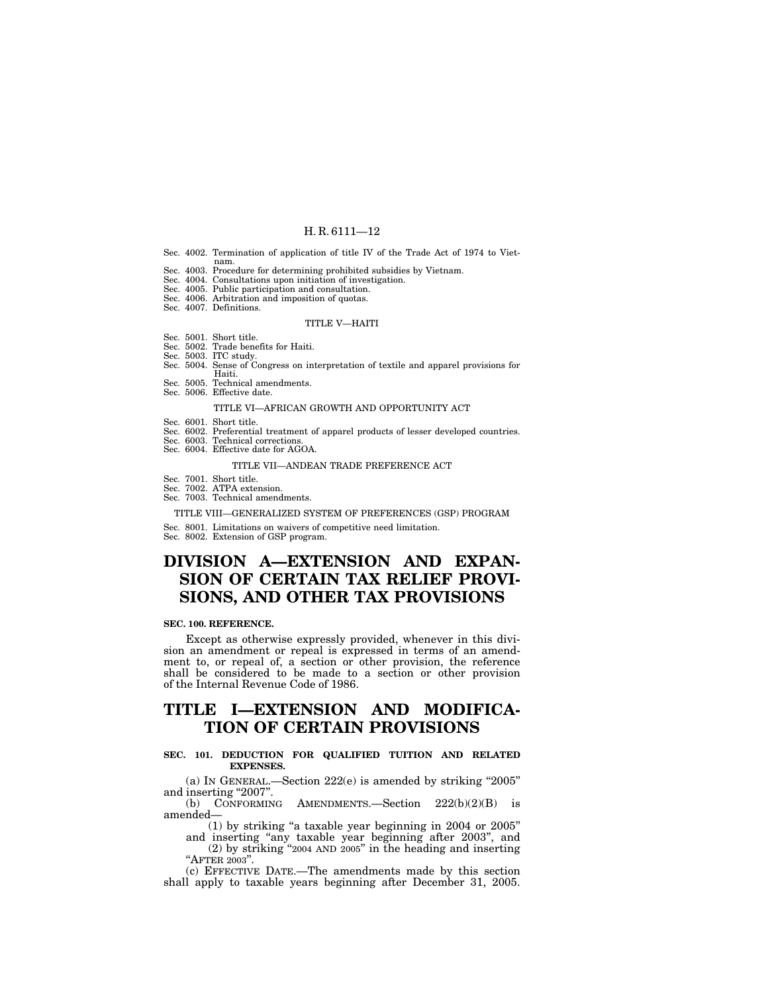- Sec. 4002. Termination of application of title IV of the Trade Act of 1974 to Viet-
- nam. Sec. 4003. Procedure for determining prohibited subsidies by Vietnam.
- Sec. 4004. Consultations upon initiation of investigation.
- Sec. 4005. Public participation and consultation.
- Sec. 4006. Arbitration and imposition of quotas.
- Sec. 4007. Definitions.

#### TITLE V—HAITI

- Sec. 5001. Short title. Sec. 5002. Trade benefits for Haiti.
- Sec. 5003. ITC study.
- Sec. 5004. Sense of Congress on interpretation of textile and apparel provisions for Haiti.
- Sec. 5005. Technical amendments.

### Sec. 5006. Effective date.

#### TITLE VI—AFRICAN GROWTH AND OPPORTUNITY ACT

- Sec. 6001. Short title.
- Sec. 6002. Preferential treatment of apparel products of lesser developed countries. Sec. 6003. Technical corrections.
- 
- Sec. 6004. Effective date for AGOA.

#### TITLE VII—ANDEAN TRADE PREFERENCE ACT

- Sec. 7001. Short title.
- 
- Sec. 7002. ATPA extension. Sec. 7003. Technical amendments.
	- TITLE VIII—GENERALIZED SYSTEM OF PREFERENCES (GSP) PROGRAM
- Sec. 8001. Limitations on waivers of competitive need limitation.
- Sec. 8002. Extension of GSP program.

# **DIVISION A—EXTENSION AND EXPAN-SION OF CERTAIN TAX RELIEF PROVI-SIONS, AND OTHER TAX PROVISIONS**

#### **SEC. 100. REFERENCE.**

Except as otherwise expressly provided, whenever in this division an amendment or repeal is expressed in terms of an amendment to, or repeal of, a section or other provision, the reference shall be considered to be made to a section or other provision of the Internal Revenue Code of 1986.

# **TITLE I—EXTENSION AND MODIFICA-TION OF CERTAIN PROVISIONS**

#### **SEC. 101. DEDUCTION FOR QUALIFIED TUITION AND RELATED EXPENSES.**

(a) IN GENERAL.—Section 222(e) is amended by striking ''2005'' and inserting "2007".

(b) CONFORMING AMENDMENTS.—Section 222(b)(2)(B) is amended—

(1) by striking ''a taxable year beginning in 2004 or 2005'' and inserting ''any taxable year beginning after 2003'', and (2) by striking ''2004 AND 2005'' in the heading and inserting ''AFTER 2003''.

(c) EFFECTIVE DATE.—The amendments made by this section shall apply to taxable years beginning after December 31, 2005.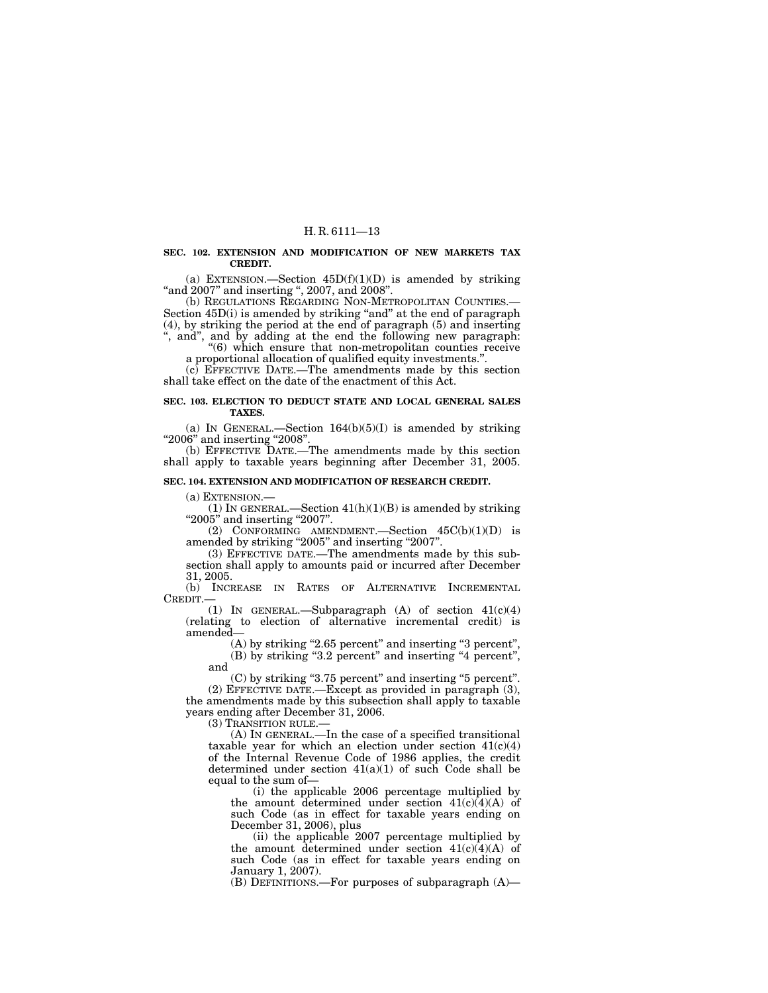#### **SEC. 102. EXTENSION AND MODIFICATION OF NEW MARKETS TAX CREDIT.**

(a) EXTENSION.—Section  $45D(f)(1)(D)$  is amended by striking ''and 2007'' and inserting '', 2007, and 2008''.

(b) REGULATIONS REGARDING NON-METROPOLITAN COUNTIES.— Section  $45D(i)$  is amended by striking "and" at the end of paragraph  $(4)$ , by striking the period at the end of paragraph  $(5)$  and inserting , and", and by adding at the end the following new paragraph:

"(6) which ensure that non-metropolitan counties receive a proportional allocation of qualified equity investments.''.

(c) EFFECTIVE DATE.—The amendments made by this section shall take effect on the date of the enactment of this Act.

#### **SEC. 103. ELECTION TO DEDUCT STATE AND LOCAL GENERAL SALES TAXES.**

(a) IN GENERAL.—Section  $164(b)(5)(I)$  is amended by striking "2006" and inserting "2008"

(b) EFFECTIVE DATE.—The amendments made by this section shall apply to taxable years beginning after December 31, 2005.

#### **SEC. 104. EXTENSION AND MODIFICATION OF RESEARCH CREDIT.**

(a) EXTENSION.—

(1) In GENERAL.—Section  $41(h)(1)(B)$  is amended by striking ''2005'' and inserting ''2007''.

(2) CONFORMING AMENDMENT.—Section 45C(b)(1)(D) is amended by striking "2005" and inserting "2007".

(3) EFFECTIVE DATE.—The amendments made by this subsection shall apply to amounts paid or incurred after December 31, 2005.

(b) INCREASE IN RATES OF ALTERNATIVE INCREMENTAL CREDIT.—

(1) IN GENERAL.—Subparagraph (A) of section 41(c)(4) (relating to election of alternative incremental credit) is amended—

(A) by striking "2.65 percent" and inserting "3 percent", (B) by striking "3.2 percent" and inserting "4 percent", and

 $(C)$  by striking "3.75 percent" and inserting "5 percent". (2) EFFECTIVE DATE.—Except as provided in paragraph (3), the amendments made by this subsection shall apply to taxable years ending after December 31, 2006.

(3) TRANSITION RULE.—

(A) IN GENERAL.—In the case of a specified transitional taxable year for which an election under section  $41(c)(4)$ of the Internal Revenue Code of 1986 applies, the credit determined under section  $41(a)(1)$  of such Code shall be equal to the sum of—

(i) the applicable 2006 percentage multiplied by the amount determined under section  $41(c)(4)(A)$  of such Code (as in effect for taxable years ending on December 31, 2006), plus

(ii) the applicable 2007 percentage multiplied by the amount determined under section  $41(c)(4)(A)$  of such Code (as in effect for taxable years ending on January 1, 2007).

(B) DEFINITIONS.—For purposes of subparagraph (A)—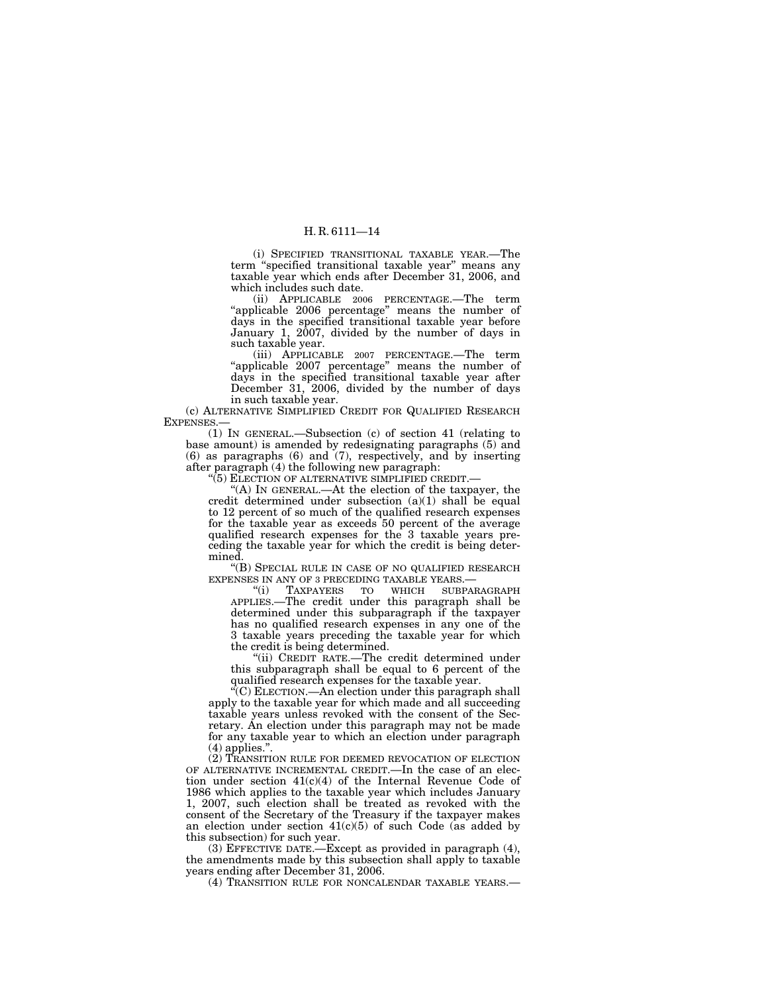(i) SPECIFIED TRANSITIONAL TAXABLE YEAR.—The term ''specified transitional taxable year'' means any taxable year which ends after December 31, 2006, and which includes such date.

(ii) APPLICABLE 2006 PERCENTAGE.—The term "applicable 2006 percentage" means the number of days in the specified transitional taxable year before January 1, 2007, divided by the number of days in such taxable year.

(iii) APPLICABLE 2007 PERCENTAGE.—The term ''applicable 2007 percentage'' means the number of days in the specified transitional taxable year after December 31, 2006, divided by the number of days in such taxable year.

(c) ALTERNATIVE SIMPLIFIED CREDIT FOR QUALIFIED RESEARCH **EXPENSES** 

(1) IN GENERAL.—Subsection (c) of section 41 (relating to base amount) is amended by redesignating paragraphs (5) and (6) as paragraphs (6) and (7), respectively, and by inserting after paragraph (4) the following new paragraph:

"(A) IN GENERAL.—At the election of the taxpayer, the credit determined under subsection (a)(1) shall be equal to 12 percent of so much of the qualified research expenses for the taxable year as exceeds 50 percent of the average qualified research expenses for the 3 taxable years preceding the taxable year for which the credit is being determined.

''(B) SPECIAL RULE IN CASE OF NO QUALIFIED RESEARCH EXPENSES IN ANY OF 3 PRECEDING TAXABLE YEARS.——"(i) TAXPAYERS TO WHICH SUBPA

WHICH SUBPARAGRAPH APPLIES.—The credit under this paragraph shall be determined under this subparagraph if the taxpayer has no qualified research expenses in any one of the 3 taxable years preceding the taxable year for which the credit is being determined.

''(ii) CREDIT RATE.—The credit determined under this subparagraph shall be equal to 6 percent of the qualified research expenses for the taxable year.

''(C) ELECTION.—An election under this paragraph shall apply to the taxable year for which made and all succeeding taxable years unless revoked with the consent of the Secretary. An election under this paragraph may not be made for any taxable year to which an election under paragraph  $(4)$  applies.".

(2) TRANSITION RULE FOR DEEMED REVOCATION OF ELECTION OF ALTERNATIVE INCREMENTAL CREDIT.—In the case of an election under section 41(c)(4) of the Internal Revenue Code of 1986 which applies to the taxable year which includes January 1, 2007, such election shall be treated as revoked with the consent of the Secretary of the Treasury if the taxpayer makes an election under section  $41(c)(5)$  of such Code (as added by this subsection) for such year.

(3) EFFECTIVE DATE.—Except as provided in paragraph (4), the amendments made by this subsection shall apply to taxable years ending after December 31, 2006.

(4) TRANSITION RULE FOR NONCALENDAR TAXABLE YEARS.—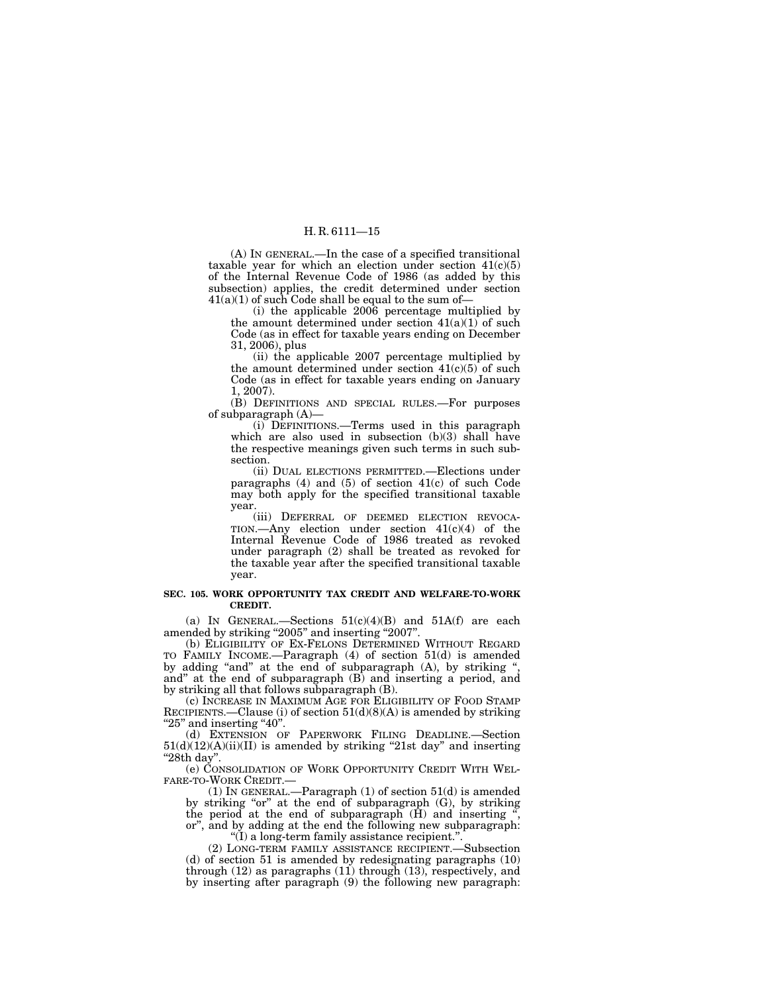(A) IN GENERAL.—In the case of a specified transitional taxable year for which an election under section  $41(c)(5)$ of the Internal Revenue Code of 1986 (as added by this subsection) applies, the credit determined under section  $41(a)(1)$  of such Code shall be equal to the sum of-

(i) the applicable 2006 percentage multiplied by the amount determined under section  $41(a)(1)$  of such Code (as in effect for taxable years ending on December 31, 2006), plus

(ii) the applicable 2007 percentage multiplied by the amount determined under section  $41(c)(5)$  of such Code (as in effect for taxable years ending on January 1, 2007).

(B) DEFINITIONS AND SPECIAL RULES.—For purposes of subparagraph (A)—

(i) DEFINITIONS.—Terms used in this paragraph which are also used in subsection (b)(3) shall have the respective meanings given such terms in such subsection.

(ii) DUAL ELECTIONS PERMITTED.—Elections under paragraphs (4) and (5) of section 41(c) of such Code may both apply for the specified transitional taxable year.

(iii) DEFERRAL OF DEEMED ELECTION REVOCA-TION.—Any election under section 41(c)(4) of the Internal Revenue Code of 1986 treated as revoked under paragraph (2) shall be treated as revoked for the taxable year after the specified transitional taxable year.

#### **SEC. 105. WORK OPPORTUNITY TAX CREDIT AND WELFARE-TO-WORK CREDIT.**

(a) IN GENERAL.—Sections  $51(c)(4)(B)$  and  $51A(f)$  are each amended by striking "2005" and inserting "2007".

(b) ELIGIBILITY OF EX-FELONS DETERMINED WITHOUT REGARD TO FAMILY INCOME.—Paragraph (4) of section 51(d) is amended by adding "and" at the end of subparagraph (A), by striking ", and'' at the end of subparagraph (B) and inserting a period, and by striking all that follows subparagraph (B).

(c) INCREASE IN MAXIMUM AGE FOR ELIGIBILITY OF FOOD STAMP RECIPIENTS.—Clause (i) of section  $51(d)(8)(A)$  is amended by striking " $25$ " and inserting " $40$ ".

(d) EXTENSION OF PAPERWORK FILING DEADLINE.—Section  $51(d)(12)(A)(ii)(II)$  is amended by striking "21st day" and inserting ''28th day''.

(e) CONSOLIDATION OF WORK OPPORTUNITY CREDIT WITH WEL-FARE-TO-WORK CREDIT.—

(1) IN GENERAL.—Paragraph (1) of section 51(d) is amended by striking "or" at the end of subparagraph (G), by striking the period at the end of subparagraph  $(\hat{H})$  and inserting or'', and by adding at the end the following new subparagraph: ''(I) a long-term family assistance recipient.''.

(2) LONG-TERM FAMILY ASSISTANCE RECIPIENT.—Subsection (d) of section 51 is amended by redesignating paragraphs (10) through  $(12)$  as paragraphs  $(11)$  through  $(13)$ , respectively, and by inserting after paragraph (9) the following new paragraph: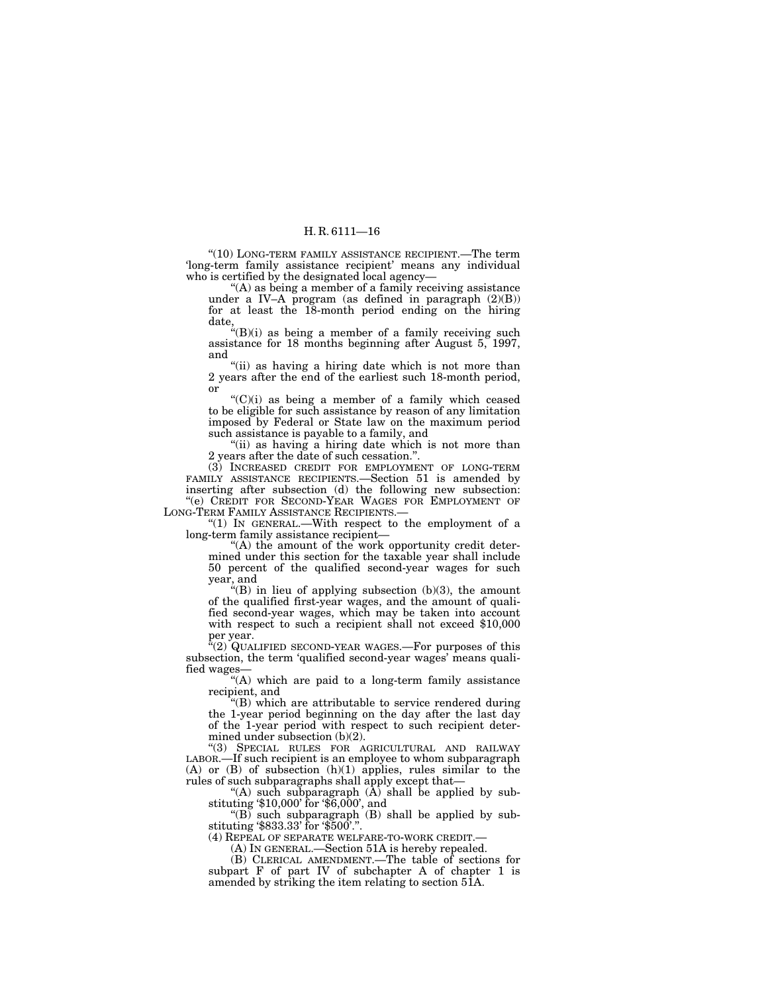''(10) LONG-TERM FAMILY ASSISTANCE RECIPIENT.—The term 'long-term family assistance recipient' means any individual who is certified by the designated local agency—

"(A) as being a member of a family receiving assistance under a IV–A program (as defined in paragraph (2)(B)) for at least the 18-month period ending on the hiring date,

" $(B)(i)$  as being a member of a family receiving such assistance for 18 months beginning after August 5, 1997, and

"(ii) as having a hiring date which is not more than 2 years after the end of the earliest such 18-month period, or

 $(C)(i)$  as being a member of a family which ceased to be eligible for such assistance by reason of any limitation imposed by Federal or State law on the maximum period such assistance is payable to a family, and

"(ii) as having a hiring date which is not more than 2 years after the date of such cessation.''.

(3) INCREASED CREDIT FOR EMPLOYMENT OF LONG-TERM FAMILY ASSISTANCE RECIPIENTS.—Section 51 is amended by inserting after subsection (d) the following new subsection: ''(e) CREDIT FOR SECOND-YEAR WAGES FOR EMPLOYMENT OF

LONG-TERM FAMILY ASSISTANCE RECIPIENTS. ''(1) IN GENERAL.—With respect to the employment of a

long-term family assistance recipient—

"(A) the amount of the work opportunity credit determined under this section for the taxable year shall include 50 percent of the qualified second-year wages for such year, and

 $E'(B)$  in lieu of applying subsection (b)(3), the amount of the qualified first-year wages, and the amount of qualified second-year wages, which may be taken into account with respect to such a recipient shall not exceed \$10,000 per year.

"(2) QUALIFIED SECOND-YEAR WAGES.—For purposes of this subsection, the term 'qualified second-year wages' means qualified wages—

"(A) which are paid to a long-term family assistance recipient, and

''(B) which are attributable to service rendered during the 1-year period beginning on the day after the last day of the 1-year period with respect to such recipient determined under subsection (b)(2).

''(3) SPECIAL RULES FOR AGRICULTURAL AND RAILWAY LABOR.—If such recipient is an employee to whom subparagraph (A) or (B) of subsection (h)(1) applies, rules similar to the rules of such subparagraphs shall apply except that—

"(A) such subparagraph  $(A)$  shall be applied by substituting '\$10,000' for '\$6,000', and

"(B) such subparagraph (B) shall be applied by substituting  $$833.33'$  for  $$500'$ .".

(4) REPEAL OF SEPARATE WELFARE-TO-WORK CREDIT.—

(A) IN GENERAL.—Section 51A is hereby repealed.

(B) CLERICAL AMENDMENT.—The table of sections for subpart F of part IV of subchapter A of chapter 1 is amended by striking the item relating to section 51A.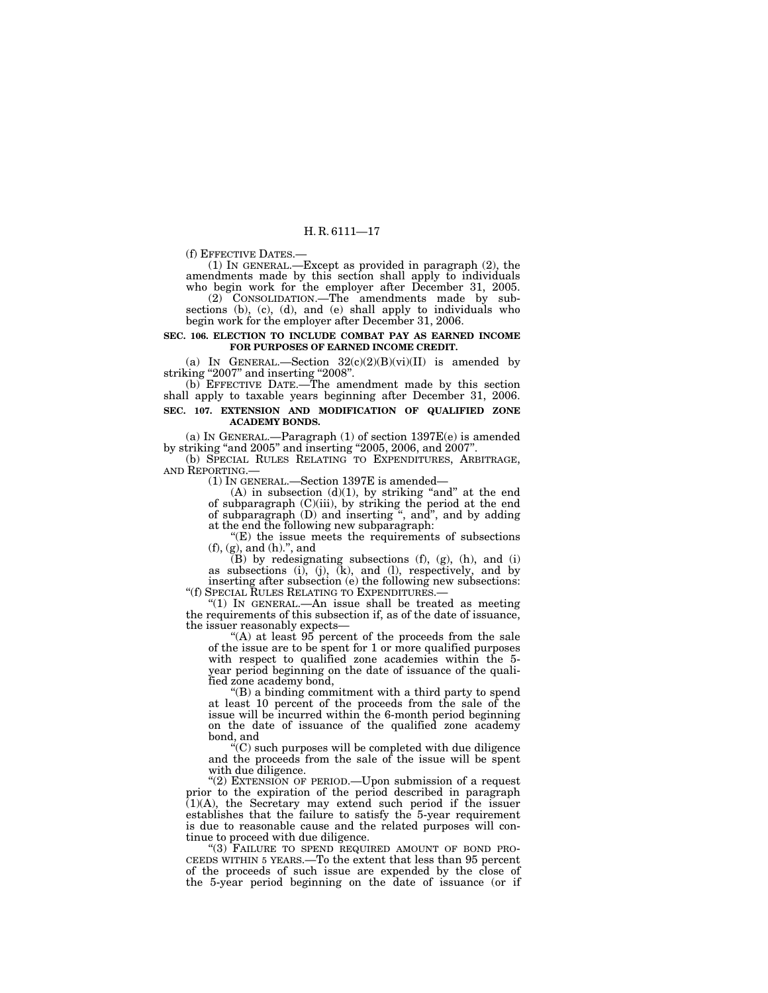(f) EFFECTIVE DATES.—<br>(1) IN GENERAL.—Except as provided in paragraph  $(2)$ , the amendments made by this section shall apply to individuals who begin work for the employer after December 31, 2005.

(2) CONSOLIDATION.—The amendments made by subsections (b), (c), (d), and (e) shall apply to individuals who begin work for the employer after December 31, 2006.

#### **SEC. 106. ELECTION TO INCLUDE COMBAT PAY AS EARNED INCOME FOR PURPOSES OF EARNED INCOME CREDIT.**

(a) IN GENERAL.—Section  $32(c)(2)(B)(vi)(II)$  is amended by striking "2007" and inserting "2008".

(b) EFFECTIVE DATE.—The amendment made by this section shall apply to taxable years beginning after December 31, 2006.

#### **SEC. 107. EXTENSION AND MODIFICATION OF QUALIFIED ZONE ACADEMY BONDS.**

(a) IN GENERAL.—Paragraph (1) of section 1397E(e) is amended by striking ''and 2005'' and inserting ''2005, 2006, and 2007''.

(b) SPECIAL RULES RELATING TO EXPENDITURES, ARBITRAGE, AND REPORTING.—<br>(1) IN GENERAL.—Section 1397E is amended—

(A) in subsection  $(d)(1)$ , by striking "and" at the end of subparagraph (C)(iii), by striking the period at the end of subparagraph (D) and inserting '', and'', and by adding at the end the following new subparagraph:

''(E) the issue meets the requirements of subsections  $(f), (g),$  and  $(h)$ .", and

 $(B)$  by redesignating subsections  $(f)$ ,  $(g)$ ,  $(h)$ , and  $(i)$ as subsections (i), (j), (k), and (l), respectively, and by inserting after subsection (e) the following new subsections:

''(f) SPECIAL RULES RELATING TO EXPENDITURES.— ''(1) IN GENERAL.—An issue shall be treated as meeting

the requirements of this subsection if, as of the date of issuance, the issuer reasonably expects—

"(A) at least  $95$  percent of the proceeds from the sale of the issue are to be spent for 1 or more qualified purposes with respect to qualified zone academies within the 5 year period beginning on the date of issuance of the qualified zone academy bond,

''(B) a binding commitment with a third party to spend at least 10 percent of the proceeds from the sale of the issue will be incurred within the 6-month period beginning on the date of issuance of the qualified zone academy bond, and

''(C) such purposes will be completed with due diligence and the proceeds from the sale of the issue will be spent with due diligence.

"(2) EXTENSION OF PERIOD.—Upon submission of a request prior to the expiration of the period described in paragraph (1)(A), the Secretary may extend such period if the issuer establishes that the failure to satisfy the 5-year requirement is due to reasonable cause and the related purposes will continue to proceed with due diligence.

"(3) FAILURE TO SPEND REQUIRED AMOUNT OF BOND PRO-CEEDS WITHIN 5 YEARS.—To the extent that less than 95 percent of the proceeds of such issue are expended by the close of the 5-year period beginning on the date of issuance (or if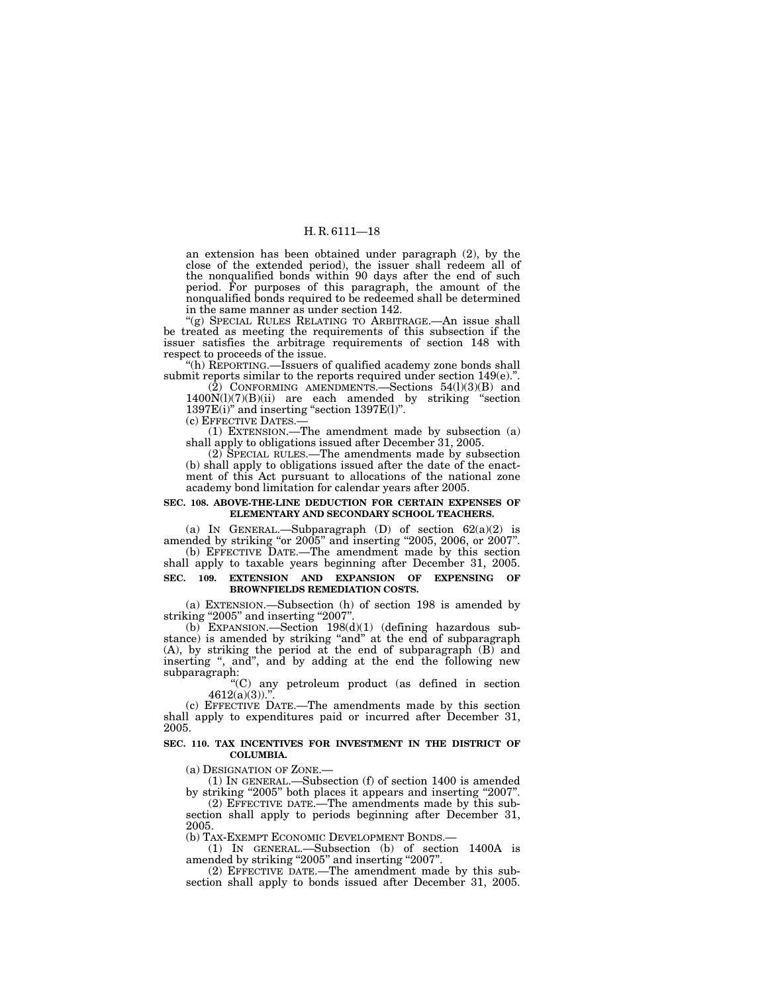an extension has been obtained under paragraph (2), by the close of the extended period), the issuer shall redeem all of the nonqualified bonds within 90 days after the end of such period. For purposes of this paragraph, the amount of the nonqualified bonds required to be redeemed shall be determined in the same manner as under section 142.

"(g) SPECIAL RULES RELATING TO ARBITRAGE.—An issue shall be treated as meeting the requirements of this subsection if the issuer satisfies the arbitrage requirements of section 148 with respect to proceeds of the issue.

''(h) REPORTING.—Issuers of qualified academy zone bonds shall submit reports similar to the reports required under section 149(e).

 $(2)$  CONFORMING AMENDMENTS. Sections 54(1)(3)(B) and  $1400N(l)(7)(B)(ii)$  are each amended by striking "section  $1397E(i)$ " and inserting "section  $1397E(1)$ ".

(c) EFFECTIVE DATES.— (1) EXTENSION.—The amendment made by subsection (a) shall apply to obligations issued after December 31, 2005.

(2) SPECIAL RULES.—The amendments made by subsection (b) shall apply to obligations issued after the date of the enactment of this Act pursuant to allocations of the national zone academy bond limitation for calendar years after 2005.

#### **SEC. 108. ABOVE-THE-LINE DEDUCTION FOR CERTAIN EXPENSES OF ELEMENTARY AND SECONDARY SCHOOL TEACHERS.**

(a) IN GENERAL.—Subparagraph (D) of section  $62(a)(2)$  is amended by striking "or  $2005$ " and inserting "2005, 2006, or 2007". (b) EFFECTIVE DATE.—The amendment made by this section

shall apply to taxable years beginning after December 31, 2005.

#### SEC. 109. EXTENSION AND EXPANSION OF EXPENSING OF **BROWNFIELDS REMEDIATION COSTS.**

(a) EXTENSION.—Subsection (h) of section 198 is amended by striking "2005" and inserting "2007".

(b) EXPANSION.—Section 198(d)(1) (defining hazardous substance) is amended by striking "and" at the end of subparagraph (A), by striking the period at the end of subparagraph (B) and inserting ", and", and by adding at the end the following new subparagraph:

''(C) any petroleum product (as defined in section  $4612(a)(3)$ ).

(c) EFFECTIVE DATE.—The amendments made by this section shall apply to expenditures paid or incurred after December 31, 2005.

#### **SEC. 110. TAX INCENTIVES FOR INVESTMENT IN THE DISTRICT OF COLUMBIA.**

(a) DESIGNATION OF ZONE.—

(1) IN GENERAL.—Subsection (f) of section 1400 is amended striking "2005" both places it appears and inserting "2007".

(2) EFFECTIVE DATE.—The amendments made by this subsection shall apply to periods beginning after December 31, 2005.

(b) TAX-EXEMPT ECONOMIC DEVELOPMENT BONDS.—

(1) IN GENERAL.—Subsection (b) of section 1400A is amended by striking ''2005'' and inserting ''2007''.

(2) EFFECTIVE DATE.—The amendment made by this subsection shall apply to bonds issued after December 31, 2005.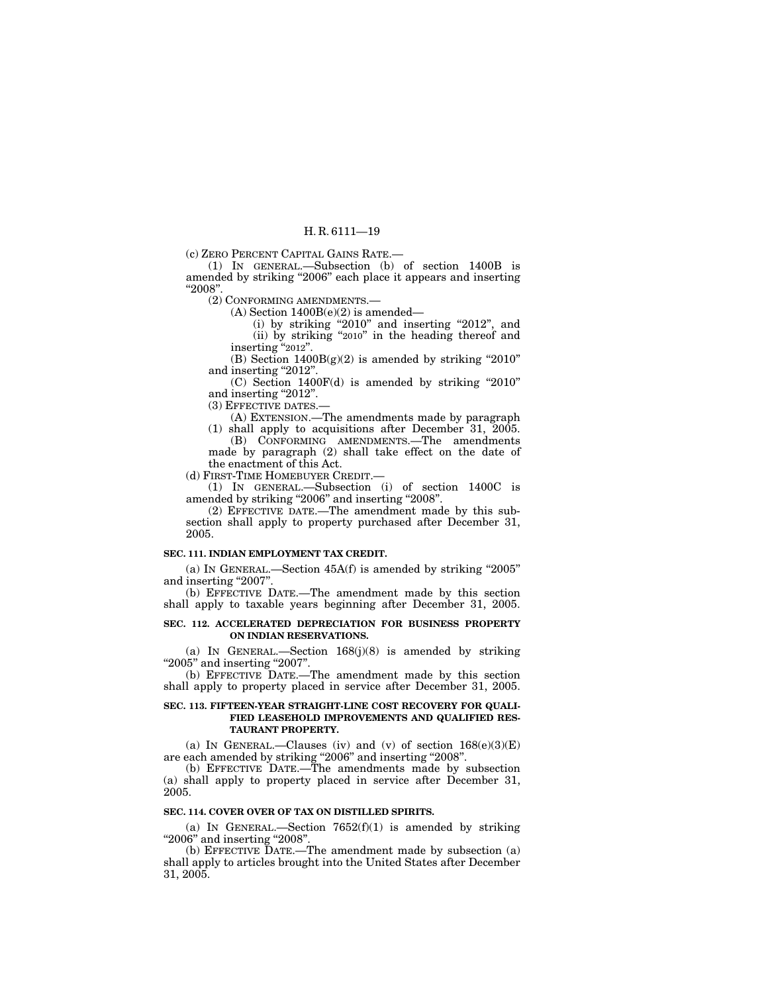(c) ZERO PERCENT CAPITAL GAINS RATE.—

(1) IN GENERAL.—Subsection (b) of section 1400B is amended by striking "2006" each place it appears and inserting ''2008''.

(2) CONFORMING AMENDMENTS.—

(A) Section 1400B(e)(2) is amended—

(i) by striking "2010" and inserting "2012", and (ii) by striking ''2010'' in the heading thereof and inserting "2012"

(B) Section  $1400B(g)(2)$  is amended by striking "2010" and inserting "2012".

(C) Section 1400F(d) is amended by striking ''2010'' and inserting "2012".

(3) EFFECTIVE DATES.—

(A) EXTENSION.—The amendments made by paragraph (1) shall apply to acquisitions after December 31, 2005.

(B) CONFORMING AMENDMENTS.—The amendments made by paragraph (2) shall take effect on the date of the enactment of this Act.

(d) FIRST-TIME HOMEBUYER CREDIT.—

(1) IN GENERAL.—Subsection (i) of section 1400C is amended by striking "2006" and inserting "2008".

(2) EFFECTIVE DATE.—The amendment made by this subsection shall apply to property purchased after December 31, 2005.

#### **SEC. 111. INDIAN EMPLOYMENT TAX CREDIT.**

(a) IN GENERAL.—Section  $45A(f)$  is amended by striking "2005" and inserting "2007"

(b) EFFECTIVE DATE.—The amendment made by this section shall apply to taxable years beginning after December 31, 2005.

#### **SEC. 112. ACCELERATED DEPRECIATION FOR BUSINESS PROPERTY ON INDIAN RESERVATIONS.**

(a) IN GENERAL.—Section  $168(j)(8)$  is amended by striking "2005" and inserting "2007".

(b) EFFECTIVE DATE.—The amendment made by this section shall apply to property placed in service after December 31, 2005.

#### **SEC. 113. FIFTEEN-YEAR STRAIGHT-LINE COST RECOVERY FOR QUALI-FIED LEASEHOLD IMPROVEMENTS AND QUALIFIED RES-TAURANT PROPERTY.**

(a) IN GENERAL.—Clauses (iv) and (v) of section  $168(e)(3)(E)$ are each amended by striking ''2006'' and inserting ''2008''.

(b) EFFECTIVE DATE.—The amendments made by subsection (a) shall apply to property placed in service after December 31, 2005.

#### **SEC. 114. COVER OVER OF TAX ON DISTILLED SPIRITS.**

(a) IN GENERAL.—Section  $7652(f)(1)$  is amended by striking "2006" and inserting "2008".

(b) EFFECTIVE DATE.—The amendment made by subsection (a) shall apply to articles brought into the United States after December 31, 2005.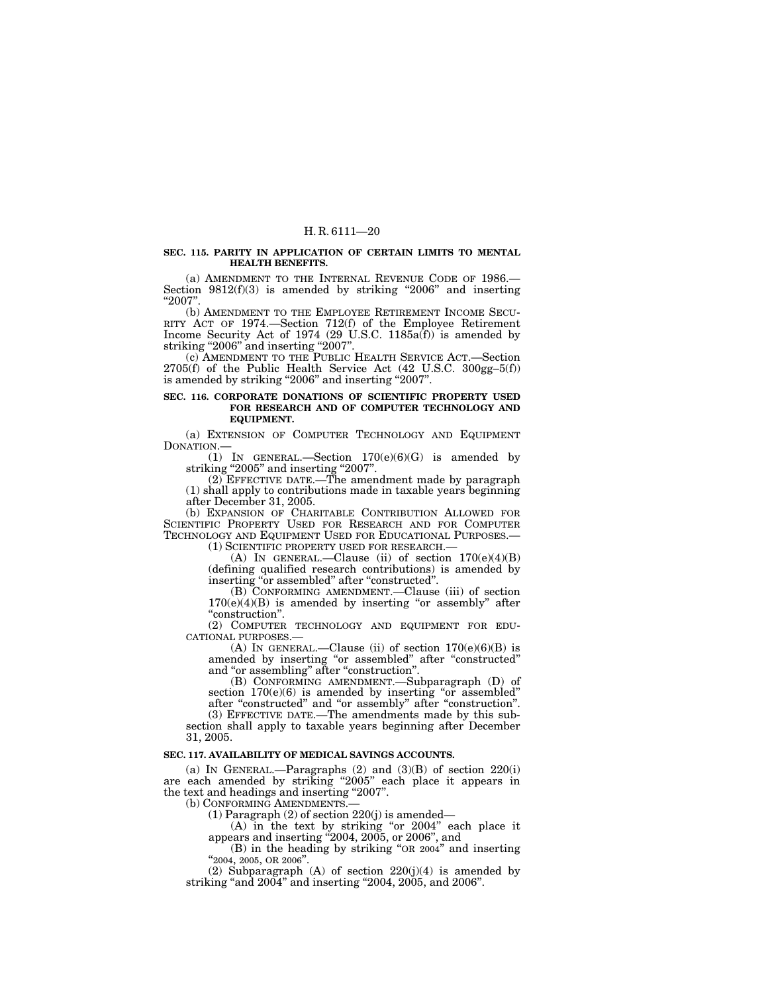#### **SEC. 115. PARITY IN APPLICATION OF CERTAIN LIMITS TO MENTAL HEALTH BENEFITS.**

(a) AMENDMENT TO THE INTERNAL REVENUE CODE OF 1986.— Section  $9812(f)(3)$  is amended by striking "2006" and inserting ''2007''.

(b) AMENDMENT TO THE EMPLOYEE RETIREMENT INCOME SECU- RITY ACT OF 1974.—Section 712(f) of the Employee Retirement Income Security Act of 1974 (29 U.S.C. 1185a $(f)$ ) is amended by striking "2006" and inserting "2007".

(c) AMENDMENT TO THE PUBLIC HEALTH SERVICE ACT.—Section  $2705(f)$  of the Public Health Service Act  $(42 \text{ U.S.C. } 300 \text{ gg} - 5(f))$ is amended by striking "2006" and inserting "2007".

#### **SEC. 116. CORPORATE DONATIONS OF SCIENTIFIC PROPERTY USED FOR RESEARCH AND OF COMPUTER TECHNOLOGY AND EQUIPMENT.**

(a) EXTENSION OF COMPUTER TECHNOLOGY AND EQUIPMENT DONATION.—

(1) IN GENERAL.—Section  $170(e)(6)(G)$  is amended by striking "2005" and inserting "2007".

(2) EFFECTIVE DATE.—The amendment made by paragraph (1) shall apply to contributions made in taxable years beginning after December 31, 2005.

(b) EXPANSION OF CHARITABLE CONTRIBUTION ALLOWED FOR SCIENTIFIC PROPERTY USED FOR RESEARCH AND FOR COMPUTER TECHNOLOGY AND EQUIPMENT USED FOR EDUCATIONAL PURPOSES.—

(A) IN GENERAL.—Clause (ii) of section  $170(e)(4)(B)$ 

(defining qualified research contributions) is amended by inserting "or assembled" after "constructed".

(B) CONFORMING AMENDMENT.—Clause (iii) of section  $170(e)(4)(B)$  is amended by inserting "or assembly" after ''construction''.

(2) COMPUTER TECHNOLOGY AND EQUIPMENT FOR EDUCATIONAL PURPOSES.—

(A) IN GENERAL.—Clause (ii) of section  $170(e)(6)(B)$  is amended by inserting "or assembled" after "constructed" and ''or assembling'' after ''construction''.

(B) CONFORMING AMENDMENT.—Subparagraph (D) of section  $170(e)(6)$  is amended by inserting "or assembled" after ''constructed'' and ''or assembly'' after ''construction''.

(3) EFFECTIVE DATE.—The amendments made by this subsection shall apply to taxable years beginning after December 31, 2005.

#### **SEC. 117. AVAILABILITY OF MEDICAL SAVINGS ACCOUNTS.**

(a) IN GENERAL.—Paragraphs  $(2)$  and  $(3)(B)$  of section  $220(i)$ are each amended by striking ''2005'' each place it appears in the text and headings and inserting "2007".

(b) CONFORMING AMENDMENTS.

(1) Paragraph (2) of section 220(j) is amended—

(A) in the text by striking ''or 2004'' each place it appears and inserting ''2004, 2005, or 2006'', and

(B) in the heading by striking ''OR 2004'' and inserting ''2004, 2005, OR 2006''.

(2) Subparagraph (A) of section  $220(j)(4)$  is amended by striking ''and 2004'' and inserting ''2004, 2005, and 2006''.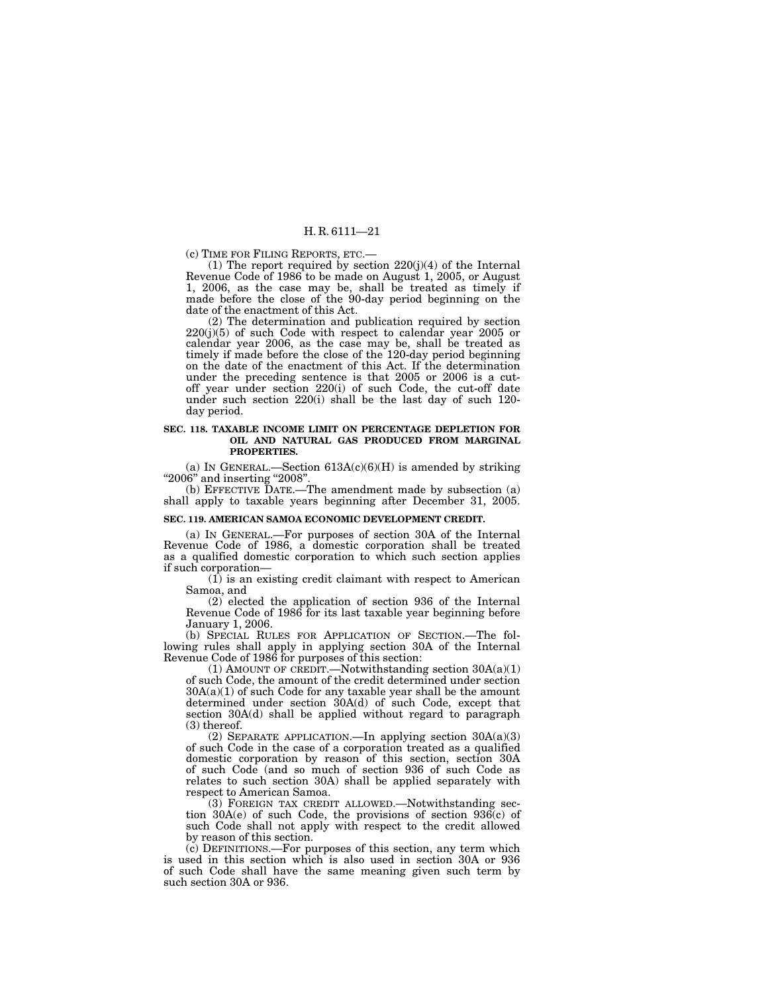(c) TIME FOR FILING REPORTS, ETC.—

(1) The report required by section  $220(i)(4)$  of the Internal Revenue Code of 1986 to be made on August 1, 2005, or August 1, 2006, as the case may be, shall be treated as timely if made before the close of the 90-day period beginning on the date of the enactment of this Act.

(2) The determination and publication required by section 220(j)(5) of such Code with respect to calendar year 2005 or calendar year 2006, as the case may be, shall be treated as timely if made before the close of the 120-day period beginning on the date of the enactment of this Act. If the determination under the preceding sentence is that 2005 or 2006 is a cutoff year under section 220(i) of such Code, the cut-off date under such section 220(i) shall be the last day of such 120 day period.

#### **SEC. 118. TAXABLE INCOME LIMIT ON PERCENTAGE DEPLETION FOR OIL AND NATURAL GAS PRODUCED FROM MARGINAL PROPERTIES.**

(a) IN GENERAL.—Section  $613A(c)(6)(H)$  is amended by striking "2006" and inserting "2008".

(b) EFFECTIVE DATE.—The amendment made by subsection (a) shall apply to taxable years beginning after December 31, 2005.

#### **SEC. 119. AMERICAN SAMOA ECONOMIC DEVELOPMENT CREDIT.**

(a) IN GENERAL.—For purposes of section 30A of the Internal Revenue Code of 1986, a domestic corporation shall be treated as a qualified domestic corporation to which such section applies if such corporation—

(1) is an existing credit claimant with respect to American Samoa, and

(2) elected the application of section 936 of the Internal Revenue Code of 1986 for its last taxable year beginning before January 1, 2006.

(b) SPECIAL RULES FOR APPLICATION OF SECTION.—The following rules shall apply in applying section 30A of the Internal Revenue Code of 1986 for purposes of this section:

(1) AMOUNT OF CREDIT.—Notwithstanding section  $30A(a)(1)$ of such Code, the amount of the credit determined under section  $30A(a)(1)$  of such Code for any taxable year shall be the amount determined under section 30A(d) of such Code, except that section 30A(d) shall be applied without regard to paragraph (3) thereof.

(2) SEPARATE APPLICATION.—In applying section 30A(a)(3) of such Code in the case of a corporation treated as a qualified domestic corporation by reason of this section, section 30A of such Code (and so much of section 936 of such Code as relates to such section 30A) shall be applied separately with respect to American Samoa.

(3) FOREIGN TAX CREDIT ALLOWED.—Notwithstanding section 30A(e) of such Code, the provisions of section 936(c) of such Code shall not apply with respect to the credit allowed by reason of this section.

(c) DEFINITIONS.—For purposes of this section, any term which is used in this section which is also used in section 30A or 936 of such Code shall have the same meaning given such term by such section 30A or 936.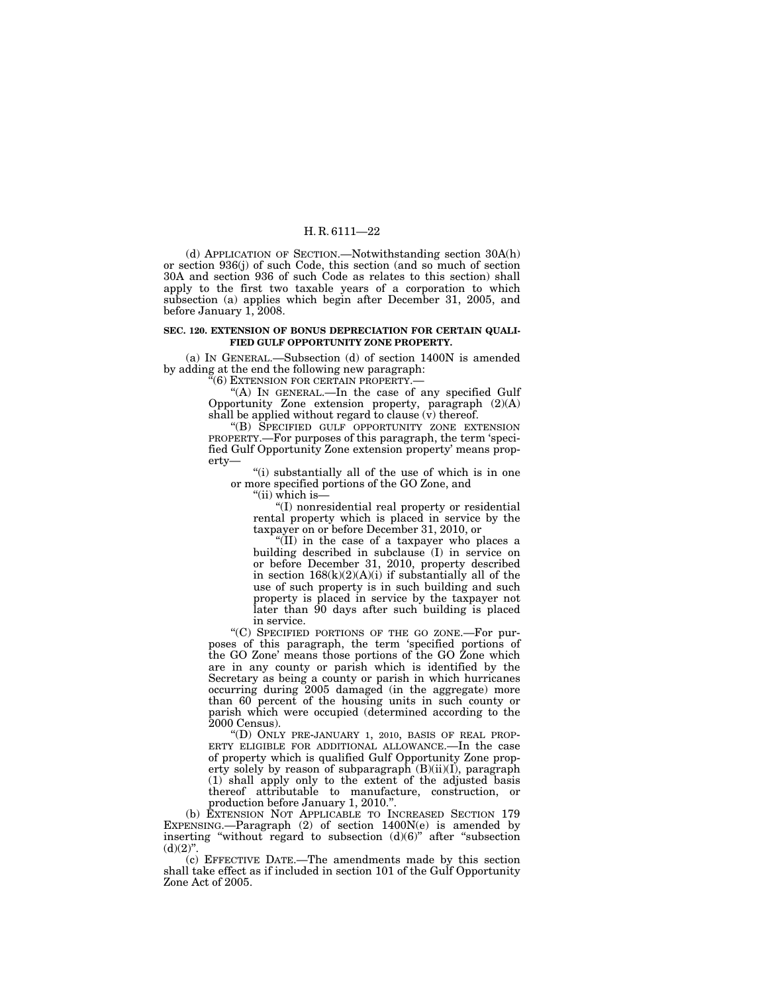(d) APPLICATION OF SECTION.—Notwithstanding section 30A(h) or section 936(j) of such Code, this section (and so much of section 30A and section 936 of such Code as relates to this section) shall apply to the first two taxable years of a corporation to which subsection (a) applies which begin after December 31, 2005, and before January 1, 2008.

#### **SEC. 120. EXTENSION OF BONUS DEPRECIATION FOR CERTAIN QUALI-FIED GULF OPPORTUNITY ZONE PROPERTY.**

(a) IN GENERAL.—Subsection (d) of section 1400N is amended by adding at the end the following new paragraph:

 $\widetilde{f}(6)$  EXTENSION FOR CERTAIN PROPERTY.

"(A) IN GENERAL.—In the case of any specified Gulf Opportunity Zone extension property, paragraph (2)(A) shall be applied without regard to clause (v) thereof.

''(B) SPECIFIED GULF OPPORTUNITY ZONE EXTENSION PROPERTY.—For purposes of this paragraph, the term 'specified Gulf Opportunity Zone extension property' means property—

''(i) substantially all of the use of which is in one or more specified portions of the GO Zone, and

''(ii) which is—

''(I) nonresidential real property or residential rental property which is placed in service by the taxpayer on or before December 31, 2010, or

''(II) in the case of a taxpayer who places a building described in subclause (I) in service on or before December 31, 2010, property described in section  $168(k)(2)(A)(i)$  if substantially all of the use of such property is in such building and such property is placed in service by the taxpayer not later than 90 days after such building is placed in service.

''(C) SPECIFIED PORTIONS OF THE GO ZONE.—For purposes of this paragraph, the term 'specified portions of the GO Zone' means those portions of the GO Zone which are in any county or parish which is identified by the Secretary as being a county or parish in which hurricanes occurring during 2005 damaged (in the aggregate) more than 60 percent of the housing units in such county or parish which were occupied (determined according to the 2000 Census).

''(D) ONLY PRE-JANUARY 1, 2010, BASIS OF REAL PROP-ERTY ELIGIBLE FOR ADDITIONAL ALLOWANCE.—In the case of property which is qualified Gulf Opportunity Zone property solely by reason of subparagraph (B)(ii)(I), paragraph (1) shall apply only to the extent of the adjusted basis thereof attributable to manufacture, construction, or production before January 1, 2010.''.

(b) EXTENSION NOT APPLICABLE TO INCREASED SECTION 179 EXPENSING.—Paragraph (2) of section 1400N(e) is amended by inserting "without regard to subsection  $(d)(6)$ " after "subsection  $(d)(2)$ ".

(c) EFFECTIVE DATE.—The amendments made by this section shall take effect as if included in section 101 of the Gulf Opportunity Zone Act of 2005.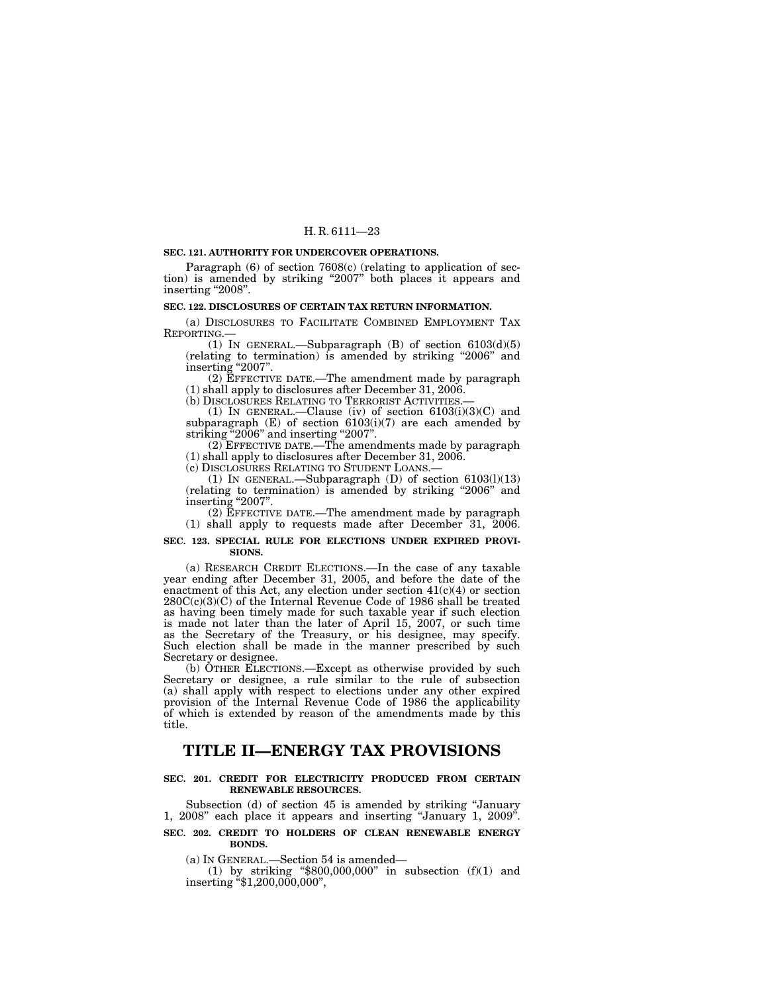#### **SEC. 121. AUTHORITY FOR UNDERCOVER OPERATIONS.**

Paragraph (6) of section 7608(c) (relating to application of section) is amended by striking "2007" both places it appears and inserting "2008".

#### **SEC. 122. DISCLOSURES OF CERTAIN TAX RETURN INFORMATION.**

(a) DISCLOSURES TO FACILITATE COMBINED EMPLOYMENT TAX REPORTING.—

(1) IN GENERAL.—Subparagraph  $(B)$  of section  $6103(d)(5)$ (relating to termination) is amended by striking ''2006'' and inserting "2007".

(2) EFFECTIVE DATE.—The amendment made by paragraph (1) shall apply to disclosures after December 31, 2006.

(b) DISCLOSURES RELATING TO TERRORIST ACTIVITIES.—

(1) IN GENERAL.—Clause (iv) of section 6103(i)(3)(C) and subparagraph  $(E)$  of section  $6103(i)(7)$  are each amended by striking "2006" and inserting "2007".

(2) EFFECTIVE DATE.—The amendments made by paragraph (1) shall apply to disclosures after December 31, 2006.

(c) DISCLOSURES RELATING TO STUDENT LOANS.—

(1) IN GENERAL.—Subparagraph  $(D)$  of section  $6103(1)(13)$ (relating to termination) is amended by striking ''2006'' and inserting ''2007''.

(2) EFFECTIVE DATE.—The amendment made by paragraph (1) shall apply to requests made after December 31, 2006.

#### **SEC. 123. SPECIAL RULE FOR ELECTIONS UNDER EXPIRED PROVI-SIONS.**

(a) RESEARCH CREDIT ELECTIONS.—In the case of any taxable year ending after December 31, 2005, and before the date of the enactment of this Act, any election under section 41(c)(4) or section 280C(c)(3)(C) of the Internal Revenue Code of 1986 shall be treated as having been timely made for such taxable year if such election is made not later than the later of April 15, 2007, or such time as the Secretary of the Treasury, or his designee, may specify. Such election shall be made in the manner prescribed by such Secretary or designee.

(b) OTHER ELECTIONS.—Except as otherwise provided by such Secretary or designee, a rule similar to the rule of subsection (a) shall apply with respect to elections under any other expired provision of the Internal Revenue Code of 1986 the applicability of which is extended by reason of the amendments made by this title.

# **TITLE II—ENERGY TAX PROVISIONS**

#### **SEC. 201. CREDIT FOR ELECTRICITY PRODUCED FROM CERTAIN RENEWABLE RESOURCES.**

Subsection (d) of section 45 is amended by striking ''January 1, 2008" each place it appears and inserting "January 1, 2009".

#### **SEC. 202. CREDIT TO HOLDERS OF CLEAN RENEWABLE ENERGY BONDS.**

(a) IN GENERAL.—Section 54 is amended—

(1) by striking " $$800,000,000$ " in subsection (f)(1) and inserting "\$1,200,000,000",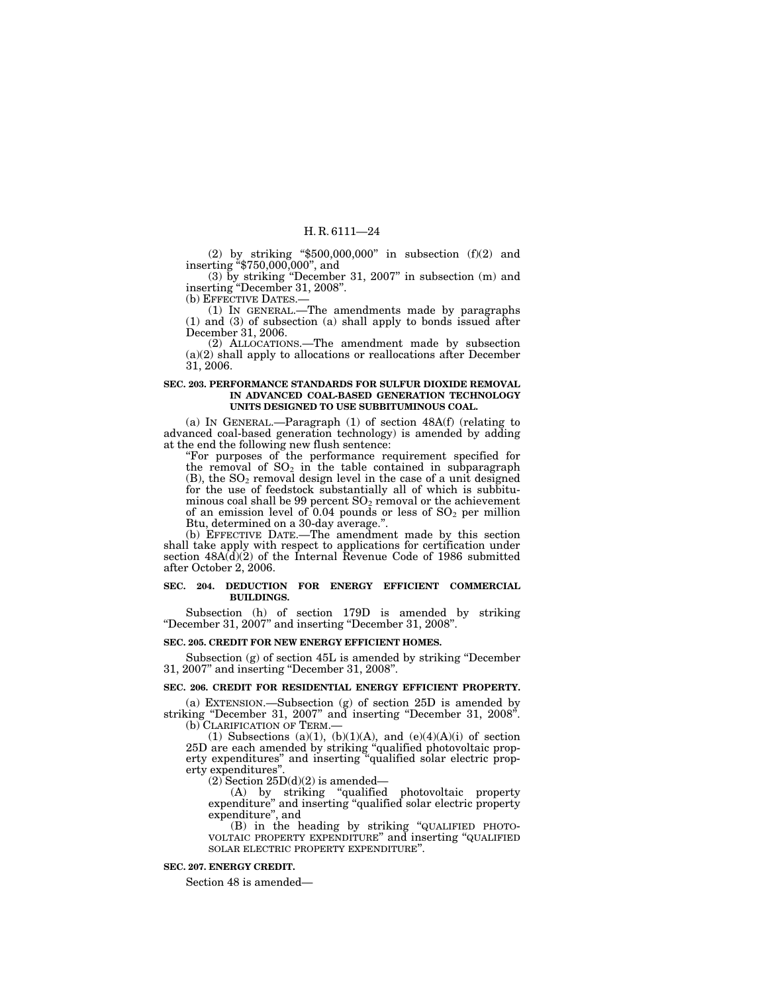(2) by striking ''\$500,000,000'' in subsection (f)(2) and inserting ''\$750,000,000'', and

(3) by striking ''December 31, 2007'' in subsection (m) and inserting ''December 31, 2008''.

(b) EFFECTIVE DATES.—

(1) IN GENERAL.—The amendments made by paragraphs (1) and (3) of subsection (a) shall apply to bonds issued after December 31, 2006.

(2) ALLOCATIONS.—The amendment made by subsection (a)(2) shall apply to allocations or reallocations after December 31, 2006.

#### **SEC. 203. PERFORMANCE STANDARDS FOR SULFUR DIOXIDE REMOVAL IN ADVANCED COAL-BASED GENERATION TECHNOLOGY UNITS DESIGNED TO USE SUBBITUMINOUS COAL.**

(a) IN GENERAL.—Paragraph (1) of section 48A(f) (relating to advanced coal-based generation technology) is amended by adding at the end the following new flush sentence:

''For purposes of the performance requirement specified for the removal of  $SO<sub>2</sub>$  in the table contained in subparagraph  $(B)$ , the  $SO<sub>2</sub>$  removal design level in the case of a unit designed for the use of feedstock substantially all of which is subbituminous coal shall be 99 percent  $SO<sub>2</sub>$  removal or the achievement of an emission level of 0.04 pounds or less of  $SO<sub>2</sub>$  per million Btu, determined on a 30-day average.''.

(b) EFFECTIVE DATE.—The amendment made by this section shall take apply with respect to applications for certification under section  $48A(d)(2)$  of the Internal Revenue Code of 1986 submitted after October 2, 2006.

#### **SEC. 204. DEDUCTION FOR ENERGY EFFICIENT COMMERCIAL BUILDINGS.**

Subsection (h) of section 179D is amended by striking ''December 31, 2007'' and inserting ''December 31, 2008''.

#### **SEC. 205. CREDIT FOR NEW ENERGY EFFICIENT HOMES.**

Subsection (g) of section 45L is amended by striking "December 31, 2007'' and inserting ''December 31, 2008''.

#### **SEC. 206. CREDIT FOR RESIDENTIAL ENERGY EFFICIENT PROPERTY.**

(a) EXTENSION.—Subsection (g) of section 25D is amended by striking ''December 31, 2007'' and inserting ''December 31, 2008''. (b) CLARIFICATION OF TERM.—

(1) Subsections (a)(1), (b)(1)(A), and (e)(4)(A)(i) of section 25D are each amended by striking ''qualified photovoltaic property expenditures'' and inserting ''qualified solar electric property expenditures''.

 $(2)$  Section 25D $(d)(2)$  is amended—

(A) by striking ''qualified photovoltaic property expenditure'' and inserting ''qualified solar electric property expenditure'', and

(B) in the heading by striking ''QUALIFIED PHOTO-VOLTAIC PROPERTY EXPENDITURE'' and inserting ''QUALIFIED SOLAR ELECTRIC PROPERTY EXPENDITURE''.

#### **SEC. 207. ENERGY CREDIT.**

Section 48 is amended—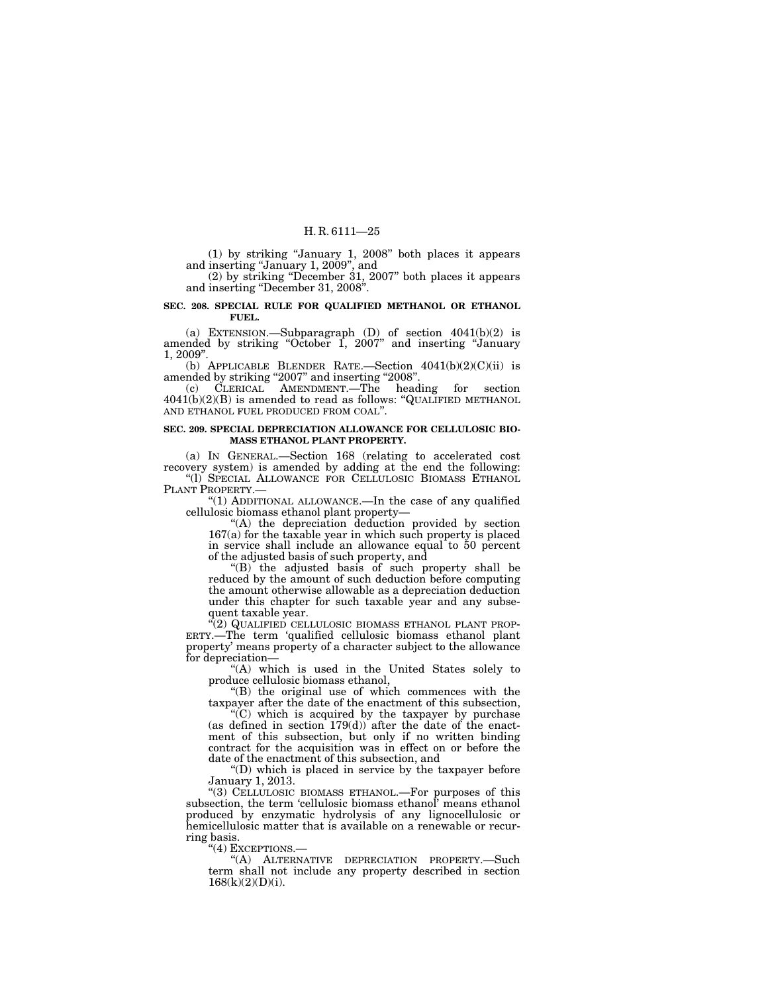(1) by striking ''January 1, 2008'' both places it appears and inserting ''January 1, 2009'', and

(2) by striking ''December 31, 2007'' both places it appears and inserting ''December 31, 2008''.

#### **SEC. 208. SPECIAL RULE FOR QUALIFIED METHANOL OR ETHANOL FUEL.**

(a) EXTENSION.—Subparagraph (D) of section 4041(b)(2) is amended by striking ''October 1, 2007'' and inserting ''January 1, 2009''.

(b) APPLICABLE BLENDER RATE.—Section  $4041(b)(2)(C)(ii)$  is amended by striking "2007" and inserting "2008".

(c) CLERICAL AMENDMENT.—The heading for section  $4041(b)(2)(B)$  is amended to read as follows: "QUALIFIED METHANOL AND ETHANOL FUEL PRODUCED FROM COAL''.

#### **SEC. 209. SPECIAL DEPRECIATION ALLOWANCE FOR CELLULOSIC BIO-MASS ETHANOL PLANT PROPERTY.**

(a) IN GENERAL.—Section 168 (relating to accelerated cost recovery system) is amended by adding at the end the following: ''(l) SPECIAL ALLOWANCE FOR CELLULOSIC BIOMASS ETHANOL

" $(1)$  ADDITIONAL ALLOWANCE.—In the case of any qualified

cellulosic biomass ethanol plant property—

''(A) the depreciation deduction provided by section 167(a) for the taxable year in which such property is placed in service shall include an allowance equal to 50 percent of the adjusted basis of such property, and

''(B) the adjusted basis of such property shall be reduced by the amount of such deduction before computing the amount otherwise allowable as a depreciation deduction under this chapter for such taxable year and any subsequent taxable year.

"(2) QUALIFIED CELLULOSIC BIOMASS ETHANOL PLANT PROP-ERTY.—The term 'qualified cellulosic biomass ethanol plant property' means property of a character subject to the allowance for depreciation—

"(A) which is used in the United States solely to produce cellulosic biomass ethanol,

''(B) the original use of which commences with the taxpayer after the date of the enactment of this subsection,

 $\langle C \rangle$  which is acquired by the taxpayer by purchase (as defined in section  $179(d)$ ) after the date of the enactment of this subsection, but only if no written binding contract for the acquisition was in effect on or before the date of the enactment of this subsection, and

''(D) which is placed in service by the taxpayer before January 1, 2013.

''(3) CELLULOSIC BIOMASS ETHANOL.—For purposes of this subsection, the term 'cellulosic biomass ethanol' means ethanol produced by enzymatic hydrolysis of any lignocellulosic or hemicellulosic matter that is available on a renewable or recurring basis.<br>"(4) EXCEPTIONS.-

"(A) ALTERNATIVE DEPRECIATION PROPERTY.-Such term shall not include any property described in section 168(k)(2)(D)(i).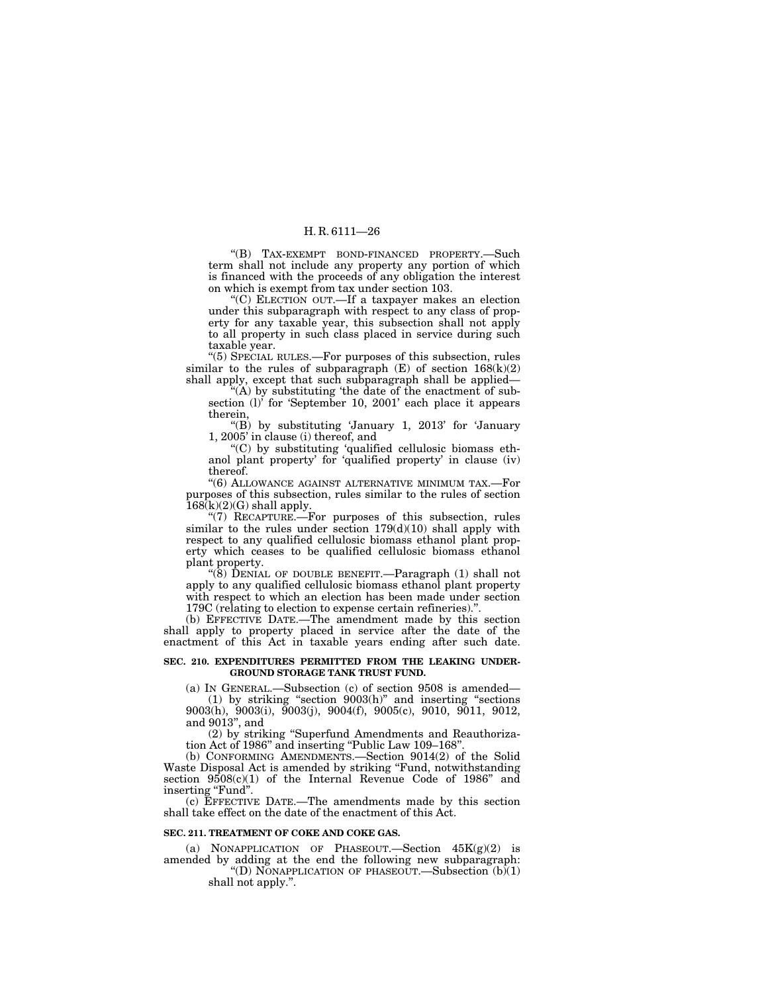''(B) TAX-EXEMPT BOND-FINANCED PROPERTY.—Such term shall not include any property any portion of which is financed with the proceeds of any obligation the interest on which is exempt from tax under section 103.

''(C) ELECTION OUT.—If a taxpayer makes an election under this subparagraph with respect to any class of property for any taxable year, this subsection shall not apply to all property in such class placed in service during such taxable year.

''(5) SPECIAL RULES.—For purposes of this subsection, rules similar to the rules of subparagraph  $(E)$  of section  $168(k)(2)$ shall apply, except that such subparagraph shall be applied—

"(A) by substituting 'the date of the enactment of subsection (l)' for 'September 10, 2001' each place it appears therein,

''(B) by substituting 'January 1, 2013' for 'January 1, 2005' in clause (i) thereof, and

''(C) by substituting 'qualified cellulosic biomass ethanol plant property' for 'qualified property' in clause (iv) thereof.

''(6) ALLOWANCE AGAINST ALTERNATIVE MINIMUM TAX.—For purposes of this subsection, rules similar to the rules of section  $168(k)(2)(G)$  shall apply.

"(7) RECAPTURE.—For purposes of this subsection, rules similar to the rules under section  $179(d)(10)$  shall apply with respect to any qualified cellulosic biomass ethanol plant property which ceases to be qualified cellulosic biomass ethanol plant property.

"(8) DENIAL OF DOUBLE BENEFIT.—Paragraph  $(1)$  shall not apply to any qualified cellulosic biomass ethanol plant property with respect to which an election has been made under section 179C (relating to election to expense certain refineries).''.

(b) EFFECTIVE DATE.—The amendment made by this section shall apply to property placed in service after the date of the enactment of this Act in taxable years ending after such date.

#### **SEC. 210. EXPENDITURES PERMITTED FROM THE LEAKING UNDER-GROUND STORAGE TANK TRUST FUND.**

(a) IN GENERAL.—Subsection (c) of section 9508 is amended— (1) by striking ''section 9003(h)'' and inserting ''sections 9003(h), 9003(i), 9003(j), 9004(f), 9005(c), 9010, 9011, 9012, and 9013'', and

(2) by striking ''Superfund Amendments and Reauthorization Act of 1986" and inserting "Public Law 109-168".

(b) CONFORMING AMENDMENTS.—Section 9014(2) of the Solid Waste Disposal Act is amended by striking ''Fund, notwithstanding section  $9508(c)(1)$  of the Internal Revenue Code of 1986" and inserting "Fund".

(c) EFFECTIVE DATE.—The amendments made by this section shall take effect on the date of the enactment of this Act.

#### **SEC. 211. TREATMENT OF COKE AND COKE GAS.**

(a) NONAPPLICATION OF PHASEOUT.—Section 45K(g)(2) is amended by adding at the end the following new subparagraph:

"(D) NONAPPLICATION OF PHASEOUT.—Subsection  $(b)(1)$ shall not apply.''.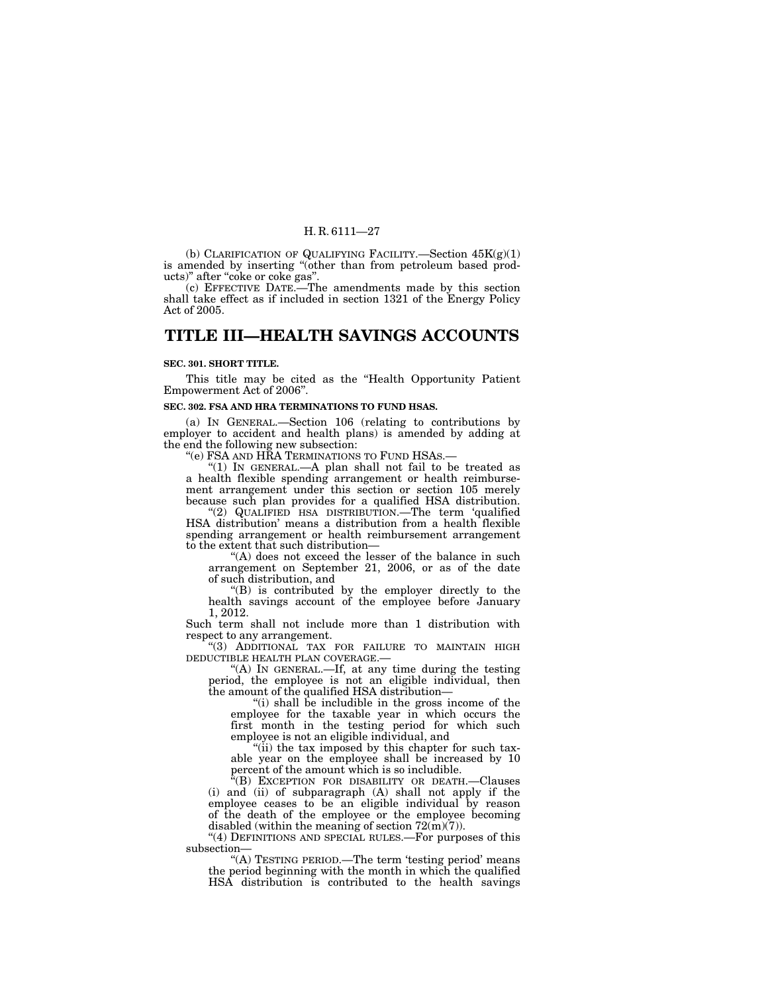(b) CLARIFICATION OF QUALIFYING FACILITY.—Section  $45K(g)(1)$ is amended by inserting ''(other than from petroleum based products)'' after ''coke or coke gas''.

(c) EFFECTIVE DATE.—The amendments made by this section shall take effect as if included in section 1321 of the Energy Policy Act of 2005.

# **TITLE III—HEALTH SAVINGS ACCOUNTS**

#### **SEC. 301. SHORT TITLE.**

This title may be cited as the ''Health Opportunity Patient Empowerment Act of 2006''.

#### **SEC. 302. FSA AND HRA TERMINATIONS TO FUND HSAS.**

(a) IN GENERAL.—Section 106 (relating to contributions by employer to accident and health plans) is amended by adding at the end the following new subsection:<br>"(e) FSA AND HRA TERMINATIONS TO FUND HSAS.—

"(1) IN GENERAL.—A plan shall not fail to be treated as a health flexible spending arrangement or health reimbursement arrangement under this section or section 105 merely because such plan provides for a qualified HSA distribution.

"(2) QUALIFIED HSA DISTRIBUTION.—The term 'qualified HSA distribution' means a distribution from a health flexible spending arrangement or health reimbursement arrangement to the extent that such distribution—

"(A) does not exceed the lesser of the balance in such arrangement on September 21, 2006, or as of the date of such distribution, and

''(B) is contributed by the employer directly to the health savings account of the employee before January 1, 2012.

Such term shall not include more than 1 distribution with respect to any arrangement.

''(3) ADDITIONAL TAX FOR FAILURE TO MAINTAIN HIGH DEDUCTIBLE HEALTH PLAN COVERAGE.—

''(A) IN GENERAL.—If, at any time during the testing period, the employee is not an eligible individual, then the amount of the qualified HSA distribution-

''(i) shall be includible in the gross income of the employee for the taxable year in which occurs the first month in the testing period for which such employee is not an eligible individual, and

"(ii) the tax imposed by this chapter for such taxable year on the employee shall be increased by 10 percent of the amount which is so includible.

''(B) EXCEPTION FOR DISABILITY OR DEATH.—Clauses (i) and (ii) of subparagraph (A) shall not apply if the employee ceases to be an eligible individual by reason of the death of the employee or the employee becoming disabled (within the meaning of section  $72(m)(7)$ ).

"(4) DEFINITIONS AND SPECIAL RULES.—For purposes of this subsection—

"(A) TESTING PERIOD.—The term 'testing period' means the period beginning with the month in which the qualified HSA distribution is contributed to the health savings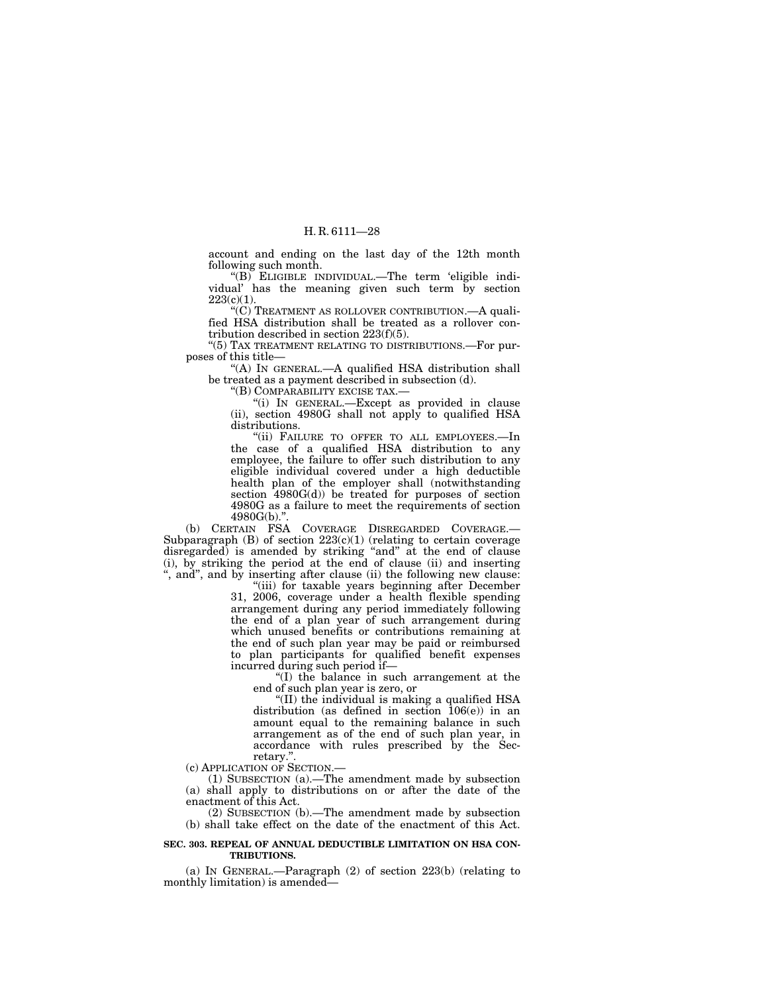account and ending on the last day of the 12th month following such month.

''(B) ELIGIBLE INDIVIDUAL.—The term 'eligible individual' has the meaning given such term by section  $223(c)(1)$ .

''(C) TREATMENT AS ROLLOVER CONTRIBUTION.—A qualified HSA distribution shall be treated as a rollover contribution described in section 223(f)(5).

''(5) TAX TREATMENT RELATING TO DISTRIBUTIONS.—For purposes of this title—

''(A) IN GENERAL.—A qualified HSA distribution shall be treated as a payment described in subsection (d).

''(B) COMPARABILITY EXCISE TAX.—

''(i) IN GENERAL.—Except as provided in clause (ii), section 4980G shall not apply to qualified HSA distributions.

"(ii) FAILURE TO OFFER TO ALL EMPLOYEES.-In the case of a qualified HSA distribution to any employee, the failure to offer such distribution to any eligible individual covered under a high deductible health plan of the employer shall (notwithstanding section 4980G(d)) be treated for purposes of section 4980G as a failure to meet the requirements of section 4980G(b).''.

(b) CERTAIN FSA COVERAGE DISREGARDED COVERAGE.— Subparagraph  $(B)$  of section  $223(c)(1)$  (relating to certain coverage disregarded) is amended by striking "and" at the end of clause (i), by striking the period at the end of clause (ii) and inserting '', and'', and by inserting after clause (ii) the following new clause:

"(iii) for taxable years beginning after December 31, 2006, coverage under a health flexible spending arrangement during any period immediately following the end of a plan year of such arrangement during which unused benefits or contributions remaining at the end of such plan year may be paid or reimbursed to plan participants for qualified benefit expenses incurred during such period if—

''(I) the balance in such arrangement at the end of such plan year is zero, or

''(II) the individual is making a qualified HSA distribution (as defined in section  $106(e)$ ) in an amount equal to the remaining balance in such arrangement as of the end of such plan year, in accordance with rules prescribed by the Secretary.''.

(c) APPLICATION OF SECTION.—

(1) SUBSECTION (a).—The amendment made by subsection (a) shall apply to distributions on or after the date of the enactment of this Act.

(2) SUBSECTION (b).—The amendment made by subsection (b) shall take effect on the date of the enactment of this Act.

#### **SEC. 303. REPEAL OF ANNUAL DEDUCTIBLE LIMITATION ON HSA CON-TRIBUTIONS.**

(a) IN GENERAL.—Paragraph (2) of section 223(b) (relating to monthly limitation) is amended—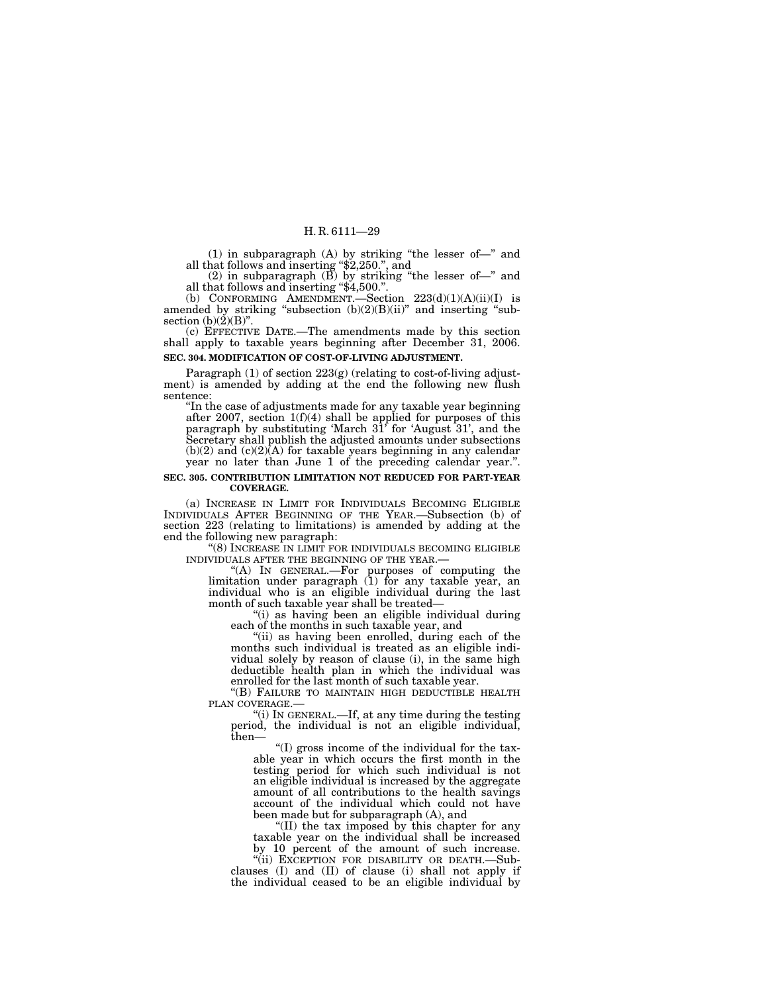(1) in subparagraph (A) by striking "the lesser of—" and all that follows and inserting " $2,250$ .", and (2) in subparagraph (B) by striking "the lesser of—" and

(2) in subparagraph  $(B)$  by striking "the lesser of—" and all that follows and inserting "\$4,500.".

(b) CONFORMING AMENDMENT.—Section  $223(d)(1)(A)(ii)(I)$  is amended by striking "subsection  $(b)(2)(B)(ii)$ " and inserting "subsection  $(b)(2)(B)$ ".

(c) EFFECTIVE DATE.—The amendments made by this section shall apply to taxable years beginning after December 31, 2006. **SEC. 304. MODIFICATION OF COST-OF-LIVING ADJUSTMENT.** 

Paragraph (1) of section 223(g) (relating to cost-of-living adjustment) is amended by adding at the end the following new flush sentence:

''In the case of adjustments made for any taxable year beginning after 2007, section 1(f)(4) shall be applied for purposes of this paragraph by substituting 'March 31' for 'August 31', and the Secretary shall publish the adjusted amounts under subsections  $(b)(2)$  and  $(c)(2)(A)$  for taxable years beginning in any calendar year no later than June 1 of the preceding calendar year.''.

#### **SEC. 305. CONTRIBUTION LIMITATION NOT REDUCED FOR PART-YEAR COVERAGE.**

(a) INCREASE IN LIMIT FOR INDIVIDUALS BECOMING ELIGIBLE INDIVIDUALS AFTER BEGINNING OF THE YEAR.—Subsection (b) of section 223 (relating to limitations) is amended by adding at the end the following new paragraph:

 $\lq\lq(8)$  INCREASE IN LIMIT FOR INDIVIDUALS BECOMING ELIGIBLE INDIVIDUALS AFTER THE BEGINNING OF THE YEAR.— INDIVIDUALS AFTER THE BEGINNING OF THE YEAR.—<br>"(A) IN GENERAL.—For purposes of computing the

limitation under paragraph (1) for any taxable year, an individual who is an eligible individual during the last month of such taxable year shall be treated—

''(i) as having been an eligible individual during each of the months in such taxable year, and

"(ii) as having been enrolled, during each of the months such individual is treated as an eligible individual solely by reason of clause (i), in the same high deductible health plan in which the individual was enrolled for the last month of such taxable year.

 $\rm{``(B)}$ FAILURE TO MAINTAIN HIGH DEDUCTIBLE HEALTH PLAN COVERAGE.—

"(i) IN GENERAL.—If, at any time during the testing period, the individual is not an eligible individual, then—

''(I) gross income of the individual for the taxable year in which occurs the first month in the testing period for which such individual is not an eligible individual is increased by the aggregate amount of all contributions to the health savings account of the individual which could not have been made but for subparagraph (A), and

''(II) the tax imposed by this chapter for any taxable year on the individual shall be increased by 10 percent of the amount of such increase.

''(ii) EXCEPTION FOR DISABILITY OR DEATH.—Subclauses (I) and (II) of clause (i) shall not apply if the individual ceased to be an eligible individual by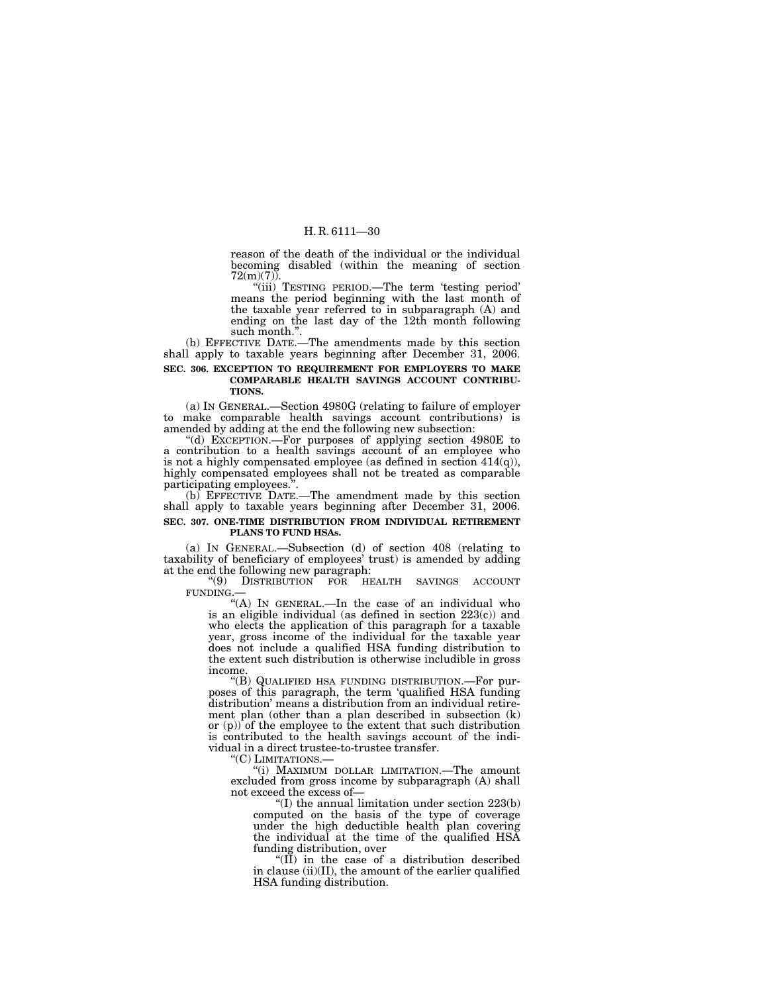reason of the death of the individual or the individual becoming disabled (within the meaning of section  $72(m)(7)$ ).

''(iii) TESTING PERIOD.—The term 'testing period' means the period beginning with the last month of the taxable year referred to in subparagraph (A) and ending on the last day of the 12th month following such month.''.

(b) EFFECTIVE DATE.—The amendments made by this section shall apply to taxable years beginning after December 31, 2006.

#### **SEC. 306. EXCEPTION TO REQUIREMENT FOR EMPLOYERS TO MAKE COMPARABLE HEALTH SAVINGS ACCOUNT CONTRIBU-TIONS.**

(a) IN GENERAL.—Section 4980G (relating to failure of employer to make comparable health savings account contributions) is amended by adding at the end the following new subsection:

''(d) EXCEPTION.—For purposes of applying section 4980E to a contribution to a health savings account of an employee who is not a highly compensated employee (as defined in section 414(q)), highly compensated employees shall not be treated as comparable participating employees.''.

(b) EFFECTIVE DATE.—The amendment made by this section shall apply to taxable years beginning after December 31, 2006. **SEC. 307. ONE-TIME DISTRIBUTION FROM INDIVIDUAL RETIREMENT** 

#### **PLANS TO FUND HSAs.**

(a) IN GENERAL.—Subsection (d) of section 408 (relating to taxability of beneficiary of employees' trust) is amended by adding at the end the following new paragraph:

''(9) DISTRIBUTION FOR HEALTH SAVINGS ACCOUNT FUNDING.—

"(A) IN GENERAL.—In the case of an individual who is an eligible individual (as defined in section 223(c)) and who elects the application of this paragraph for a taxable year, gross income of the individual for the taxable year does not include a qualified HSA funding distribution to the extent such distribution is otherwise includible in gross income.

''(B) QUALIFIED HSA FUNDING DISTRIBUTION.—For purposes of this paragraph, the term 'qualified HSA funding distribution' means a distribution from an individual retirement plan (other than a plan described in subsection (k) or (p)) of the employee to the extent that such distribution is contributed to the health savings account of the individual in a direct trustee-to-trustee transfer.<br>"(C) LIMITATIONS.—

"(i) MAXIMUM DOLLAR LIMITATION.—The amount excluded from gross income by subparagraph (A) shall not exceed the excess of—

"(I) the annual limitation under section  $223(b)$ computed on the basis of the type of coverage under the high deductible health plan covering the individual at the time of the qualified HSA funding distribution, over

" $(\overline{II})$  in the case of a distribution described in clause (ii)(II), the amount of the earlier qualified HSA funding distribution.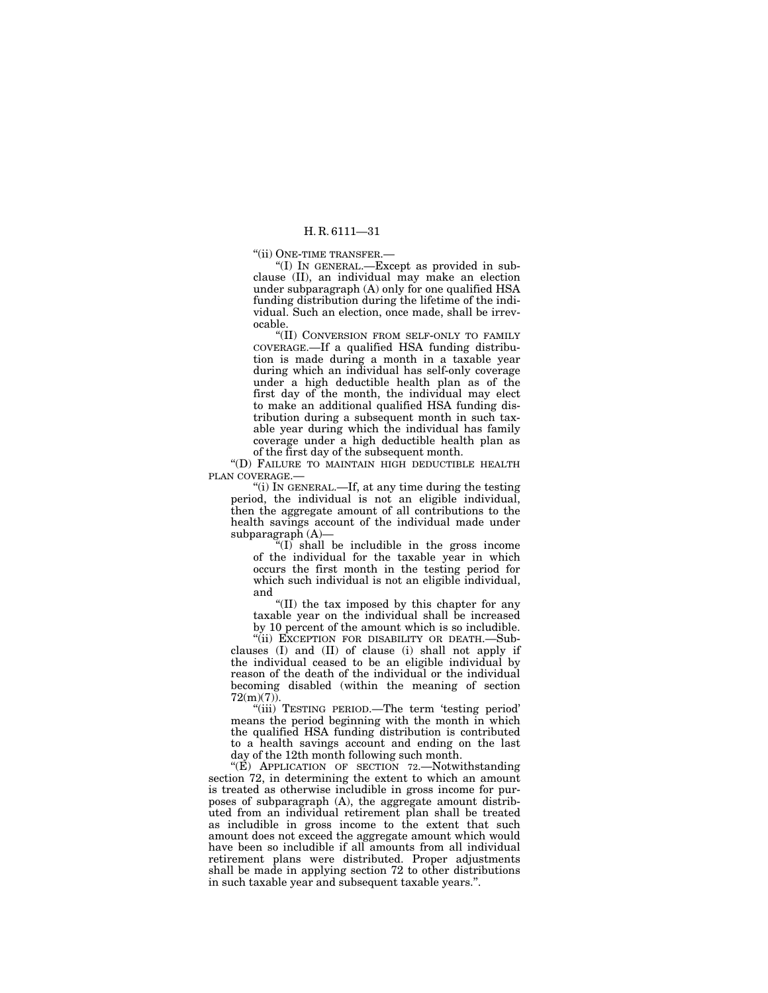''(ii) ONE-TIME TRANSFER.—

''(I) IN GENERAL.—Except as provided in subclause (II), an individual may make an election under subparagraph  $(A)$  only for one qualified HSA funding distribution during the lifetime of the individual. Such an election, once made, shall be irrevocable.

''(II) CONVERSION FROM SELF-ONLY TO FAMILY COVERAGE.—If a qualified HSA funding distribution is made during a month in a taxable year during which an individual has self-only coverage under a high deductible health plan as of the first day of the month, the individual may elect to make an additional qualified HSA funding distribution during a subsequent month in such taxable year during which the individual has family coverage under a high deductible health plan as of the first day of the subsequent month.

''(D) FAILURE TO MAINTAIN HIGH DEDUCTIBLE HEALTH PLAN COVERAGE.—

''(i) IN GENERAL.—If, at any time during the testing period, the individual is not an eligible individual, then the aggregate amount of all contributions to the health savings account of the individual made under subparagraph (A)—

 $f'(I)$  shall be includible in the gross income of the individual for the taxable year in which occurs the first month in the testing period for which such individual is not an eligible individual, and

''(II) the tax imposed by this chapter for any taxable year on the individual shall be increased by 10 percent of the amount which is so includible.

''(ii) EXCEPTION FOR DISABILITY OR DEATH.—Subclauses (I) and (II) of clause (i) shall not apply if the individual ceased to be an eligible individual by reason of the death of the individual or the individual becoming disabled (within the meaning of section 72(m)(7)).

"(iii) TESTING PERIOD.—The term 'testing period' means the period beginning with the month in which the qualified HSA funding distribution is contributed to a health savings account and ending on the last day of the 12th month following such month.

''(E) APPLICATION OF SECTION 72.—Notwithstanding section 72, in determining the extent to which an amount is treated as otherwise includible in gross income for purposes of subparagraph (A), the aggregate amount distributed from an individual retirement plan shall be treated as includible in gross income to the extent that such amount does not exceed the aggregate amount which would have been so includible if all amounts from all individual retirement plans were distributed. Proper adjustments shall be made in applying section 72 to other distributions in such taxable year and subsequent taxable years.''.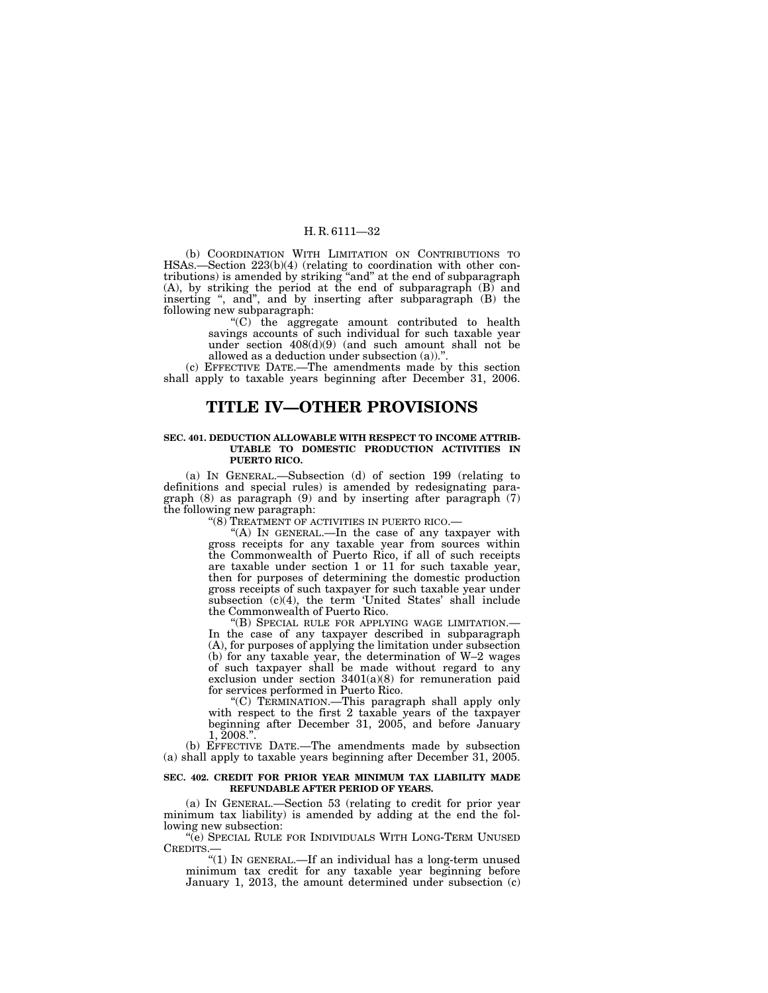(b) COORDINATION WITH LIMITATION ON CONTRIBUTIONS TO HSAS.—Section 223(b)(4) (relating to coordination with other contributions) is amended by striking "and" at the end of subparagraph (A), by striking the period at the end of subparagraph (B) and inserting ", and", and by inserting after subparagraph (B) the following new subparagraph:

''(C) the aggregate amount contributed to health savings accounts of such individual for such taxable year under section 408(d)(9) (and such amount shall not be allowed as a deduction under subsection  $(a)$ ).

(c) EFFECTIVE DATE.—The amendments made by this section shall apply to taxable years beginning after December 31, 2006.

# **TITLE IV—OTHER PROVISIONS**

#### **SEC. 401. DEDUCTION ALLOWABLE WITH RESPECT TO INCOME ATTRIB-UTABLE TO DOMESTIC PRODUCTION ACTIVITIES IN PUERTO RICO.**

(a) IN GENERAL.—Subsection (d) of section 199 (relating to definitions and special rules) is amended by redesignating paragraph (8) as paragraph (9) and by inserting after paragraph (7) the following new paragraph:

''(8) TREATMENT OF ACTIVITIES IN PUERTO RICO.—

"(A) IN GENERAL.—In the case of any taxpayer with gross receipts for any taxable year from sources within the Commonwealth of Puerto Rico, if all of such receipts are taxable under section 1 or 11 for such taxable year, then for purposes of determining the domestic production gross receipts of such taxpayer for such taxable year under  $\frac{1}{\text{subsection}}$  (c)(4), the term 'United States' shall include the Commonwealth of Puerto Rico.<br>
"(B) SPECIAL RULE FOR APPLYING WAGE LIMITATION.

In the case of any taxpayer described in subparagraph (A), for purposes of applying the limitation under subsection (b) for any taxable year, the determination of W–2 wages of such taxpayer shall be made without regard to any exclusion under section 3401(a)(8) for remuneration paid for services performed in Puerto Rico.

''(C) TERMINATION.—This paragraph shall apply only with respect to the first 2 taxable years of the taxpayer beginning after December 31, 2005, and before January 1, 2008.''.

(b) EFFECTIVE DATE.—The amendments made by subsection (a) shall apply to taxable years beginning after December 31, 2005.

#### **SEC. 402. CREDIT FOR PRIOR YEAR MINIMUM TAX LIABILITY MADE REFUNDABLE AFTER PERIOD OF YEARS.**

(a) IN GENERAL.—Section 53 (relating to credit for prior year minimum tax liability) is amended by adding at the end the following new subsection:

''(e) SPECIAL RULE FOR INDIVIDUALS WITH LONG-TERM UNUSED CREDITS.—

''(1) IN GENERAL.—If an individual has a long-term unused minimum tax credit for any taxable year beginning before January 1, 2013, the amount determined under subsection (c)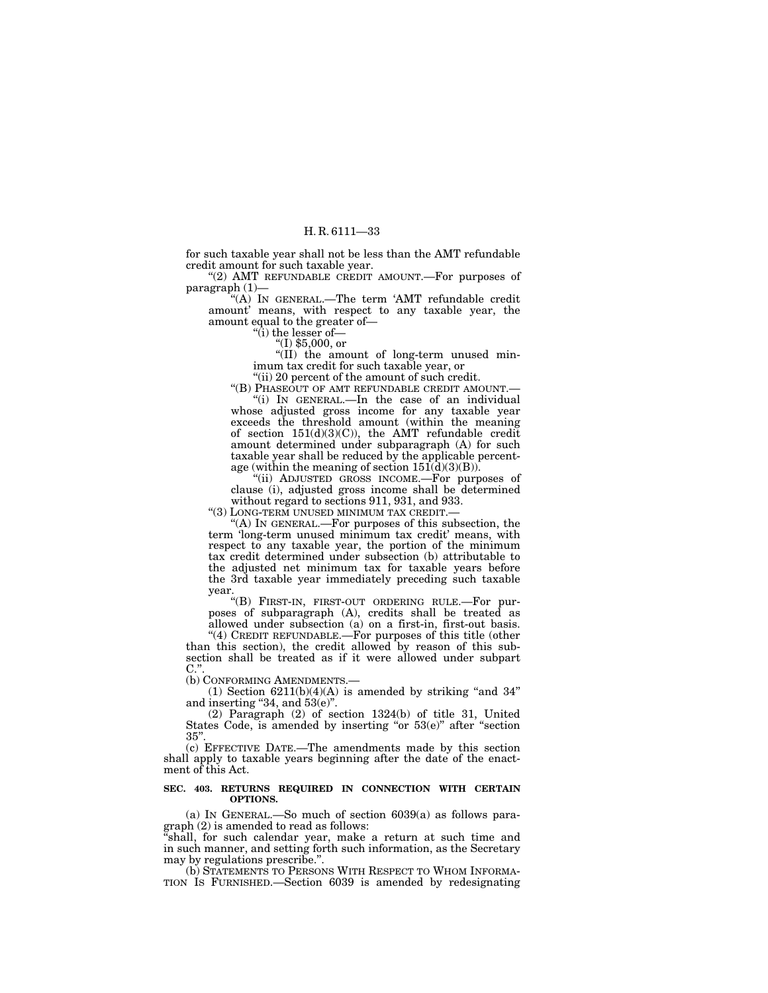for such taxable year shall not be less than the AMT refundable credit amount for such taxable year.

"(2) AMT REFUNDABLE CREDIT AMOUNT.—For purposes of paragraph (1)—

''(A) IN GENERAL.—The term 'AMT refundable credit amount' means, with respect to any taxable year, the amount equal to the greater of—

''(i) the lesser of—

''(I) \$5,000, or

''(II) the amount of long-term unused minimum tax credit for such taxable year, or

''(ii) 20 percent of the amount of such credit.

''(B) PHASEOUT OF AMT REFUNDABLE CREDIT AMOUNT.— ''(i) IN GENERAL.—In the case of an individual whose adjusted gross income for any taxable year exceeds the threshold amount (within the meaning of section  $151(d)(3)(C)$ , the AMT refundable credit amount determined under subparagraph (A) for such taxable year shall be reduced by the applicable percentage (within the meaning of section  $151(\overline{d})(3)(B)$ ).

''(ii) ADJUSTED GROSS INCOME.—For purposes of clause (i), adjusted gross income shall be determined without regard to sections 911, 931, and 933.

"(3) LONG-TERM UNUSED MINIMUM TAX CREDIT.-

''(A) IN GENERAL.—For purposes of this subsection, the term 'long-term unused minimum tax credit' means, with respect to any taxable year, the portion of the minimum tax credit determined under subsection (b) attributable to the adjusted net minimum tax for taxable years before the 3rd taxable year immediately preceding such taxable year.

''(B) FIRST-IN, FIRST-OUT ORDERING RULE.—For purposes of subparagraph (A), credits shall be treated as allowed under subsection (a) on a first-in, first-out basis.

"(4) CREDIT REFUNDABLE.—For purposes of this title (other than this section), the credit allowed by reason of this subsection shall be treated as if it were allowed under subpart C.".<br>(b) CONFORMING AMENDMENTS.—

(1) Section  $6211(b)(4)(A)$  is amended by striking "and 34" and inserting "34, and  $53(e)$ ".

(2) Paragraph (2) of section 1324(b) of title 31, United States Code, is amended by inserting "or 53(e)" after "section  $35"$ 

(c) EFFECTIVE DATE.—The amendments made by this section shall apply to taxable years beginning after the date of the enactment of this Act.

#### **SEC. 403. RETURNS REQUIRED IN CONNECTION WITH CERTAIN OPTIONS.**

(a) IN GENERAL.—So much of section 6039(a) as follows para $graph (2)$  is amended to read as follows:

shall, for such calendar year, make a return at such time and in such manner, and setting forth such information, as the Secretary may by regulations prescribe.''.

(b) STATEMENTS TO PERSONS WITH RESPECT TO WHOM INFORMA- TION IS FURNISHED.—Section 6039 is amended by redesignating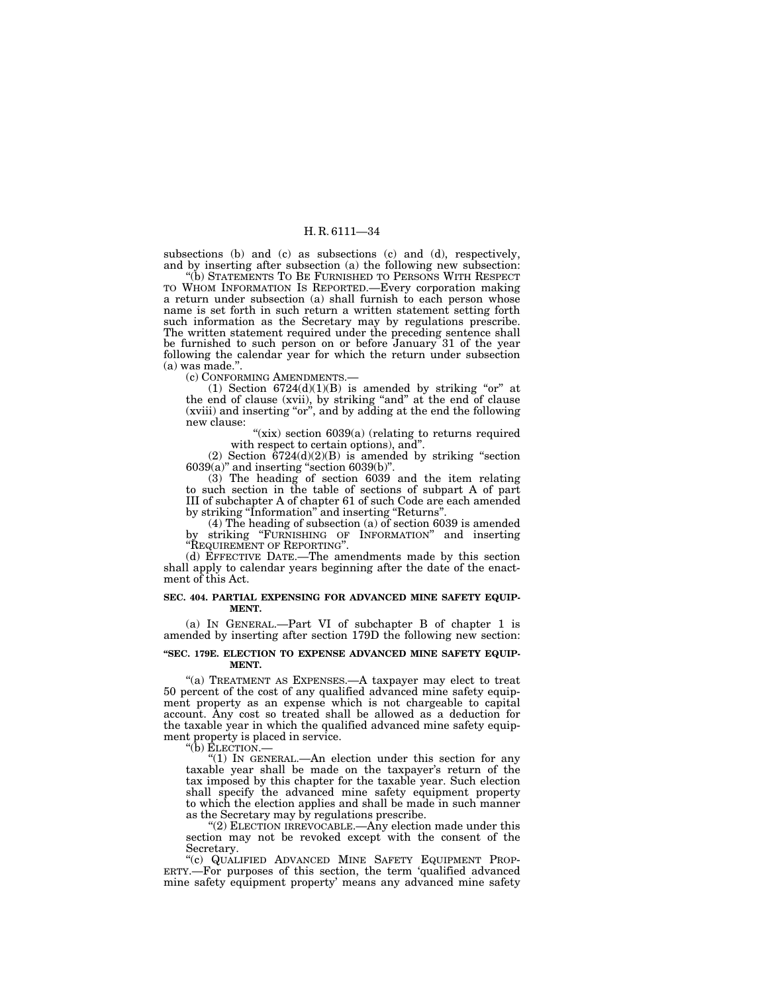subsections (b) and (c) as subsections (c) and (d), respectively, and by inserting after subsection (a) the following new subsection:

''(b) STATEMENTS TO BE FURNISHED TO PERSONS WITH RESPECT TO WHOM INFORMATION IS REPORTED.—Every corporation making a return under subsection (a) shall furnish to each person whose name is set forth in such return a written statement setting forth such information as the Secretary may by regulations prescribe. The written statement required under the preceding sentence shall be furnished to such person on or before January 31 of the year following the calendar year for which the return under subsection  $(a)$  was made."

(c) CONFORMING AMENDMENTS.—

(1) Section  $6724(d)(1)(B)$  is amended by striking "or" at the end of clause (xvii), by striking "and" at the end of clause (xviii) and inserting "or", and by adding at the end the following new clause:

" $(xix)$  section 6039 $(a)$  (relating to returns required with respect to certain options), and''.

(2) Section  $6724(d)(2)(B)$  is amended by striking "section 6039(a)'' and inserting ''section 6039(b)''.

(3) The heading of section 6039 and the item relating to such section in the table of sections of subpart A of part III of subchapter A of chapter 61 of such Code are each amended by striking ''Information'' and inserting ''Returns''.

(4) The heading of subsection (a) of section 6039 is amended by striking ''FURNISHING OF INFORMATION'' and inserting ''REQUIREMENT OF REPORTING''.

(d) EFFECTIVE DATE.—The amendments made by this section shall apply to calendar years beginning after the date of the enactment of this Act.

#### **SEC. 404. PARTIAL EXPENSING FOR ADVANCED MINE SAFETY EQUIP-MENT.**

(a) IN GENERAL.—Part VI of subchapter B of chapter 1 is amended by inserting after section 179D the following new section:

#### **''SEC. 179E. ELECTION TO EXPENSE ADVANCED MINE SAFETY EQUIP-MENT.**

"(a) TREATMENT AS EXPENSES. A taxpayer may elect to treat 50 percent of the cost of any qualified advanced mine safety equipment property as an expense which is not chargeable to capital account. Any cost so treated shall be allowed as a deduction for the taxable year in which the qualified advanced mine safety equipment property is placed in service.

''(b) ELECTION.—

"(1) IN GENERAL.—An election under this section for any taxable year shall be made on the taxpayer's return of the tax imposed by this chapter for the taxable year. Such election shall specify the advanced mine safety equipment property to which the election applies and shall be made in such manner as the Secretary may by regulations prescribe.

"(2) ELECTION IRREVOCABLE.—Any election made under this section may not be revoked except with the consent of the Secretary.

''(c) QUALIFIED ADVANCED MINE SAFETY EQUIPMENT PROP-ERTY.—For purposes of this section, the term 'qualified advanced mine safety equipment property' means any advanced mine safety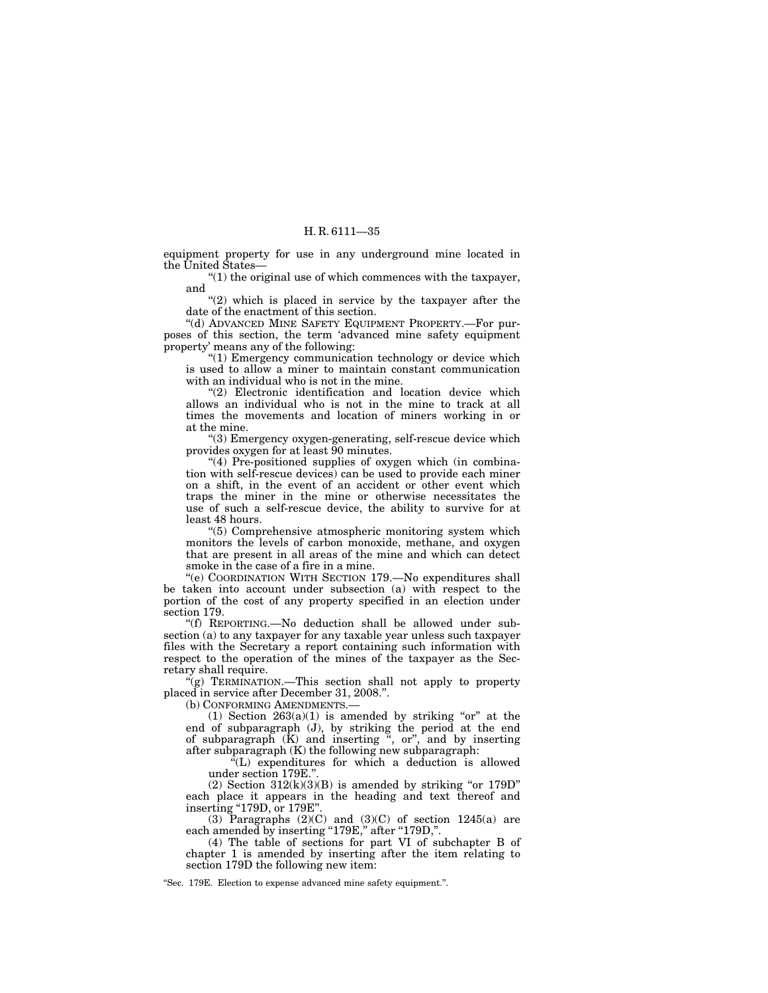equipment property for use in any underground mine located in the United States—

 $(1)$  the original use of which commences with the taxpayer, and

"(2) which is placed in service by the taxpayer after the date of the enactment of this section.

''(d) ADVANCED MINE SAFETY EQUIPMENT PROPERTY.—For purposes of this section, the term 'advanced mine safety equipment property' means any of the following:

''(1) Emergency communication technology or device which is used to allow a miner to maintain constant communication with an individual who is not in the mine.

"(2) Electronic identification and location device which allows an individual who is not in the mine to track at all times the movements and location of miners working in or at the mine.

''(3) Emergency oxygen-generating, self-rescue device which provides oxygen for at least 90 minutes.

''(4) Pre-positioned supplies of oxygen which (in combination with self-rescue devices) can be used to provide each miner on a shift, in the event of an accident or other event which traps the miner in the mine or otherwise necessitates the use of such a self-rescue device, the ability to survive for at least 48 hours.

''(5) Comprehensive atmospheric monitoring system which monitors the levels of carbon monoxide, methane, and oxygen that are present in all areas of the mine and which can detect smoke in the case of a fire in a mine.

''(e) COORDINATION WITH SECTION 179.—No expenditures shall be taken into account under subsection (a) with respect to the portion of the cost of any property specified in an election under section 179.

''(f) REPORTING.—No deduction shall be allowed under subsection (a) to any taxpayer for any taxable year unless such taxpayer files with the Secretary a report containing such information with respect to the operation of the mines of the taxpayer as the Secretary shall require.

 $\mathcal{L}(g)$  TERMINATION.—This section shall not apply to property placed in service after December 31, 2008.''.

(b) CONFORMING AMENDMENTS.—

(1) Section  $263(a)(1)$  is amended by striking "or" at the end of subparagraph (J), by striking the period at the end of subparagraph (K) and inserting ", or", and by inserting after subparagraph (K) the following new subparagraph:

 ${}^{\alpha}(L)$  expenditures for which a deduction is allowed under section 179E.'

(2) Section  $312(k)(3)(B)$  is amended by striking "or 179D" each place it appears in the heading and text thereof and inserting "179D, or 179E"

(3) Paragraphs  $(2)(C)$  and  $(3)(C)$  of section 1245(a) are each amended by inserting "179E," after "179D,".

(4) The table of sections for part VI of subchapter B of chapter 1 is amended by inserting after the item relating to section 179D the following new item:

''Sec. 179E. Election to expense advanced mine safety equipment.''.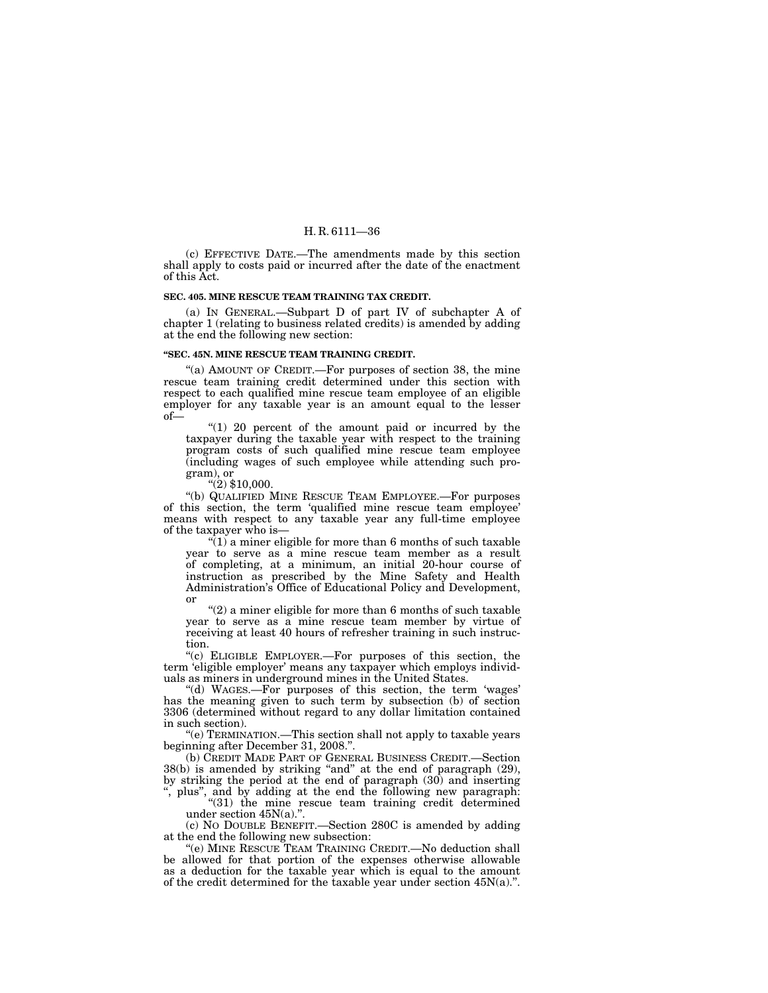(c) EFFECTIVE DATE.—The amendments made by this section shall apply to costs paid or incurred after the date of the enactment of this Act.

#### **SEC. 405. MINE RESCUE TEAM TRAINING TAX CREDIT.**

(a) IN GENERAL.—Subpart D of part IV of subchapter A of chapter 1 (relating to business related credits) is amended by adding at the end the following new section:

#### **''SEC. 45N. MINE RESCUE TEAM TRAINING CREDIT.**

"(a) AMOUNT OF CREDIT.—For purposes of section 38, the mine rescue team training credit determined under this section with respect to each qualified mine rescue team employee of an eligible employer for any taxable year is an amount equal to the lesser of—

"(1) 20 percent of the amount paid or incurred by the taxpayer during the taxable year with respect to the training program costs of such qualified mine rescue team employee (including wages of such employee while attending such program), or

 $\cdot$  (2) \$10,000.

''(b) QUALIFIED MINE RESCUE TEAM EMPLOYEE.—For purposes of this section, the term 'qualified mine rescue team employee' means with respect to any taxable year any full-time employee of the taxpayer who is—

 $\sqrt[n]{(1)}$  a miner eligible for more than 6 months of such taxable year to serve as a mine rescue team member as a result of completing, at a minimum, an initial 20-hour course of instruction as prescribed by the Mine Safety and Health Administration's Office of Educational Policy and Development, or

 $''(2)$  a miner eligible for more than 6 months of such taxable year to serve as a mine rescue team member by virtue of receiving at least 40 hours of refresher training in such instruction.

''(c) ELIGIBLE EMPLOYER.—For purposes of this section, the term 'eligible employer' means any taxpayer which employs individuals as miners in underground mines in the United States.

"(d) WAGES.—For purposes of this section, the term 'wages' has the meaning given to such term by subsection (b) of section 3306 (determined without regard to any dollar limitation contained in such section).

''(e) TERMINATION.—This section shall not apply to taxable years beginning after December 31, 2008.''.

(b) CREDIT MADE PART OF GENERAL BUSINESS CREDIT.—Section 38(b) is amended by striking ''and'' at the end of paragraph (29), by striking the period at the end of paragraph (30) and inserting '', plus'', and by adding at the end the following new paragraph:

"(31) the mine rescue team training credit determined under section 45N(a).''.

(c) NO DOUBLE BENEFIT.—Section 280C is amended by adding at the end the following new subsection:

''(e) MINE RESCUE TEAM TRAINING CREDIT.—No deduction shall be allowed for that portion of the expenses otherwise allowable as a deduction for the taxable year which is equal to the amount of the credit determined for the taxable year under section 45N(a).''.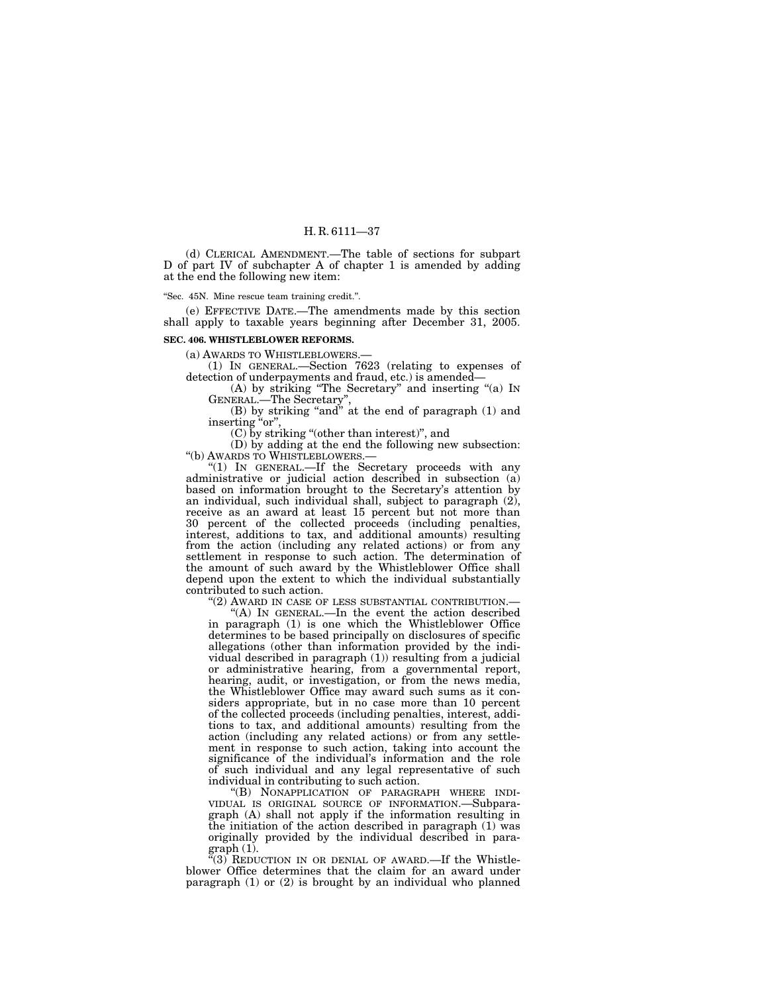(d) CLERICAL AMENDMENT.—The table of sections for subpart D of part IV of subchapter A of chapter 1 is amended by adding at the end the following new item:

''Sec. 45N. Mine rescue team training credit.''.

(e) EFFECTIVE DATE.—The amendments made by this section shall apply to taxable years beginning after December 31, 2005.

#### **SEC. 406. WHISTLEBLOWER REFORMS.**

(a) AWARDS TO WHISTLEBLOWERS.—

(1) IN GENERAL.—Section 7623 (relating to expenses of detection of underpayments and fraud, etc.) is amended—

(A) by striking ''The Secretary'' and inserting ''(a) IN GENERAL.—The Secretary'',

 $(B)$  by striking "and" at the end of paragraph  $(1)$  and inserting "or".

(C) by striking ''(other than interest)'', and

(D) by adding at the end the following new subsection:<br>"(b) AWARDS TO WHISTLEBLOWERS.—

"(1) IN GENERAL.-If the Secretary proceeds with any administrative or judicial action described in subsection (a) based on information brought to the Secretary's attention by an individual, such individual shall, subject to paragraph (2), receive as an award at least 15 percent but not more than 30 percent of the collected proceeds (including penalties, interest, additions to tax, and additional amounts) resulting from the action (including any related actions) or from any settlement in response to such action. The determination of the amount of such award by the Whistleblower Office shall depend upon the extent to which the individual substantially contributed to such action.

"(2) AWARD IN CASE OF LESS SUBSTANTIAL CONTRIBUTION.-

''(A) IN GENERAL.—In the event the action described in paragraph (1) is one which the Whistleblower Office determines to be based principally on disclosures of specific allegations (other than information provided by the individual described in paragraph (1)) resulting from a judicial or administrative hearing, from a governmental report, hearing, audit, or investigation, or from the news media, the Whistleblower Office may award such sums as it considers appropriate, but in no case more than 10 percent of the collected proceeds (including penalties, interest, additions to tax, and additional amounts) resulting from the action (including any related actions) or from any settlement in response to such action, taking into account the significance of the individual's information and the role of such individual and any legal representative of such individual in contributing to such action.

''(B) NONAPPLICATION OF PARAGRAPH WHERE INDI-VIDUAL IS ORIGINAL SOURCE OF INFORMATION.—Subparagraph (A) shall not apply if the information resulting in the initiation of the action described in paragraph (1) was originally provided by the individual described in paragraph (1).

"(3) REDUCTION IN OR DENIAL OF AWARD.—If the Whistleblower Office determines that the claim for an award under paragraph (1) or (2) is brought by an individual who planned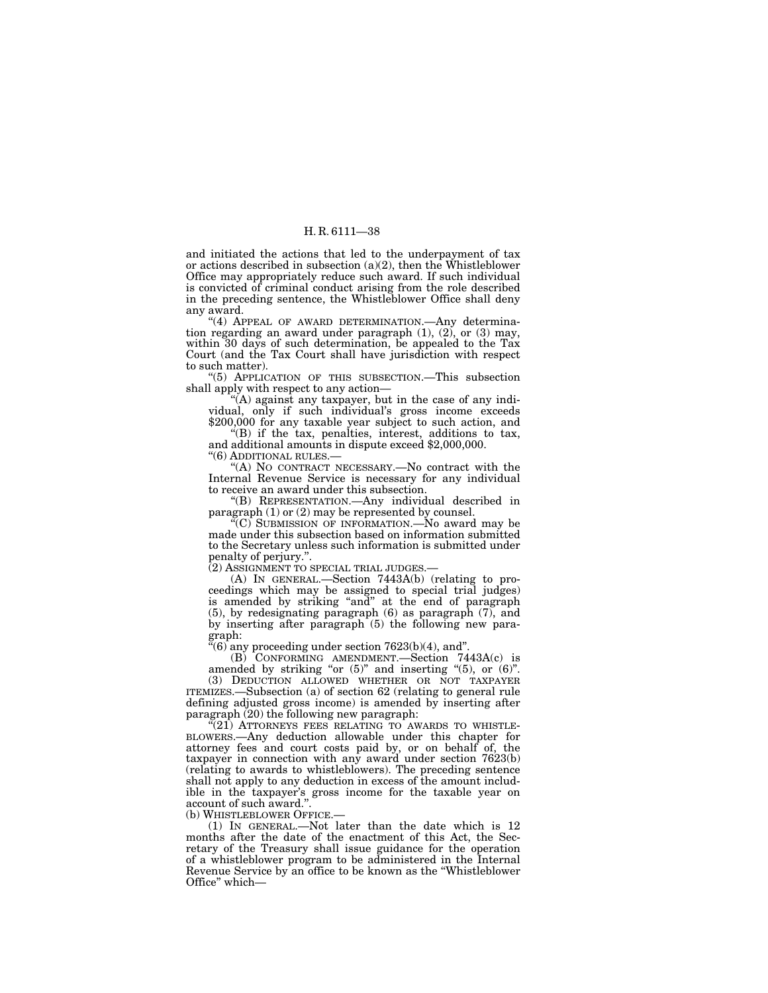and initiated the actions that led to the underpayment of tax or actions described in subsection  $(a)(2)$ , then the Whistleblower Office may appropriately reduce such award. If such individual is convicted of criminal conduct arising from the role described in the preceding sentence, the Whistleblower Office shall deny any award.

"(4) APPEAL OF AWARD DETERMINATION.—Any determination regarding an award under paragraph (1), (2), or (3) may, within 30 days of such determination, be appealed to the Tax Court (and the Tax Court shall have jurisdiction with respect to such matter).

''(5) APPLICATION OF THIS SUBSECTION.—This subsection shall apply with respect to any action—

''(A) against any taxpayer, but in the case of any individual, only if such individual's gross income exceeds \$200,000 for any taxable year subject to such action, and

 $*(B)$  if the tax, penalties, interest, additions to tax, and additional amounts in dispute exceed \$2,000,000.<br>"(6) ADDITIONAL RULES.—

"(A) NO CONTRACT NECESSARY.—No contract with the Internal Revenue Service is necessary for any individual to receive an award under this subsection.

''(B) REPRESENTATION.—Any individual described in paragraph  $(1)$  or  $(2)$  may be represented by counsel.

 $\tilde{C}(C)$  SUBMISSION OF INFORMATION.—No award may be made under this subsection based on information submitted to the Secretary unless such information is submitted under penalty of perjury.".

(2) ASSIGNMENT TO SPECIAL TRIAL JUDGES.— (A) IN GENERAL.—Section 7443A(b) (relating to proceedings which may be assigned to special trial judges) is amended by striking "and" at the end of paragraph (5), by redesignating paragraph (6) as paragraph (7), and by inserting after paragraph (5) the following new paragraph:

" $(6)$  any proceeding under section  $7623(b)(4)$ , and".

(B) CONFORMING AMENDMENT.—Section 7443A(c) is amended by striking "or  $(5)$ " and inserting " $(5)$ , or  $(6)$ ".

(3) DEDUCTION ALLOWED WHETHER OR NOT TAXPAYER ITEMIZES.—Subsection (a) of section 62 (relating to general rule defining adjusted gross income) is amended by inserting after paragraph (20) the following new paragraph:

 $(21)$  ATTORNEYS FEES RELATING TO AWARDS TO WHISTLE-BLOWERS.—Any deduction allowable under this chapter for attorney fees and court costs paid by, or on behalf of, the taxpayer in connection with any award under section 7623(b) (relating to awards to whistleblowers). The preceding sentence shall not apply to any deduction in excess of the amount includible in the taxpayer's gross income for the taxable year on account of such award.".<br>(b) WHISTLEBLOWER OFFICE.-

(1) In GENERAL.—Not later than the date which is  $12$ months after the date of the enactment of this Act, the Secretary of the Treasury shall issue guidance for the operation of a whistleblower program to be administered in the Internal Revenue Service by an office to be known as the ''Whistleblower Office'' which—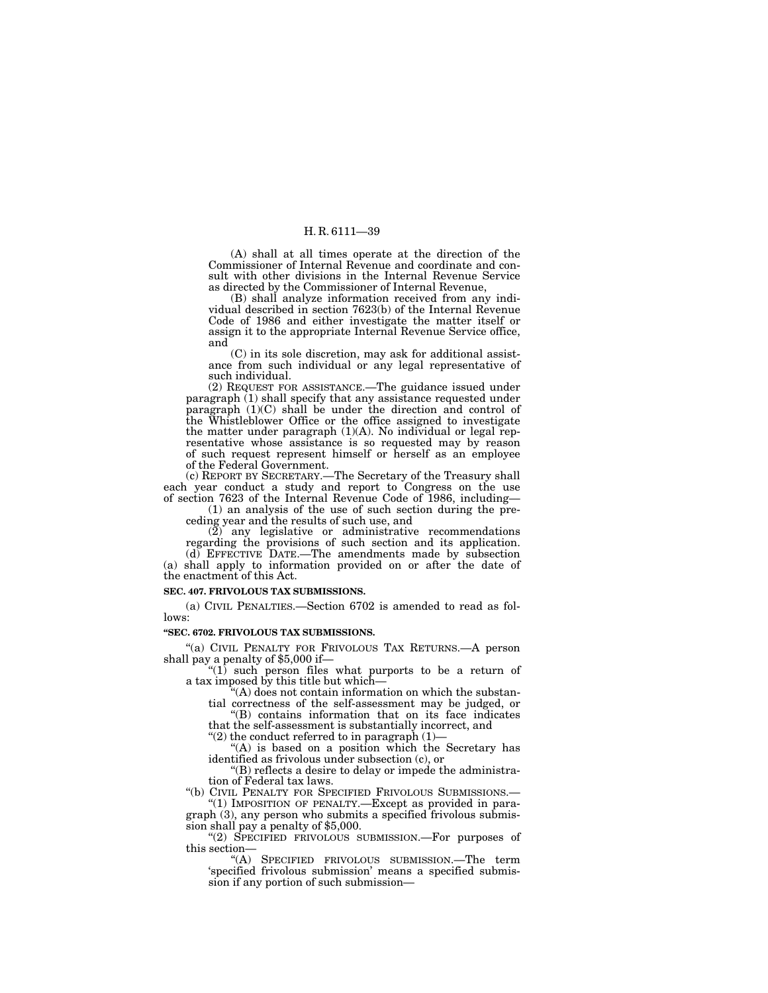(A) shall at all times operate at the direction of the Commissioner of Internal Revenue and coordinate and consult with other divisions in the Internal Revenue Service as directed by the Commissioner of Internal Revenue,

(B) shall analyze information received from any individual described in section 7623(b) of the Internal Revenue Code of 1986 and either investigate the matter itself or assign it to the appropriate Internal Revenue Service office, and

(C) in its sole discretion, may ask for additional assistance from such individual or any legal representative of such individual.

(2) REQUEST FOR ASSISTANCE.—The guidance issued under paragraph (1) shall specify that any assistance requested under paragraph (1)(C) shall be under the direction and control of the Whistleblower Office or the office assigned to investigate the matter under paragraph  $(1)(A)$ . No individual or legal representative whose assistance is so requested may by reason of such request represent himself or herself as an employee of the Federal Government.

(c) REPORT BY SECRETARY.—The Secretary of the Treasury shall each year conduct a study and report to Congress on the use of section 7623 of the Internal Revenue Code of 1986, including—

(1) an analysis of the use of such section during the preceding year and the results of such use, and

(2) any legislative or administrative recommendations regarding the provisions of such section and its application.

(d) EFFECTIVE DATE.—The amendments made by subsection (a) shall apply to information provided on or after the date of the enactment of this Act.

### **SEC. 407. FRIVOLOUS TAX SUBMISSIONS.**

(a) CIVIL PENALTIES.—Section 6702 is amended to read as follows:

# **''SEC. 6702. FRIVOLOUS TAX SUBMISSIONS.**

 $\lq$  (a) CIVIL PENALTY FOR FRIVOLOUS TAX RETURNS.—A person shall pay a penalty of  $\$5,\!000$  if—

"(1) such person files what purports to be a return of a tax imposed by this title but which—

 $(A)$  does not contain information on which the substantial correctness of the self-assessment may be judged, or ''(B) contains information that on its face indicates

that the self-assessment is substantially incorrect, and

" $(2)$  the conduct referred to in paragraph  $(1)$ -

"(A) is based on a position which the Secretary has identified as frivolous under subsection (c), or

''(B) reflects a desire to delay or impede the administration of Federal tax laws.

''(b) CIVIL PENALTY FOR SPECIFIED FRIVOLOUS SUBMISSIONS.—

"(1) IMPOSITION OF PENALTY.—Except as provided in paragraph (3), any person who submits a specified frivolous submission shall pay a penalty of \$5,000.

''(2) SPECIFIED FRIVOLOUS SUBMISSION.—For purposes of this section—

''(A) SPECIFIED FRIVOLOUS SUBMISSION.—The term 'specified frivolous submission' means a specified submission if any portion of such submission—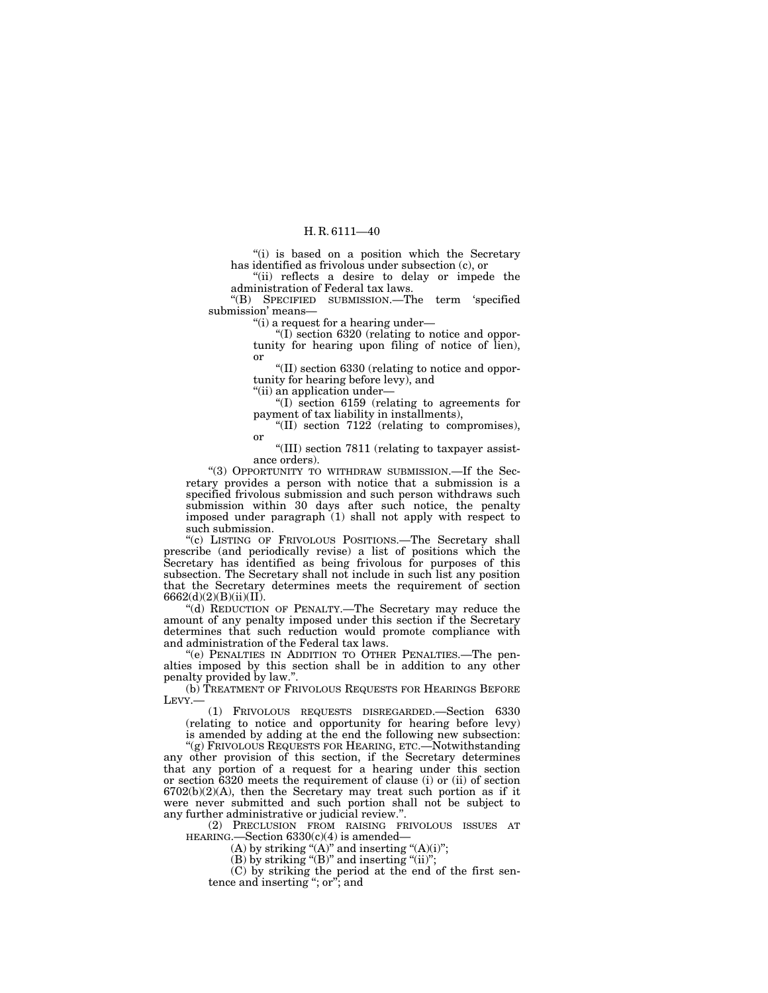''(i) is based on a position which the Secretary has identified as frivolous under subsection (c), or

''(ii) reflects a desire to delay or impede the administration of Federal tax laws.

''(B) SPECIFIED SUBMISSION.—The term 'specified submission' means—

''(i) a request for a hearing under—

''(I) section 6320 (relating to notice and opportunity for hearing upon filing of notice of lien), or

''(II) section 6330 (relating to notice and opportunity for hearing before levy), and

''(ii) an application under—

''(I) section 6159 (relating to agreements for payment of tax liability in installments),

"(II) section  $7122$  (relating to compromises), or

''(III) section 7811 (relating to taxpayer assistance orders).

''(3) OPPORTUNITY TO WITHDRAW SUBMISSION.—If the Secretary provides a person with notice that a submission is a specified frivolous submission and such person withdraws such submission within 30 days after such notice, the penalty imposed under paragraph (1) shall not apply with respect to such submission.

''(c) LISTING OF FRIVOLOUS POSITIONS.—The Secretary shall prescribe (and periodically revise) a list of positions which the Secretary has identified as being frivolous for purposes of this subsection. The Secretary shall not include in such list any position that the Secretary determines meets the requirement of section 6662(d)(2)(B)(ii)(II).

''(d) REDUCTION OF PENALTY.—The Secretary may reduce the amount of any penalty imposed under this section if the Secretary determines that such reduction would promote compliance with and administration of the Federal tax laws.

'(e) PENALTIES IN ADDITION TO OTHER PENALTIES.—The penalties imposed by this section shall be in addition to any other penalty provided by law.''.

(b) TREATMENT OF FRIVOLOUS REQUESTS FOR HEARINGS BEFORE LEVY.—

(1) FRIVOLOUS REQUESTS DISREGARDED.—Section 6330 (relating to notice and opportunity for hearing before levy) is amended by adding at the end the following new subsection:

''(g) FRIVOLOUS REQUESTS FOR HEARING, ETC.—Notwithstanding any other provision of this section, if the Secretary determines that any portion of a request for a hearing under this section or section 6320 meets the requirement of clause (i) or (ii) of section 6702(b)(2)(A), then the Secretary may treat such portion as if it were never submitted and such portion shall not be subject to any further administrative or judicial review.''.

(2) PRECLUSION FROM RAISING FRIVOLOUS ISSUES AT HEARING.—Section  $6330(c)(4)$  is amended—

(A) by striking " $(A)$ " and inserting " $(A)(i)$ ";

 $(B)$  by striking " $(B)$ " and inserting " $(ii)$ ";

(C) by striking the period at the end of the first sentence and inserting ''; or''; and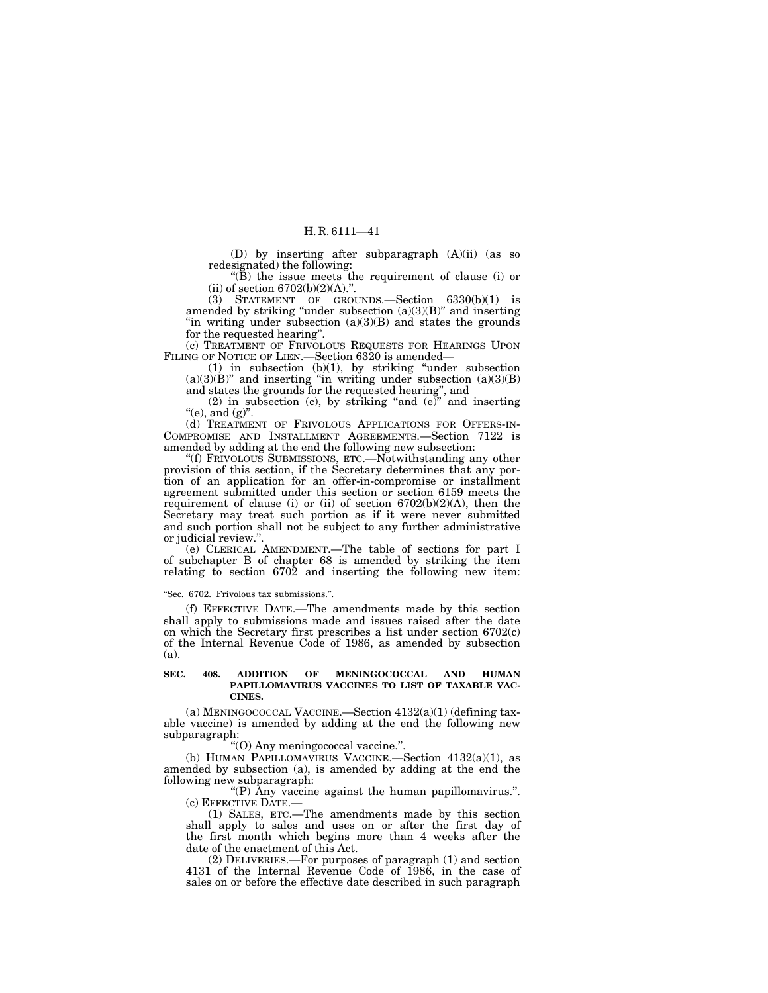(D) by inserting after subparagraph (A)(ii) (as so redesignated) the following:

''(B) the issue meets the requirement of clause (i) or (ii) of section  $6702(b)(2)(A)$ .".

(3) STATEMENT OF GROUNDS.—Section 6330(b)(1) is amended by striking "under subsection  $(a)(3)(B)$ " and inserting "in writing under subsection  $(a)(3)(B)$  and states the grounds for the requested hearing''.

(c) TREATMENT OF FRIVOLOUS REQUESTS FOR HEARINGS UPON FILING OF NOTICE OF LIEN.—Section 6320 is amended—

(1) in subsection (b)(1), by striking ''under subsection  $(a)(3)(B)$ " and inserting "in writing under subsection  $(a)(3)(B)$ and states the grounds for the requested hearing'', and

(2) in subsection (c), by striking ''and (e)'' and inserting "(e), and  $(g)$ ".

(d) TREATMENT OF FRIVOLOUS APPLICATIONS FOR OFFERS-IN-COMPROMISE AND INSTALLMENT AGREEMENTS.—Section 7122 is amended by adding at the end the following new subsection:

''(f) FRIVOLOUS SUBMISSIONS, ETC.—Notwithstanding any other provision of this section, if the Secretary determines that any portion of an application for an offer-in-compromise or installment agreement submitted under this section or section 6159 meets the requirement of clause (i) or (ii) of section 6702(b)(2)(A), then the Secretary may treat such portion as if it were never submitted and such portion shall not be subject to any further administrative or judicial review.''.

(e) CLERICAL AMENDMENT.—The table of sections for part I of subchapter B of chapter 68 is amended by striking the item relating to section 6702 and inserting the following new item:

#### ''Sec. 6702. Frivolous tax submissions.''.

(f) EFFECTIVE DATE.—The amendments made by this section shall apply to submissions made and issues raised after the date on which the Secretary first prescribes a list under section 6702(c) of the Internal Revenue Code of 1986, as amended by subsection (a).

#### **SEC. 408. ADDITION OF MENINGOCOCCAL AND HUMAN PAPILLOMAVIRUS VACCINES TO LIST OF TAXABLE VAC-CINES.**

(a) MENINGOCOCCAL VACCINE.—Section 4132(a)(1) (defining taxable vaccine) is amended by adding at the end the following new subparagraph:

''(O) Any meningococcal vaccine.''.

(b) HUMAN PAPILLOMAVIRUS VACCINE.—Section 4132(a)(1), as amended by subsection (a), is amended by adding at the end the following new subparagraph:

''(P) Any vaccine against the human papillomavirus.''. (c) EFFECTIVE DATE.—

(1) SALES, ETC.—The amendments made by this section shall apply to sales and uses on or after the first day of the first month which begins more than 4 weeks after the date of the enactment of this Act.

(2) DELIVERIES.—For purposes of paragraph (1) and section 4131 of the Internal Revenue Code of 1986, in the case of sales on or before the effective date described in such paragraph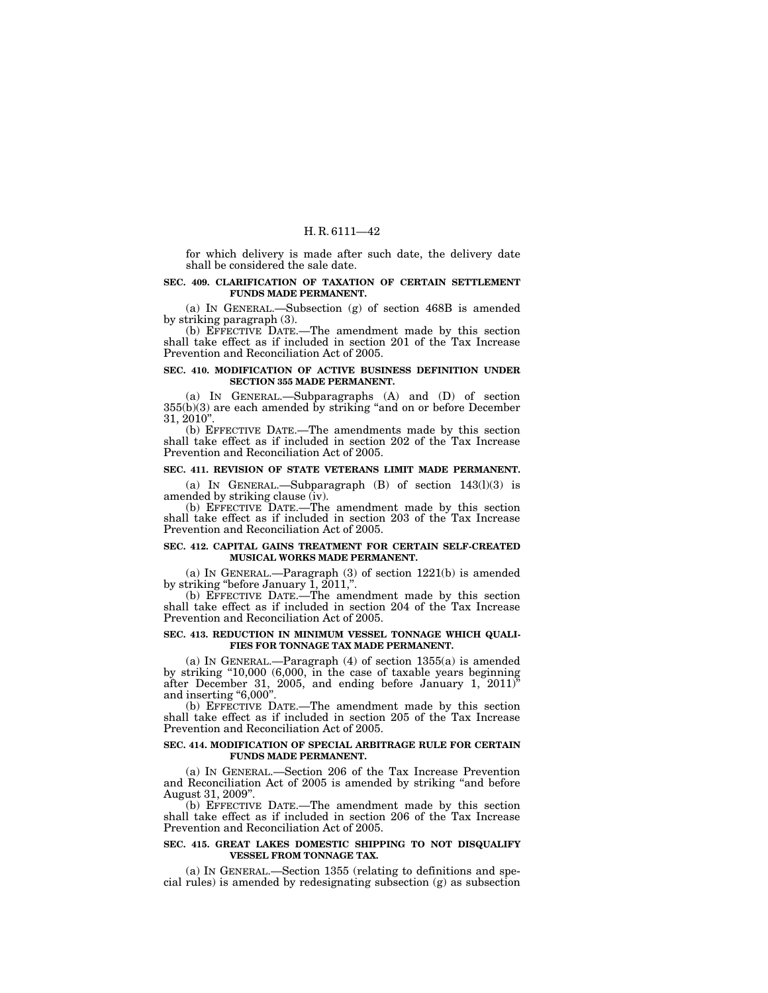for which delivery is made after such date, the delivery date shall be considered the sale date.

# **SEC. 409. CLARIFICATION OF TAXATION OF CERTAIN SETTLEMENT FUNDS MADE PERMANENT.**

(a) IN GENERAL.—Subsection (g) of section 468B is amended by striking paragraph (3).

(b) EFFECTIVE DATE.—The amendment made by this section shall take effect as if included in section 201 of the Tax Increase Prevention and Reconciliation Act of 2005.

### **SEC. 410. MODIFICATION OF ACTIVE BUSINESS DEFINITION UNDER SECTION 355 MADE PERMANENT.**

(a) IN GENERAL.—Subparagraphs (A) and (D) of section 355(b)(3) are each amended by striking ''and on or before December 31, 2010''.

(b) EFFECTIVE DATE.—The amendments made by this section shall take effect as if included in section 202 of the Tax Increase Prevention and Reconciliation Act of 2005.

# **SEC. 411. REVISION OF STATE VETERANS LIMIT MADE PERMANENT.**

(a) IN GENERAL.—Subparagraph (B) of section 143(l)(3) is amended by striking clause (iv).

(b) EFFECTIVE DATE.—The amendment made by this section shall take effect as if included in section 203 of the Tax Increase Prevention and Reconciliation Act of 2005.

#### **SEC. 412. CAPITAL GAINS TREATMENT FOR CERTAIN SELF-CREATED MUSICAL WORKS MADE PERMANENT.**

(a) IN GENERAL.—Paragraph (3) of section 1221(b) is amended by striking ''before January 1, 2011,''.

(b) EFFECTIVE DATE.—The amendment made by this section shall take effect as if included in section 204 of the Tax Increase Prevention and Reconciliation Act of 2005.

#### **SEC. 413. REDUCTION IN MINIMUM VESSEL TONNAGE WHICH QUALI-FIES FOR TONNAGE TAX MADE PERMANENT.**

(a) IN GENERAL.—Paragraph (4) of section 1355(a) is amended by striking "10,000 (6,000, in the case of taxable years beginning after December 31, 2005, and ending before January  $1, 2011$ <sup>3</sup> and inserting "6,000".

(b) EFFECTIVE DATE.—The amendment made by this section shall take effect as if included in section 205 of the Tax Increase Prevention and Reconciliation Act of 2005.

# **SEC. 414. MODIFICATION OF SPECIAL ARBITRAGE RULE FOR CERTAIN FUNDS MADE PERMANENT.**

(a) IN GENERAL.—Section 206 of the Tax Increase Prevention and Reconciliation Act of 2005 is amended by striking ''and before August 31, 2009''.

(b) EFFECTIVE DATE.—The amendment made by this section shall take effect as if included in section 206 of the Tax Increase Prevention and Reconciliation Act of 2005.

#### **SEC. 415. GREAT LAKES DOMESTIC SHIPPING TO NOT DISQUALIFY VESSEL FROM TONNAGE TAX.**

(a) IN GENERAL.—Section 1355 (relating to definitions and special rules) is amended by redesignating subsection (g) as subsection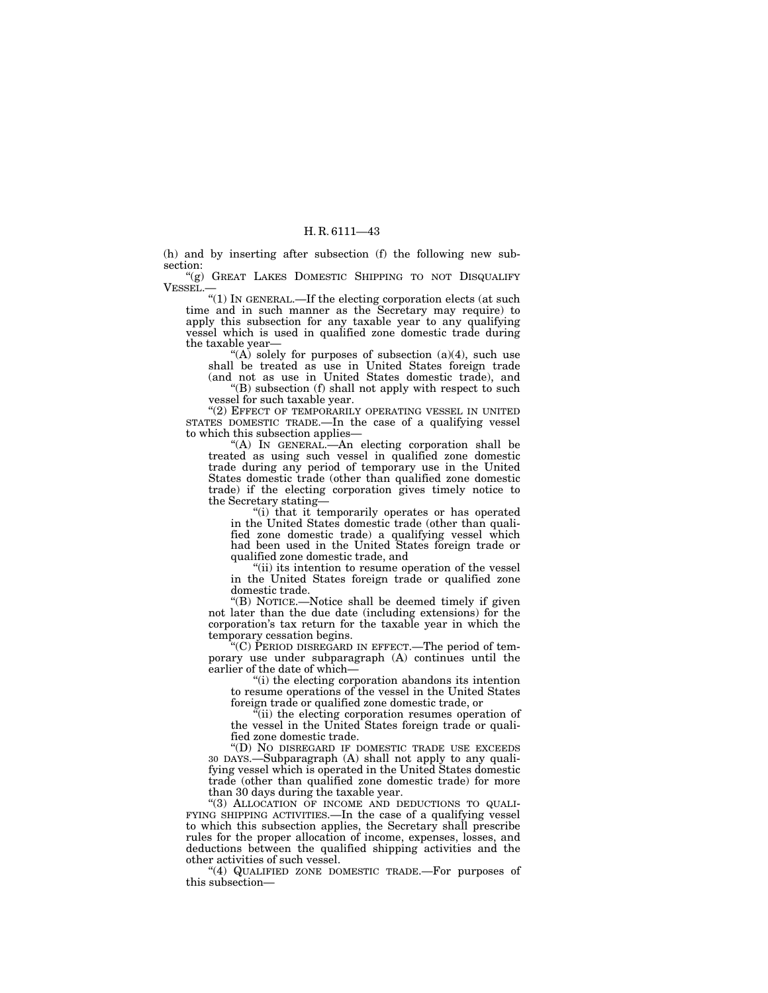(h) and by inserting after subsection (f) the following new subsection:

"(g) GREAT LAKES DOMESTIC SHIPPING TO NOT DISQUALIFY VESSEL.—

"(1) IN GENERAL.—If the electing corporation elects (at such time and in such manner as the Secretary may require) to apply this subsection for any taxable year to any qualifying vessel which is used in qualified zone domestic trade during the taxable year—

"(A) solely for purposes of subsection  $(a)(4)$ , such use shall be treated as use in United States foreign trade (and not as use in United States domestic trade), and

''(B) subsection (f) shall not apply with respect to such vessel for such taxable year.

"(2) EFFECT OF TEMPORARILY OPERATING VESSEL IN UNITED STATES DOMESTIC TRADE.—In the case of a qualifying vessel to which this subsection applies—

''(A) IN GENERAL.—An electing corporation shall be treated as using such vessel in qualified zone domestic trade during any period of temporary use in the United States domestic trade (other than qualified zone domestic trade) if the electing corporation gives timely notice to the Secretary stating—

''(i) that it temporarily operates or has operated in the United States domestic trade (other than qualified zone domestic trade) a qualifying vessel which had been used in the United States foreign trade or qualified zone domestic trade, and

''(ii) its intention to resume operation of the vessel in the United States foreign trade or qualified zone domestic trade.

''(B) NOTICE.—Notice shall be deemed timely if given not later than the due date (including extensions) for the corporation's tax return for the taxable year in which the temporary cessation begins.

''(C) PERIOD DISREGARD IN EFFECT.—The period of temporary use under subparagraph (A) continues until the earlier of the date of which—

''(i) the electing corporation abandons its intention to resume operations of the vessel in the United States foreign trade or qualified zone domestic trade, or

"(ii) the electing corporation resumes operation of the vessel in the United States foreign trade or qualified zone domestic trade.

''(D) NO DISREGARD IF DOMESTIC TRADE USE EXCEEDS 30 DAYS.—Subparagraph (A) shall not apply to any qualifying vessel which is operated in the United States domestic trade (other than qualified zone domestic trade) for more than 30 days during the taxable year.

"(3) ALLOCATION OF INCOME AND DEDUCTIONS TO QUALI-FYING SHIPPING ACTIVITIES.—In the case of a qualifying vessel to which this subsection applies, the Secretary shall prescribe rules for the proper allocation of income, expenses, losses, and deductions between the qualified shipping activities and the other activities of such vessel.

"(4) QUALIFIED ZONE DOMESTIC TRADE.—For purposes of this subsection—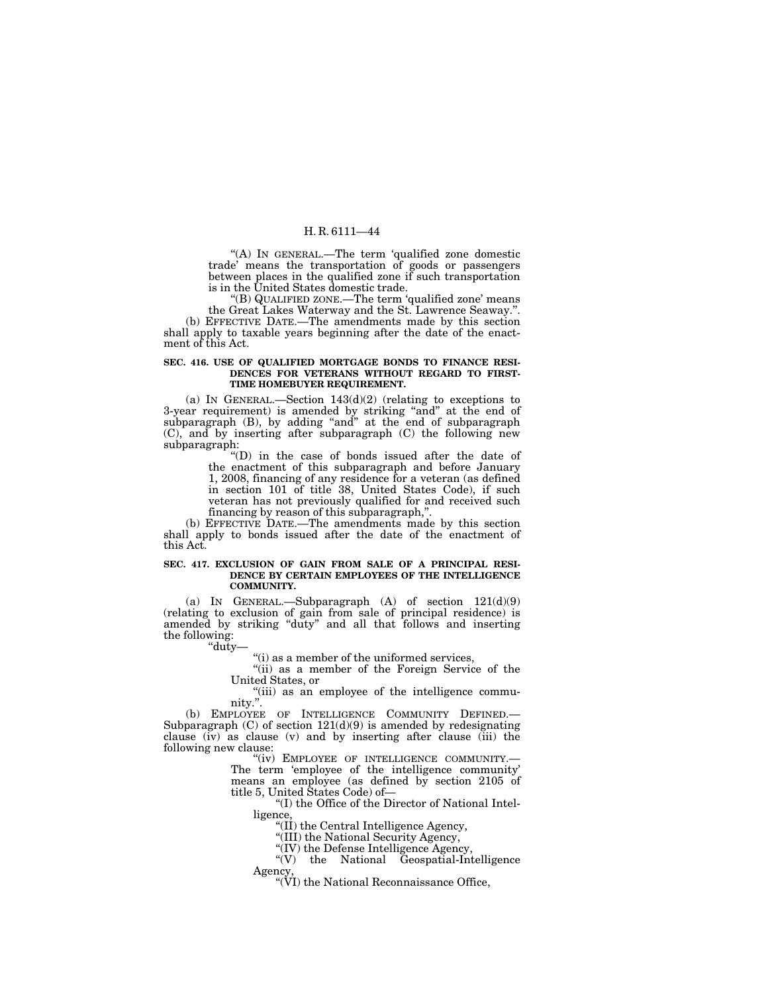''(A) IN GENERAL.—The term 'qualified zone domestic trade' means the transportation of goods or passengers between places in the qualified zone if such transportation is in the United States domestic trade.

''(B) QUALIFIED ZONE.—The term 'qualified zone' means the Great Lakes Waterway and the St. Lawrence Seaway.''. (b) EFFECTIVE DATE.—The amendments made by this section shall apply to taxable years beginning after the date of the enactment of this Act.

## **SEC. 416. USE OF QUALIFIED MORTGAGE BONDS TO FINANCE RESI-DENCES FOR VETERANS WITHOUT REGARD TO FIRST-TIME HOMEBUYER REQUIREMENT.**

(a) IN GENERAL.—Section  $143(d)(2)$  (relating to exceptions to 3-year requirement) is amended by striking ''and'' at the end of subparagraph (B), by adding "and" at the end of subparagraph (C), and by inserting after subparagraph (C) the following new subparagraph:

> ''(D) in the case of bonds issued after the date of the enactment of this subparagraph and before January 1, 2008, financing of any residence for a veteran (as defined in section 101 of title 38, United States Code), if such veteran has not previously qualified for and received such financing by reason of this subparagraph,''.

(b) EFFECTIVE DATE.—The amendments made by this section shall apply to bonds issued after the date of the enactment of this Act.

#### **SEC. 417. EXCLUSION OF GAIN FROM SALE OF A PRINCIPAL RESI-DENCE BY CERTAIN EMPLOYEES OF THE INTELLIGENCE COMMUNITY.**

(a) IN GENERAL.—Subparagraph  $(A)$  of section  $121(d)(9)$ (relating to exclusion of gain from sale of principal residence) is amended by striking ''duty'' and all that follows and inserting the following:

''duty—

''(i) as a member of the uniformed services,

"(ii) as a member of the Foreign Service of the United States, or

''(iii) as an employee of the intelligence community.''.

(b) EMPLOYEE OF INTELLIGENCE COMMUNITY DEFINED.— Subparagraph  $(C)$  of section  $121(d)(9)$  is amended by redesignating clause (iv) as clause (v) and by inserting after clause (iii) the following new clause:<br>"(iv) EMPLOYEE OF INTELLIGENCE COMMUNITY.—

The term 'employee of the intelligence community' means an employee (as defined by section 2105 of title 5, United States Code) of—

''(I) the Office of the Director of National Intelligence,

''(II) the Central Intelligence Agency,

"(III) the National Security Agency,

''(IV) the Defense Intelligence Agency,

''(V) the National Geospatial-Intelligence **Agency** 

''(VI) the National Reconnaissance Office,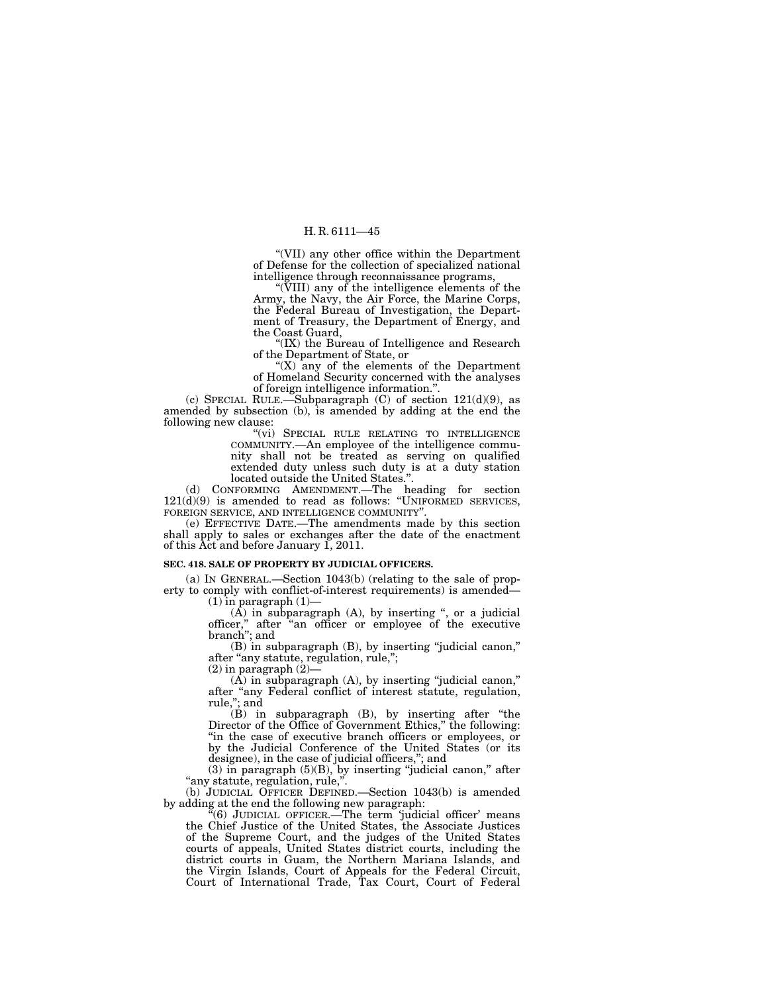''(VII) any other office within the Department of Defense for the collection of specialized national intelligence through reconnaissance programs,

''(VIII) any of the intelligence elements of the Army, the Navy, the Air Force, the Marine Corps, the Federal Bureau of Investigation, the Department of Treasury, the Department of Energy, and the Coast Guard,

''(IX) the Bureau of Intelligence and Research of the Department of State, or

''(X) any of the elements of the Department of Homeland Security concerned with the analyses of foreign intelligence information.''.

(c) SPECIAL RULE.—Subparagraph  $(C)$  of section  $121(d)(9)$ , as amended by subsection (b), is amended by adding at the end the following new clause:

"(vi) SPECIAL RULE RELATING TO INTELLIGENCE COMMUNITY.—An employee of the intelligence community shall not be treated as serving on qualified extended duty unless such duty is at a duty station located outside the United States.''.

(d) CONFORMING AMENDMENT.—The heading for section 121(d)(9) is amended to read as follows: ''UNIFORMED SERVICES, FOREIGN SERVICE, AND INTELLIGENCE COMMUNITY''.

(e) EFFECTIVE DATE.—The amendments made by this section shall apply to sales or exchanges after the date of the enactment of this Act and before January 1, 2011.

# **SEC. 418. SALE OF PROPERTY BY JUDICIAL OFFICERS.**

(a) IN GENERAL.—Section 1043(b) (relating to the sale of property to comply with conflict-of-interest requirements) is amended—  $(1)$  in paragraph  $(1)$ –

 $(A)$  in subparagraph  $(A)$ , by inserting ", or a judicial officer,'' after ''an officer or employee of the executive branch''; and

(B) in subparagraph (B), by inserting ''judicial canon,'' after "any statute, regulation, rule,";

 $(2)$  in paragraph  $(2)$ 

 $(A)$  in subparagraph  $(A)$ , by inserting "judicial canon," after ''any Federal conflict of interest statute, regulation, rule,''; and

(B) in subparagraph (B), by inserting after ''the Director of the Office of Government Ethics,'' the following: "in the case of executive branch officers or employees, or by the Judicial Conference of the United States (or its designee), in the case of judicial officers,"; and

 $(3)$  in paragraph  $(5)(B)$ , by inserting "judicial canon," after ''any statute, regulation, rule,''.

(b) JUDICIAL OFFICER DEFINED.—Section 1043(b) is amended by adding at the end the following new paragraph:

"(6) JUDICIAL OFFICER.—The term 'judicial officer' means the Chief Justice of the United States, the Associate Justices of the Supreme Court, and the judges of the United States courts of appeals, United States district courts, including the district courts in Guam, the Northern Mariana Islands, and the Virgin Islands, Court of Appeals for the Federal Circuit, Court of International Trade, Tax Court, Court of Federal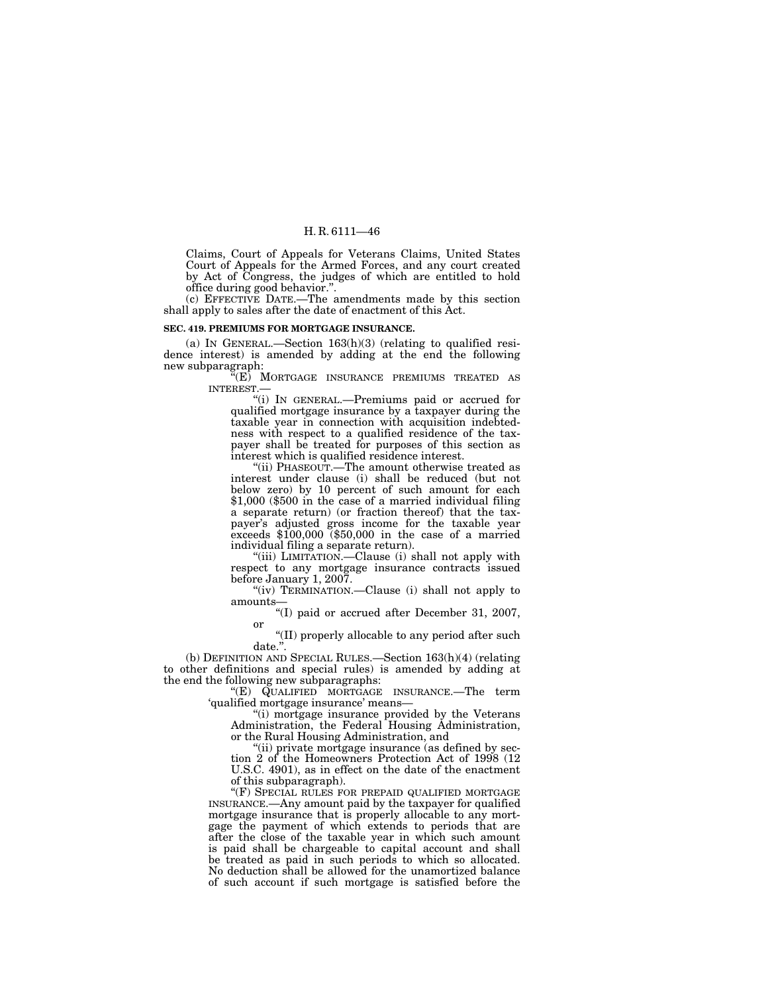Claims, Court of Appeals for Veterans Claims, United States Court of Appeals for the Armed Forces, and any court created by Act of Congress, the judges of which are entitled to hold office during good behavior.''.

(c) EFFECTIVE DATE.—The amendments made by this section shall apply to sales after the date of enactment of this Act.

# **SEC. 419. PREMIUMS FOR MORTGAGE INSURANCE.**

(a) IN GENERAL.—Section  $163(h)(3)$  (relating to qualified residence interest) is amended by adding at the end the following new subparagraph:

''(E) MORTGAGE INSURANCE PREMIUMS TREATED AS INTEREST.—

''(i) IN GENERAL.—Premiums paid or accrued for qualified mortgage insurance by a taxpayer during the taxable year in connection with acquisition indebtedness with respect to a qualified residence of the taxpayer shall be treated for purposes of this section as interest which is qualified residence interest.

"(ii) PHASEOUT.—The amount otherwise treated as interest under clause (i) shall be reduced (but not below zero) by 10 percent of such amount for each \$1,000 (\$500 in the case of a married individual filing a separate return) (or fraction thereof) that the taxpayer's adjusted gross income for the taxable year exceeds \$100,000 (\$50,000 in the case of a married individual filing a separate return).

"(iii) LIMITATION.—Clause (i) shall not apply with respect to any mortgage insurance contracts issued before January 1, 2007.

"(iv) TERMINATION.—Clause (i) shall not apply to amounts—

''(I) paid or accrued after December 31, 2007,

or  $''(II)$  properly allocable to any period after such date.''.

(b) DEFINITION AND SPECIAL RULES.—Section 163(h)(4) (relating to other definitions and special rules) is amended by adding at the end the following new subparagraphs:

''(E) QUALIFIED MORTGAGE INSURANCE.—The term 'qualified mortgage insurance' means—

''(i) mortgage insurance provided by the Veterans Administration, the Federal Housing Administration, or the Rural Housing Administration, and

"(ii) private mortgage insurance (as defined by section 2 of the Homeowners Protection Act of 1998 (12 U.S.C. 4901), as in effect on the date of the enactment of this subparagraph).

"(F) SPECIAL RULES FOR PREPAID QUALIFIED MORTGAGE INSURANCE.—Any amount paid by the taxpayer for qualified mortgage insurance that is properly allocable to any mortgage the payment of which extends to periods that are after the close of the taxable year in which such amount is paid shall be chargeable to capital account and shall be treated as paid in such periods to which so allocated. No deduction shall be allowed for the unamortized balance of such account if such mortgage is satisfied before the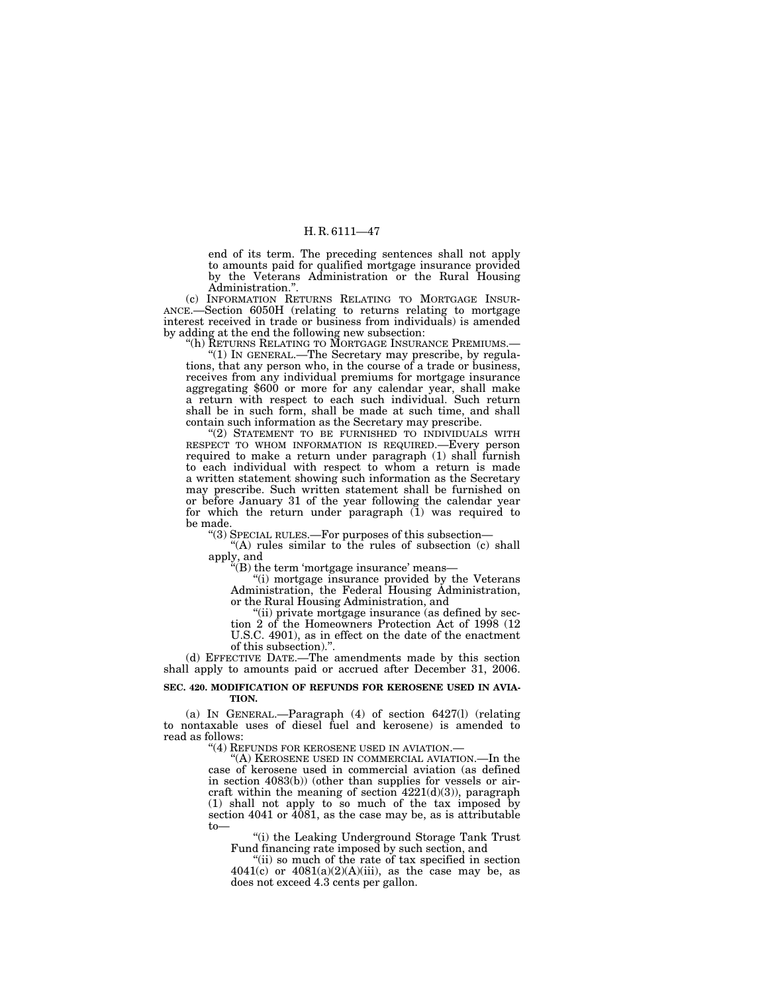end of its term. The preceding sentences shall not apply to amounts paid for qualified mortgage insurance provided by the Veterans Administration or the Rural Housing

Administration.".<br>
(c) INFORMATION RETURNS RELATING TO MORTGAGE INSUR-ANCE.—Section 6050H (relating to returns relating to mortgage interest received in trade or business from individuals) is amended by adding at the end the following new subsection:

''(h) RETURNS RELATING TO MORTGAGE INSURANCE PREMIUMS.—

''(1) IN GENERAL.—The Secretary may prescribe, by regulations, that any person who, in the course of a trade or business, receives from any individual premiums for mortgage insurance aggregating \$600 or more for any calendar year, shall make a return with respect to each such individual. Such return shall be in such form, shall be made at such time, and shall contain such information as the Secretary may prescribe.

"(2) STATEMENT TO BE FURNISHED TO INDIVIDUALS WITH RESPECT TO WHOM INFORMATION IS REQUIRED.—Every person required to make a return under paragraph (1) shall furnish to each individual with respect to whom a return is made a written statement showing such information as the Secretary may prescribe. Such written statement shall be furnished on or before January 31 of the year following the calendar year for which the return under paragraph (1) was required to be made.

''(3) SPECIAL RULES.—For purposes of this subsection—

"(A) rules similar to the rules of subsection (c) shall apply, and

''(B) the term 'mortgage insurance' means—

"(i) mortgage insurance provided by the Veterans Administration, the Federal Housing Administration, or the Rural Housing Administration, and

"(ii) private mortgage insurance (as defined by section 2 of the Homeowners Protection Act of 1998 (12 U.S.C. 4901), as in effect on the date of the enactment of this subsection).''.

(d) EFFECTIVE DATE.—The amendments made by this section shall apply to amounts paid or accrued after December 31, 2006.

#### **SEC. 420. MODIFICATION OF REFUNDS FOR KEROSENE USED IN AVIA-TION.**

(a) IN GENERAL.—Paragraph (4) of section 6427(l) (relating to nontaxable uses of diesel fuel and kerosene) is amended to read as follows:

''(4) REFUNDS FOR KEROSENE USED IN AVIATION.—

"(A) KEROSENE USED IN COMMERCIAL AVIATION.—In the case of kerosene used in commercial aviation (as defined in section 4083(b)) (other than supplies for vessels or aircraft within the meaning of section  $4221(d)(3)$ , paragraph (1) shall not apply to so much of the tax imposed by section  $4041$  or  $\overline{4081}$ , as the case may be, as is attributable to—

''(i) the Leaking Underground Storage Tank Trust Fund financing rate imposed by such section, and

"(ii) so much of the rate of tax specified in section  $4041(c)$  or  $4081(a)(2)(A)(iii)$ , as the case may be, as does not exceed 4.3 cents per gallon.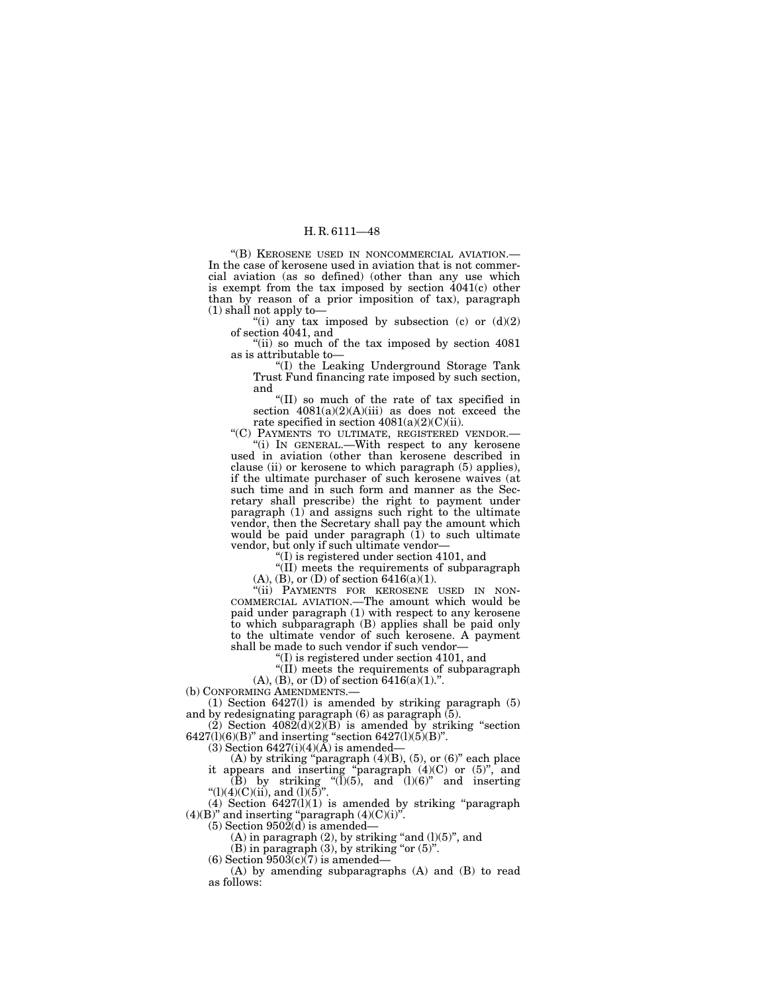''(B) KEROSENE USED IN NONCOMMERCIAL AVIATION.— In the case of kerosene used in aviation that is not commercial aviation (as so defined) (other than any use which is exempt from the tax imposed by section  $4041(c)$  other than by reason of a prior imposition of tax), paragraph (1) shall not apply to—

"(i) any tax imposed by subsection (c) or  $(d)(2)$ of section 4041, and

"(ii) so much of the tax imposed by section 4081 as is attributable to—

''(I) the Leaking Underground Storage Tank Trust Fund financing rate imposed by such section, and

''(II) so much of the rate of tax specified in section  $4081(a)(2)(A)(iii)$  as does not exceed the rate specified in section  $4081(a)(2)(C)(ii)$ .<br>"(C) PAYMENTS TO ULTIMATE, REGISTERED VENDOR.—

"(i) IN GENERAL.—With respect to any kerosene

used in aviation (other than kerosene described in clause (ii) or kerosene to which paragraph (5) applies), if the ultimate purchaser of such kerosene waives (at such time and in such form and manner as the Secretary shall prescribe) the right to payment under paragraph (1) and assigns such right to the ultimate vendor, then the Secretary shall pay the amount which would be paid under paragraph (1) to such ultimate vendor, but only if such ultimate vendor—

''(I) is registered under section 4101, and

"(II) meets the requirements of subparagraph  $(A)$ ,  $(B)$ , or  $(D)$  of section 6416 $(a)(1)$ .

"(ii) PAYMENTS FOR KEROSENE USED IN NON-COMMERCIAL AVIATION.—The amount which would be paid under paragraph (1) with respect to any kerosene to which subparagraph (B) applies shall be paid only to the ultimate vendor of such kerosene. A payment shall be made to such vendor if such vendor—

''(I) is registered under section 4101, and

''(II) meets the requirements of subparagraph  $(A)$ ,  $(B)$ , or  $(D)$  of section 6416 $(a)(1)$ .

(b) CONFORMING AMENDMENTS.

(1) Section 6427(l) is amended by striking paragraph (5) and by redesignating paragraph (6) as paragraph (5).

 $(2)$  Section  $4082(d)(2)(B)$  is amended by striking "section  $6427(1)(6)(B)$ " and inserting "section  $6427(1)(5)(B)$ ".

(3) Section  $6427(i)(4)(\breve{A})$  is amended-

(A) by striking "paragraph  $(4)(B)$ ,  $(5)$ , or  $(6)$ " each place

it appears and inserting "paragraph  $(4)(C)$  or  $(5)$ ", and (B) by striking  $(1)(5)$ , and  $(1)(6)$ " and inserting "(l)(4)(C)(ii), and (l)(5)".

(4) Section  $6427(1)(1)$  is amended by striking "paragraph"

 $(4)(B)$ " and inserting "paragraph  $(4)(C)(i)$ ".  $(5)$  Section 9502 $(d)$  is amended—

(A) in paragraph  $(2)$ , by striking "and  $(l)(5)$ ", and

 $(B)$  in paragraph  $(3)$ , by striking "or  $(5)$ ".

 $(6)$  Section 9503 $(c)$  $(7)$  is amended–

(A) by amending subparagraphs (A) and (B) to read as follows: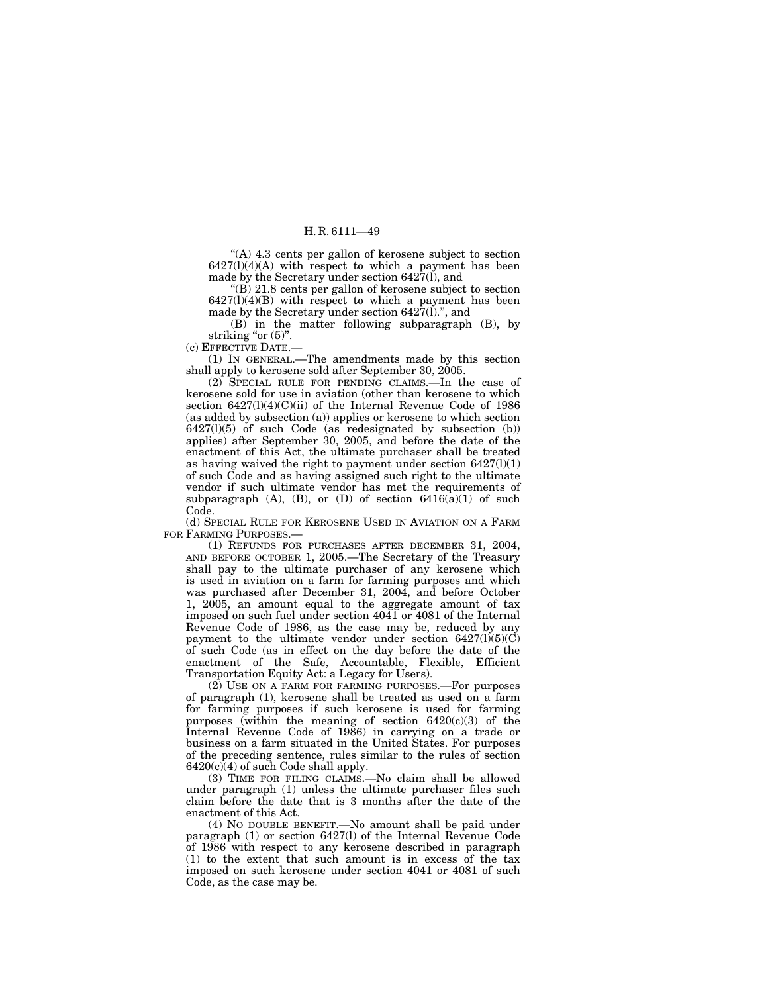"(A) 4.3 cents per gallon of kerosene subject to section 6427(l)(4)(A) with respect to which a payment has been made by the Secretary under section 6427(l), and

''(B) 21.8 cents per gallon of kerosene subject to section  $6427(1)(4)(B)$  with respect to which a payment has been made by the Secretary under section 6427(l).'', and

(B) in the matter following subparagraph (B), by striking "or  $(5)$ ".

(c) EFFECTIVE DATE.—

(1) IN GENERAL.—The amendments made by this section shall apply to kerosene sold after September 30, 2005.

(2) SPECIAL RULE FOR PENDING CLAIMS.—In the case of kerosene sold for use in aviation (other than kerosene to which section 6427(l)(4)(C)(ii) of the Internal Revenue Code of 1986 (as added by subsection (a)) applies or kerosene to which section 6427(l)(5) of such Code (as redesignated by subsection (b)) applies) after September 30, 2005, and before the date of the enactment of this Act, the ultimate purchaser shall be treated as having waived the right to payment under section  $6427(1)(1)$ of such Code and as having assigned such right to the ultimate vendor if such ultimate vendor has met the requirements of subparagraph  $(A)$ ,  $(B)$ , or  $(D)$  of section  $6416(a)(1)$  of such Code.

(d) SPECIAL RULE FOR KEROSENE USED IN AVIATION ON A FARM FOR FARMING PURPOSES.—

(1) REFUNDS FOR PURCHASES AFTER DECEMBER 31, 2004, AND BEFORE OCTOBER 1, 2005.—The Secretary of the Treasury shall pay to the ultimate purchaser of any kerosene which is used in aviation on a farm for farming purposes and which was purchased after December 31, 2004, and before October 1, 2005, an amount equal to the aggregate amount of tax imposed on such fuel under section 4041 or 4081 of the Internal Revenue Code of 1986, as the case may be, reduced by any payment to the ultimate vendor under section  $6427(1)(5)(C)$ of such Code (as in effect on the day before the date of the enactment of the Safe, Accountable, Flexible, Efficient Transportation Equity Act: a Legacy for Users).

(2) USE ON A FARM FOR FARMING PURPOSES.—For purposes of paragraph (1), kerosene shall be treated as used on a farm for farming purposes if such kerosene is used for farming purposes (within the meaning of section 6420(c)(3) of the Internal Revenue Code of 1986) in carrying on a trade or business on a farm situated in the United States. For purposes of the preceding sentence, rules similar to the rules of section  $6420(c)(4)$  of such Code shall apply.

(3) TIME FOR FILING CLAIMS.—No claim shall be allowed under paragraph (1) unless the ultimate purchaser files such claim before the date that is 3 months after the date of the enactment of this Act.

(4) NO DOUBLE BENEFIT.—No amount shall be paid under paragraph (1) or section 6427(l) of the Internal Revenue Code of 1986 with respect to any kerosene described in paragraph (1) to the extent that such amount is in excess of the tax imposed on such kerosene under section 4041 or 4081 of such Code, as the case may be.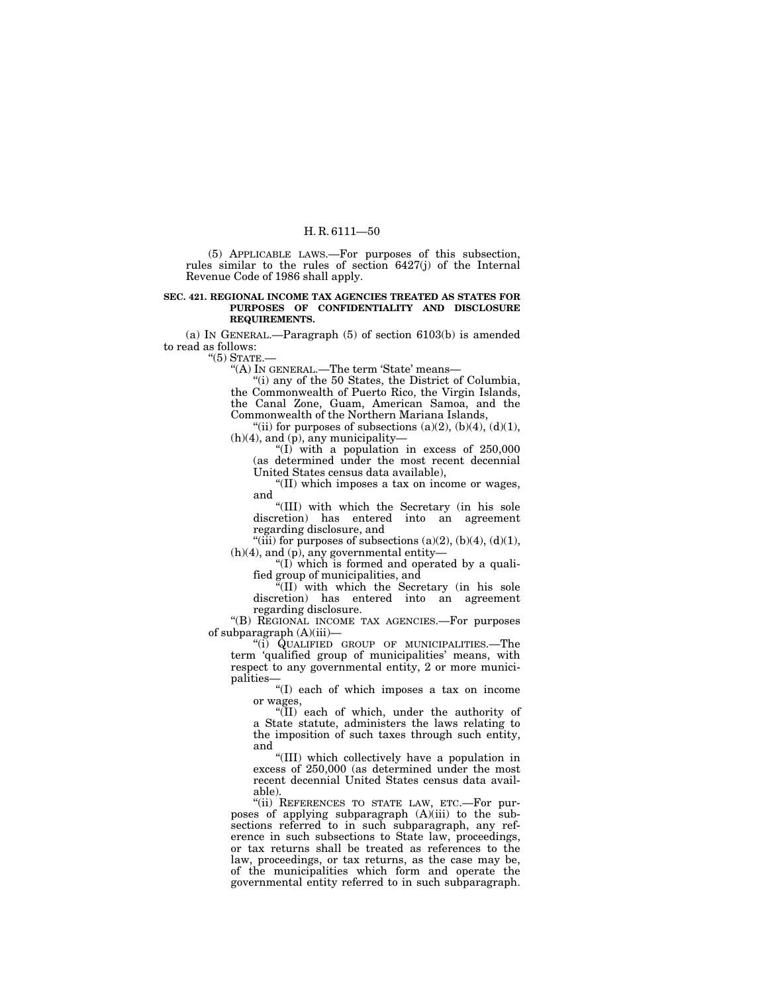(5) APPLICABLE LAWS.—For purposes of this subsection, rules similar to the rules of section 6427(j) of the Internal Revenue Code of 1986 shall apply.

#### **SEC. 421. REGIONAL INCOME TAX AGENCIES TREATED AS STATES FOR PURPOSES OF CONFIDENTIALITY AND DISCLOSURE REQUIREMENTS.**

(a) IN GENERAL.—Paragraph (5) of section 6103(b) is amended to read as follows:

 $"(5)$  STATE.-

''(A) IN GENERAL.—The term 'State' means—

''(i) any of the 50 States, the District of Columbia, the Commonwealth of Puerto Rico, the Virgin Islands, the Canal Zone, Guam, American Samoa, and the Commonwealth of the Northern Mariana Islands,

"(ii) for purposes of subsections  $(a)(2)$ ,  $(b)(4)$ ,  $(d)(1)$ , (h)(4), and (p), any municipality—

" $($ I) with a population in excess of 250,000 (as determined under the most recent decennial United States census data available),

''(II) which imposes a tax on income or wages, and

''(III) with which the Secretary (in his sole discretion) has entered into an agreement regarding disclosure, and

"(iii) for purposes of subsections  $(a)(2)$ ,  $(b)(4)$ ,  $(d)(1)$ ,  $(h)(4)$ , and  $(p)$ , any governmental entity-

''(I) which is formed and operated by a qualified group of municipalities, and

''(II) with which the Secretary (in his sole discretion) has entered into an agreement regarding disclosure.

''(B) REGIONAL INCOME TAX AGENCIES.—For purposes of subparagraph (A)(iii)—

''(i) QUALIFIED GROUP OF MUNICIPALITIES.—The term 'qualified group of municipalities' means, with respect to any governmental entity, 2 or more municipalities—

''(I) each of which imposes a tax on income or wages,

"(II) each of which, under the authority of a State statute, administers the laws relating to the imposition of such taxes through such entity, and

''(III) which collectively have a population in excess of 250,000 (as determined under the most recent decennial United States census data available).

"(ii) REFERENCES TO STATE LAW, ETC.—For purposes of applying subparagraph (A)(iii) to the subsections referred to in such subparagraph, any reference in such subsections to State law, proceedings, or tax returns shall be treated as references to the law, proceedings, or tax returns, as the case may be, of the municipalities which form and operate the governmental entity referred to in such subparagraph.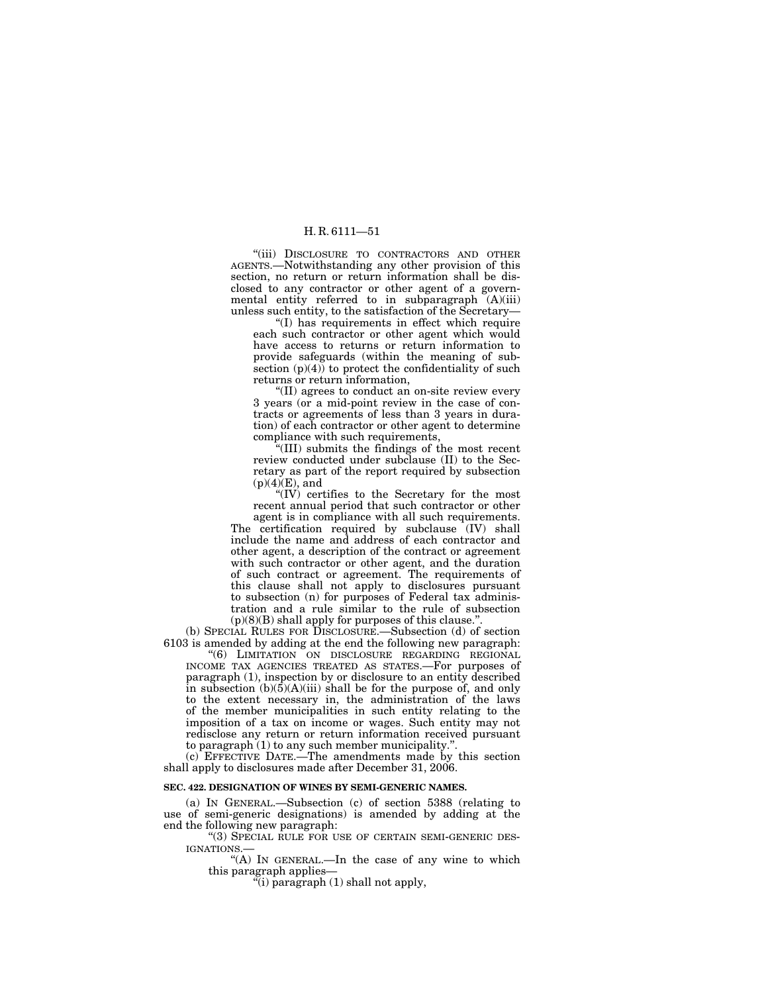"(iii) DISCLOSURE TO CONTRACTORS AND OTHER AGENTS.—Notwithstanding any other provision of this section, no return or return information shall be disclosed to any contractor or other agent of a governmental entity referred to in subparagraph (A)(iii) unless such entity, to the satisfaction of the Secretary—

''(I) has requirements in effect which require each such contractor or other agent which would have access to returns or return information to provide safeguards (within the meaning of subsection  $(p)(4)$  to protect the confidentiality of such returns or return information,

''(II) agrees to conduct an on-site review every 3 years (or a mid-point review in the case of contracts or agreements of less than 3 years in duration) of each contractor or other agent to determine compliance with such requirements,

''(III) submits the findings of the most recent review conducted under subclause (II) to the Secretary as part of the report required by subsection (p)(4)(E), and

 $\sqrt{\text{IV}}$  certifies to the Secretary for the most recent annual period that such contractor or other

agent is in compliance with all such requirements. The certification required by subclause (IV) shall include the name and address of each contractor and other agent, a description of the contract or agreement with such contractor or other agent, and the duration of such contract or agreement. The requirements of this clause shall not apply to disclosures pursuant to subsection (n) for purposes of Federal tax administration and a rule similar to the rule of subsection (p)(8)(B) shall apply for purposes of this clause.''.

(b) SPECIAL RULES FOR DISCLOSURE.—Subsection (d) of section 6103 is amended by adding at the end the following new paragraph:

''(6) LIMITATION ON DISCLOSURE REGARDING REGIONAL INCOME TAX AGENCIES TREATED AS STATES.—For purposes of paragraph (1), inspection by or disclosure to an entity described in subsection (b)(5)(A)(iii) shall be for the purpose of, and only to the extent necessary in, the administration of the laws of the member municipalities in such entity relating to the imposition of a tax on income or wages. Such entity may not redisclose any return or return information received pursuant to paragraph $(1)$  to any such member municipality.".

(c) EFFECTIVE DATE.—The amendments made by this section shall apply to disclosures made after December 31, 2006.

#### **SEC. 422. DESIGNATION OF WINES BY SEMI-GENERIC NAMES.**

(a) IN GENERAL.—Subsection (c) of section 5388 (relating to use of semi-generic designations) is amended by adding at the end the following new paragraph:

"(3) SPECIAL RULE FOR USE OF CERTAIN SEMI-GENERIC DES-IGNATIONS.

"(A) IN GENERAL.—In the case of any wine to which this paragraph applies—

 $\tilde{f}(i)$  paragraph  $(1)$  shall not apply,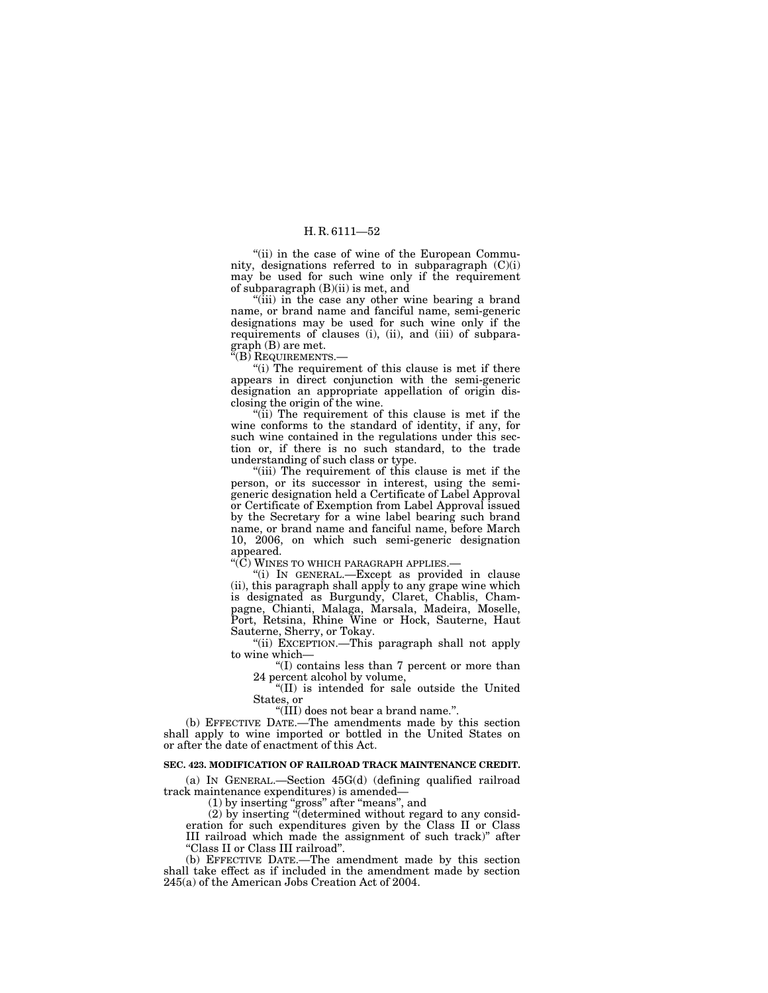"(ii) in the case of wine of the European Community, designations referred to in subparagraph (C)(i) may be used for such wine only if the requirement of subparagraph (B)(ii) is met, and

''(iii) in the case any other wine bearing a brand name, or brand name and fanciful name, semi-generic designations may be used for such wine only if the requirements of clauses (i), (ii), and (iii) of subparagraph (B) are met.

 $\mathbf{H}(\mathbf{B})$  Requirements.

"(i) The requirement of this clause is met if there appears in direct conjunction with the semi-generic designation an appropriate appellation of origin disclosing the origin of the wine.

" $(ii)$  The requirement of this clause is met if the wine conforms to the standard of identity, if any, for such wine contained in the regulations under this section or, if there is no such standard, to the trade understanding of such class or type.

"(iii) The requirement of this clause is met if the person, or its successor in interest, using the semigeneric designation held a Certificate of Label Approval or Certificate of Exemption from Label Approval issued by the Secretary for a wine label bearing such brand name, or brand name and fanciful name, before March 10, 2006, on which such semi-generic designation appeared.

''(C) WINES TO WHICH PARAGRAPH APPLIES.—

''(i) IN GENERAL.—Except as provided in clause (ii), this paragraph shall apply to any grape wine which is designated as Burgundy, Claret, Chablis, Champagne, Chianti, Malaga, Marsala, Madeira, Moselle, Port, Retsina, Rhine Wine or Hock, Sauterne, Haut Sauterne, Sherry, or Tokay.

"(ii) EXCEPTION.—This paragraph shall not apply to wine which-

''(I) contains less than 7 percent or more than 24 percent alcohol by volume,

''(II) is intended for sale outside the United States, or

''(III) does not bear a brand name.''.

(b) EFFECTIVE DATE.—The amendments made by this section shall apply to wine imported or bottled in the United States on or after the date of enactment of this Act.

#### **SEC. 423. MODIFICATION OF RAILROAD TRACK MAINTENANCE CREDIT.**

(a) IN GENERAL.—Section 45G(d) (defining qualified railroad track maintenance expenditures) is amended—

(1) by inserting ''gross'' after ''means'', and

(2) by inserting ''(determined without regard to any consideration for such expenditures given by the Class II or Class III railroad which made the assignment of such track)'' after ''Class II or Class III railroad''.

(b) EFFECTIVE DATE.—The amendment made by this section shall take effect as if included in the amendment made by section 245(a) of the American Jobs Creation Act of 2004.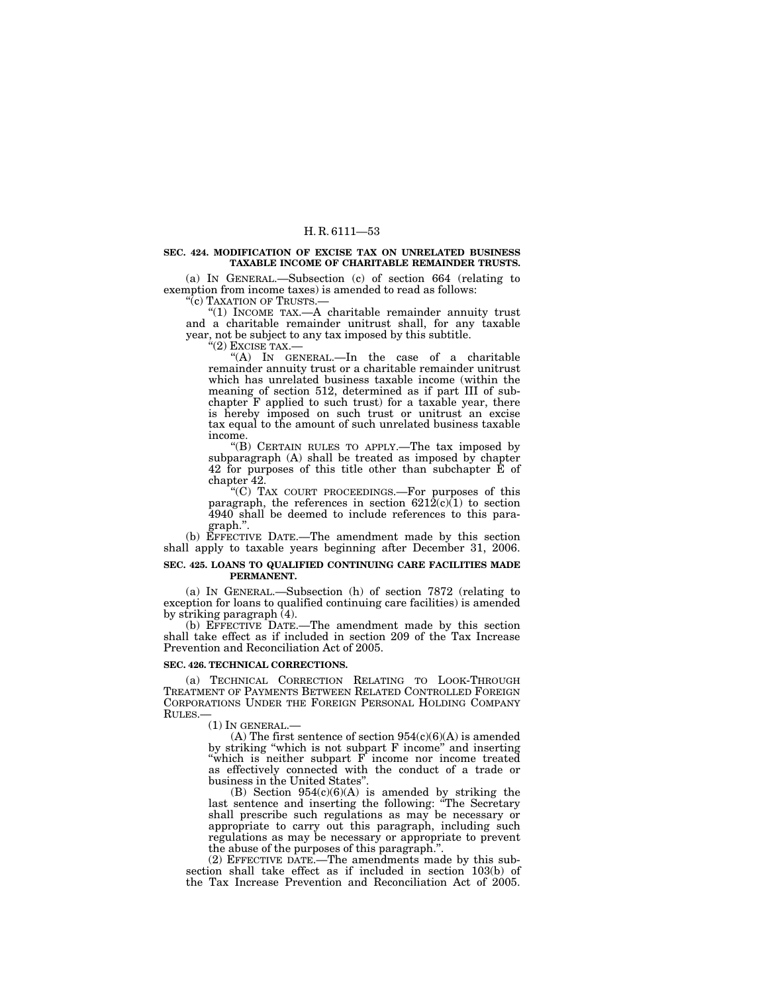#### **SEC. 424. MODIFICATION OF EXCISE TAX ON UNRELATED BUSINESS TAXABLE INCOME OF CHARITABLE REMAINDER TRUSTS.**

(a) IN GENERAL.—Subsection (c) of section 664 (relating to exemption from income taxes) is amended to read as follows:<br>"(c) TAXATION OF TRUSTS.—

"(1) INCOME TAX.—A charitable remainder annuity trust and a charitable remainder unitrust shall, for any taxable year, not be subject to any tax imposed by this subtitle. "(2) EXCISE TAX.—

"(A) In GENERAL.—In the case of a charitable remainder annuity trust or a charitable remainder unitrust which has unrelated business taxable income (within the meaning of section 512, determined as if part III of subchapter F applied to such trust) for a taxable year, there is hereby imposed on such trust or unitrust an excise tax equal to the amount of such unrelated business taxable income.

''(B) CERTAIN RULES TO APPLY.—The tax imposed by subparagraph (A) shall be treated as imposed by chapter 42 for purposes of this title other than subchapter E of chapter 42.

''(C) TAX COURT PROCEEDINGS.—For purposes of this paragraph, the references in section  $621\overline{2}(c)\overline{(1)}$  to section 4940 shall be deemed to include references to this paragraph.''.

(b) EFFECTIVE DATE.—The amendment made by this section shall apply to taxable years beginning after December 31, 2006.

#### **SEC. 425. LOANS TO QUALIFIED CONTINUING CARE FACILITIES MADE PERMANENT.**

(a) IN GENERAL.—Subsection (h) of section 7872 (relating to exception for loans to qualified continuing care facilities) is amended by striking paragraph (4).

(b) EFFECTIVE DATE.—The amendment made by this section shall take effect as if included in section 209 of the Tax Increase Prevention and Reconciliation Act of 2005.

#### **SEC. 426. TECHNICAL CORRECTIONS.**

(a) TECHNICAL CORRECTION RELATING TO LOOK-THROUGH TREATMENT OF PAYMENTS BETWEEN RELATED CONTROLLED FOREIGN CORPORATIONS UNDER THE FOREIGN PERSONAL HOLDING COMPANY RULES.

(1) IN GENERAL.—

(A) The first sentence of section  $954(c)(6)(A)$  is amended by striking ''which is not subpart F income'' and inserting "which is neither subpart F income nor income treated as effectively connected with the conduct of a trade or business in the United States''.

(B) Section  $954(c)(6)(A)$  is amended by striking the last sentence and inserting the following: ''The Secretary shall prescribe such regulations as may be necessary or appropriate to carry out this paragraph, including such regulations as may be necessary or appropriate to prevent the abuse of the purposes of this paragraph."

(2) EFFECTIVE DATE.—The amendments made by this subsection shall take effect as if included in section 103(b) of the Tax Increase Prevention and Reconciliation Act of 2005.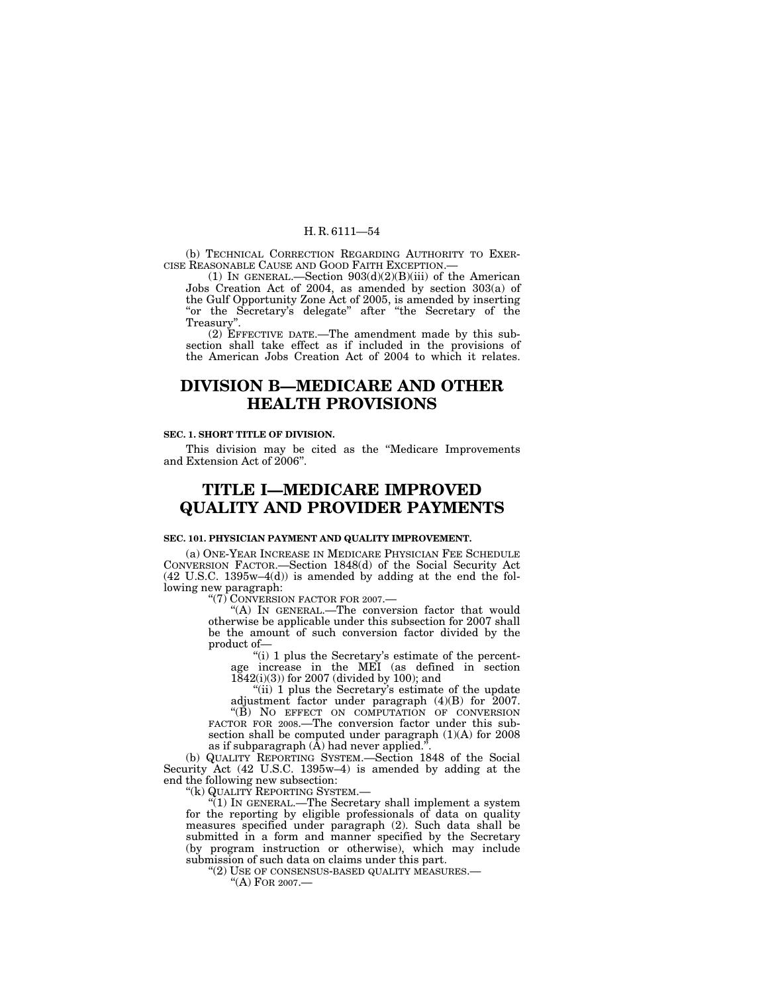(b) TECHNICAL CORRECTION REGARDING AUTHORITY TO EXER-CISE REASONABLE CAUSE AND GOOD FAITH EXCEPTION.—

(1) IN GENERAL.—Section  $903(d)(2)(B)(iii)$  of the American Jobs Creation Act of 2004, as amended by section 303(a) of the Gulf Opportunity Zone Act of 2005, is amended by inserting "or the Secretary's delegate" after "the Secretary of the Treasury''.

(2) EFFECTIVE DATE.—The amendment made by this subsection shall take effect as if included in the provisions of the American Jobs Creation Act of 2004 to which it relates.

# **DIVISION B—MEDICARE AND OTHER HEALTH PROVISIONS**

# **SEC. 1. SHORT TITLE OF DIVISION.**

This division may be cited as the ''Medicare Improvements and Extension Act of 2006''.

# **TITLE I—MEDICARE IMPROVED QUALITY AND PROVIDER PAYMENTS**

#### **SEC. 101. PHYSICIAN PAYMENT AND QUALITY IMPROVEMENT.**

(a) ONE-YEAR INCREASE IN MEDICARE PHYSICIAN FEE SCHEDULE CONVERSION FACTOR.—Section 1848(d) of the Social Security Act  $(42 \text{ U.S.C. } 1395\text{w}-4(d))$  is amended by adding at the end the following new paragraph:

''(7) CONVERSION FACTOR FOR 2007.—

"(A) In GENERAL.—The conversion factor that would otherwise be applicable under this subsection for 2007 shall be the amount of such conversion factor divided by the product of—

"(i) 1 plus the Secretary's estimate of the percentage increase in the MEI (as defined in section  $1842(i)(3)$  for 2007 (divided by 100); and

"(ii) 1 plus the Secretary's estimate of the update adjustment factor under paragraph (4)(B) for 2007.

"(B) NO EFFECT ON COMPUTATION OF CONVERSION FACTOR FOR 2008.—The conversion factor under this subsection shall be computed under paragraph (1)(A) for 2008 as if subparagraph (A) had never applied.''.

(b) QUALITY REPORTING SYSTEM.—Section 1848 of the Social Security Act (42 U.S.C. 1395w–4) is amended by adding at the end the following new subsection:

''(k) QUALITY REPORTING SYSTEM.—

 $(1)$  In GENERAL.—The Secretary shall implement a system for the reporting by eligible professionals of data on quality measures specified under paragraph (2). Such data shall be submitted in a form and manner specified by the Secretary (by program instruction or otherwise), which may include submission of such data on claims under this part.

''(2) USE OF CONSENSUS-BASED QUALITY MEASURES.—

''(A) FOR 2007.—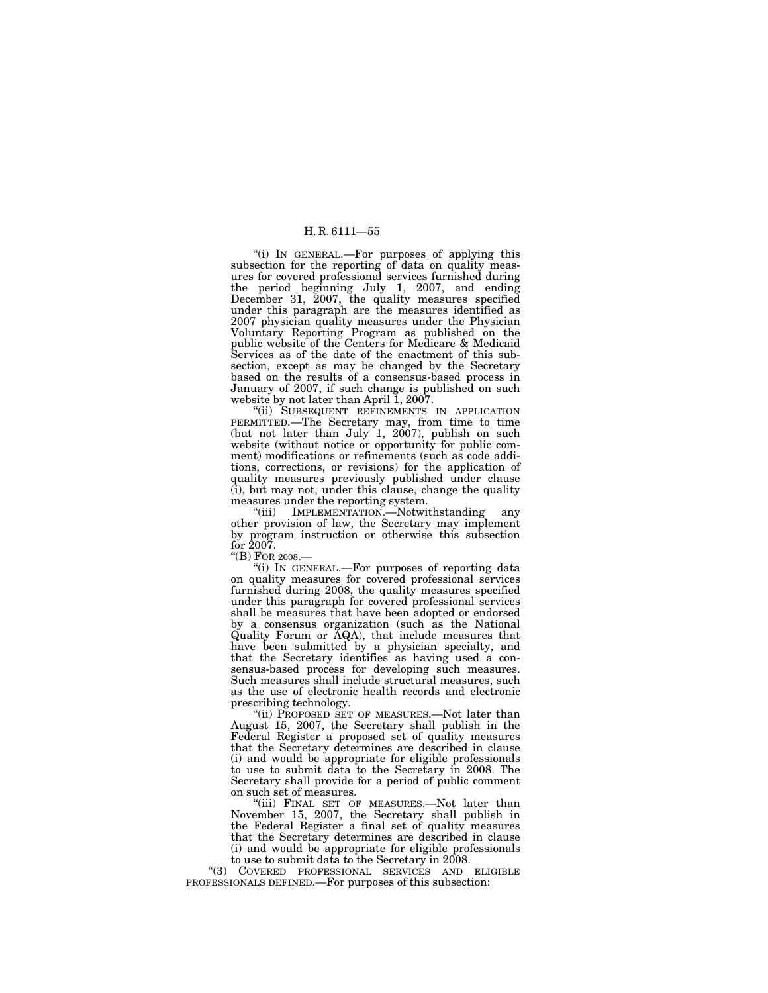''(i) IN GENERAL.—For purposes of applying this subsection for the reporting of data on quality measures for covered professional services furnished during the period beginning July 1, 2007, and ending December 31, 2007, the quality measures specified under this paragraph are the measures identified as 2007 physician quality measures under the Physician Voluntary Reporting Program as published on the public website of the Centers for Medicare & Medicaid Services as of the date of the enactment of this subsection, except as may be changed by the Secretary based on the results of a consensus-based process in January of 2007, if such change is published on such website by not later than April  $\tilde{1}$ , 2007.

"(ii) SUBSEQUENT REFINEMENTS IN APPLICATION PERMITTED.—The Secretary may, from time to time (but not later than July 1,  $2007$ ), publish on such website (without notice or opportunity for public comment) modifications or refinements (such as code additions, corrections, or revisions) for the application of quality measures previously published under clause (i), but may not, under this clause, change the quality measures under the reporting system.

"(iii) IMPLEMENTATION.—Notwithstanding other provision of law, the Secretary may implement by program instruction or otherwise this subsection for  $2007$ .<br>"(B) For 2008.-

"(i) IN GENERAL.—For purposes of reporting data on quality measures for covered professional services furnished during 2008, the quality measures specified under this paragraph for covered professional services shall be measures that have been adopted or endorsed by a consensus organization (such as the National Quality Forum or AQA), that include measures that have been submitted by a physician specialty, and that the Secretary identifies as having used a consensus-based process for developing such measures. Such measures shall include structural measures, such as the use of electronic health records and electronic prescribing technology.

"(ii) Proposed set of measures.—Not later than August 15, 2007, the Secretary shall publish in the Federal Register a proposed set of quality measures that the Secretary determines are described in clause (i) and would be appropriate for eligible professionals to use to submit data to the Secretary in 2008. The Secretary shall provide for a period of public comment on such set of measures.

"(iii) FINAL SET OF MEASURES.—Not later than November 15, 2007, the Secretary shall publish in the Federal Register a final set of quality measures that the Secretary determines are described in clause (i) and would be appropriate for eligible professionals to use to submit data to the Secretary in 2008.

''(3) COVERED PROFESSIONAL SERVICES AND ELIGIBLE PROFESSIONALS DEFINED.—For purposes of this subsection: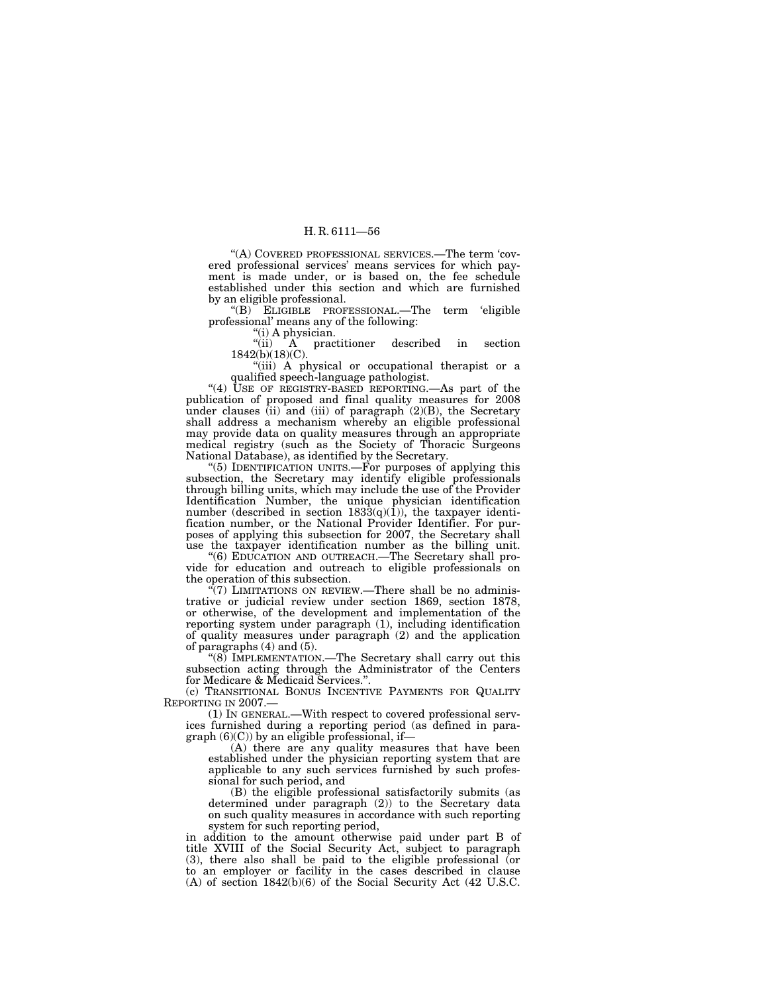''(A) COVERED PROFESSIONAL SERVICES.—The term 'covered professional services' means services for which payment is made under, or is based on, the fee schedule established under this section and which are furnished by an eligible professional.

''(B) ELIGIBLE PROFESSIONAL.—The term 'eligible professional' means any of the following:

"(i) A physician.<br>"(ii) A practitioner ''(ii) A practitioner described in section 1842(b)(18)(C).

"(iii) A physical or occupational therapist or a qualified speech-language pathologist.

"(4) USE OF REGISTRY-BASED REPORTING.—As part of the publication of proposed and final quality measures for 2008 under clauses (ii) and (iii) of paragraph (2)(B), the Secretary shall address a mechanism whereby an eligible professional may provide data on quality measures through an appropriate medical registry (such as the Society of Thoracic Surgeons National Database), as identified by the Secretary.

"(5) IDENTIFICATION UNITS. - For purposes of applying this subsection, the Secretary may identify eligible professionals through billing units, which may include the use of the Provider Identification Number, the unique physician identification number (described in section  $183\overline{3}(q)(1)$ ), the taxpayer identification number, or the National Provider Identifier. For purposes of applying this subsection for 2007, the Secretary shall use the taxpayer identification number as the billing unit.

"(6) EDUCATION AND OUTREACH.—The Secretary shall provide for education and outreach to eligible professionals on the operation of this subsection.

 $\sqrt{7}$ ) LIMITATIONS ON REVIEW.—There shall be no administrative or judicial review under section 1869, section 1878, or otherwise, of the development and implementation of the reporting system under paragraph (1), including identification of quality measures under paragraph (2) and the application of paragraphs (4) and (5).

"(8) IMPLEMENTATION.—The Secretary shall carry out this subsection acting through the Administrator of the Centers for Medicare & Medicaid Services.''.

(c) TRANSITIONAL BONUS INCENTIVE PAYMENTS FOR QUALITY REPORTING IN 2007.—

(1) IN GENERAL.—With respect to covered professional services furnished during a reporting period (as defined in para $graph (6)(C)$  by an eligible professional, if-

(A) there are any quality measures that have been established under the physician reporting system that are applicable to any such services furnished by such professional for such period, and

(B) the eligible professional satisfactorily submits (as determined under paragraph (2)) to the Secretary data on such quality measures in accordance with such reporting system for such reporting period,

in addition to the amount otherwise paid under part B of title XVIII of the Social Security Act, subject to paragraph (3), there also shall be paid to the eligible professional (or to an employer or facility in the cases described in clause (A) of section 1842(b)(6) of the Social Security Act (42 U.S.C.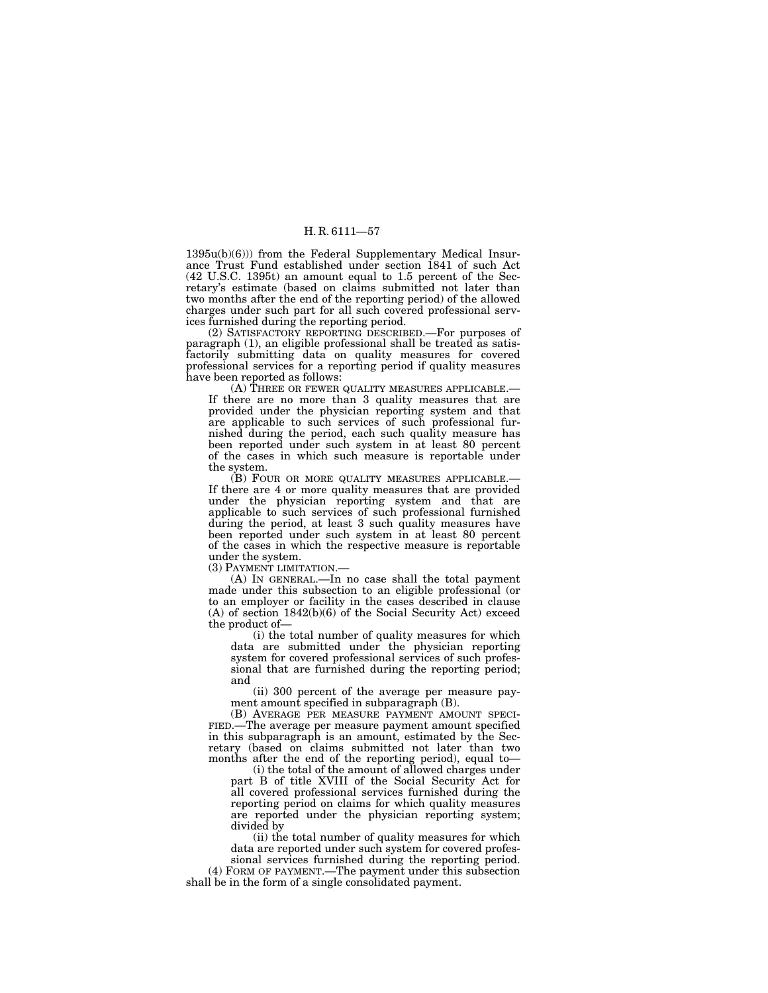1395u(b)(6))) from the Federal Supplementary Medical Insurance Trust Fund established under section 1841 of such Act (42 U.S.C. 1395t) an amount equal to 1.5 percent of the Secretary's estimate (based on claims submitted not later than two months after the end of the reporting period) of the allowed charges under such part for all such covered professional services furnished during the reporting period.

(2) SATISFACTORY REPORTING DESCRIBED.—For purposes of paragraph (1), an eligible professional shall be treated as satisfactorily submitting data on quality measures for covered professional services for a reporting period if quality measures have been reported as follows:

(A) THREE OR FEWER QUALITY MEASURES APPLICABLE.— If there are no more than 3 quality measures that are provided under the physician reporting system and that are applicable to such services of such professional furnished during the period, each such quality measure has been reported under such system in at least 80 percent of the cases in which such measure is reportable under the system.

(B) FOUR OR MORE QUALITY MEASURES APPLICABLE.— If there are 4 or more quality measures that are provided under the physician reporting system and that are applicable to such services of such professional furnished during the period, at least 3 such quality measures have been reported under such system in at least 80 percent of the cases in which the respective measure is reportable under the system.

(3) PAYMENT LIMITATION.— (A) IN GENERAL.—In no case shall the total payment made under this subsection to an eligible professional (or to an employer or facility in the cases described in clause (A) of section 1842(b)(6) of the Social Security Act) exceed the product of—

(i) the total number of quality measures for which data are submitted under the physician reporting system for covered professional services of such professional that are furnished during the reporting period; and

(ii) 300 percent of the average per measure payment amount specified in subparagraph (B).

(B) AVERAGE PER MEASURE PAYMENT AMOUNT SPECI- FIED.—The average per measure payment amount specified in this subparagraph is an amount, estimated by the Secretary (based on claims submitted not later than two months after the end of the reporting period), equal to—

(i) the total of the amount of allowed charges under part B of title XVIII of the Social Security Act for all covered professional services furnished during the reporting period on claims for which quality measures are reported under the physician reporting system; divided by

(ii) the total number of quality measures for which data are reported under such system for covered professional services furnished during the reporting period.

(4) FORM OF PAYMENT.—The payment under this subsection shall be in the form of a single consolidated payment.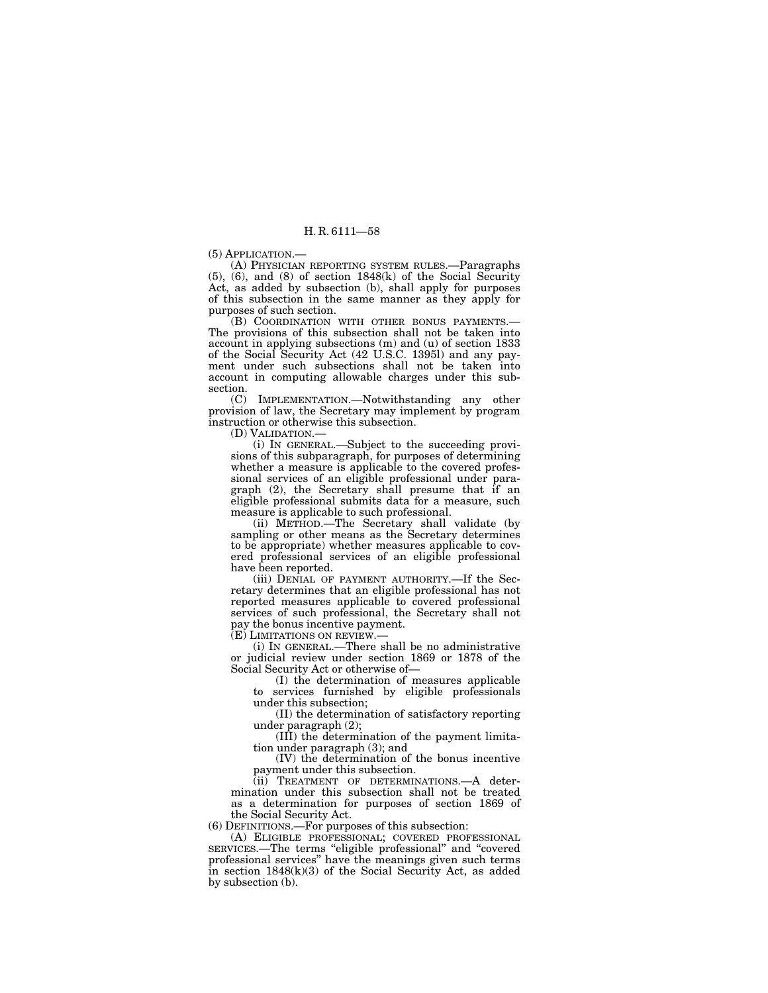(5) APPLICATION.—

(A) PHYSICIAN REPORTING SYSTEM RULES.—Paragraphs (5), (6), and (8) of section 1848(k) of the Social Security Act, as added by subsection (b), shall apply for purposes of this subsection in the same manner as they apply for purposes of such section.<br>
(B) COORDINATION WITH OTHER BONUS PAYMENTS.

The provisions of this subsection shall not be taken into account in applying subsections (m) and (u) of section 1833 of the Social Security Act (42 U.S.C. 1395l) and any payment under such subsections shall not be taken into account in computing allowable charges under this subsection.

(C) IMPLEMENTATION.—Notwithstanding any other provision of law, the Secretary may implement by program instruction or otherwise this subsection.<br>(D) VALIDATION.—

(i) IN GENERAL.—Subject to the succeeding provisions of this subparagraph, for purposes of determining whether a measure is applicable to the covered professional services of an eligible professional under paragraph (2), the Secretary shall presume that if an eligible professional submits data for a measure, such measure is applicable to such professional.

(ii) METHOD.—The Secretary shall validate (by sampling or other means as the Secretary determines to be appropriate) whether measures applicable to covered professional services of an eligible professional have been reported.

(iii) DENIAL OF PAYMENT AUTHORITY.—If the Secretary determines that an eligible professional has not reported measures applicable to covered professional services of such professional, the Secretary shall not pay the bonus incentive payment.<br>(E) LIMITATIONS ON REVIEW.—

(i) IN GENERAL.—There shall be no administrative or judicial review under section 1869 or 1878 of the Social Security Act or otherwise of—

(I) the determination of measures applicable to services furnished by eligible professionals under this subsection;

(II) the determination of satisfactory reporting under paragraph (2);

(III) the determination of the payment limitation under paragraph (3); and

(IV) the determination of the bonus incentive payment under this subsection.

(ii) TREATMENT OF DETERMINATIONS.—A determination under this subsection shall not be treated as a determination for purposes of section 1869 of the Social Security Act.

(6) DEFINITIONS.—For purposes of this subsection:

(A) ELIGIBLE PROFESSIONAL; COVERED PROFESSIONAL SERVICES.—The terms ''eligible professional'' and ''covered professional services'' have the meanings given such terms in section 1848(k)(3) of the Social Security Act, as added by subsection (b).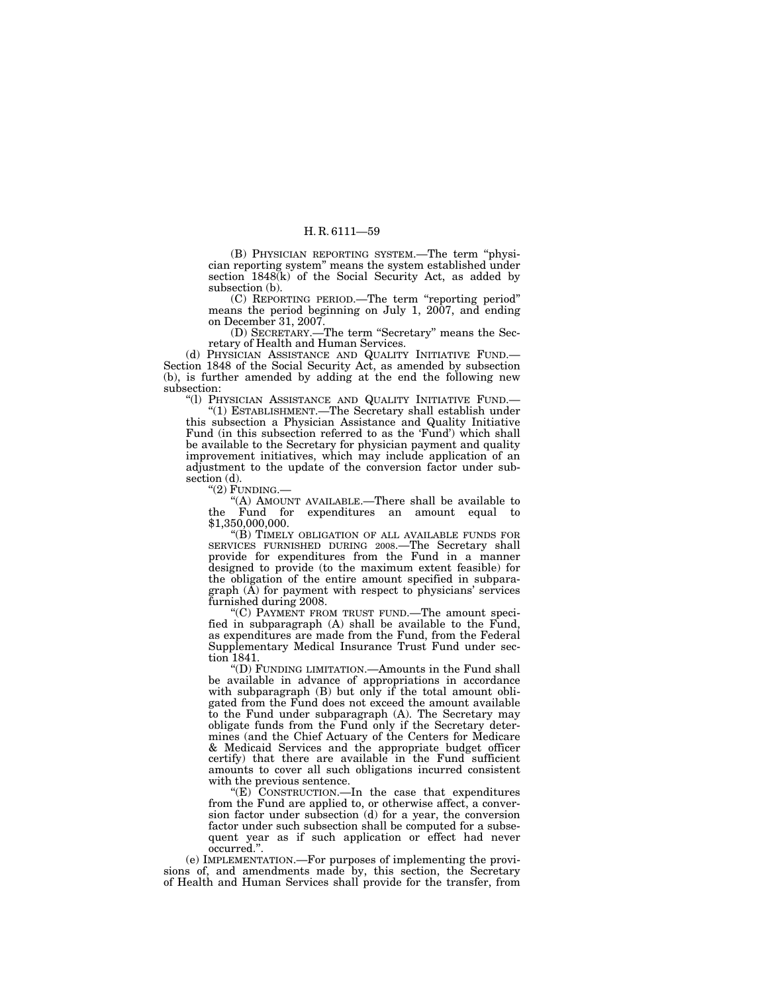(B) PHYSICIAN REPORTING SYSTEM.—The term ''physician reporting system'' means the system established under section 1848(k) of the Social Security Act, as added by subsection (b).

(C) REPORTING PERIOD.—The term ''reporting period'' means the period beginning on July 1, 2007, and ending on December 31, 2007.

(D) SECRETARY.—The term "Secretary" means the Secretary of Health and Human Services.

(d) PHYSICIAN ASSISTANCE AND QUALITY INITIATIVE FUND.— Section 1848 of the Social Security Act, as amended by subsection (b), is further amended by adding at the end the following new subsection:<br>"(1) PHYSICIAN ASSISTANCE AND QUALITY INITIATIVE FUND.—

"(1) ESTABLISHMENT.—The Secretary shall establish under this subsection a Physician Assistance and Quality Initiative Fund (in this subsection referred to as the 'Fund') which shall be available to the Secretary for physician payment and quality improvement initiatives, which may include application of an adjustment to the update of the conversion factor under subsection (d).<br>"(2) FUNDING.-

"(A) AMOUNT AVAILABLE.—There shall be available to the Fund for expenditures an amount equal to \$1,350,000,000.

"(B) TIMELY OBLIGATION OF ALL AVAILABLE FUNDS FOR SERVICES FURNISHED DURING 2008.—The Secretary shall provide for expenditures from the Fund in a manner designed to provide (to the maximum extent feasible) for the obligation of the entire amount specified in subparagraph (A) for payment with respect to physicians' services furnished during 2008.

''(C) PAYMENT FROM TRUST FUND.—The amount specified in subparagraph (A) shall be available to the Fund, as expenditures are made from the Fund, from the Federal Supplementary Medical Insurance Trust Fund under section 1841.

''(D) FUNDING LIMITATION.—Amounts in the Fund shall be available in advance of appropriations in accordance with subparagraph  $(B)$  but only if the total amount obligated from the Fund does not exceed the amount available to the Fund under subparagraph (A). The Secretary may obligate funds from the Fund only if the Secretary determines (and the Chief Actuary of the Centers for Medicare & Medicaid Services and the appropriate budget officer certify) that there are available in the Fund sufficient amounts to cover all such obligations incurred consistent with the previous sentence.

" $(E)$  CONSTRUCTION.—In the case that expenditures from the Fund are applied to, or otherwise affect, a conversion factor under subsection (d) for a year, the conversion factor under such subsection shall be computed for a subsequent year as if such application or effect had never occurred.''.

(e) IMPLEMENTATION.—For purposes of implementing the provisions of, and amendments made by, this section, the Secretary of Health and Human Services shall provide for the transfer, from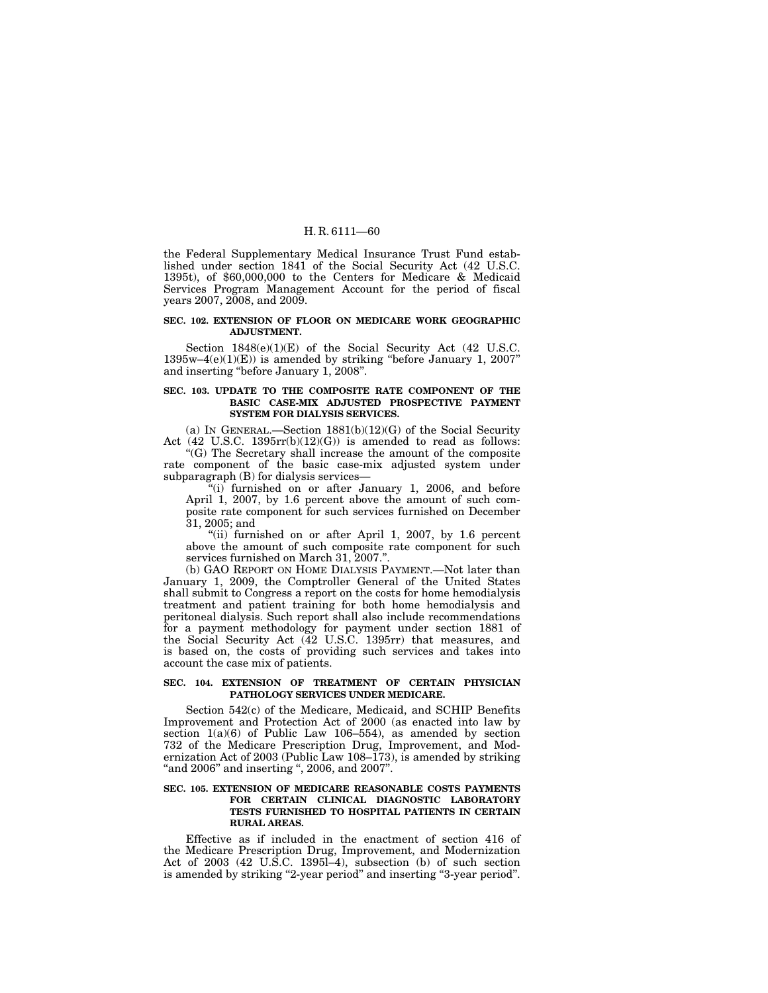the Federal Supplementary Medical Insurance Trust Fund established under section 1841 of the Social Security Act (42 U.S.C. 1395t), of \$60,000,000 to the Centers for Medicare & Medicaid Services Program Management Account for the period of fiscal years 2007, 2008, and 2009.

#### **SEC. 102. EXTENSION OF FLOOR ON MEDICARE WORK GEOGRAPHIC ADJUSTMENT.**

Section  $1848(e)(1)(E)$  of the Social Security Act (42 U.S.C.  $1395w-4(e)(1)(E)$  is amended by striking "before January 1, 2007" and inserting "before January 1, 2008".

#### **SEC. 103. UPDATE TO THE COMPOSITE RATE COMPONENT OF THE BASIC CASE-MIX ADJUSTED PROSPECTIVE PAYMENT SYSTEM FOR DIALYSIS SERVICES.**

(a) IN GENERAL.—Section  $1881(b)(12)(G)$  of the Social Security Act (42 U.S.C. 1395rr(b)(12)(G)) is amended to read as follows:

''(G) The Secretary shall increase the amount of the composite rate component of the basic case-mix adjusted system under subparagraph (B) for dialysis services—

"(i) furnished on or after January 1, 2006, and before April 1, 2007, by 1.6 percent above the amount of such composite rate component for such services furnished on December 31, 2005; and

"(ii) furnished on or after April 1, 2007, by 1.6 percent above the amount of such composite rate component for such services furnished on March 31, 2007.''.

(b) GAO REPORT ON HOME DIALYSIS PAYMENT.—Not later than January 1, 2009, the Comptroller General of the United States shall submit to Congress a report on the costs for home hemodialysis treatment and patient training for both home hemodialysis and peritoneal dialysis. Such report shall also include recommendations for a payment methodology for payment under section 1881 of the Social Security Act (42 U.S.C. 1395rr) that measures, and is based on, the costs of providing such services and takes into account the case mix of patients.

# **SEC. 104. EXTENSION OF TREATMENT OF CERTAIN PHYSICIAN PATHOLOGY SERVICES UNDER MEDICARE.**

Section 542(c) of the Medicare, Medicaid, and SCHIP Benefits Improvement and Protection Act of 2000 (as enacted into law by section  $1(a)(6)$  of Public Law  $106-554$ ), as amended by section 732 of the Medicare Prescription Drug, Improvement, and Modernization Act of 2003 (Public Law 108–173), is amended by striking "and 2006" and inserting ", 2006, and 2007".

#### **SEC. 105. EXTENSION OF MEDICARE REASONABLE COSTS PAYMENTS FOR CERTAIN CLINICAL DIAGNOSTIC LABORATORY TESTS FURNISHED TO HOSPITAL PATIENTS IN CERTAIN RURAL AREAS.**

Effective as if included in the enactment of section 416 of the Medicare Prescription Drug, Improvement, and Modernization Act of 2003 (42 U.S.C. 1395l–4), subsection (b) of such section is amended by striking "2-year period" and inserting "3-year period".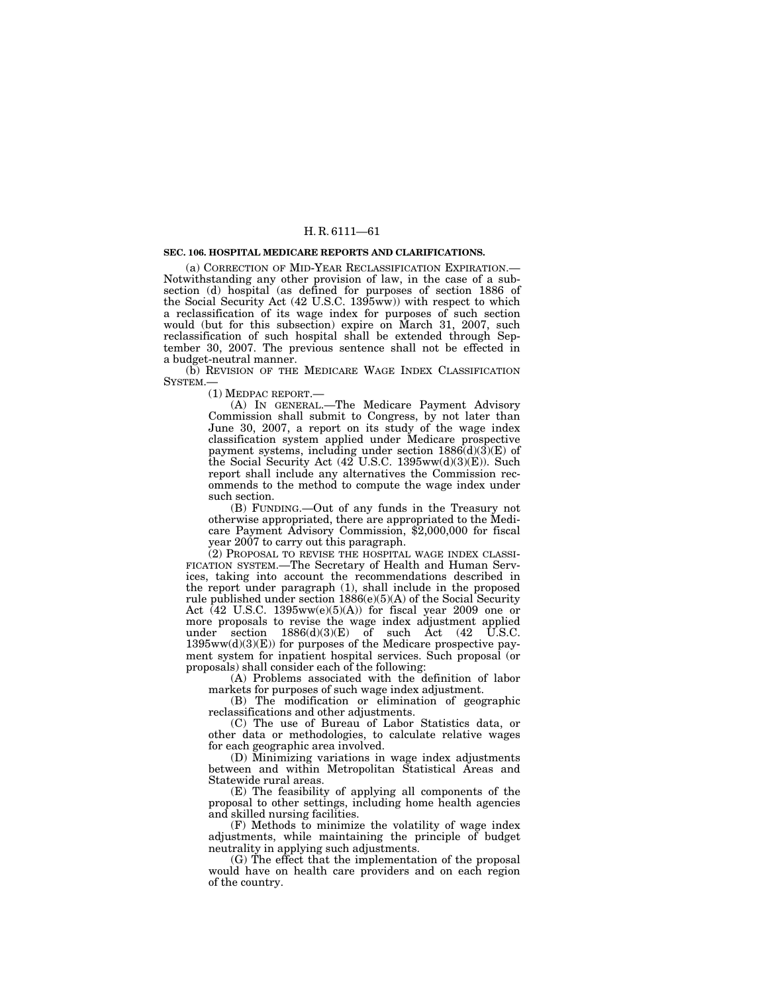## **SEC. 106. HOSPITAL MEDICARE REPORTS AND CLARIFICATIONS.**

(a) CORRECTION OF MID-YEAR RECLASSIFICATION EXPIRATION.— Notwithstanding any other provision of law, in the case of a subsection (d) hospital (as defined for purposes of section 1886 of the Social Security Act (42 U.S.C. 1395ww)) with respect to which a reclassification of its wage index for purposes of such section would (but for this subsection) expire on March 31, 2007, such reclassification of such hospital shall be extended through September 30, 2007. The previous sentence shall not be effected in a budget-neutral manner.

(b) REVISION OF THE MEDICARE WAGE INDEX CLASSIFICATION SYSTEM.—

(1) MEDPAC REPORT.—

(A) IN GENERAL.—The Medicare Payment Advisory Commission shall submit to Congress, by not later than June 30, 2007, a report on its study of the wage index classification system applied under Medicare prospective payment systems, including under section  $1886(d)(3)(E)$  of the Social Security Act  $(42 \text{ U.S.C. } 1395 \text{ww}(d)(3)(E))$ . Such report shall include any alternatives the Commission recommends to the method to compute the wage index under such section.

(B) FUNDING.—Out of any funds in the Treasury not otherwise appropriated, there are appropriated to the Medicare Payment Advisory Commission, \$2,000,000 for fiscal year 2007 to carry out this paragraph.

(2) PROPOSAL TO REVISE THE HOSPITAL WAGE INDEX CLASSI-FICATION SYSTEM.—The Secretary of Health and Human Services, taking into account the recommendations described in the report under paragraph (1), shall include in the proposed rule published under section 1886(e)(5)(A) of the Social Security Act  $(42 \text{ U.S.C. } 1395 \text{ww}(e)(5)(A))$  for fiscal year 2009 one or more proposals to revise the wage index adjustment applied under section  $1886(d)(3)(E)$  of such Act  $(42 \text{ U.S.C.})$  $1395ww(d)(3)(E)$ ) for purposes of the Medicare prospective payment system for inpatient hospital services. Such proposal (or proposals) shall consider each of the following:

(A) Problems associated with the definition of labor markets for purposes of such wage index adjustment.

(B) The modification or elimination of geographic reclassifications and other adjustments.

(C) The use of Bureau of Labor Statistics data, or other data or methodologies, to calculate relative wages for each geographic area involved.

(D) Minimizing variations in wage index adjustments between and within Metropolitan Statistical Areas and Statewide rural areas.

(E) The feasibility of applying all components of the proposal to other settings, including home health agencies and skilled nursing facilities.

(F) Methods to minimize the volatility of wage index adjustments, while maintaining the principle of budget neutrality in applying such adjustments.

(G) The effect that the implementation of the proposal would have on health care providers and on each region of the country.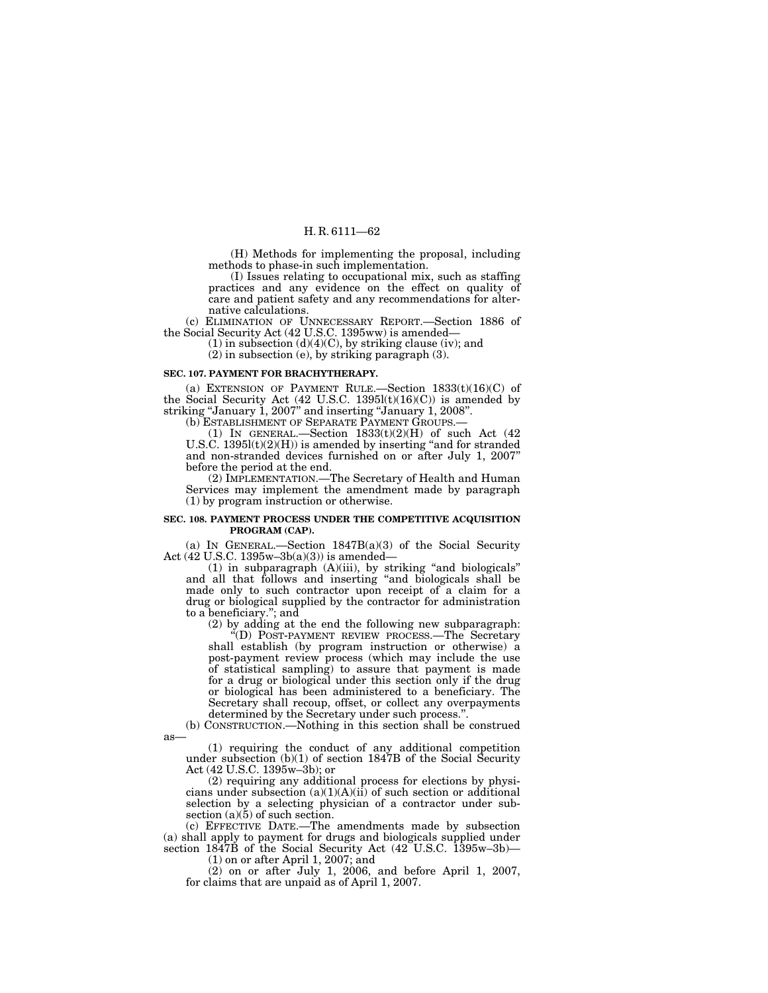(H) Methods for implementing the proposal, including methods to phase-in such implementation.

(I) Issues relating to occupational mix, such as staffing practices and any evidence on the effect on quality of care and patient safety and any recommendations for alternative calculations.

(c) ELIMINATION OF UNNECESSARY REPORT.—Section 1886 of the Social Security Act (42 U.S.C. 1395ww) is amended—

(1) in subsection  $(d)(4)(C)$ , by striking clause (iv); and

(2) in subsection (e), by striking paragraph (3).

# **SEC. 107. PAYMENT FOR BRACHYTHERAPY.**

(a) EXTENSION OF PAYMENT RULE.—Section  $1833(t)(16)(C)$  of the Social Security Act  $(42 \text{ U.S.C. } 1395 \text{I}(t)(16)(C))$  is amended by striking ''January 1, 2007'' and inserting ''January 1, 2008''.

(b) ESTABLISHMENT OF SEPARATE PAYMENT GROUPS.—<br>
(1) IN GENERAL.—Section 1833(t)(2)(H) of such Act (42

U.S.C.  $1395l(t)(2)(H)$ ) is amended by inserting "and for stranded and non-stranded devices furnished on or after July 1, 2007'' before the period at the end.

(2) IMPLEMENTATION.—The Secretary of Health and Human Services may implement the amendment made by paragraph (1) by program instruction or otherwise.

#### **SEC. 108. PAYMENT PROCESS UNDER THE COMPETITIVE ACQUISITION PROGRAM (CAP).**

(a) IN GENERAL.—Section 1847B(a)(3) of the Social Security Act  $(42 \text{ U.S.C. } 1395\text{w}-3b(a)(3))$  is amended–

(1) in subparagraph (A)(iii), by striking ''and biologicals'' and all that follows and inserting ''and biologicals shall be made only to such contractor upon receipt of a claim for a drug or biological supplied by the contractor for administration to a beneficiary.''; and

(2) by adding at the end the following new subparagraph: (D) POST-PAYMENT REVIEW PROCESS.—The Secretary shall establish (by program instruction or otherwise) a post-payment review process (which may include the use of statistical sampling) to assure that payment is made for a drug or biological under this section only if the drug or biological has been administered to a beneficiary. The Secretary shall recoup, offset, or collect any overpayments determined by the Secretary under such process."

(b) CONSTRUCTION.—Nothing in this section shall be construed

(1) requiring the conduct of any additional competition under subsection (b)(1) of section 1847B of the Social Security Act (42 U.S.C. 1395w–3b); or

(2) requiring any additional process for elections by physicians under subsection  $(a)(1)(A)(ii)$  of such section or additional selection by a selecting physician of a contractor under subsection  $(a)(\overline{5})$  of such section.

(c) EFFECTIVE DATE.—The amendments made by subsection (a) shall apply to payment for drugs and biologicals supplied under section  $1847B$  of the Social Security Act (42 U.S.C. 1395w-3b)-

(1) on or after April 1, 2007; and

as—

 $(2)$  on or after July 1, 2006, and before April 1, 2007, for claims that are unpaid as of April 1, 2007.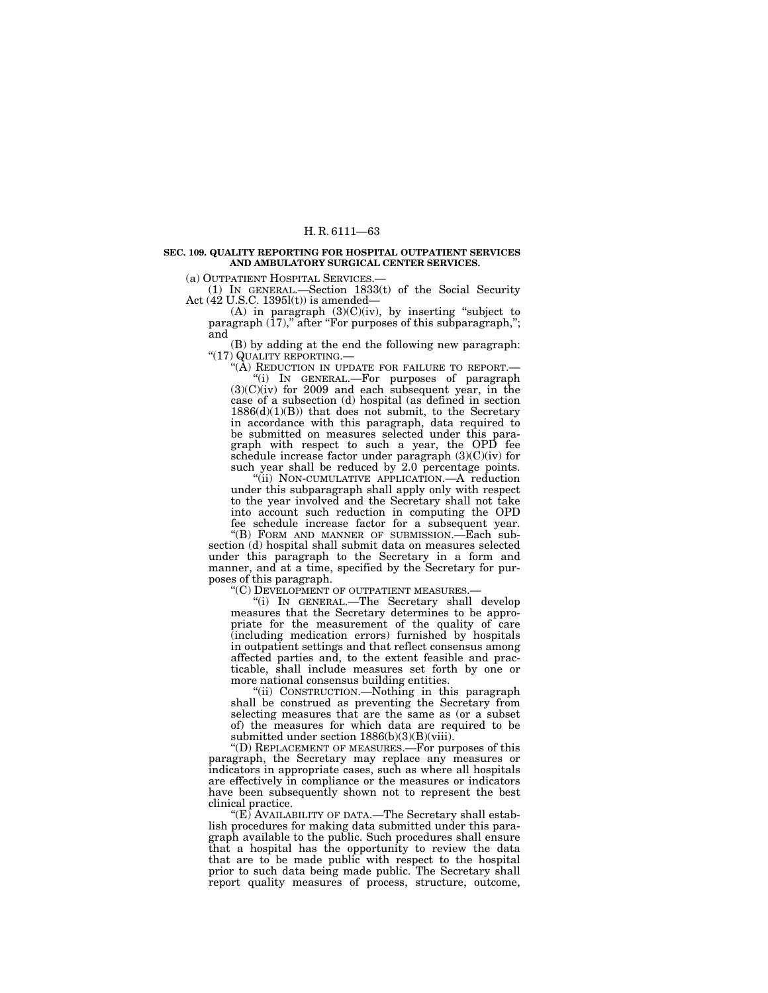### **SEC. 109. QUALITY REPORTING FOR HOSPITAL OUTPATIENT SERVICES AND AMBULATORY SURGICAL CENTER SERVICES.**

(a) OUTPATIENT HOSPITAL SERVICES.— (1) IN GENERAL.—Section 1833(t) of the Social Security Act  $(42 \text{ U.S.C. } 1395 \text{I(t)})$  is amended-

 $(A)$  in paragraph  $(3)(C)(iv)$ , by inserting "subject to paragraph (17)," after "For purposes of this subparagraph,"; and

(B) by adding at the end the following new paragraph: " $(17)$  QUALITY REPORTING.— ''(17) QUALITY REPORTING.— ''(A) REDUCTION IN UPDATE FOR FAILURE TO REPORT.— ''(i) IN GENERAL.—For purposes of paragraph

(3)(C)(iv) for 2009 and each subsequent year, in the case of a subsection (d) hospital (as defined in section 1886(d)(1)(B)) that does not submit, to the Secretary in accordance with this paragraph, data required to be submitted on measures selected under this paragraph with respect to such a year, the OPD fee schedule increase factor under paragraph (3)(C)(iv) for such year shall be reduced by 2.0 percentage points.

''(ii) NON-CUMULATIVE APPLICATION.—A reduction under this subparagraph shall apply only with respect to the year involved and the Secretary shall not take into account such reduction in computing the OPD fee schedule increase factor for a subsequent year. ''(B) FORM AND MANNER OF SUBMISSION.—Each sub-

section (d) hospital shall submit data on measures selected under this paragraph to the Secretary in a form and manner, and at a time, specified by the Secretary for purposes of this paragraph.

"(C) DEVELOPMENT OF OUTPATIENT MEASURES.-

''(i) IN GENERAL.—The Secretary shall develop measures that the Secretary determines to be appropriate for the measurement of the quality of care (including medication errors) furnished by hospitals in outpatient settings and that reflect consensus among affected parties and, to the extent feasible and practicable, shall include measures set forth by one or more national consensus building entities.

''(ii) CONSTRUCTION.—Nothing in this paragraph shall be construed as preventing the Secretary from selecting measures that are the same as (or a subset of) the measures for which data are required to be submitted under section 1886(b)(3)(B)(viii).

''(D) REPLACEMENT OF MEASURES.—For purposes of this paragraph, the Secretary may replace any measures or indicators in appropriate cases, such as where all hospitals are effectively in compliance or the measures or indicators have been subsequently shown not to represent the best clinical practice.

"(E) AVAILABILITY OF DATA.—The Secretary shall establish procedures for making data submitted under this paragraph available to the public. Such procedures shall ensure that a hospital has the opportunity to review the data that are to be made public with respect to the hospital prior to such data being made public. The Secretary shall report quality measures of process, structure, outcome,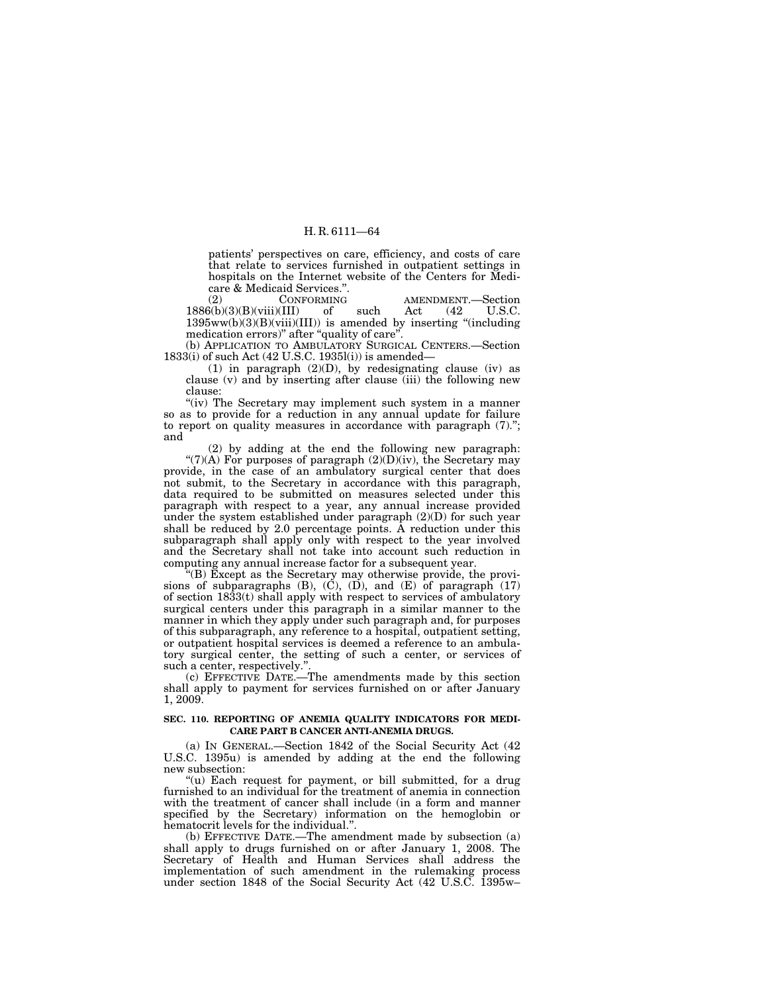patients' perspectives on care, efficiency, and costs of care that relate to services furnished in outpatient settings in hospitals on the Internet website of the Centers for Medicare & Medicaid Services.''.

 $(2)$  CONFORMING AMENDMENT.—Section<br> $(3b)(3)(B)(viii)(III)$  of such Act  $(42 \text{ U.S.C.})$  $1886(b)(3)(B)(viii)(III)$ 1395ww(b)(3)(B)(viii)(III)) is amended by inserting ''(including medication errors)" after "quality of care".

(b) APPLICATION TO AMBULATORY SURGICAL CENTERS.—Section 1833(i) of such Act (42 U.S.C. 1935l(i)) is amended—

(1) in paragraph (2)(D), by redesignating clause (iv) as clause (v) and by inserting after clause (iii) the following new clause:

"(iv) The Secretary may implement such system in a manner so as to provide for a reduction in any annual update for failure to report on quality measures in accordance with paragraph (7).''; and

(2) by adding at the end the following new paragraph: " $(7)(A)$  For purposes of paragraph  $(2)(D)(iv)$ , the Secretary may provide, in the case of an ambulatory surgical center that does not submit, to the Secretary in accordance with this paragraph, data required to be submitted on measures selected under this paragraph with respect to a year, any annual increase provided under the system established under paragraph (2)(D) for such year shall be reduced by 2.0 percentage points. A reduction under this subparagraph shall apply only with respect to the year involved and the Secretary shall not take into account such reduction in computing any annual increase factor for a subsequent year.

(B) Except as the Secretary may otherwise provide, the provisions of subparagraphs (B),  $(\check{C})$ ,  $(\check{D})$ , and  $(E)$  of paragraph (17) of section 1833(t) shall apply with respect to services of ambulatory surgical centers under this paragraph in a similar manner to the manner in which they apply under such paragraph and, for purposes of this subparagraph, any reference to a hospital, outpatient setting, or outpatient hospital services is deemed a reference to an ambulatory surgical center, the setting of such a center, or services of such a center, respectively."

(c) EFFECTIVE DATE.—The amendments made by this section shall apply to payment for services furnished on or after January 1, 2009.

#### **SEC. 110. REPORTING OF ANEMIA QUALITY INDICATORS FOR MEDI-CARE PART B CANCER ANTI-ANEMIA DRUGS.**

(a) IN GENERAL.—Section 1842 of the Social Security Act (42 U.S.C. 1395u) is amended by adding at the end the following new subsection:

"(u) Each request for payment, or bill submitted, for a drug furnished to an individual for the treatment of anemia in connection with the treatment of cancer shall include (in a form and manner specified by the Secretary) information on the hemoglobin or hematocrit levels for the individual.''.

(b) EFFECTIVE DATE.—The amendment made by subsection (a) shall apply to drugs furnished on or after January 1, 2008. The Secretary of Health and Human Services shall address the implementation of such amendment in the rulemaking process under section 1848 of the Social Security Act (42 U.S.C. 1395w–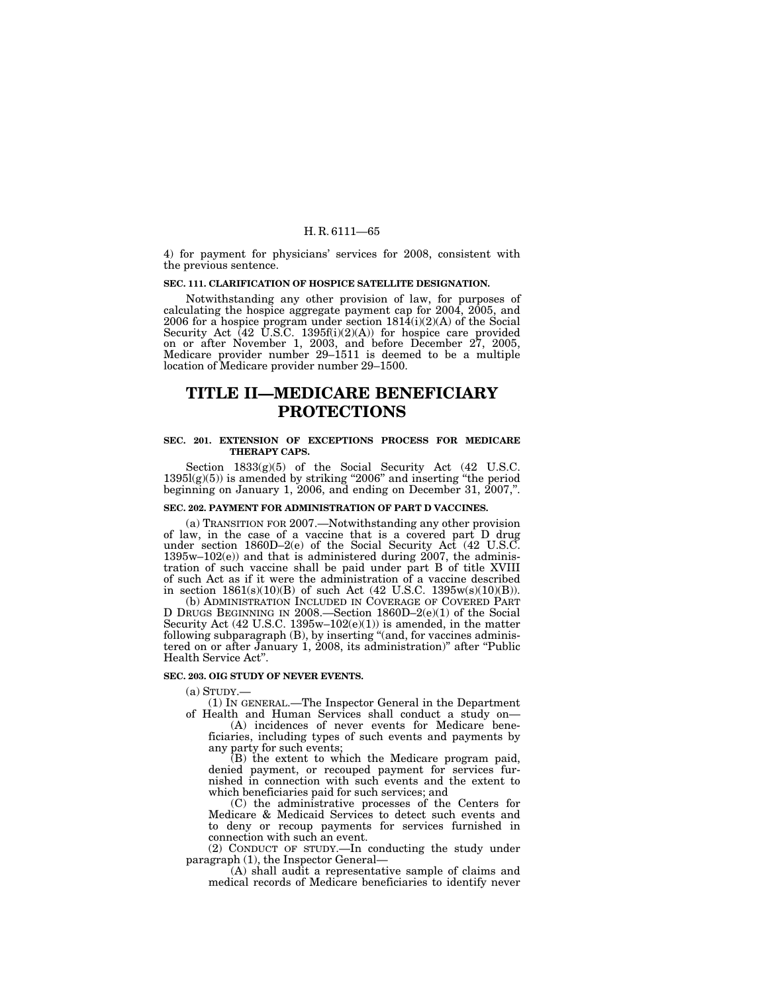4) for payment for physicians' services for 2008, consistent with the previous sentence.

#### **SEC. 111. CLARIFICATION OF HOSPICE SATELLITE DESIGNATION.**

Notwithstanding any other provision of law, for purposes of calculating the hospice aggregate payment cap for 2004, 2005, and 2006 for a hospice program under section 1814(i)(2)(A) of the Social Security Act (42 U.S.C. 1395f(i)(2)(A)) for hospice care provided on or after November 1, 2003, and before December 27, 2005, Medicare provider number 29–1511 is deemed to be a multiple location of Medicare provider number 29–1500.

# **TITLE II—MEDICARE BENEFICIARY PROTECTIONS**

#### **SEC. 201. EXTENSION OF EXCEPTIONS PROCESS FOR MEDICARE THERAPY CAPS.**

Section 1833(g)(5) of the Social Security Act (42 U.S.C. 1395l(g)(5)) is amended by striking ''2006'' and inserting ''the period beginning on January 1, 2006, and ending on December 31, 2007,".

# **SEC. 202. PAYMENT FOR ADMINISTRATION OF PART D VACCINES.**

(a) TRANSITION FOR 2007.—Notwithstanding any other provision of law, in the case of a vaccine that is a covered part D drug under section 1860D–2(e) of the Social Security Act (42 U.S.C. 1395w–102(e)) and that is administered during 2007, the administration of such vaccine shall be paid under part B of title XVIII of such Act as if it were the administration of a vaccine described in section  $1861(s)(10)(B)$  of such Act (42 U.S.C.  $1395w(s)(10)(B)$ ).

(b) ADMINISTRATION INCLUDED IN COVERAGE OF COVERED PART D DRUGS BEGINNING IN 2008.—Section 1860D–2(e)(1) of the Social Security Act  $(42 \text{ U.S.C. } 1395\text{w}-102(\text{e})(1))$  is amended, in the matter following subparagraph (B), by inserting "(and, for vaccines administered on or after January 1, 2008, its administration)'' after ''Public Health Service Act''.

# **SEC. 203. OIG STUDY OF NEVER EVENTS.**

(a) STUDY.—

(1) IN GENERAL.—The Inspector General in the Department of Health and Human Services shall conduct a study on—

(A) incidences of never events for Medicare beneficiaries, including types of such events and payments by any party for such events;

(B) the extent to which the Medicare program paid, denied payment, or recouped payment for services furnished in connection with such events and the extent to which beneficiaries paid for such services; and

(C) the administrative processes of the Centers for Medicare & Medicaid Services to detect such events and to deny or recoup payments for services furnished in connection with such an event.

(2) CONDUCT OF STUDY.—In conducting the study under paragraph (1), the Inspector General—

(A) shall audit a representative sample of claims and medical records of Medicare beneficiaries to identify never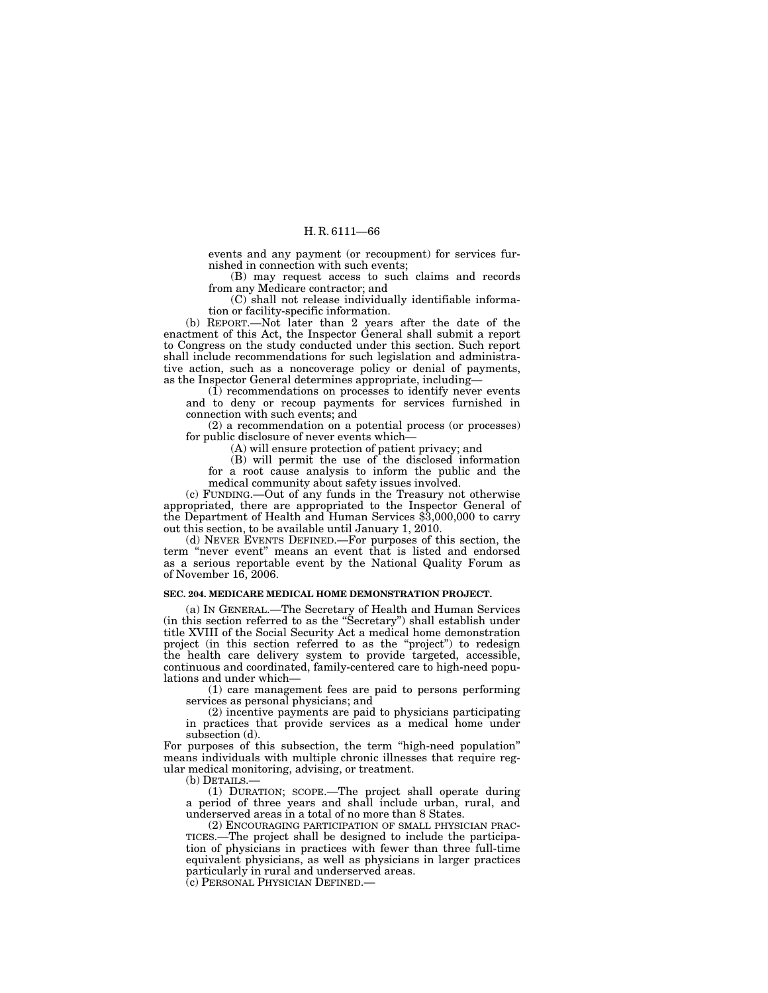events and any payment (or recoupment) for services furnished in connection with such events;

(B) may request access to such claims and records from any Medicare contractor; and

(C) shall not release individually identifiable information or facility-specific information.

(b) REPORT.—Not later than 2 years after the date of the enactment of this Act, the Inspector General shall submit a report to Congress on the study conducted under this section. Such report shall include recommendations for such legislation and administrative action, such as a noncoverage policy or denial of payments, as the Inspector General determines appropriate, including—

 $(i)$  recommendations on processes to identify never events and to deny or recoup payments for services furnished in connection with such events; and

(2) a recommendation on a potential process (or processes) for public disclosure of never events which—

(A) will ensure protection of patient privacy; and

(B) will permit the use of the disclosed information for a root cause analysis to inform the public and the medical community about safety issues involved.

(c) FUNDING.—Out of any funds in the Treasury not otherwise appropriated, there are appropriated to the Inspector General of the Department of Health and Human Services \$3,000,000 to carry out this section, to be available until January 1, 2010.

(d) NEVER EVENTS DEFINED.—For purposes of this section, the term "never event" means an event that is listed and endorsed as a serious reportable event by the National Quality Forum as of November 16, 2006.

## **SEC. 204. MEDICARE MEDICAL HOME DEMONSTRATION PROJECT.**

(a) IN GENERAL.—The Secretary of Health and Human Services (in this section referred to as the ''Secretary'') shall establish under title XVIII of the Social Security Act a medical home demonstration project (in this section referred to as the ''project'') to redesign the health care delivery system to provide targeted, accessible, continuous and coordinated, family-centered care to high-need populations and under which—

(1) care management fees are paid to persons performing services as personal physicians; and

(2) incentive payments are paid to physicians participating in practices that provide services as a medical home under subsection (d).

For purposes of this subsection, the term "high-need population" means individuals with multiple chronic illnesses that require regular medical monitoring, advising, or treatment.

(b) DETAILS.—

(1) DURATION; SCOPE.—The project shall operate during a period of three years and shall include urban, rural, and underserved areas in a total of no more than 8 States.

(2) ENCOURAGING PARTICIPATION OF SMALL PHYSICIAN PRAC-TICES.—The project shall be designed to include the participation of physicians in practices with fewer than three full-time equivalent physicians, as well as physicians in larger practices particularly in rural and underserved areas.

(c) PERSONAL PHYSICIAN DEFINED.—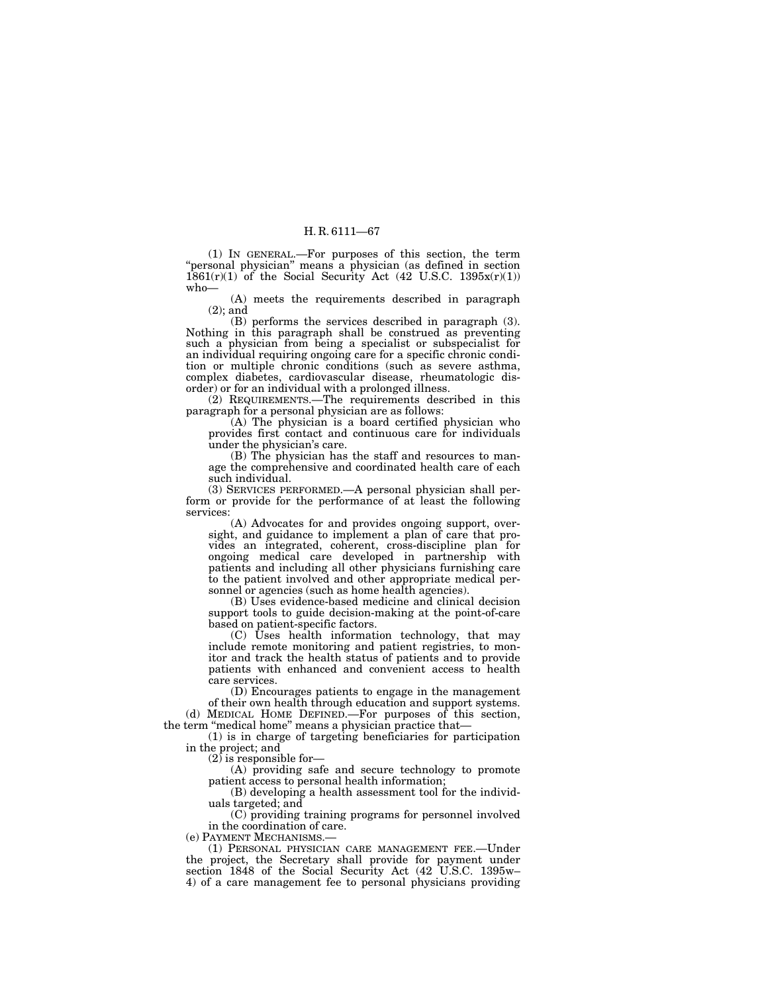(1) IN GENERAL.—For purposes of this section, the term ''personal physician'' means a physician (as defined in section  $1861(r)(1)$  of the Social Security Act (42 U.S.C. 1395 $x(r)(1)$ ) who—

(A) meets the requirements described in paragraph (2); and

(B) performs the services described in paragraph (3). Nothing in this paragraph shall be construed as preventing such a physician from being a specialist or subspecialist for an individual requiring ongoing care for a specific chronic condition or multiple chronic conditions (such as severe asthma, complex diabetes, cardiovascular disease, rheumatologic disorder) or for an individual with a prolonged illness.

(2) REQUIREMENTS.—The requirements described in this paragraph for a personal physician are as follows:

(A) The physician is a board certified physician who provides first contact and continuous care for individuals under the physician's care.

(B) The physician has the staff and resources to manage the comprehensive and coordinated health care of each such individual.

(3) SERVICES PERFORMED.—A personal physician shall perform or provide for the performance of at least the following services:

(A) Advocates for and provides ongoing support, oversight, and guidance to implement a plan of care that provides an integrated, coherent, cross-discipline plan for ongoing medical care developed in partnership with patients and including all other physicians furnishing care to the patient involved and other appropriate medical personnel or agencies (such as home health agencies).

(B) Uses evidence-based medicine and clinical decision support tools to guide decision-making at the point-of-care based on patient-specific factors.

(C) Uses health information technology, that may include remote monitoring and patient registries, to monitor and track the health status of patients and to provide patients with enhanced and convenient access to health care services.

(D) Encourages patients to engage in the management of their own health through education and support systems.

(d) MEDICAL HOME DEFINED.—For purposes of this section, the term "medical home" means a physician practice that—

(1) is in charge of targeting beneficiaries for participation in the project; and

 $(2)$  is responsible for-

(A) providing safe and secure technology to promote patient access to personal health information;

(B) developing a health assessment tool for the individuals targeted; and

(C) providing training programs for personnel involved in the coordination of care.

(e) PAYMENT MECHANISMS.—

(1) PERSONAL PHYSICIAN CARE MANAGEMENT FEE.—Under the project, the Secretary shall provide for payment under section 1848 of the Social Security Act (42 U.S.C. 1395w– 4) of a care management fee to personal physicians providing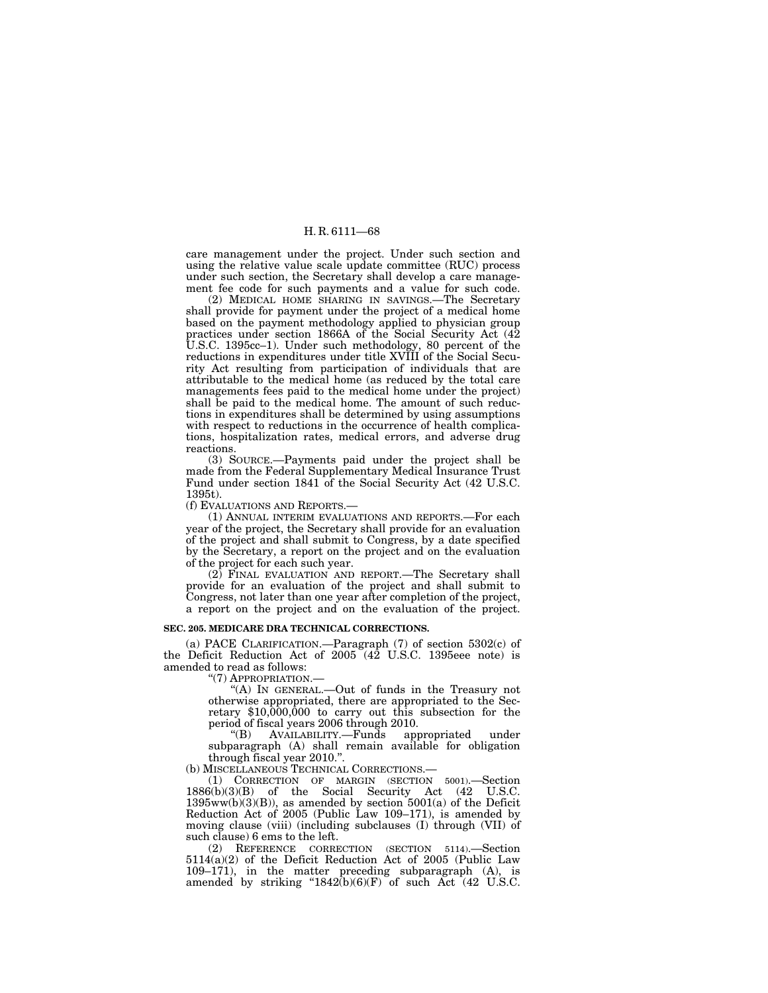care management under the project. Under such section and using the relative value scale update committee (RUC) process under such section, the Secretary shall develop a care management fee code for such payments and a value for such code.

(2) MEDICAL HOME SHARING IN SAVINGS.—The Secretary shall provide for payment under the project of a medical home based on the payment methodology applied to physician group practices under section 1866A of the Social Security Act (42 U.S.C. 1395cc–1). Under such methodology, 80 percent of the reductions in expenditures under title XVIII of the Social Security Act resulting from participation of individuals that are attributable to the medical home (as reduced by the total care managements fees paid to the medical home under the project) shall be paid to the medical home. The amount of such reductions in expenditures shall be determined by using assumptions with respect to reductions in the occurrence of health complications, hospitalization rates, medical errors, and adverse drug reactions.

(3) SOURCE.—Payments paid under the project shall be made from the Federal Supplementary Medical Insurance Trust Fund under section 1841 of the Social Security Act (42 U.S.C. 1395t).

(f) EVALUATIONS AND REPORTS.—

(1) ANNUAL INTERIM EVALUATIONS AND REPORTS.—For each year of the project, the Secretary shall provide for an evaluation of the project and shall submit to Congress, by a date specified by the Secretary, a report on the project and on the evaluation of the project for each such year.

(2) FINAL EVALUATION AND REPORT.—The Secretary shall provide for an evaluation of the project and shall submit to Congress, not later than one year after completion of the project, a report on the project and on the evaluation of the project.

#### **SEC. 205. MEDICARE DRA TECHNICAL CORRECTIONS.**

(a) PACE CLARIFICATION.—Paragraph (7) of section 5302(c) of the Deficit Reduction Act of 2005 (42 U.S.C. 1395eee note) is amended to read as follows:

''(7) APPROPRIATION.—

''(A) IN GENERAL.—Out of funds in the Treasury not otherwise appropriated, there are appropriated to the Secretary \$10,000,000 to carry out this subsection for the period of fiscal years 2006 through 2010.

''(B) AVAILABILITY.—Funds appropriated under subparagraph (A) shall remain available for obligation through fiscal year 2010.''.

(b) MISCELLANEOUS TECHNICAL CORRECTIONS.—

(1) CORRECTION OF MARGIN (SECTION 5001).—Section 1886(b)(3)(B) of the Social Security Act (42 U.S.C.  $1395ww(b)(3)(B)$ , as amended by section  $5001(a)$  of the Deficit Reduction Act of 2005 (Public Law 109–171), is amended by moving clause (viii) (including subclauses (I) through (VII) of such clause) 6 ems to the left.

(2) REFERENCE CORRECTION (SECTION 5114).—Section 5114(a)(2) of the Deficit Reduction Act of 2005 (Public Law 109–171), in the matter preceding subparagraph (A), is amended by striking " $1842(b)(6)(F)$  of such Act (42 U.S.C.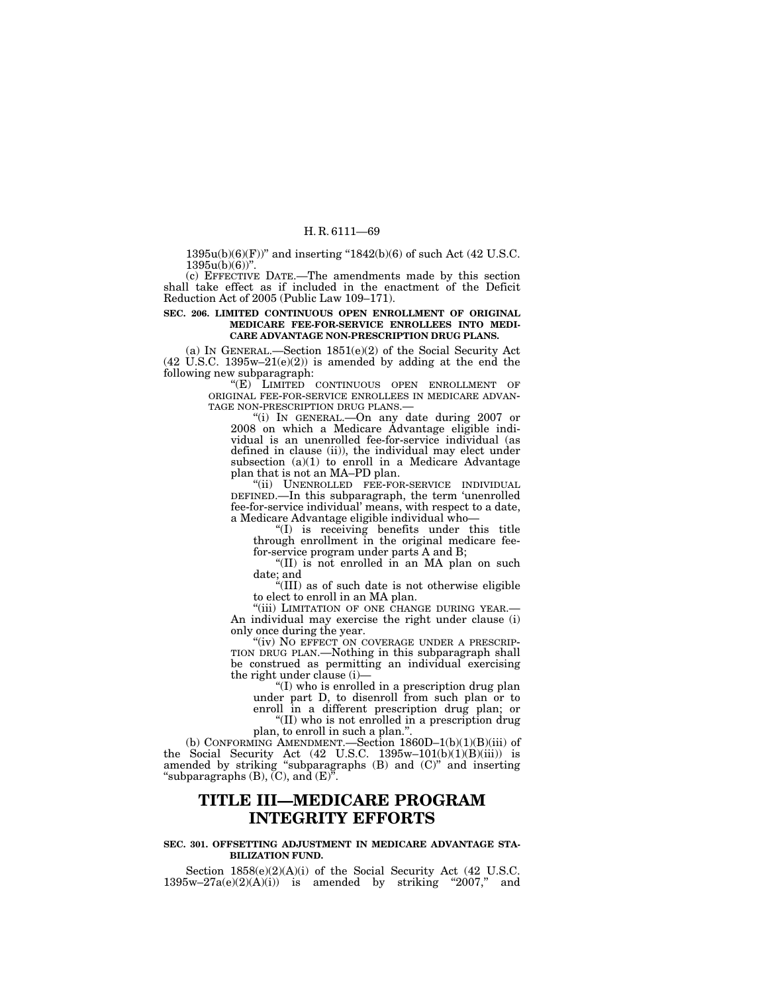1395u(b)(6)(F))'' and inserting ''1842(b)(6) of such Act (42 U.S.C.  $1395u(b)(6)$ ".

(c) EFFECTIVE DATE.—The amendments made by this section shall take effect as if included in the enactment of the Deficit Reduction Act of 2005 (Public Law 109–171).

#### **SEC. 206. LIMITED CONTINUOUS OPEN ENROLLMENT OF ORIGINAL MEDICARE FEE-FOR-SERVICE ENROLLEES INTO MEDI-CARE ADVANTAGE NON-PRESCRIPTION DRUG PLANS.**

(a) IN GENERAL.—Section 1851(e)(2) of the Social Security Act  $(42 \text{ U.S.C. } 1395\text{w}-21(\text{e})(2))$  is amended by adding at the end the following new subparagraph:

"(E) LIMITED CONTINUOUS OPEN ENROLLMENT OF ORIGINAL FEE-FOR-SERVICE ENROLLEES IN MEDICARE ADVAN-TAGE NON-PRESCRIPTION DRUG PLANS.—<br>"(i) IN GENERAL.—On any date during 2007 or

2008 on which a Medicare Advantage eligible individual is an unenrolled fee-for-service individual (as defined in clause (ii)), the individual may elect under subsection (a)(1) to enroll in a Medicare Advantage plan that is not an MA–PD plan.

''(ii) UNENROLLED FEE-FOR-SERVICE INDIVIDUAL DEFINED.—In this subparagraph, the term 'unenrolled fee-for-service individual' means, with respect to a date, a Medicare Advantage eligible individual who—

''(I) is receiving benefits under this title through enrollment in the original medicare feefor-service program under parts A and B;

''(II) is not enrolled in an MA plan on such date; and

''(III) as of such date is not otherwise eligible to elect to enroll in an MA plan.<br>"(iii) LIMITATION OF ONE CHANGE DURING YEAR.-

An individual may exercise the right under clause (i) only once during the year.<br>"(iv) NO EFFECT ON COVERAGE UNDER A PRESCRIP-

TION DRUG PLAN.—Nothing in this subparagraph shall be construed as permitting an individual exercising the right under clause (i)—

''(I) who is enrolled in a prescription drug plan under part D, to disenroll from such plan or to enroll in a different prescription drug plan; or

''(II) who is not enrolled in a prescription drug plan, to enroll in such a plan.''.

(b) CONFORMING AMENDMENT.—Section 1860D–1(b)(1)(B)(iii) of the Social Security Act  $(42 \text{ U.S.C. } 1395\text{w}-101(\text{b})(1)(\text{B})(iii))$  is amended by striking "subparagraphs (B) and (C)" and inserting "subparagraphs  $(B)$ ,  $(C)$ , and  $(E)$ ".

# **TITLE III—MEDICARE PROGRAM INTEGRITY EFFORTS**

#### **SEC. 301. OFFSETTING ADJUSTMENT IN MEDICARE ADVANTAGE STA-BILIZATION FUND.**

Section  $1858(e)(2)(A)(i)$  of the Social Security Act (42 U.S.C.  $1395w-27a(e)(2)(A)(i)$  is amended by striking "2007," and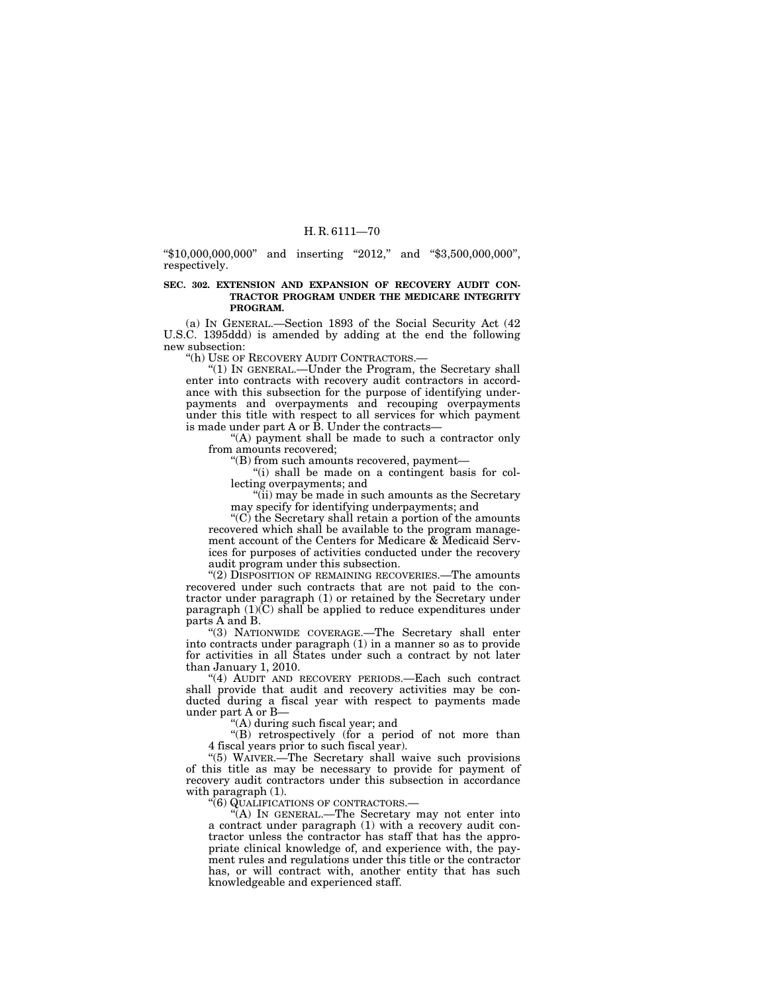"\$10,000,000,000" and inserting "2012," and "\$3,500,000,000", respectively.

#### **SEC. 302. EXTENSION AND EXPANSION OF RECOVERY AUDIT CON-TRACTOR PROGRAM UNDER THE MEDICARE INTEGRITY PROGRAM.**

(a) IN GENERAL.—Section 1893 of the Social Security Act (42 U.S.C. 1395ddd) is amended by adding at the end the following new subsection:

"(h) USE OF RECOVERY AUDIT CONTRACTORS.-

''(1) IN GENERAL.—Under the Program, the Secretary shall enter into contracts with recovery audit contractors in accordance with this subsection for the purpose of identifying underpayments and overpayments and recouping overpayments under this title with respect to all services for which payment is made under part A or B. Under the contracts—

''(A) payment shall be made to such a contractor only from amounts recovered;

''(B) from such amounts recovered, payment—

''(i) shall be made on a contingent basis for collecting overpayments; and

''(ii) may be made in such amounts as the Secretary may specify for identifying underpayments; and

''(C) the Secretary shall retain a portion of the amounts recovered which shall be available to the program management account of the Centers for Medicare & Medicaid Services for purposes of activities conducted under the recovery audit program under this subsection.

"(2) DISPOSITION OF REMAINING RECOVERIES.—The amounts recovered under such contracts that are not paid to the contractor under paragraph (1) or retained by the Secretary under paragraph  $(1)(C)$  shall be applied to reduce expenditures under parts A and B.

''(3) NATIONWIDE COVERAGE.—The Secretary shall enter into contracts under paragraph (1) in a manner so as to provide for activities in all States under such a contract by not later than January 1, 2010.

''(4) AUDIT AND RECOVERY PERIODS.—Each such contract shall provide that audit and recovery activities may be conducted during a fiscal year with respect to payments made under part A or B—

''(A) during such fiscal year; and

''(B) retrospectively (for a period of not more than 4 fiscal years prior to such fiscal year).

''(5) WAIVER.—The Secretary shall waive such provisions of this title as may be necessary to provide for payment of recovery audit contractors under this subsection in accordance with paragraph  $(1)$ .

''(6) QUALIFICATIONS OF CONTRACTORS.—

''(A) IN GENERAL.—The Secretary may not enter into a contract under paragraph (1) with a recovery audit contractor unless the contractor has staff that has the appropriate clinical knowledge of, and experience with, the payment rules and regulations under this title or the contractor has, or will contract with, another entity that has such knowledgeable and experienced staff.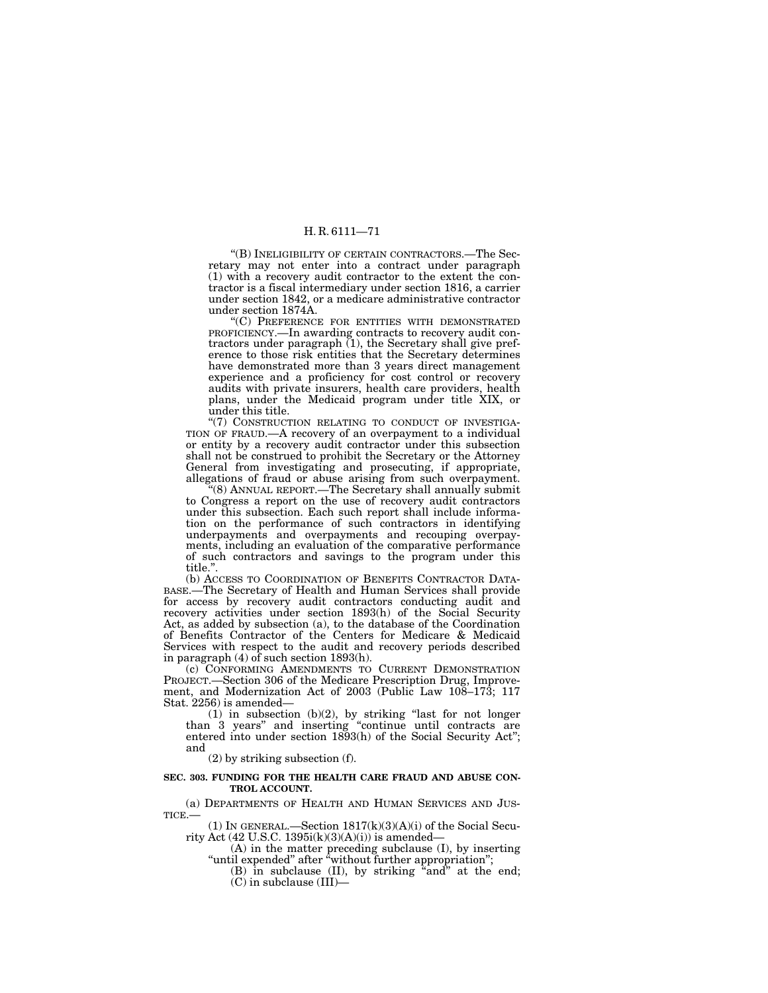''(B) INELIGIBILITY OF CERTAIN CONTRACTORS.—The Secretary may not enter into a contract under paragraph (1) with a recovery audit contractor to the extent the contractor is a fiscal intermediary under section 1816, a carrier under section 1842, or a medicare administrative contractor under section 1874A.

''(C) PREFERENCE FOR ENTITIES WITH DEMONSTRATED PROFICIENCY.—In awarding contracts to recovery audit contractors under paragraph  $(1)$ , the Secretary shall give preference to those risk entities that the Secretary determines have demonstrated more than 3 years direct management experience and a proficiency for cost control or recovery audits with private insurers, health care providers, health plans, under the Medicaid program under title XIX, or under this title.

''(7) CONSTRUCTION RELATING TO CONDUCT OF INVESTIGA- TION OF FRAUD.—A recovery of an overpayment to a individual or entity by a recovery audit contractor under this subsection shall not be construed to prohibit the Secretary or the Attorney General from investigating and prosecuting, if appropriate, allegations of fraud or abuse arising from such overpayment.

''(8) ANNUAL REPORT.—The Secretary shall annually submit to Congress a report on the use of recovery audit contractors under this subsection. Each such report shall include information on the performance of such contractors in identifying underpayments and overpayments and recouping overpayments, including an evaluation of the comparative performance of such contractors and savings to the program under this title.''.

(b) ACCESS TO COORDINATION OF BENEFITS CONTRACTOR DATA-BASE.—The Secretary of Health and Human Services shall provide for access by recovery audit contractors conducting audit and recovery activities under section 1893(h) of the Social Security Act, as added by subsection (a), to the database of the Coordination of Benefits Contractor of the Centers for Medicare & Medicaid Services with respect to the audit and recovery periods described in paragraph (4) of such section 1893(h).

(c) CONFORMING AMENDMENTS TO CURRENT DEMONSTRATION PROJECT.—Section 306 of the Medicare Prescription Drug, Improvement, and Modernization Act of 2003 (Public Law 108–173; 117 Stat. 2256) is amended—

 $(1)$  in subsection  $(b)(2)$ , by striking "last for not longer than 3 years'' and inserting ''continue until contracts are entered into under section 1893(h) of the Social Security Act''; and

(2) by striking subsection (f).

#### **SEC. 303. FUNDING FOR THE HEALTH CARE FRAUD AND ABUSE CON-TROL ACCOUNT.**

(a) DEPARTMENTS OF HEALTH AND HUMAN SERVICES AND JUS-

 $(1)$  In GENERAL.—Section  $1817(k)(3)(A)(i)$  of the Social Security Act (42 U.S.C. 1395i(k)(3)(A)(i)) is amended-

(A) in the matter preceding subclause (I), by inserting ''until expended'' after ''without further appropriation'';

(B) in subclause (II), by striking ''and'' at the end; (C) in subclause (III)—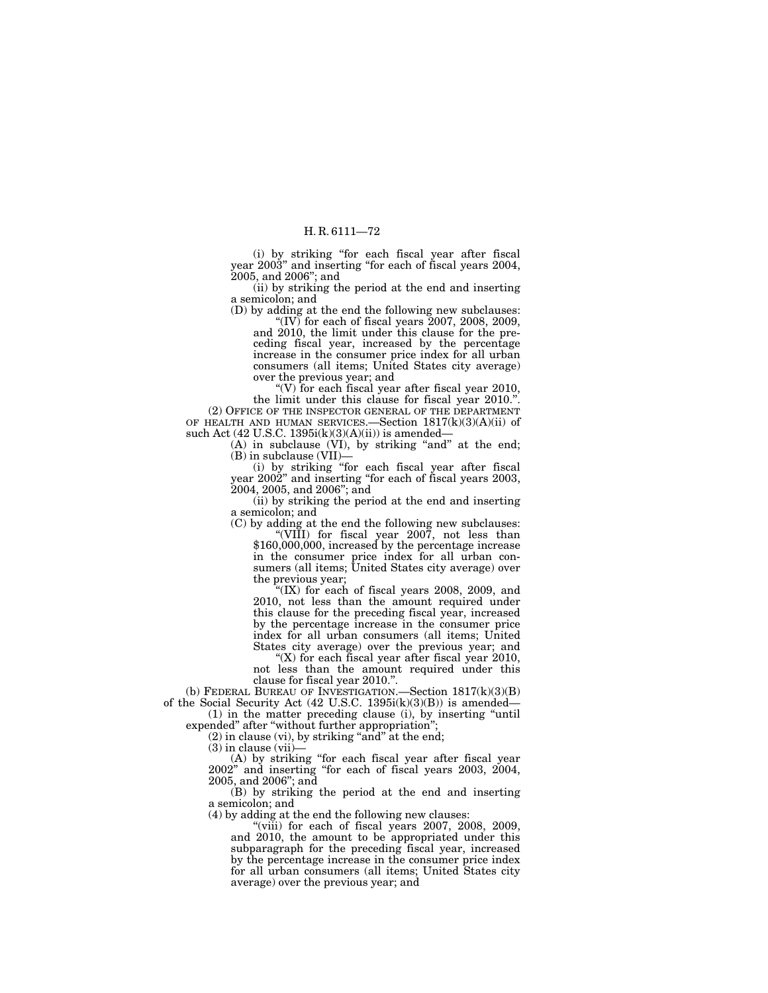(i) by striking ''for each fiscal year after fiscal year 2003'' and inserting ''for each of fiscal years 2004, 2005, and 2006''; and

(ii) by striking the period at the end and inserting a semicolon; and

(D) by adding at the end the following new subclauses:

"(IV) for each of fiscal years  $2007$ ,  $2008$ ,  $2009$ , and 2010, the limit under this clause for the preceding fiscal year, increased by the percentage increase in the consumer price index for all urban consumers (all items; United States city average) over the previous year; and

"(V) for each fiscal year after fiscal year  $2010$ , the limit under this clause for fiscal year 2010.''.

(2) OFFICE OF THE INSPECTOR GENERAL OF THE DEPARTMENT OF HEALTH AND HUMAN SERVICES.—Section  $1817(k)(3)(A)(ii)$  of such Act  $(42 \text{ U.S.C. } 1395i(k)(3)(A)(ii))$  is amended-

> (A) in subclause (VI), by striking "and" at the end; (B) in subclause (VII)—

(i) by striking ''for each fiscal year after fiscal year 2002'' and inserting ''for each of fiscal years 2003, 2004, 2005, and 2006''; and

(ii) by striking the period at the end and inserting a semicolon; and

(C) by adding at the end the following new subclauses: "(VIII) for fiscal year 2007, not less than \$160,000,000, increased by the percentage increase

in the consumer price index for all urban consumers (all items; United States city average) over the previous year;

 $*(IX)$  for each of fiscal years 2008, 2009, and 2010, not less than the amount required under this clause for the preceding fiscal year, increased by the percentage increase in the consumer price index for all urban consumers (all items; United States city average) over the previous year; and

" $(X)$  for each fiscal year after fiscal year 2010, not less than the amount required under this clause for fiscal year 2010.''.

(b) FEDERAL BUREAU OF INVESTIGATION.—Section  $1817(k)(3)(B)$ of the Social Security Act (42 U.S.C. 1395i(k)(3)(B)) is amended—

(1) in the matter preceding clause (i), by inserting ''until expended" after "without further appropriation";

 $(2)$  in clause (vi), by striking "and" at the end;

(3) in clause (vii)—

(A) by striking ''for each fiscal year after fiscal year 2002'' and inserting ''for each of fiscal years 2003, 2004, 2005, and 2006''; and

(B) by striking the period at the end and inserting a semicolon; and

(4) by adding at the end the following new clauses:

 $'(viii)$  for each of fiscal years 2007, 2008, 2009, and 2010, the amount to be appropriated under this subparagraph for the preceding fiscal year, increased by the percentage increase in the consumer price index for all urban consumers (all items; United States city average) over the previous year; and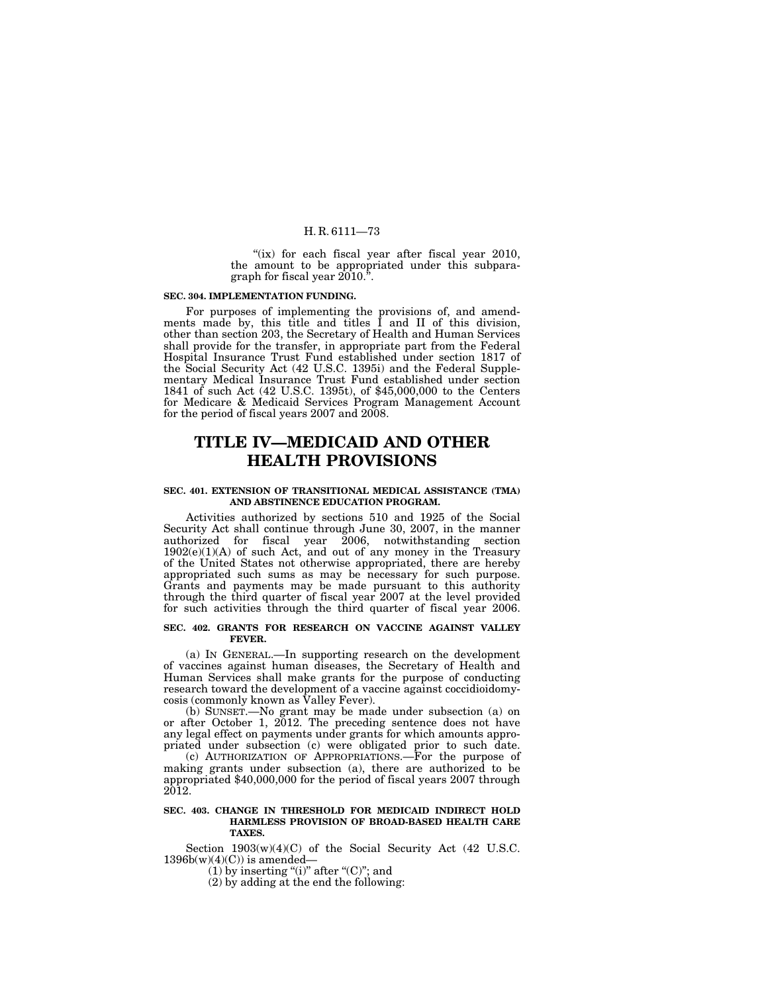"(ix) for each fiscal year after fiscal year 2010, the amount to be appropriated under this subparagraph for fiscal year 2010."

#### **SEC. 304. IMPLEMENTATION FUNDING.**

For purposes of implementing the provisions of, and amendments made by, this title and titles I and II of this division, other than section 203, the Secretary of Health and Human Services shall provide for the transfer, in appropriate part from the Federal Hospital Insurance Trust Fund established under section 1817 of the Social Security Act (42 U.S.C. 1395i) and the Federal Supplementary Medical Insurance Trust Fund established under section 1841 of such Act (42 U.S.C. 1395t), of \$45,000,000 to the Centers for Medicare & Medicaid Services Program Management Account for the period of fiscal years 2007 and 2008.

# **TITLE IV—MEDICAID AND OTHER HEALTH PROVISIONS**

#### **SEC. 401. EXTENSION OF TRANSITIONAL MEDICAL ASSISTANCE (TMA) AND ABSTINENCE EDUCATION PROGRAM.**

Activities authorized by sections 510 and 1925 of the Social Security Act shall continue through June 30, 2007, in the manner authorized for fiscal year 2006, notwithstanding section  $1902(e)(1)(A)$  of such Act, and out of any money in the Treasury of the United States not otherwise appropriated, there are hereby appropriated such sums as may be necessary for such purpose. Grants and payments may be made pursuant to this authority through the third quarter of fiscal year 2007 at the level provided for such activities through the third quarter of fiscal year 2006.

#### **SEC. 402. GRANTS FOR RESEARCH ON VACCINE AGAINST VALLEY FEVER.**

(a) IN GENERAL.—In supporting research on the development of vaccines against human diseases, the Secretary of Health and Human Services shall make grants for the purpose of conducting research toward the development of a vaccine against coccidioidomycosis (commonly known as Valley Fever).

(b) SUNSET.—No grant may be made under subsection (a) on or after October 1, 2012. The preceding sentence does not have any legal effect on payments under grants for which amounts appropriated under subsection (c) were obligated prior to such date.

(c) AUTHORIZATION OF APPROPRIATIONS.—For the purpose of making grants under subsection (a), there are authorized to be appropriated \$40,000,000 for the period of fiscal years 2007 through 2012.

### **SEC. 403. CHANGE IN THRESHOLD FOR MEDICAID INDIRECT HOLD HARMLESS PROVISION OF BROAD-BASED HEALTH CARE TAXES.**

Section  $1903(w)(4)(C)$  of the Social Security Act (42 U.S.C.  $1396b(w)(4)(C)$  is amended-

(1) by inserting "(i)" after "(C)"; and

(2) by adding at the end the following: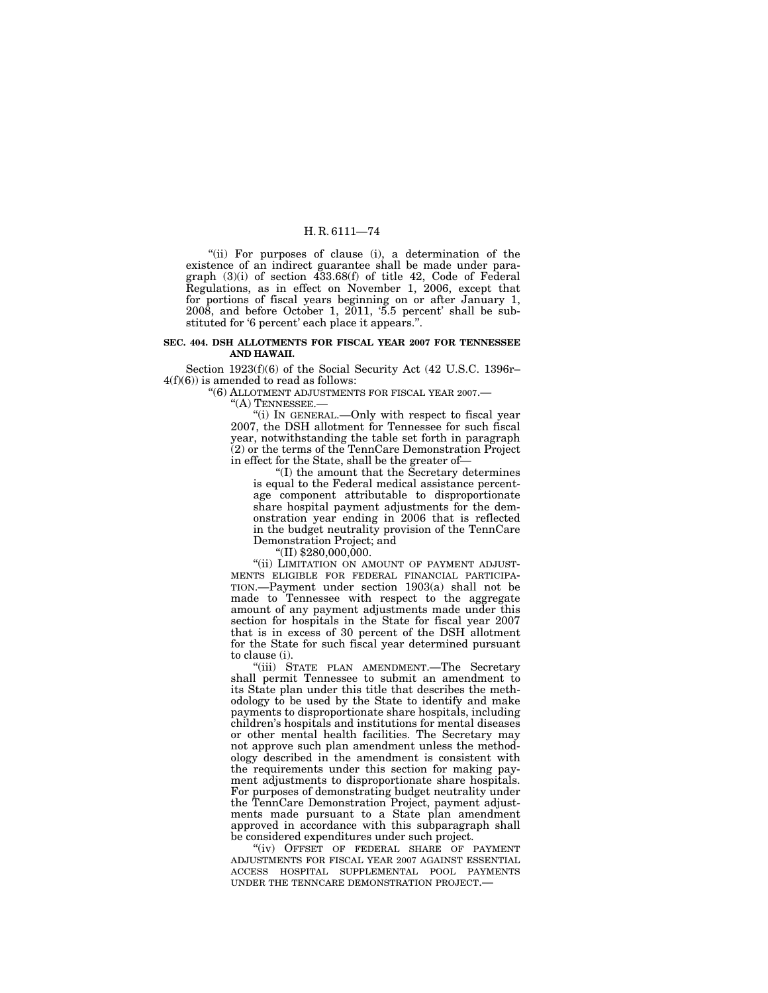"(ii) For purposes of clause (i), a determination of the existence of an indirect guarantee shall be made under paragraph (3)(i) of section 433.68(f) of title 42, Code of Federal Regulations, as in effect on November 1, 2006, except that for portions of fiscal years beginning on or after January 1,  $200\overline{8}$ , and before October 1,  $2011$ ,  $5.5$  percent' shall be substituted for '6 percent' each place it appears.''.

## **SEC. 404. DSH ALLOTMENTS FOR FISCAL YEAR 2007 FOR TENNESSEE AND HAWAII.**

Section 1923(f)(6) of the Social Security Act (42 U.S.C. 1396r–  $4(f)(6)$ ) is amended to read as follows:

''(6) ALLOTMENT ADJUSTMENTS FOR FISCAL YEAR 2007.—

''(A) TENNESSEE.—

''(i) IN GENERAL.—Only with respect to fiscal year 2007, the DSH allotment for Tennessee for such fiscal year, notwithstanding the table set forth in paragraph (2) or the terms of the TennCare Demonstration Project in effect for the State, shall be the greater of—

''(I) the amount that the Secretary determines is equal to the Federal medical assistance percentage component attributable to disproportionate share hospital payment adjustments for the demonstration year ending in 2006 that is reflected in the budget neutrality provision of the TennCare Demonstration Project; and

''(II) \$280,000,000.

"(ii) LIMITATION ON AMOUNT OF PAYMENT ADJUST-MENTS ELIGIBLE FOR FEDERAL FINANCIAL PARTICIPA-TION.—Payment under section 1903(a) shall not be made to Tennessee with respect to the aggregate amount of any payment adjustments made under this section for hospitals in the State for fiscal year 2007 that is in excess of 30 percent of the DSH allotment for the State for such fiscal year determined pursuant to clause (i).

"(iii) STATE PLAN AMENDMENT.—The Secretary shall permit Tennessee to submit an amendment to its State plan under this title that describes the methodology to be used by the State to identify and make payments to disproportionate share hospitals, including children's hospitals and institutions for mental diseases or other mental health facilities. The Secretary may not approve such plan amendment unless the methodology described in the amendment is consistent with the requirements under this section for making payment adjustments to disproportionate share hospitals. For purposes of demonstrating budget neutrality under the TennCare Demonstration Project, payment adjustments made pursuant to a State plan amendment approved in accordance with this subparagraph shall be considered expenditures under such project.

"(iv) OFFSET OF FEDERAL SHARE OF PAYMENT ADJUSTMENTS FOR FISCAL YEAR 2007 AGAINST ESSENTIAL ACCESS HOSPITAL SUPPLEMENTAL POOL PAYMENTS UNDER THE TENNCARE DEMONSTRATION PROJECT.—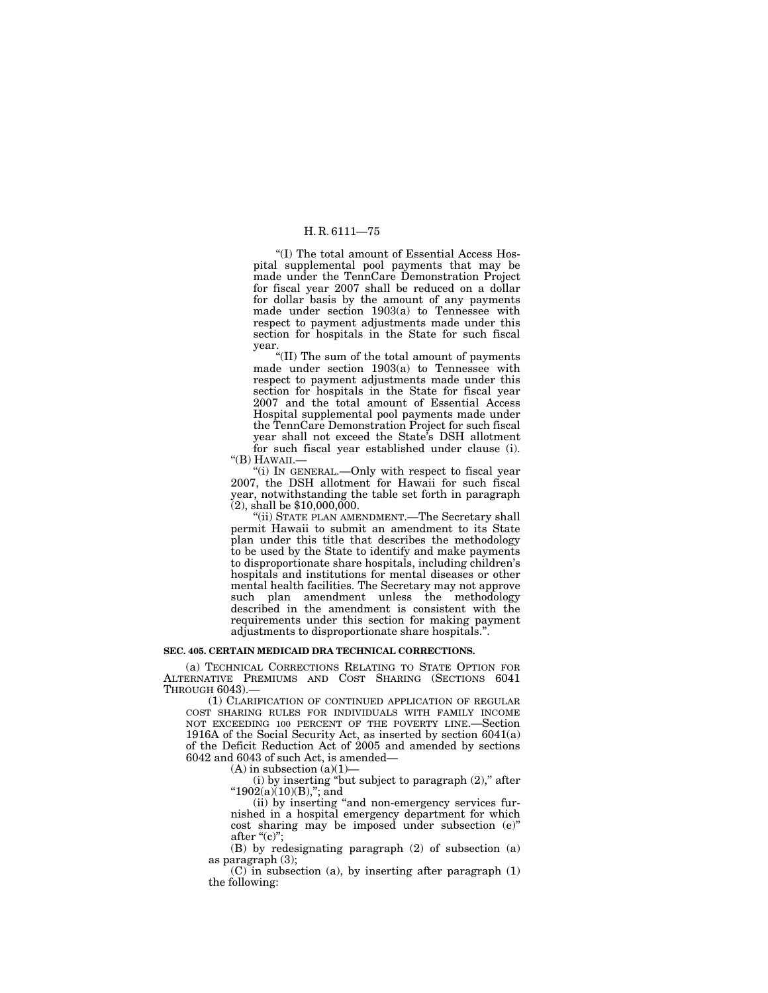''(I) The total amount of Essential Access Hospital supplemental pool payments that may be made under the TennCare Demonstration Project for fiscal year 2007 shall be reduced on a dollar for dollar basis by the amount of any payments made under section 1903(a) to Tennessee with respect to payment adjustments made under this section for hospitals in the State for such fiscal year.

''(II) The sum of the total amount of payments made under section 1903(a) to Tennessee with respect to payment adjustments made under this section for hospitals in the State for fiscal year 2007 and the total amount of Essential Access Hospital supplemental pool payments made under the TennCare Demonstration Project for such fiscal year shall not exceed the State's DSH allotment

for such fiscal year established under clause (i). "(B) HAWAII.

''(i) IN GENERAL.—Only with respect to fiscal year 2007, the DSH allotment for Hawaii for such fiscal year, notwithstanding the table set forth in paragraph (2), shall be \$10,000,000.

''(ii) STATE PLAN AMENDMENT.—The Secretary shall permit Hawaii to submit an amendment to its State plan under this title that describes the methodology to be used by the State to identify and make payments to disproportionate share hospitals, including children's hospitals and institutions for mental diseases or other mental health facilities. The Secretary may not approve such plan amendment unless the methodology described in the amendment is consistent with the requirements under this section for making payment adjustments to disproportionate share hospitals.''.

#### **SEC. 405. CERTAIN MEDICAID DRA TECHNICAL CORRECTIONS.**

(a) TECHNICAL CORRECTIONS RELATING TO STATE OPTION FOR ALTERNATIVE PREMIUMS AND COST SHARING (SECTIONS 6041 THROUGH 6043).—

(1) CLARIFICATION OF CONTINUED APPLICATION OF REGULAR COST SHARING RULES FOR INDIVIDUALS WITH FAMILY INCOME NOT EXCEEDING 100 PERCENT OF THE POVERTY LINE.—Section 1916A of the Social Security Act, as inserted by section 6041(a) of the Deficit Reduction Act of 2005 and amended by sections 6042 and 6043 of such Act, is amended—

 $(A)$  in subsection  $(a)(1)$ 

(i) by inserting "but subject to paragraph  $(2)$ ," after " $1902(a)(10)(B)$ ,"; and

(ii) by inserting ''and non-emergency services furnished in a hospital emergency department for which cost sharing may be imposed under subsection (e)'' after " $(c)$ ";

(B) by redesignating paragraph (2) of subsection (a) as paragraph (3);

(C) in subsection (a), by inserting after paragraph (1) the following: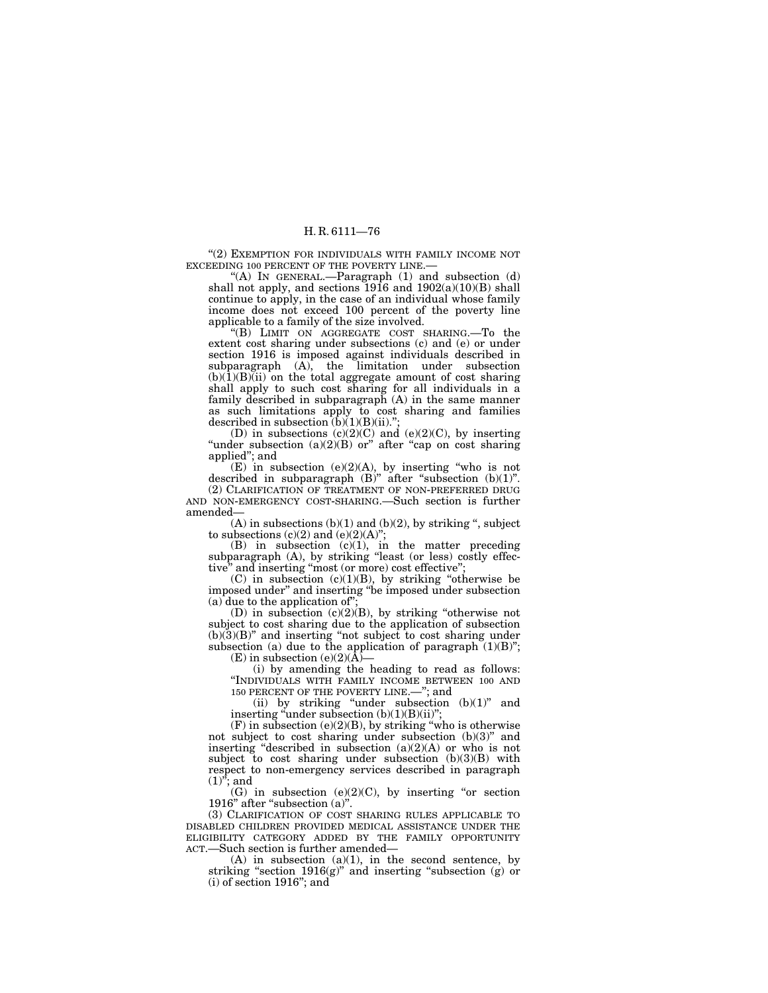$\lq$ '(2) EXEMPTION FOR INDIVIDUALS WITH FAMILY INCOME NOT EXCEEDING 100 PERCENT OF THE POVERTY LINE.—

"(A) IN GENERAL.—Paragraph  $(1)$  and subsection  $(d)$ shall not apply, and sections  $1916$  and  $1902(a)(10)(B)$  shall continue to apply, in the case of an individual whose family income does not exceed 100 percent of the poverty line applicable to a family of the size involved.

''(B) LIMIT ON AGGREGATE COST SHARING.—To the extent cost sharing under subsections (c) and (e) or under section 1916 is imposed against individuals described in subparagraph (A), the limitation under subsection  $(b)(1)(B)(ii)$  on the total aggregate amount of cost sharing shall apply to such cost sharing for all individuals in a family described in subparagraph (A) in the same manner as such limitations apply to cost sharing and families described in subsection  $(b)(1)(B)(ii)$ .";

(D) in subsections  $(c)(2)(C)$  and  $(e)(2)(C)$ , by inserting "under subsection  $(a)(2)(B)$  or" after "cap on cost sharing applied''; and

 $(E)$  in subsection (e)(2)(A), by inserting "who is not described in subparagraph  $(B)$ " after "subsection  $(b)(1)$ ".

(2) CLARIFICATION OF TREATMENT OF NON-PREFERRED DRUG AND NON-EMERGENCY COST-SHARING.—Such section is further amended—

 $(A)$  in subsections  $(b)(1)$  and  $(b)(2)$ , by striking ", subject to subsections  $(c)(2)$  and  $(e)(2)(A)^{n}$ ;

 $(B)$  in subsection  $(c)(1)$ , in the matter preceding subparagraph (A), by striking "least (or less) costly effective'' and inserting ''most (or more) cost effective'';

 $(C)$  in subsection  $(c)(1)(B)$ , by striking "otherwise be imposed under'' and inserting ''be imposed under subsection  $(a)$  due to the application of"

(D) in subsection  $(c)(2)(B)$ , by striking "otherwise not subject to cost sharing due to the application of subsection  $(b)(3)(B)$ " and inserting "not subject to cost sharing under subsection (a) due to the application of paragraph  $(1)(B)$ ";  $(E)$  in subsection  $(e)(2)(A)$ 

(i) by amending the heading to read as follows: ''INDIVIDUALS WITH FAMILY INCOME BETWEEN 100 AND 150 PERCENT OF THE POVERTY LINE.—''; and

(ii) by striking "under subsection  $(b)(1)$ " and inserting "under subsection (b)(1)(B)(ii)";

 $(F)$  in subsection (e)(2)(B), by striking "who is otherwise not subject to cost sharing under subsection (b)(3)'' and inserting "described in subsection  $(a)(2)(A)$  or who is not subject to cost sharing under subsection  $(b)(3)(B)$  with respect to non-emergency services described in paragraph  $(1)$ "; and

 $(G)$  in subsection  $(e)(2)(C)$ , by inserting "or section 1916'' after ''subsection (a)''.

(3) CLARIFICATION OF COST SHARING RULES APPLICABLE TO DISABLED CHILDREN PROVIDED MEDICAL ASSISTANCE UNDER THE ELIGIBILITY CATEGORY ADDED BY THE FAMILY OPPORTUNITY ACT.—Such section is further amended—

 $(A)$  in subsection  $(a)(1)$ , in the second sentence, by striking "section  $1916(g)$ " and inserting "subsection (g) or (i) of section 1916''; and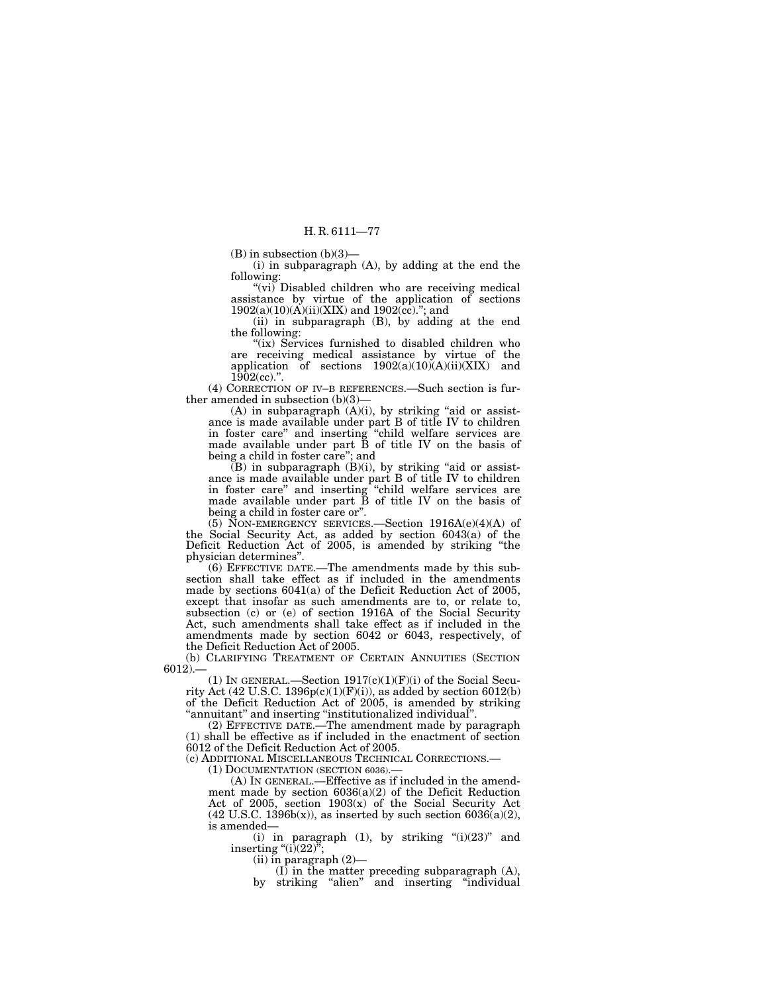$(B)$  in subsection  $(b)(3)$ —

(i) in subparagraph (A), by adding at the end the following:

"(vi) Disabled children who are receiving medical assistance by virtue of the application of sections  $1902(a)(10)(\overrightarrow{A})(ii)(XIX)$  and  $1902(\overrightarrow{cc})$ ."; and

(ii) in subparagraph (B), by adding at the end the following:

"(ix) Services furnished to disabled children who are receiving medical assistance by virtue of the application of sections 1902(a)(10)(A)(ii)(XIX) and  $1902$ (cc).".

(4) CORRECTION OF IV–B REFERENCES.—Such section is further amended in subsection (b)(3)—

 $(A)$  in subparagraph  $(A)(i)$ , by striking "aid or assistance is made available under part B of title IV to children in foster care'' and inserting ''child welfare services are made available under part B of title IV on the basis of being a child in foster care''; and

 $(B)$  in subparagraph  $(B)(i)$ , by striking "aid or assistance is made available under part B of title IV to children in foster care'' and inserting ''child welfare services are made available under part B of title IV on the basis of being a child in foster care or''.

(5) NON-EMERGENCY SERVICES.—Section  $1916A(e)(4)(A)$  of the Social Security Act, as added by section  $6043(a)$  of the Deficit Reduction Act of 2005, is amended by striking ''the physician determines''.

(6) EFFECTIVE DATE.—The amendments made by this subsection shall take effect as if included in the amendments made by sections 6041(a) of the Deficit Reduction Act of 2005, except that insofar as such amendments are to, or relate to, subsection (c) or (e) of section 1916A of the Social Security Act, such amendments shall take effect as if included in the amendments made by section 6042 or 6043, respectively, of the Deficit Reduction Act of 2005.

(b) CLARIFYING TREATMENT OF CERTAIN ANNUITIES (SECTION 6012).—

(1) IN GENERAL.—Section  $1917(c)(1)(F)(i)$  of the Social Security Act (42 U.S.C. 1396 $p(c)(1)(F)(i)$ ), as added by section 6012(b) of the Deficit Reduction Act of 2005, is amended by striking ''annuitant'' and inserting ''institutionalized individual''.

(2) EFFECTIVE DATE.—The amendment made by paragraph (1) shall be effective as if included in the enactment of section 6012 of the Deficit Reduction Act of 2005.

(c) ADDITIONAL MISCELLANEOUS TECHNICAL CORRECTIONS.— (1) DOCUMENTATION (SECTION 6036).—

(A) IN GENERAL.—Effective as if included in the amendment made by section  $6036(a)(2)$  of the Deficit Reduction Act of 2005, section 1903(x) of the Social Security Act  $(42 \text{ U.S.C. } 1396b(x))$ , as inserted by such section  $6036(a)(2)$ , is amended—

(i) in paragraph  $(1)$ , by striking " $(i)(23)$ " and inserting  $\degree$ (i)(22)";

 $(ii)$  in paragraph  $(2)$ 

(I) in the matter preceding subparagraph (A), by striking "alien" and inserting "individual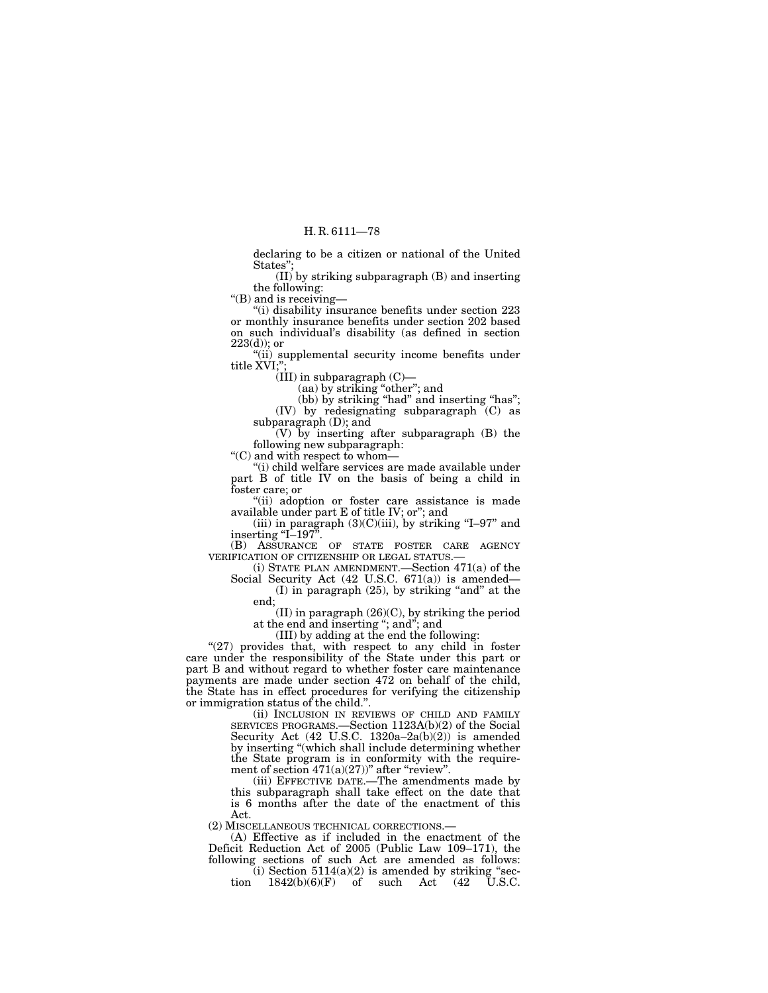declaring to be a citizen or national of the United States'';

(II) by striking subparagraph (B) and inserting the following:

''(B) and is receiving—

''(i) disability insurance benefits under section 223 or monthly insurance benefits under section 202 based on such individual's disability (as defined in section 223(d)); or

"(ii) supplemental security income benefits under title XVI;

 $\overrightarrow{(III)}$  in subparagraph  $(C)$ -

(aa) by striking "other"; and

(bb) by striking "had" and inserting "has"; (IV) by redesignating subparagraph (C) as subparagraph (D); and

(V) by inserting after subparagraph (B) the following new subparagraph:

''(C) and with respect to whom—

''(i) child welfare services are made available under part B of title IV on the basis of being a child in foster care; or

''(ii) adoption or foster care assistance is made available under part E of title IV; or''; and

(iii) in paragraph  $(3)(C)(iii)$ , by striking "I–97" and inserting "I–197".

(B) ASSURANCE OF STATE FOSTER CARE AGENCY VERIFICATION OF CITIZENSHIP OR LEGAL STATUS.—

(i) STATE PLAN AMENDMENT.—Section  $471(a)$  of the Social Security Act (42 U.S.C. 671(a)) is amended—

 $(I)$  in paragraph  $(25)$ , by striking "and" at the end;

(II) in paragraph (26)(C), by striking the period at the end and inserting ''; and''; and

(III) by adding at the end the following:

"(27) provides that, with respect to any child in foster care under the responsibility of the State under this part or part B and without regard to whether foster care maintenance payments are made under section 472 on behalf of the child, the State has in effect procedures for verifying the citizenship or immigration status of the child.''.

(ii) INCLUSION IN REVIEWS OF CHILD AND FAMILY SERVICES PROGRAMS.—Section 1123A(b)(2) of the Social Security Act (42 U.S.C. 1320a–2a(b)(2)) is amended by inserting ''(which shall include determining whether the State program is in conformity with the requirement of section  $471(a)(27)$ " after "review".

(iii) EFFECTIVE DATE.—The amendments made by this subparagraph shall take effect on the date that is 6 months after the date of the enactment of this Act.

(2) MISCELLANEOUS TECHNICAL CORRECTIONS.—

(A) Effective as if included in the enactment of the Deficit Reduction Act of 2005 (Public Law 109–171), the following sections of such Act are amended as follows:

(i) Section 5114(a)(2) is amended by striking "sec-<br>1842(b)(6)(F) of such Act (42 U.S.C. tion  $1842(b)(6)(F)$  of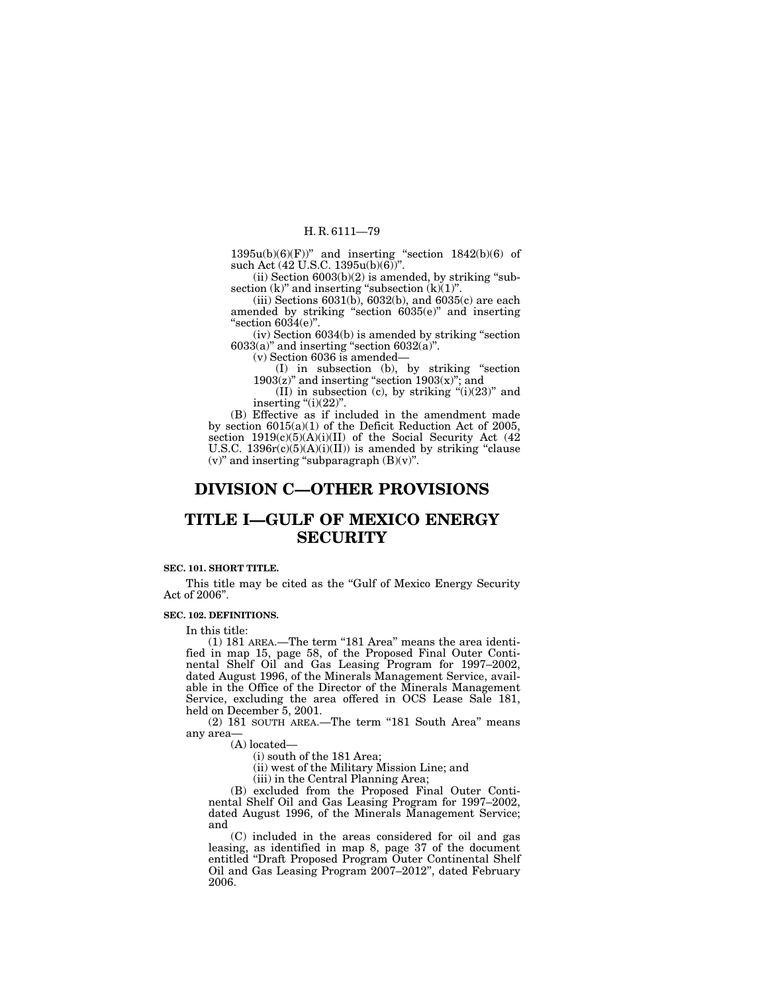$1395u(b)(6)(F)$ " and inserting "section  $1842(b)(6)$  of such Act (42 U.S.C. 1395u(b)(6))".

(ii) Section  $6003(b)(2)$  is amended, by striking "subsection  $(k)$ " and inserting "subsection  $(k)(1)$ ".

(iii) Sections 6031(b), 6032(b), and 6035(c) are each amended by striking ''section 6035(e)'' and inserting "section  $6034(e)$ "

(iv) Section 6034(b) is amended by striking ''section  $6033(a)$ " and inserting "section  $6032(a)$ ".

(v) Section 6036 is amended—

(I) in subsection (b), by striking ''section  $1903(z)$ " and inserting "section  $1903(x)$ "; and

(II) in subsection (c), by striking  $(1)(23)$ " and inserting " $(i)(22)$ ".

(B) Effective as if included in the amendment made by section 6015(a)(1) of the Deficit Reduction Act of 2005, section  $1919(c)(5)(A)(i)(II)$  of the Social Security Act (42 U.S.C.  $1396r(c)(5)(A)(i)(II))$  is amended by striking "clause  $(v)$ " and inserting "subparagraph  $(B)(v)$ ".

## **DIVISION C—OTHER PROVISIONS**

## **TITLE I—GULF OF MEXICO ENERGY SECURITY**

#### **SEC. 101. SHORT TITLE.**

This title may be cited as the "Gulf of Mexico Energy Security Act of 2006''.

### **SEC. 102. DEFINITIONS.**

In this title:

(1) 181 AREA.—The term "181 Area" means the area identified in map 15, page 58, of the Proposed Final Outer Continental Shelf Oil and Gas Leasing Program for 1997–2002, dated August 1996, of the Minerals Management Service, available in the Office of the Director of the Minerals Management Service, excluding the area offered in OCS Lease Sale 181, held on December 5, 2001.

(2) 181 SOUTH AREA.—The term ''181 South Area'' means any area—

(A) located—

(i) south of the 181 Area;

(ii) west of the Military Mission Line; and

(iii) in the Central Planning Area;

(B) excluded from the Proposed Final Outer Continental Shelf Oil and Gas Leasing Program for 1997–2002, dated August 1996, of the Minerals Management Service; and

(C) included in the areas considered for oil and gas leasing, as identified in map 8, page 37 of the document entitled ''Draft Proposed Program Outer Continental Shelf Oil and Gas Leasing Program 2007–2012'', dated February 2006.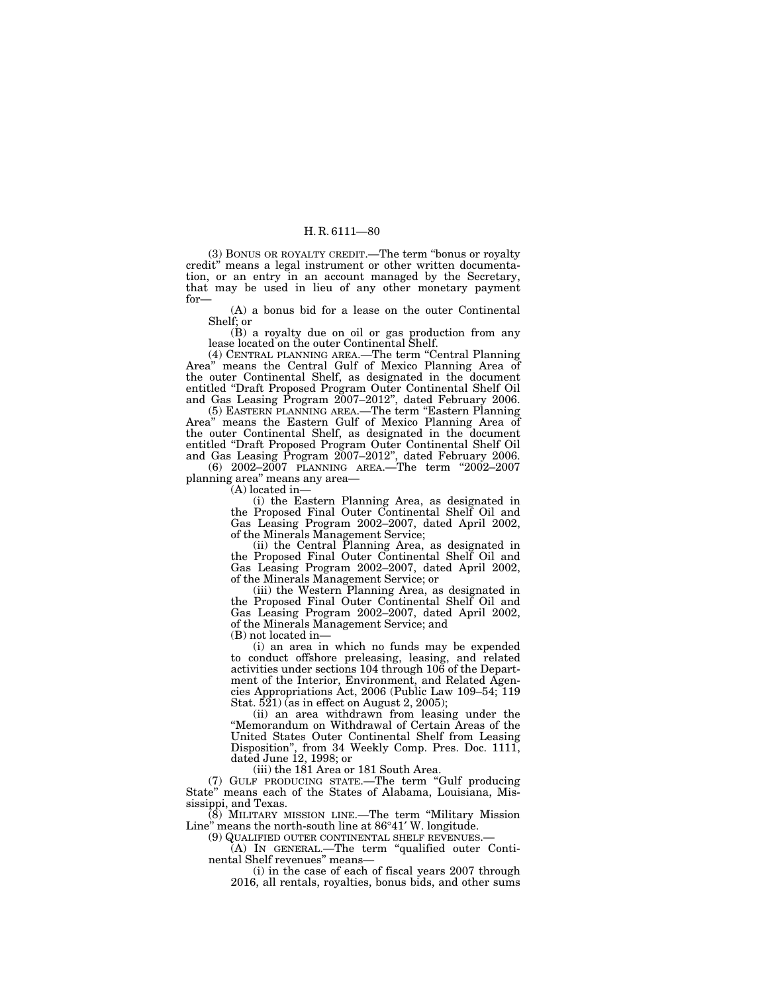(3) BONUS OR ROYALTY CREDIT.—The term ''bonus or royalty credit'' means a legal instrument or other written documentation, or an entry in an account managed by the Secretary, that may be used in lieu of any other monetary payment for—

(A) a bonus bid for a lease on the outer Continental Shelf; or

(B) a royalty due on oil or gas production from any lease located on the outer Continental Shelf.

(4) CENTRAL PLANNING AREA.—The term ''Central Planning Area'' means the Central Gulf of Mexico Planning Area of the outer Continental Shelf, as designated in the document entitled ''Draft Proposed Program Outer Continental Shelf Oil and Gas Leasing Program 2007–2012'', dated February 2006.

(5) EASTERN PLANNING AREA.—The term ''Eastern Planning Area'' means the Eastern Gulf of Mexico Planning Area of the outer Continental Shelf, as designated in the document entitled ''Draft Proposed Program Outer Continental Shelf Oil and Gas Leasing Program 2007–2012'', dated February 2006.

(6) 2002–2007 PLANNING AREA.—The term ''2002–2007 planning area'' means any area—

(A) located in—

(i) the Eastern Planning Area, as designated in the Proposed Final Outer Continental Shelf Oil and Gas Leasing Program 2002–2007, dated April 2002, of the Minerals Management Service;

(ii) the Central Planning Area, as designated in the Proposed Final Outer Continental Shelf Oil and Gas Leasing Program 2002–2007, dated April 2002, of the Minerals Management Service; or

(iii) the Western Planning Area, as designated in the Proposed Final Outer Continental Shelf Oil and Gas Leasing Program 2002–2007, dated April 2002, of the Minerals Management Service; and

(B) not located in—

(i) an area in which no funds may be expended to conduct offshore preleasing, leasing, and related activities under sections 104 through 106 of the Department of the Interior, Environment, and Related Agencies Appropriations Act, 2006 (Public Law 109–54; 119 Stat. 521) (as in effect on August 2, 2005);

(ii) an area withdrawn from leasing under the ''Memorandum on Withdrawal of Certain Areas of the United States Outer Continental Shelf from Leasing Disposition'', from 34 Weekly Comp. Pres. Doc. 1111, dated June 12, 1998; or

(iii) the 181 Area or 181 South Area.

(7) GULF PRODUCING STATE.—The term ''Gulf producing State'' means each of the States of Alabama, Louisiana, Mississippi, and Texas.

 $(8)$  MILITARY MISSION LINE.—The term "Military Mission" Line'' means the north-south line at 86°41′ W. longitude.

(9) QUALIFIED OUTER CONTINENTAL SHELF REVENUES.—

(A) IN GENERAL.—The term ''qualified outer Continental Shelf revenues'' means—

(i) in the case of each of fiscal years 2007 through 2016, all rentals, royalties, bonus bids, and other sums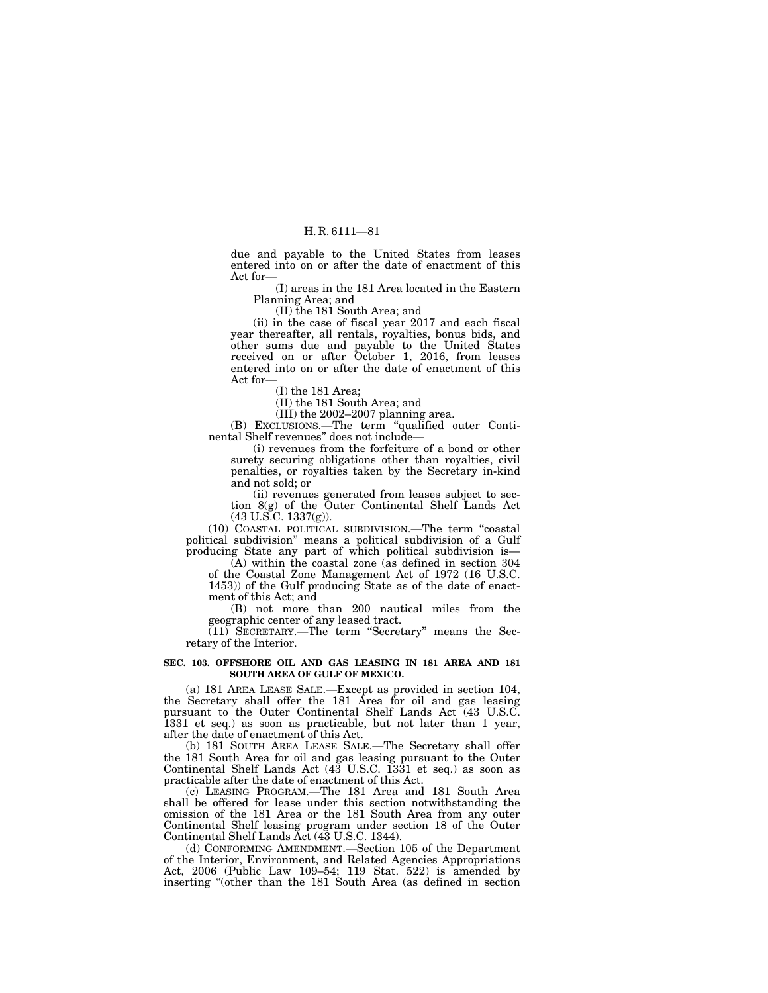due and payable to the United States from leases entered into on or after the date of enactment of this Act for—

(I) areas in the 181 Area located in the Eastern Planning Area; and

(II) the 181 South Area; and

(ii) in the case of fiscal year 2017 and each fiscal year thereafter, all rentals, royalties, bonus bids, and other sums due and payable to the United States received on or after October 1, 2016, from leases entered into on or after the date of enactment of this Act for—

(I) the 181 Area;

(II) the 181 South Area; and

(III) the 2002–2007 planning area.

(B) EXCLUSIONS.—The term ''qualified outer Continental Shelf revenues'' does not include—

(i) revenues from the forfeiture of a bond or other surety securing obligations other than royalties, civil penalties, or royalties taken by the Secretary in-kind and not sold; or

(ii) revenues generated from leases subject to section 8(g) of the Outer Continental Shelf Lands Act (43 U.S.C. 1337(g)).

(10) COASTAL POLITICAL SUBDIVISION.—The term ''coastal political subdivision'' means a political subdivision of a Gulf producing State any part of which political subdivision is—

(A) within the coastal zone (as defined in section 304 of the Coastal Zone Management Act of 1972 (16 U.S.C. 1453)) of the Gulf producing State as of the date of enactment of this Act; and

(B) not more than 200 nautical miles from the geographic center of any leased tract.

(11) SECRETARY.—The term ''Secretary'' means the Secretary of the Interior.

## **SEC. 103. OFFSHORE OIL AND GAS LEASING IN 181 AREA AND 181 SOUTH AREA OF GULF OF MEXICO.**

(a) 181 AREA LEASE SALE.—Except as provided in section 104, the Secretary shall offer the 181 Area for oil and gas leasing pursuant to the Outer Continental Shelf Lands Act (43 U.S.C. 1331 et seq.) as soon as practicable, but not later than 1 year, after the date of enactment of this Act.

(b) 181 SOUTH AREA LEASE SALE.—The Secretary shall offer the 181 South Area for oil and gas leasing pursuant to the Outer Continental Shelf Lands Act (43 U.S.C. 1331 et seq.) as soon as practicable after the date of enactment of this Act.

(c) LEASING PROGRAM.—The 181 Area and 181 South Area shall be offered for lease under this section notwithstanding the omission of the 181 Area or the 181 South Area from any outer Continental Shelf leasing program under section 18 of the Outer Continental Shelf Lands Act (43 U.S.C. 1344).

(d) CONFORMING AMENDMENT.—Section 105 of the Department of the Interior, Environment, and Related Agencies Appropriations Act, 2006 (Public Law 109–54; 119 Stat. 522) is amended by inserting ''(other than the 181 South Area (as defined in section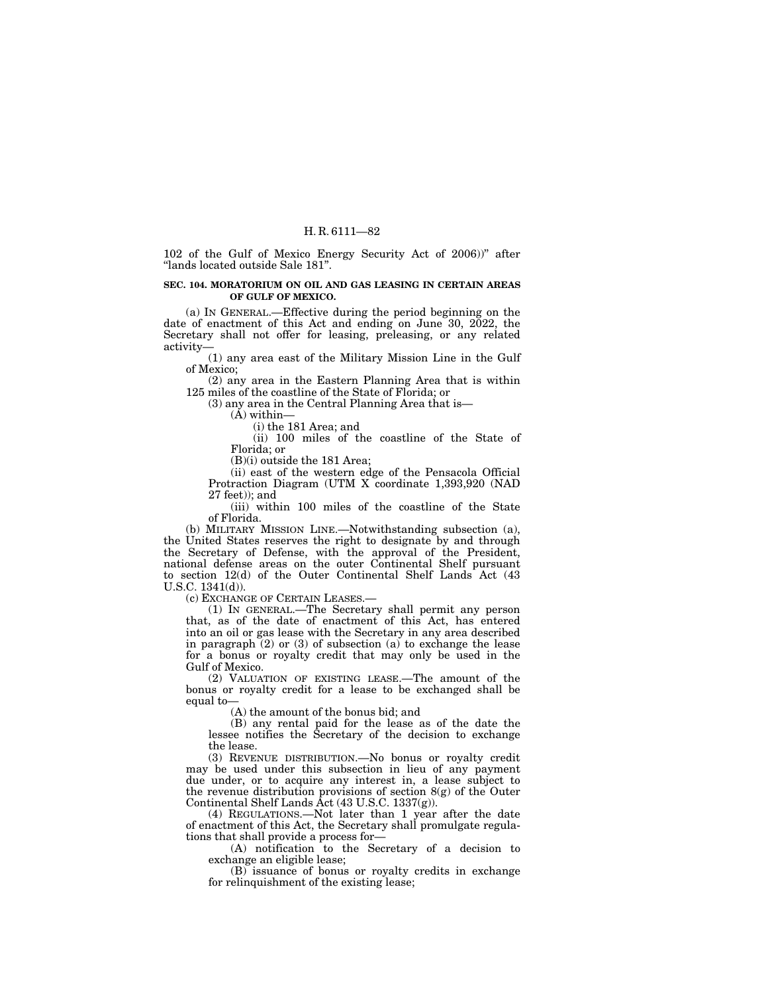102 of the Gulf of Mexico Energy Security Act of 2006))'' after ''lands located outside Sale 181''.

## **SEC. 104. MORATORIUM ON OIL AND GAS LEASING IN CERTAIN AREAS OF GULF OF MEXICO.**

(a) IN GENERAL.—Effective during the period beginning on the date of enactment of this Act and ending on June 30, 2022, the Secretary shall not offer for leasing, preleasing, or any related activity—

(1) any area east of the Military Mission Line in the Gulf of Mexico;

(2) any area in the Eastern Planning Area that is within 125 miles of the coastline of the State of Florida; or

(3) any area in the Central Planning Area that is—

 $(A)$  within-

(i) the 181 Area; and

(ii) 100 miles of the coastline of the State of Florida; or

(B)(i) outside the 181 Area;

(ii) east of the western edge of the Pensacola Official Protraction Diagram (UTM X coordinate 1,393,920 (NAD 27 feet)); and

(iii) within 100 miles of the coastline of the State of Florida.

(b) MILITARY MISSION LINE.—Notwithstanding subsection (a), the United States reserves the right to designate by and through the Secretary of Defense, with the approval of the President, national defense areas on the outer Continental Shelf pursuant to section 12(d) of the Outer Continental Shelf Lands Act (43 U.S.C. 1341(d)).

(c) EXCHANGE OF CERTAIN LEASES.—

(1) IN GENERAL.—The Secretary shall permit any person that, as of the date of enactment of this Act, has entered into an oil or gas lease with the Secretary in any area described in paragraph (2) or (3) of subsection (a) to exchange the lease for a bonus or royalty credit that may only be used in the Gulf of Mexico.

(2) VALUATION OF EXISTING LEASE.—The amount of the bonus or royalty credit for a lease to be exchanged shall be equal to—

(A) the amount of the bonus bid; and

(B) any rental paid for the lease as of the date the lessee notifies the Secretary of the decision to exchange the lease.

(3) REVENUE DISTRIBUTION.—No bonus or royalty credit may be used under this subsection in lieu of any payment due under, or to acquire any interest in, a lease subject to the revenue distribution provisions of section 8(g) of the Outer Continental Shelf Lands Act (43 U.S.C. 1337(g)).

(4) REGULATIONS.—Not later than 1 year after the date of enactment of this Act, the Secretary shall promulgate regulations that shall provide a process for—

(A) notification to the Secretary of a decision to exchange an eligible lease;

(B) issuance of bonus or royalty credits in exchange for relinquishment of the existing lease;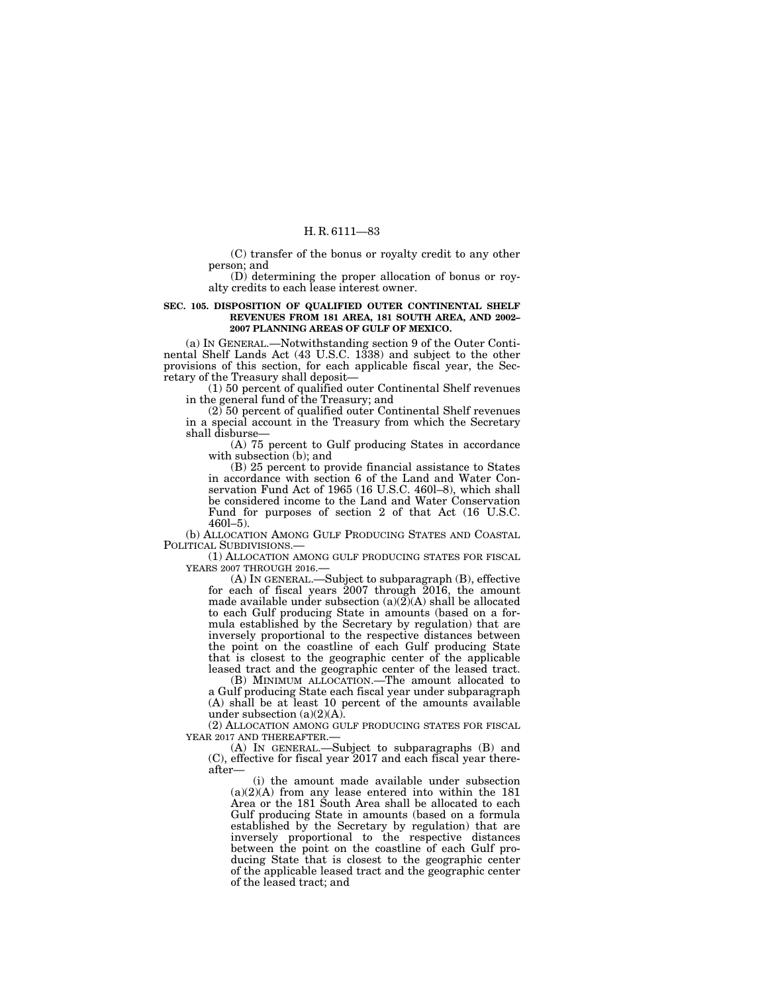(C) transfer of the bonus or royalty credit to any other person; and

(D) determining the proper allocation of bonus or royalty credits to each lease interest owner.

#### **SEC. 105. DISPOSITION OF QUALIFIED OUTER CONTINENTAL SHELF REVENUES FROM 181 AREA, 181 SOUTH AREA, AND 2002– 2007 PLANNING AREAS OF GULF OF MEXICO.**

(a) IN GENERAL.—Notwithstanding section 9 of the Outer Continental Shelf Lands Act (43 U.S.C. 1338) and subject to the other provisions of this section, for each applicable fiscal year, the Secretary of the Treasury shall deposit—

(1) 50 percent of qualified outer Continental Shelf revenues in the general fund of the Treasury; and

(2) 50 percent of qualified outer Continental Shelf revenues in a special account in the Treasury from which the Secretary shall disburse—

(A) 75 percent to Gulf producing States in accordance with subsection (b); and

(B) 25 percent to provide financial assistance to States in accordance with section 6 of the Land and Water Conservation Fund Act of 1965 (16 U.S.C. 460l–8), which shall be considered income to the Land and Water Conservation Fund for purposes of section 2 of that Act (16 U.S.C. 460l–5).

(b) ALLOCATION AMONG GULF PRODUCING STATES AND COASTAL POLITICAL SUBDIVISIONS.—

(1) ALLOCATION AMONG GULF PRODUCING STATES FOR FISCAL YEARS 2007 THROUGH 2016.— (A) IN GENERAL.—Subject to subparagraph (B), effective

for each of fiscal years 2007 through 2016, the amount made available under subsection  $(a)(\overline{2})(A)$  shall be allocated to each Gulf producing State in amounts (based on a formula established by the Secretary by regulation) that are inversely proportional to the respective distances between the point on the coastline of each Gulf producing State that is closest to the geographic center of the applicable leased tract and the geographic center of the leased tract.

(B) MINIMUM ALLOCATION.—The amount allocated to a Gulf producing State each fiscal year under subparagraph (A) shall be at least 10 percent of the amounts available under subsection  $(a)(2)(A)$ .

(2) ALLOCATION AMONG GULF PRODUCING STATES FOR FISCAL YEAR 2017 AND THEREAFTER.—

(A) IN GENERAL.—Subject to subparagraphs (B) and (C), effective for fiscal year 2017 and each fiscal year thereafter—

(i) the amount made available under subsection  $(a)(2)(A)$  from any lease entered into within the 181 Area or the 181 South Area shall be allocated to each Gulf producing State in amounts (based on a formula established by the Secretary by regulation) that are inversely proportional to the respective distances between the point on the coastline of each Gulf producing State that is closest to the geographic center of the applicable leased tract and the geographic center of the leased tract; and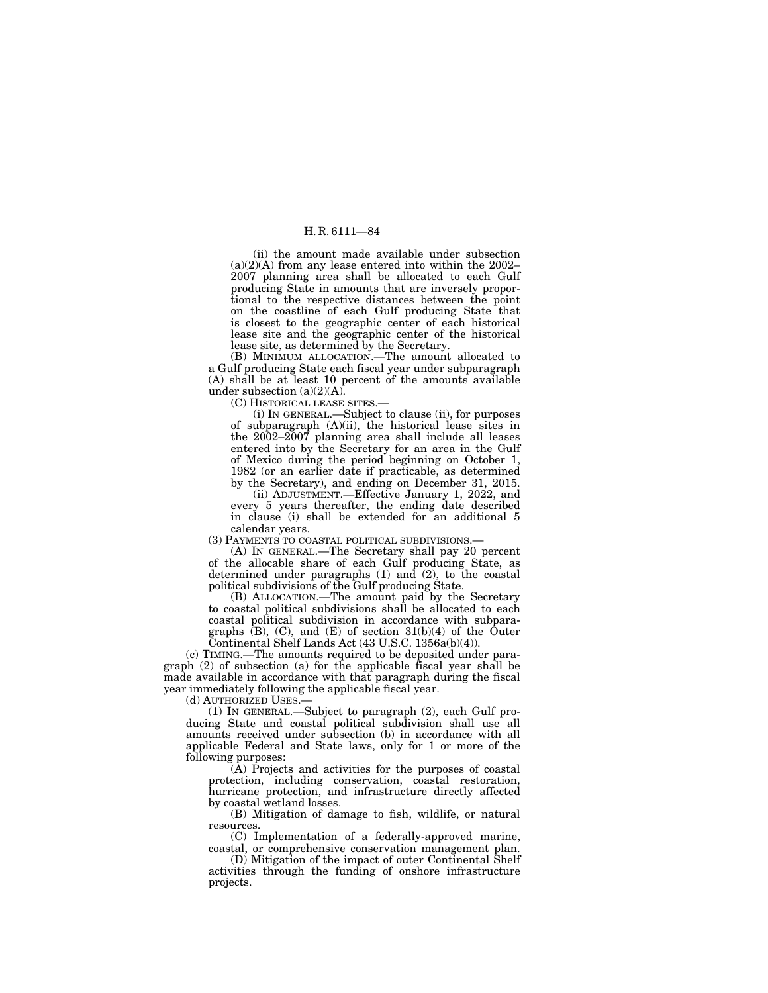(ii) the amount made available under subsection  $(a)(2)(A)$  from any lease entered into within the 2002– 2007 planning area shall be allocated to each Gulf producing State in amounts that are inversely proportional to the respective distances between the point on the coastline of each Gulf producing State that is closest to the geographic center of each historical lease site and the geographic center of the historical lease site, as determined by the Secretary.

(B) MINIMUM ALLOCATION.—The amount allocated to a Gulf producing State each fiscal year under subparagraph (A) shall be at least 10 percent of the amounts available under subsection  $(a)(2)(A)$ .

(C) HISTORICAL LEASE SITES.—

(i) IN GENERAL.—Subject to clause (ii), for purposes of subparagraph (A)(ii), the historical lease sites in the 2002–2007 planning area shall include all leases entered into by the Secretary for an area in the Gulf of Mexico during the period beginning on October 1, 1982 (or an earlier date if practicable, as determined by the Secretary), and ending on December 31, 2015.

(ii) ADJUSTMENT.—Effective January 1, 2022, and every 5 years thereafter, the ending date described in clause (i) shall be extended for an additional 5 calendar years.

(3) PAYMENTS TO COASTAL POLITICAL SUBDIVISIONS.—

(A) IN GENERAL.—The Secretary shall pay 20 percent of the allocable share of each Gulf producing State, as determined under paragraphs (1) and (2), to the coastal political subdivisions of the Gulf producing State.

(B) ALLOCATION.—The amount paid by the Secretary to coastal political subdivisions shall be allocated to each coastal political subdivision in accordance with subparagraphs (B), (C), and (E) of section 31(b)(4) of the Outer Continental Shelf Lands Act (43 U.S.C. 1356a(b)(4)).

(c) TIMING.—The amounts required to be deposited under paragraph (2) of subsection (a) for the applicable fiscal year shall be made available in accordance with that paragraph during the fiscal year immediately following the applicable fiscal year.

(d) AUTHORIZED USES.—

(1) IN GENERAL.—Subject to paragraph (2), each Gulf producing State and coastal political subdivision shall use all amounts received under subsection (b) in accordance with all applicable Federal and State laws, only for 1 or more of the following purposes:

 $(A)$  Projects and activities for the purposes of coastal protection, including conservation, coastal restoration, hurricane protection, and infrastructure directly affected by coastal wetland losses.

(B) Mitigation of damage to fish, wildlife, or natural resources.

(C) Implementation of a federally-approved marine, coastal, or comprehensive conservation management plan.

(D) Mitigation of the impact of outer Continental Shelf activities through the funding of onshore infrastructure projects.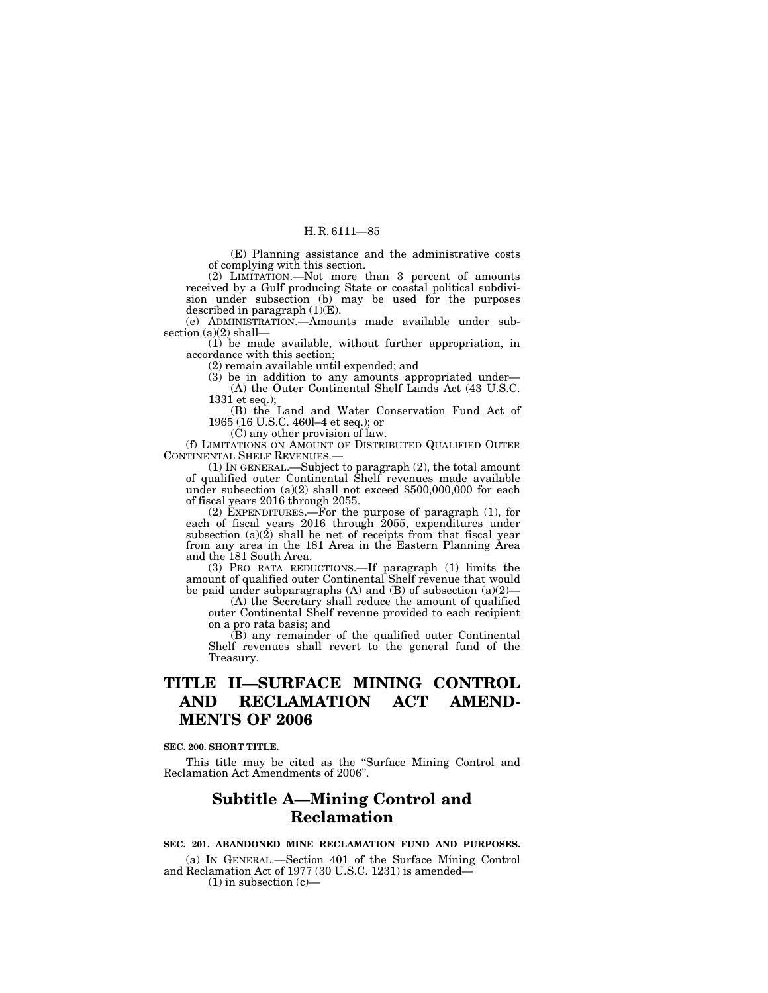(E) Planning assistance and the administrative costs of complying with this section.

(2) LIMITATION.—Not more than 3 percent of amounts received by a Gulf producing State or coastal political subdivision under subsection (b) may be used for the purposes described in paragraph  $(1)(E)$ .

(e) ADMINISTRATION.—Amounts made available under subsection (a)(2) shall—

(1) be made available, without further appropriation, in accordance with this section;

(2) remain available until expended; and

(3) be in addition to any amounts appropriated under— (A) the Outer Continental Shelf Lands Act (43 U.S.C.

1331 et seq.);

(B) the Land and Water Conservation Fund Act of 1965 (16 U.S.C. 460l–4 et seq.); or

(C) any other provision of law.

(f) LIMITATIONS ON AMOUNT OF DISTRIBUTED QUALIFIED OUTER CONTINENTAL SHELF REVENUES.— (1) IN GENERAL.—Subject to paragraph (2), the total amount

of qualified outer Continental Shelf revenues made available under subsection (a)(2) shall not exceed \$500,000,000 for each of fiscal years 2016 through 2055.

(2) EXPENDITURES.—For the purpose of paragraph (1), for each of fiscal years 2016 through 2055, expenditures under subsection (a)(2) shall be net of receipts from that fiscal year from any area in the 181 Area in the Eastern Planning Area and the 181 South Area.

(3) PRO RATA REDUCTIONS.—If paragraph (1) limits the amount of qualified outer Continental Shelf revenue that would be paid under subparagraphs  $(A)$  and  $(B)$  of subsection  $(a)(2)$ —

(A) the Secretary shall reduce the amount of qualified outer Continental Shelf revenue provided to each recipient on a pro rata basis; and

(B) any remainder of the qualified outer Continental Shelf revenues shall revert to the general fund of the Treasury.

# **TITLE II—SURFACE MINING CONTROL AND RECLAMATION ACT AMEND-MENTS OF 2006**

#### **SEC. 200. SHORT TITLE.**

This title may be cited as the ''Surface Mining Control and Reclamation Act Amendments of 2006''.

# **Subtitle A—Mining Control and Reclamation**

## **SEC. 201. ABANDONED MINE RECLAMATION FUND AND PURPOSES.**

(a) IN GENERAL.—Section 401 of the Surface Mining Control and Reclamation Act of 1977 (30 U.S.C. 1231) is amended—  $(1)$  in subsection  $(c)$ —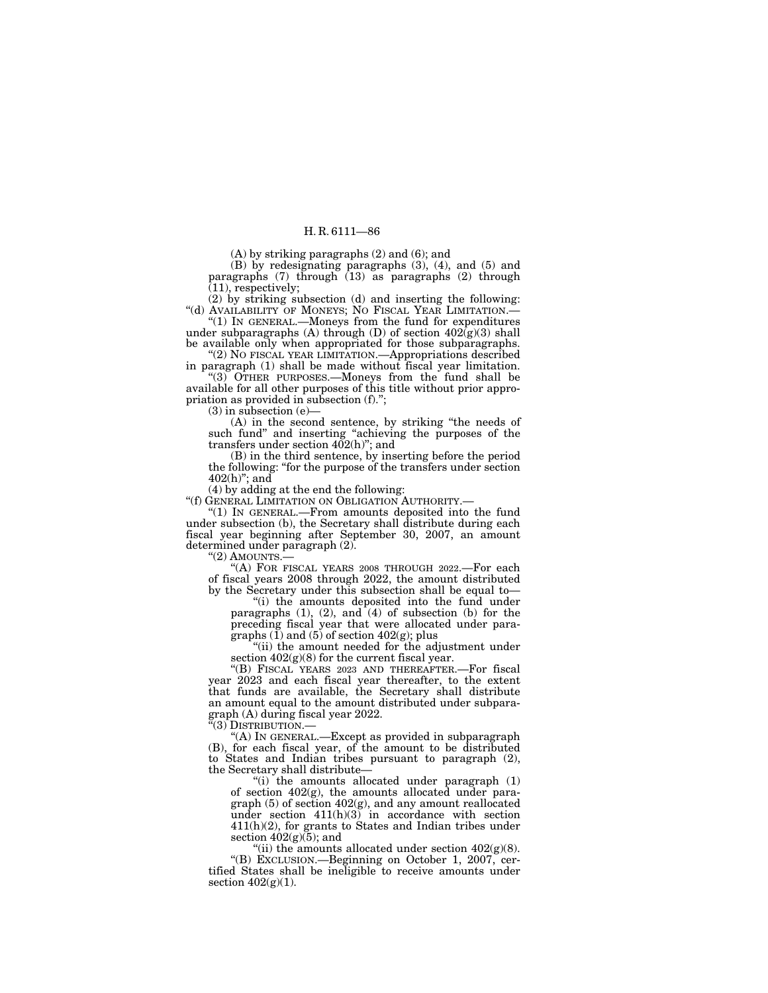(A) by striking paragraphs (2) and (6); and

(B) by redesignating paragraphs (3), (4), and (5) and paragraphs (7) through (13) as paragraphs (2) through  $(11)$ , respectively;

(2) by striking subsection (d) and inserting the following: ''(d) AVAILABILITY OF MONEYS; NO FISCAL YEAR LIMITATION.—

''(1) IN GENERAL.—Moneys from the fund for expenditures under subparagraphs (A) through (D) of section  $402(g)(3)$  shall be available only when appropriated for those subparagraphs.

''(2) NO FISCAL YEAR LIMITATION.—Appropriations described in paragraph (1) shall be made without fiscal year limitation.

''(3) OTHER PURPOSES.—Moneys from the fund shall be available for all other purposes of this title without prior appropriation as provided in subsection (f).'';

 $(3)$  in subsection  $(e)$ 

(A) in the second sentence, by striking ''the needs of such fund" and inserting "achieving the purposes of the transfers under section  $402(h)$ "; and

(B) in the third sentence, by inserting before the period the following: ''for the purpose of the transfers under section  $402(h)$ "; and

(4) by adding at the end the following:

"(1) In GENERAL.—From amounts deposited into the fund under subsection (b), the Secretary shall distribute during each fiscal year beginning after September 30, 2007, an amount determined under paragraph (2).<br>"(2) AMOUNTS.—

"(A) FOR FISCAL YEARS 2008 THROUGH 2022.-For each of fiscal years 2008 through 2022, the amount distributed by the Secretary under this subsection shall be equal to—

''(i) the amounts deposited into the fund under paragraphs  $(1)$ ,  $(2)$ , and  $(4)$  of subsection  $(b)$  for the preceding fiscal year that were allocated under paragraphs  $(\tilde{1})$  and  $(5)$  of section 402 $(g)$ ; plus

''(ii) the amount needed for the adjustment under section  $402(g)(8)$  for the current fiscal year.

''(B) FISCAL YEARS 2023 AND THEREAFTER.—For fiscal year 2023 and each fiscal year thereafter, to the extent that funds are available, the Secretary shall distribute an amount equal to the amount distributed under subparagraph (A) during fiscal year 2022.

 $\sqrt[a(3)]$  DISTRIBUTION.—

''(A) IN GENERAL.—Except as provided in subparagraph (B), for each fiscal year, of the amount to be distributed to States and Indian tribes pursuant to paragraph (2), the Secretary shall distribute—

"(i) the amounts allocated under paragraph  $(1)$ of section 402(g), the amounts allocated under paragraph (5) of section 402(g), and any amount reallocated under section 411(h)(3) in accordance with section 411(h)(2), for grants to States and Indian tribes under section  $402(g)(5)$ ; and

"(ii) the amounts allocated under section  $402(g)(8)$ . ''(B) EXCLUSION.—Beginning on October 1, 2007, certified States shall be ineligible to receive amounts under section  $402(g)(1)$ .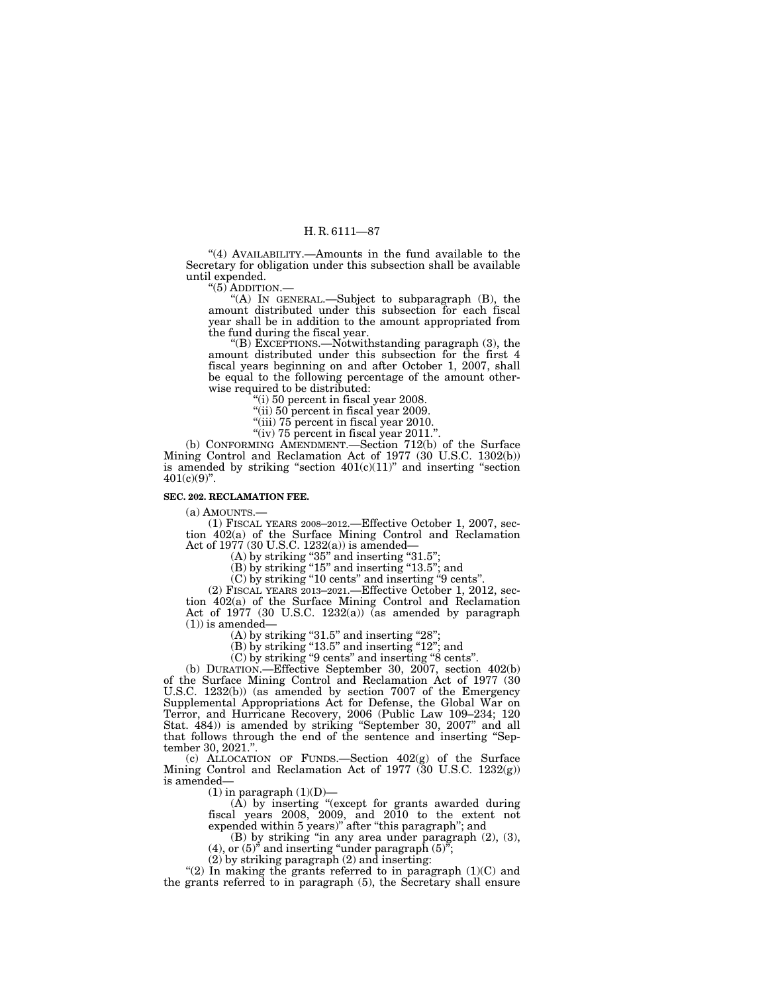"(4) AVAILABILITY.—Amounts in the fund available to the Secretary for obligation under this subsection shall be available until expended.<br>"(5) ADDITION.

"(A) IN GENERAL.—Subject to subparagraph (B), the amount distributed under this subsection for each fiscal year shall be in addition to the amount appropriated from the fund during the fiscal year.

"(B) EXCEPTIONS.—Notwithstanding paragraph  $(3)$ , the amount distributed under this subsection for the first 4 fiscal years beginning on and after October 1, 2007, shall be equal to the following percentage of the amount otherwise required to be distributed:

''(i) 50 percent in fiscal year 2008.

''(ii) 50 percent in fiscal year 2009.

"(iii) 75 percent in fiscal year 2010.

"(iv)  $75$  percent in fiscal year 2011.".

(b) CONFORMING AMENDMENT.—Section 712(b) of the Surface Mining Control and Reclamation Act of 1977 (30 U.S.C. 1302(b)) is amended by striking "section  $401(c)(11)$ " and inserting "section  $401(c)(9)$ ".

## **SEC. 202. RECLAMATION FEE.**

(a) AMOUNTS.—

(1) FISCAL YEARS 2008–2012.—Effective October 1, 2007, section 402(a) of the Surface Mining Control and Reclamation Act of 1977 (30 U.S.C. 1232(a)) is amended—

 $(A)$  by striking "35" and inserting "31.5";

(B) by striking "15" and inserting "13.5"; and

(C) by striking ''10 cents'' and inserting ''9 cents''.

(2) FISCAL YEARS 2013–2021.—Effective October 1, 2012, section 402(a) of the Surface Mining Control and Reclamation Act of 1977 (30 U.S.C. 1232(a)) (as amended by paragraph (1)) is amended—

 $(A)$  by striking "31.5" and inserting "28";

 $(B)$  by striking "13.5" and inserting "12"; and

(C) by striking ''9 cents'' and inserting ''8 cents''.

(b) DURATION.—Effective September 30, 2007, section 402(b) of the Surface Mining Control and Reclamation Act of 1977 (30 U.S.C. 1232(b)) (as amended by section 7007 of the Emergency Supplemental Appropriations Act for Defense, the Global War on Terror, and Hurricane Recovery, 2006 (Public Law 109–234; 120 Stat. 484)) is amended by striking ''September 30, 2007'' and all that follows through the end of the sentence and inserting ''September 30, 2021.''.

(c) ALLOCATION OF FUNDS.—Section 402(g) of the Surface Mining Control and Reclamation Act of 1977 ( $\bar{3}0$  U.S.C. 1232 $(g)$ ) is amended—

 $(1)$  in paragraph  $(1)(D)$ —

(A) by inserting ''(except for grants awarded during fiscal years 2008, 2009, and 2010 to the extent not expended within 5 years)'' after ''this paragraph''; and

(B) by striking ''in any area under paragraph (2), (3),  $(4)$ , or  $(5)$ <sup>"</sup> and inserting "under paragraph  $(5)$ ";

(2) by striking paragraph (2) and inserting:

"(2) In making the grants referred to in paragraph  $(1)(C)$  and the grants referred to in paragraph (5), the Secretary shall ensure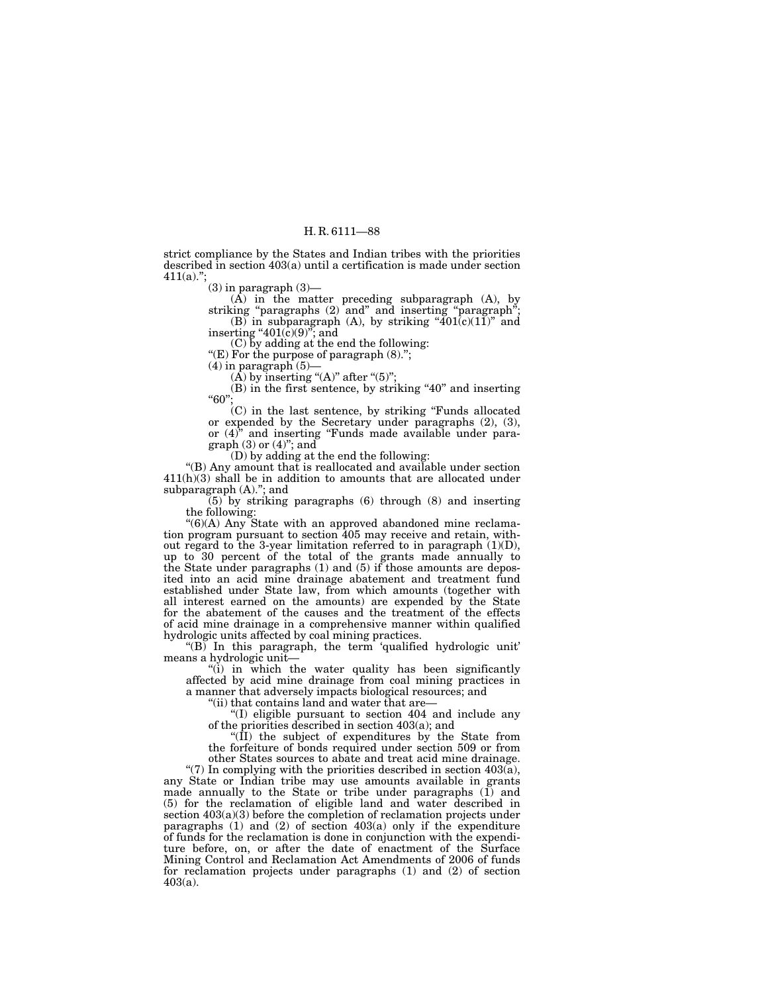strict compliance by the States and Indian tribes with the priorities described in section 403(a) until a certification is made under section  $411(a)$ .";

 $(3)$  in paragraph  $(3)$ —

(A) in the matter preceding subparagraph (A), by

striking "paragraphs (2) and" and inserting "paragraph"; (B) in subparagraph (A), by striking " $401(c)(11)$ " and inserting " $401(c)(9)$ "; and

(C) by adding at the end the following:

''(E) For the purpose of paragraph (8).'';

 $(4)$  in paragraph  $(5)$ -

 $(\overrightarrow{A})$  by inserting " $(A)$ " after " $(5)$ ";

(B) in the first sentence, by striking ''40'' and inserting ''60'';

(C) in the last sentence, by striking ''Funds allocated or expended by the Secretary under paragraphs (2), (3), or (4)'' and inserting ''Funds made available under para $graph (3)$  or  $(4)$ "; and

(D) by adding at the end the following:

''(B) Any amount that is reallocated and available under section 411(h)(3) shall be in addition to amounts that are allocated under subparagraph (A)."; and

(5) by striking paragraphs (6) through (8) and inserting the following:

''(6)(A) Any State with an approved abandoned mine reclamation program pursuant to section 405 may receive and retain, without regard to the 3-year limitation referred to in paragraph  $(1)(D)$ , up to 30 percent of the total of the grants made annually to the State under paragraphs (1) and (5) if those amounts are deposited into an acid mine drainage abatement and treatment fund established under State law, from which amounts (together with all interest earned on the amounts) are expended by the State for the abatement of the causes and the treatment of the effects of acid mine drainage in a comprehensive manner within qualified hydrologic units affected by coal mining practices.

''(B) In this paragraph, the term 'qualified hydrologic unit' means a hydrologic unit—

"(i) in which the water quality has been significantly affected by acid mine drainage from coal mining practices in a manner that adversely impacts biological resources; and

''(ii) that contains land and water that are—

''(I) eligible pursuant to section 404 and include any of the priorities described in section 403(a); and

"( $\overline{II}$ ) the subject of expenditures by the State from the forfeiture of bonds required under section 509 or from other States sources to abate and treat acid mine drainage.

" $(7)$  In complying with the priorities described in section 403 $(a)$ , any State or Indian tribe may use amounts available in grants made annually to the State or tribe under paragraphs (1) and (5) for the reclamation of eligible land and water described in section 403(a)(3) before the completion of reclamation projects under paragraphs (1) and (2) of section 403(a) only if the expenditure of funds for the reclamation is done in conjunction with the expenditure before, on, or after the date of enactment of the Surface Mining Control and Reclamation Act Amendments of 2006 of funds for reclamation projects under paragraphs (1) and (2) of section 403(a).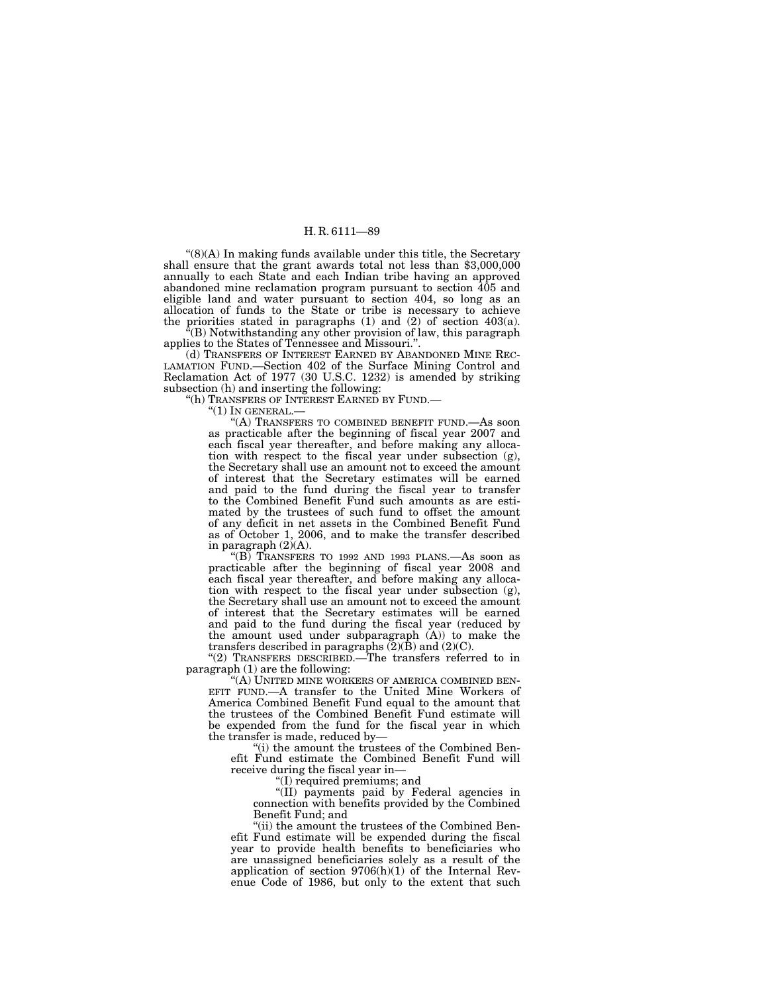$\mathcal{L}(8)(A)$  In making funds available under this title, the Secretary shall ensure that the grant awards total not less than \$3,000,000 annually to each State and each Indian tribe having an approved abandoned mine reclamation program pursuant to section 405 and eligible land and water pursuant to section 404, so long as an allocation of funds to the State or tribe is necessary to achieve the priorities stated in paragraphs (1) and (2) of section 403(a).

''(B) Notwithstanding any other provision of law, this paragraph applies to the States of Tennessee and Missouri.''.

(d) TRANSFERS OF INTEREST EARNED BY ABANDONED MINE REC- LAMATION FUND.—Section 402 of the Surface Mining Control and Reclamation Act of 1977 (30 U.S.C. 1232) is amended by striking subsection (h) and inserting the following:<br>"(h) TRANSFERS OF INTEREST EARNED BY FUND.—

"(1) IN GENERAL.—<br>"(A) TRANSFERS TO COMBINED BENEFIT FUND.—As soon as practicable after the beginning of fiscal year 2007 and each fiscal year thereafter, and before making any allocation with respect to the fiscal year under subsection (g), the Secretary shall use an amount not to exceed the amount of interest that the Secretary estimates will be earned and paid to the fund during the fiscal year to transfer to the Combined Benefit Fund such amounts as are estimated by the trustees of such fund to offset the amount of any deficit in net assets in the Combined Benefit Fund as of October 1, 2006, and to make the transfer described in paragraph  $(2)(A)$ .

''(B) TRANSFERS TO 1992 AND 1993 PLANS.—As soon as practicable after the beginning of fiscal year 2008 and each fiscal year thereafter, and before making any allocation with respect to the fiscal year under subsection (g), the Secretary shall use an amount not to exceed the amount of interest that the Secretary estimates will be earned and paid to the fund during the fiscal year (reduced by the amount used under subparagraph (A)) to make the transfers described in paragraphs (2)(B) and (2)(C).

''(2) TRANSFERS DESCRIBED.—The transfers referred to in paragraph (1) are the following:<br>
"(A) UNITED MINE WORKERS OF AMERICA COMBINED BEN-

EFIT FUND.—A transfer to the United Mine Workers of America Combined Benefit Fund equal to the amount that the trustees of the Combined Benefit Fund estimate will be expended from the fund for the fiscal year in which the transfer is made, reduced by—

(i) the amount the trustees of the Combined Benefit Fund estimate the Combined Benefit Fund will receive during the fiscal year in—

''(I) required premiums; and

''(II) payments paid by Federal agencies in connection with benefits provided by the Combined Benefit Fund; and

"(ii) the amount the trustees of the Combined Benefit Fund estimate will be expended during the fiscal year to provide health benefits to beneficiaries who are unassigned beneficiaries solely as a result of the application of section  $9706(h)(1)$  of the Internal Revenue Code of 1986, but only to the extent that such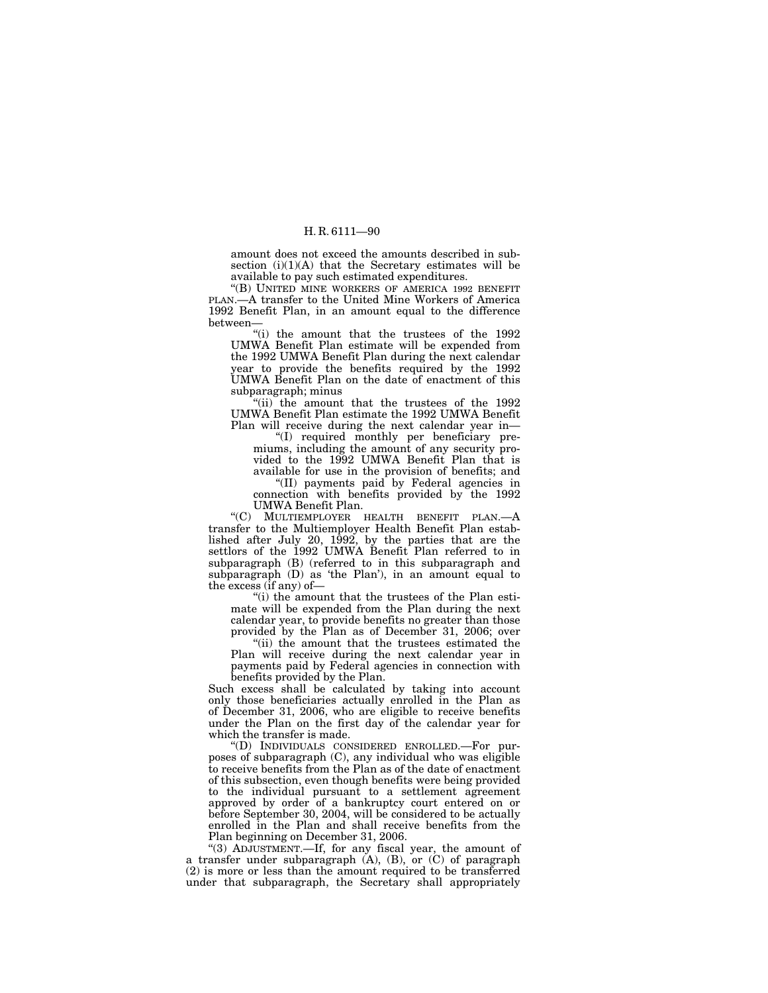amount does not exceed the amounts described in subsection  $(i)(1)(A)$  that the Secretary estimates will be available to pay such estimated expenditures.

''(B) UNITED MINE WORKERS OF AMERICA 1992 BENEFIT PLAN.—A transfer to the United Mine Workers of America 1992 Benefit Plan, in an amount equal to the difference between—

''(i) the amount that the trustees of the 1992 UMWA Benefit Plan estimate will be expended from the 1992 UMWA Benefit Plan during the next calendar year to provide the benefits required by the 1992 UMWA Benefit Plan on the date of enactment of this subparagraph; minus

"(ii) the amount that the trustees of the 1992 UMWA Benefit Plan estimate the 1992 UMWA Benefit Plan will receive during the next calendar year in—

''(I) required monthly per beneficiary premiums, including the amount of any security provided to the 1992 UMWA Benefit Plan that is available for use in the provision of benefits; and

''(II) payments paid by Federal agencies in connection with benefits provided by the 1992 UMWA Benefit Plan.

''(C) MULTIEMPLOYER HEALTH BENEFIT PLAN.—A transfer to the Multiemployer Health Benefit Plan established after July 20, 1992, by the parties that are the settlors of the 1992 UMWA Benefit Plan referred to in subparagraph (B) (referred to in this subparagraph and subparagraph (D) as 'the Plan'), in an amount equal to the excess (if any) of—

''(i) the amount that the trustees of the Plan estimate will be expended from the Plan during the next calendar year, to provide benefits no greater than those provided by the Plan as of December 31, 2006; over ''(ii) the amount that the trustees estimated the

Plan will receive during the next calendar year in payments paid by Federal agencies in connection with benefits provided by the Plan.

Such excess shall be calculated by taking into account only those beneficiaries actually enrolled in the Plan as of December 31, 2006, who are eligible to receive benefits under the Plan on the first day of the calendar year for which the transfer is made.

''(D) INDIVIDUALS CONSIDERED ENROLLED.—For purposes of subparagraph (C), any individual who was eligible to receive benefits from the Plan as of the date of enactment of this subsection, even though benefits were being provided to the individual pursuant to a settlement agreement approved by order of a bankruptcy court entered on or before September 30, 2004, will be considered to be actually enrolled in the Plan and shall receive benefits from the Plan beginning on December 31, 2006.

''(3) ADJUSTMENT.—If, for any fiscal year, the amount of a transfer under subparagraph (A), (B), or (C) of paragraph (2) is more or less than the amount required to be transferred under that subparagraph, the Secretary shall appropriately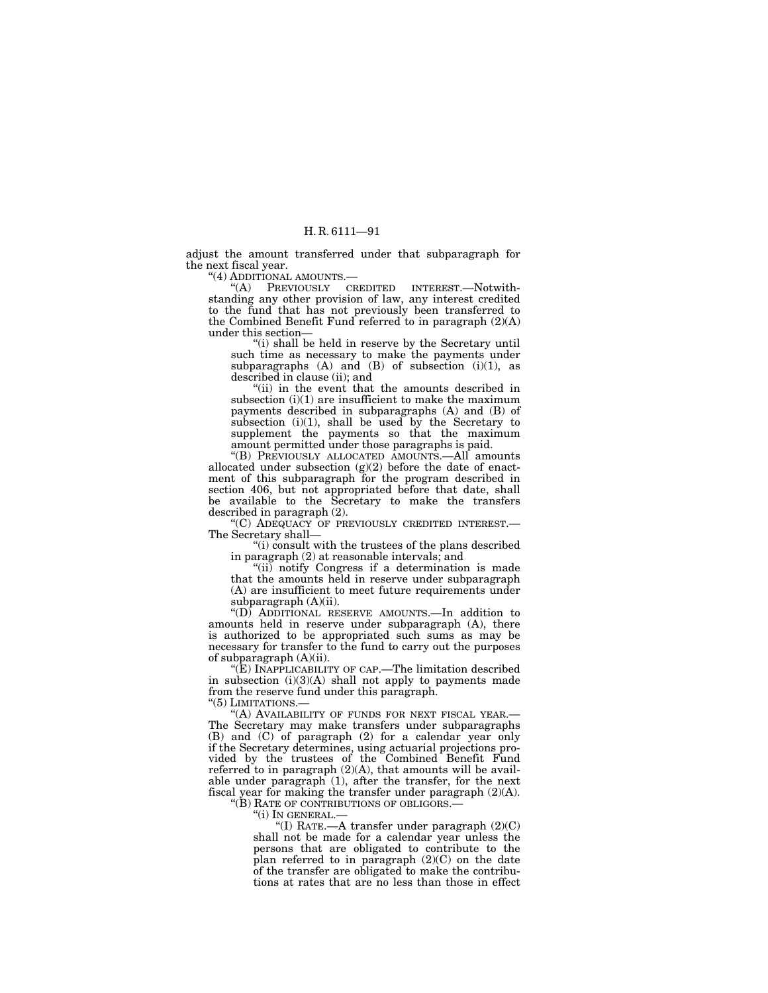adjust the amount transferred under that subparagraph for the next fiscal year.

''(4) ADDITIONAL AMOUNTS.—

''(A) PREVIOUSLY CREDITED INTEREST.—Notwithstanding any other provision of law, any interest credited to the fund that has not previously been transferred to the Combined Benefit Fund referred to in paragraph  $(2)(A)$ under this section—

''(i) shall be held in reserve by the Secretary until such time as necessary to make the payments under subparagraphs  $(A)$  and  $(B)$  of subsection  $(i)(1)$ , as described in clause (ii); and

''(ii) in the event that the amounts described in subsection (i)(1) are insufficient to make the maximum payments described in subparagraphs (A) and (B) of subsection (i)(1), shall be used by the Secretary to supplement the payments so that the maximum amount permitted under those paragraphs is paid.

''(B) PREVIOUSLY ALLOCATED AMOUNTS.—All amounts allocated under subsection (g)(2) before the date of enactment of this subparagraph for the program described in section 406, but not appropriated before that date, shall be available to the Secretary to make the transfers described in paragraph (2).

''(C) ADEQUACY OF PREVIOUSLY CREDITED INTEREST.— The Secretary shall—

''(i) consult with the trustees of the plans described in paragraph (2) at reasonable intervals; and

''(ii) notify Congress if a determination is made that the amounts held in reserve under subparagraph (A) are insufficient to meet future requirements under subparagraph (A)(ii).

''(D) ADDITIONAL RESERVE AMOUNTS.—In addition to amounts held in reserve under subparagraph (A), there is authorized to be appropriated such sums as may be necessary for transfer to the fund to carry out the purposes of subparagraph (A)(ii).

(E) INAPPLICABILITY OF CAP.—The limitation described in subsection  $(i)(3)(A)$  shall not apply to payments made from the reserve fund under this paragraph.

"(5) LIMITATIONS.-

'(A) AVAILABILITY OF FUNDS FOR NEXT FISCAL YEAR.-The Secretary may make transfers under subparagraphs (B) and (C) of paragraph (2) for a calendar year only if the Secretary determines, using actuarial projections provided by the trustees of the Combined Benefit Fund referred to in paragraph  $(2)(A)$ , that amounts will be available under paragraph (1), after the transfer, for the next fiscal year for making the transfer under paragraph (2)(A).

"(B) RATE OF CONTRIBUTIONS OF OBLIGORS.<br>"(i) IN GENERAL.—

"(I) RATE.—A transfer under paragraph  $(2)(C)$ shall not be made for a calendar year unless the persons that are obligated to contribute to the plan referred to in paragraph (2)(C) on the date of the transfer are obligated to make the contributions at rates that are no less than those in effect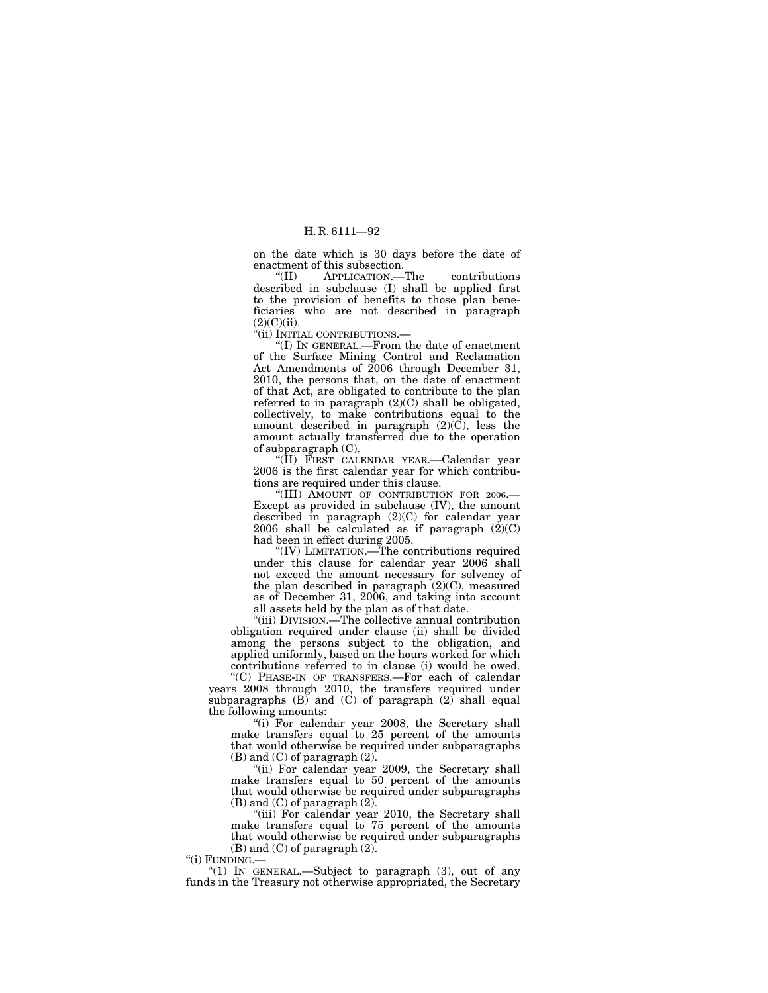on the date which is 30 days before the date of enactment of this subsection.<br>
"(II) APPLICATION.

APPLICATION.—The contributions described in subclause (I) shall be applied first to the provision of benefits to those plan beneficiaries who are not described in paragraph  $(2)(C)(ii).$ 

''(ii) INITIAL CONTRIBUTIONS.—

''(I) IN GENERAL.—From the date of enactment of the Surface Mining Control and Reclamation Act Amendments of 2006 through December 31, 2010, the persons that, on the date of enactment of that Act, are obligated to contribute to the plan referred to in paragraph (2)(C) shall be obligated, collectively, to make contributions equal to the amount described in paragraph  $(2)(\vec{C})$ , less the amount actually transferred due to the operation of subparagraph (C).

''(II) FIRST CALENDAR YEAR.—Calendar year 2006 is the first calendar year for which contributions are required under this clause.

''(III) AMOUNT OF CONTRIBUTION FOR 2006.— Except as provided in subclause (IV), the amount described in paragraph (2)(C) for calendar year 2006 shall be calculated as if paragraph  $(2)(C)$ had been in effect during 2005.

''(IV) LIMITATION.—The contributions required under this clause for calendar year 2006 shall not exceed the amount necessary for solvency of the plan described in paragraph  $(2)(C)$ , measured as of December 31, 2006, and taking into account all assets held by the plan as of that date.

''(iii) DIVISION.—The collective annual contribution obligation required under clause (ii) shall be divided among the persons subject to the obligation, and applied uniformly, based on the hours worked for which contributions referred to in clause (i) would be owed.

''(C) PHASE-IN OF TRANSFERS.—For each of calendar years 2008 through 2010, the transfers required under subparagraphs (B) and (C) of paragraph (2) shall equal the following amounts:

"(i) For calendar year 2008, the Secretary shall make transfers equal to 25 percent of the amounts that would otherwise be required under subparagraphs (B) and (C) of paragraph (2).

"(ii) For calendar year 2009, the Secretary shall make transfers equal to 50 percent of the amounts that would otherwise be required under subparagraphs (B) and (C) of paragraph (2).

"(iii) For calendar year 2010, the Secretary shall make transfers equal to 75 percent of the amounts that would otherwise be required under subparagraphs (B) and (C) of paragraph (2).

"(i) FUNDING.-

" $(1)$  In GENERAL.—Subject to paragraph  $(3)$ , out of any funds in the Treasury not otherwise appropriated, the Secretary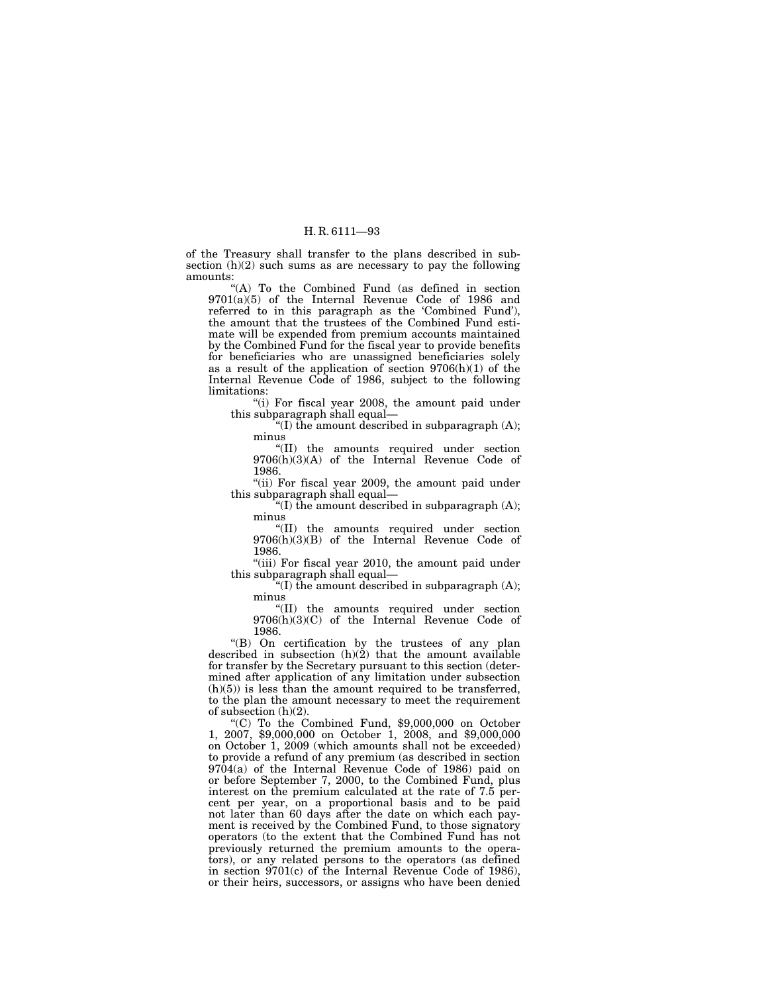of the Treasury shall transfer to the plans described in subsection  $(h)(2)$  such sums as are necessary to pay the following amounts:

''(A) To the Combined Fund (as defined in section 9701(a)(5) of the Internal Revenue Code of 1986 and referred to in this paragraph as the 'Combined Fund'), the amount that the trustees of the Combined Fund estimate will be expended from premium accounts maintained by the Combined Fund for the fiscal year to provide benefits for beneficiaries who are unassigned beneficiaries solely as a result of the application of section 9706(h)(1) of the Internal Revenue Code of 1986, subject to the following limitations:

''(i) For fiscal year 2008, the amount paid under this subparagraph shall equal—

''(I) the amount described in subparagraph (A); minus

''(II) the amounts required under section 9706(h)(3)(A) of the Internal Revenue Code of 1986.

"(ii) For fiscal year 2009, the amount paid under this subparagraph shall equal—

"(I) the amount described in subparagraph  $(A)$ ; minus

''(II) the amounts required under section 9706(h)(3)(B) of the Internal Revenue Code of 1986.

"(iii) For fiscal year 2010, the amount paid under this subparagraph shall equal—

 $f''(I)$  the amount described in subparagraph  $(A)$ ; minus

''(II) the amounts required under section 9706(h)(3)(C) of the Internal Revenue Code of 1986.

''(B) On certification by the trustees of any plan described in subsection (h)(2) that the amount available for transfer by the Secretary pursuant to this section (determined after application of any limitation under subsection  $(h)(5)$  is less than the amount required to be transferred, to the plan the amount necessary to meet the requirement of subsection (h)(2).

''(C) To the Combined Fund, \$9,000,000 on October 1, 2007, \$9,000,000 on October 1, 2008, and \$9,000,000 on October 1, 2009 (which amounts shall not be exceeded) to provide a refund of any premium (as described in section 9704(a) of the Internal Revenue Code of 1986) paid on or before September 7, 2000, to the Combined Fund, plus interest on the premium calculated at the rate of 7.5 percent per year, on a proportional basis and to be paid not later than 60 days after the date on which each payment is received by the Combined Fund, to those signatory operators (to the extent that the Combined Fund has not previously returned the premium amounts to the operators), or any related persons to the operators (as defined in section 9701(c) of the Internal Revenue Code of 1986), or their heirs, successors, or assigns who have been denied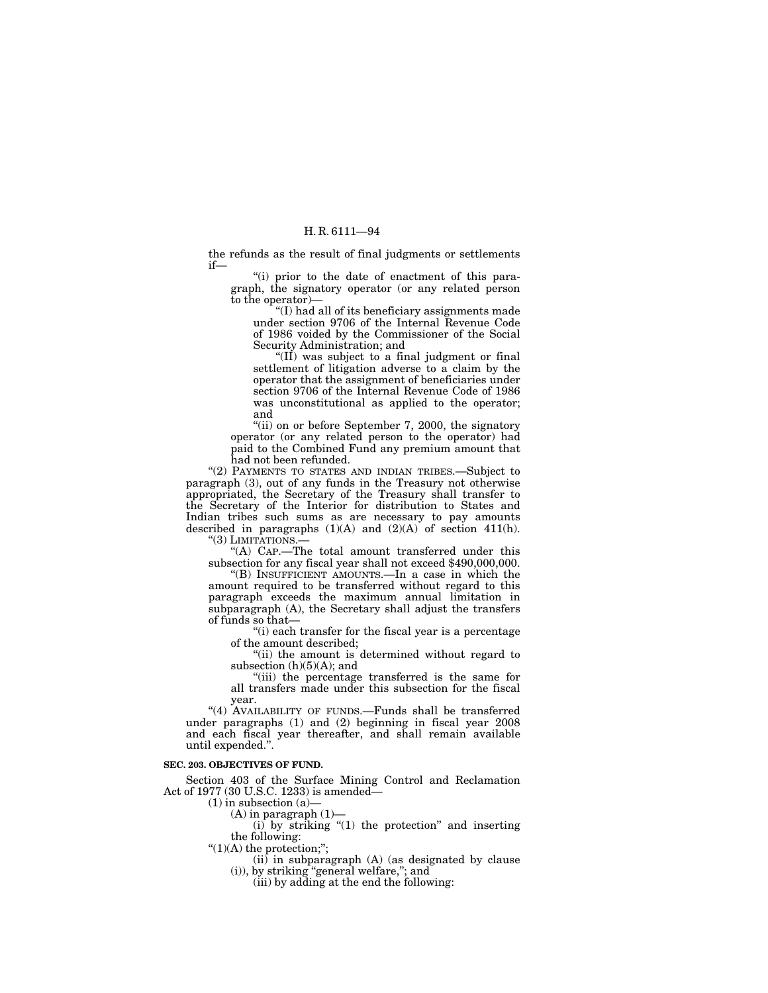the refunds as the result of final judgments or settlements if—

 $(i)$  prior to the date of enactment of this paragraph, the signatory operator (or any related person to the operator)—

''(I) had all of its beneficiary assignments made under section 9706 of the Internal Revenue Code of 1986 voided by the Commissioner of the Social Security Administration; and

''(II) was subject to a final judgment or final settlement of litigation adverse to a claim by the operator that the assignment of beneficiaries under section 9706 of the Internal Revenue Code of 1986 was unconstitutional as applied to the operator; and

"(ii) on or before September 7, 2000, the signatory operator (or any related person to the operator) had paid to the Combined Fund any premium amount that had not been refunded.

''(2) PAYMENTS TO STATES AND INDIAN TRIBES.—Subject to paragraph (3), out of any funds in the Treasury not otherwise appropriated, the Secretary of the Treasury shall transfer to the Secretary of the Interior for distribution to States and Indian tribes such sums as are necessary to pay amounts described in paragraphs  $(1)(A)$  and  $(2)(A)$  of section 411(h). "(3) LIMITATIONS.-

"(A) CAP.—The total amount transferred under this subsection for any fiscal year shall not exceed \$490,000,000.

''(B) INSUFFICIENT AMOUNTS.—In a case in which the amount required to be transferred without regard to this paragraph exceeds the maximum annual limitation in subparagraph (A), the Secretary shall adjust the transfers of funds so that—

''(i) each transfer for the fiscal year is a percentage of the amount described;

"(ii) the amount is determined without regard to subsection  $(h)(5)(A)$ ; and

''(iii) the percentage transferred is the same for all transfers made under this subsection for the fiscal year.

"(4) AVAILABILITY OF FUNDS.—Funds shall be transferred under paragraphs (1) and (2) beginning in fiscal year 2008 and each fiscal year thereafter, and shall remain available until expended.''.

#### **SEC. 203. OBJECTIVES OF FUND.**

Section 403 of the Surface Mining Control and Reclamation Act of 1977 (30 U.S.C. 1233) is amended—

 $(1)$  in subsection  $(a)$ 

 $(A)$  in paragraph  $(1)$ –

(i) by striking ''(1) the protection'' and inserting the following:

"(1)(A) the protection;";

(ii) in subparagraph (A) (as designated by clause (i)), by striking ''general welfare,''; and

(iii) by adding at the end the following: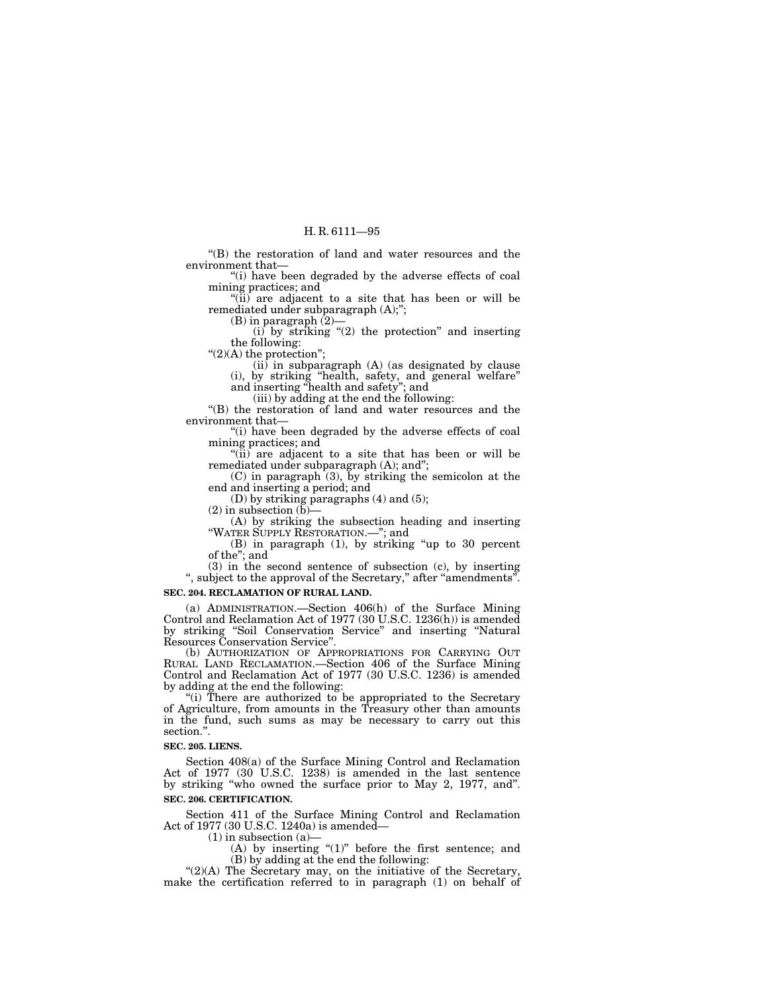''(B) the restoration of land and water resources and the environment that—

"(i) have been degraded by the adverse effects of coal mining practices; and

"(ii) are adjacent to a site that has been or will be remediated under subparagraph (A);'';

 $(B)$  in paragraph  $(2)$ –

 $(i)$  by striking "(2) the protection" and inserting the following:

 $"(2)(A)$  the protection";

(ii) in subparagraph (A) (as designated by clause (i), by striking ''health, safety, and general welfare''

and inserting ''health and safety''; and

(iii) by adding at the end the following: ''(B) the restoration of land and water resources and the environment that—

"(i) have been degraded by the adverse effects of coal mining practices; and

"(ii) are adjacent to a site that has been or will be remediated under subparagraph (A); and'';

(C) in paragraph (3), by striking the semicolon at the end and inserting a period; and

(D) by striking paragraphs (4) and (5);

 $(2)$  in subsection  $(b)$ –

(A) by striking the subsection heading and inserting ''WATER SUPPLY RESTORATION.—''; and

(B) in paragraph (1), by striking ''up to 30 percent of the''; and

(3) in the second sentence of subsection (c), by inserting ", subject to the approval of the Secretary," after "amendments".

## **SEC. 204. RECLAMATION OF RURAL LAND.**

(a) ADMINISTRATION.—Section 406(h) of the Surface Mining Control and Reclamation Act of 1977 (30 U.S.C. 1236(h)) is amended by striking ''Soil Conservation Service'' and inserting ''Natural Resources Conservation Service''.

(b) AUTHORIZATION OF APPROPRIATIONS FOR CARRYING OUT RURAL LAND RECLAMATION.—Section 406 of the Surface Mining Control and Reclamation Act of 1977 (30 U.S.C. 1236) is amended by adding at the end the following:

"(i) There are authorized to be appropriated to the Secretary of Agriculture, from amounts in the Treasury other than amounts in the fund, such sums as may be necessary to carry out this section.".

#### **SEC. 205. LIENS.**

Section 408(a) of the Surface Mining Control and Reclamation Act of 1977 (30 U.S.C. 1238) is amended in the last sentence by striking ''who owned the surface prior to May 2, 1977, and''.

## **SEC. 206. CERTIFICATION.**

Section 411 of the Surface Mining Control and Reclamation Act of 1977 (30 U.S.C. 1240a) is amended—

 $(1)$  in subsection  $(a)$ 

(A) by inserting ''(1)'' before the first sentence; and (B) by adding at the end the following:

" $(2)(A)$  The Secretary may, on the initiative of the Secretary, make the certification referred to in paragraph (1) on behalf of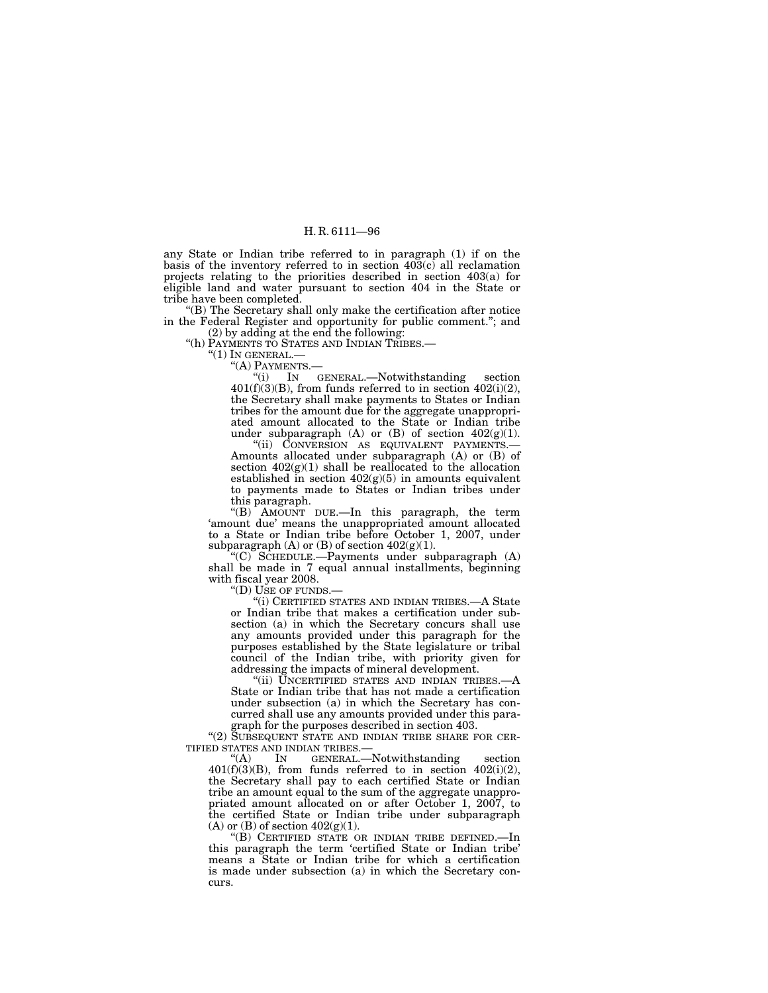any State or Indian tribe referred to in paragraph (1) if on the basis of the inventory referred to in section  $40\overline{3}$ (c) all reclamation projects relating to the priorities described in section 403(a) for eligible land and water pursuant to section 404 in the State or tribe have been completed.

''(B) The Secretary shall only make the certification after notice in the Federal Register and opportunity for public comment.''; and (2) by adding at the end the following:

''(h) PAYMENTS TO STATES AND INDIAN TRIBES.—

" $(1)$  In GENERAL.—<br>" $(A)$  PAYMENTS.

"(i) IN GENERAL.—Notwithstanding section  $401(f)(3)(B)$ , from funds referred to in section  $402(i)(2)$ , the Secretary shall make payments to States or Indian tribes for the amount due for the aggregate unappropriated amount allocated to the State or Indian tribe under subparagraph  $(A)$  or  $(B)$  of section  $402(g)(1)$ .

"(ii) CONVERSION AS EQUIVALENT PAYMENTS.— Amounts allocated under subparagraph (A) or (B) of section  $402(g)(1)$  shall be reallocated to the allocation established in section  $402(g)(5)$  in amounts equivalent to payments made to States or Indian tribes under this paragraph.

''(B) AMOUNT DUE.—In this paragraph, the term 'amount due' means the unappropriated amount allocated to a State or Indian tribe before October 1, 2007, under subparagraph  $(A)$  or  $(B)$  of section  $402(g)(1)$ .

''(C) SCHEDULE.—Payments under subparagraph (A) shall be made in 7 equal annual installments, beginning with fiscal year 2008.

''(D) USE OF FUNDS.—

"(i) CERTIFIED STATES AND INDIAN TRIBES.—A State or Indian tribe that makes a certification under subsection (a) in which the Secretary concurs shall use any amounts provided under this paragraph for the purposes established by the State legislature or tribal council of the Indian tribe, with priority given for addressing the impacts of mineral development.

(ii) UNCERTIFIED STATES AND INDIAN TRIBES.—A State or Indian tribe that has not made a certification under subsection (a) in which the Secretary has concurred shall use any amounts provided under this paragraph for the purposes described in section 403.

"(2) SUBSEQUENT STATE AND INDIAN TRIBE SHARE FOR CER-TIFIED STATES AND INDIAN TRIBES.<br>"(A)  $\;$  IN  $\;$  GENERAL.

GENERAL.—Notwithstanding section  $401(f)(3)(B)$ , from funds referred to in section  $402(i)(2)$ , the Secretary shall pay to each certified State or Indian tribe an amount equal to the sum of the aggregate unappropriated amount allocated on or after October 1, 2007, to the certified State or Indian tribe under subparagraph (A) or (B) of section  $402(g)(1)$ .

''(B) CERTIFIED STATE OR INDIAN TRIBE DEFINED.—In this paragraph the term 'certified State or Indian tribe' means a State or Indian tribe for which a certification is made under subsection (a) in which the Secretary concurs.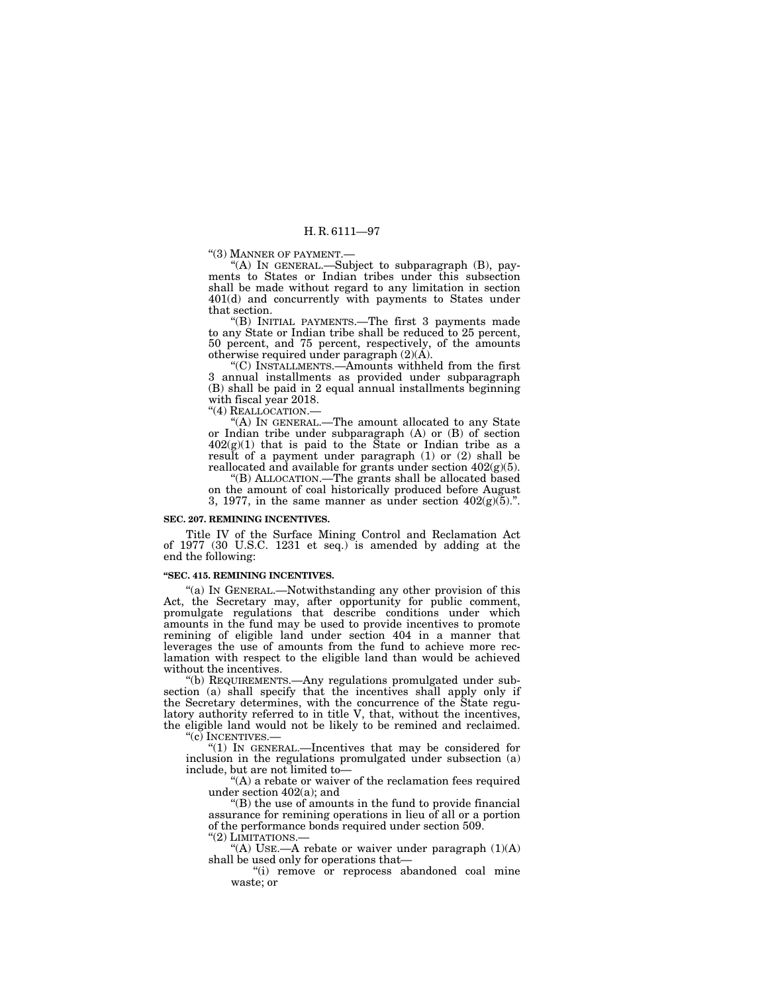''(3) MANNER OF PAYMENT.—

"(A) IN GENERAL.—Subject to subparagraph  $(B)$ , payments to States or Indian tribes under this subsection shall be made without regard to any limitation in section 401(d) and concurrently with payments to States under that section.

''(B) INITIAL PAYMENTS.—The first 3 payments made to any State or Indian tribe shall be reduced to 25 percent, 50 percent, and 75 percent, respectively, of the amounts otherwise required under paragraph (2)(A).

''(C) INSTALLMENTS.—Amounts withheld from the first 3 annual installments as provided under subparagraph (B) shall be paid in 2 equal annual installments beginning with fiscal year 2018.<br>"(4) REALLOCATION.—

"(A) IN GENERAL.—The amount allocated to any State or Indian tribe under subparagraph (A) or (B) of section  $402(g)(1)$  that is paid to the State or Indian tribe as a result of a payment under paragraph (1) or (2) shall be reallocated and available for grants under section  $402(g)(5)$ .

''(B) ALLOCATION.—The grants shall be allocated based on the amount of coal historically produced before August 3, 1977, in the same manner as under section  $402(g)(5)$ .".

#### **SEC. 207. REMINING INCENTIVES.**

Title IV of the Surface Mining Control and Reclamation Act of 1977 (30 U.S.C. 1231 et seq.) is amended by adding at the end the following:

#### **''SEC. 415. REMINING INCENTIVES.**

"(a) IN GENERAL.—Notwithstanding any other provision of this Act, the Secretary may, after opportunity for public comment, promulgate regulations that describe conditions under which amounts in the fund may be used to provide incentives to promote remining of eligible land under section 404 in a manner that leverages the use of amounts from the fund to achieve more reclamation with respect to the eligible land than would be achieved without the incentives.

''(b) REQUIREMENTS.—Any regulations promulgated under subsection (a) shall specify that the incentives shall apply only if the Secretary determines, with the concurrence of the State regulatory authority referred to in title V, that, without the incentives, the eligible land would not be likely to be remined and reclaimed.

"(c) INCENTIVES.—

''(1) IN GENERAL.—Incentives that may be considered for inclusion in the regulations promulgated under subsection (a) include, but are not limited to—

 $(A)$  a rebate or waiver of the reclamation fees required under section 402(a); and

''(B) the use of amounts in the fund to provide financial assurance for remining operations in lieu of all or a portion of the performance bonds required under section 509.

"(2) LIMITATIONS.

"(A) USE.—A rebate or waiver under paragraph  $(1)(A)$ shall be used only for operations that—

''(i) remove or reprocess abandoned coal mine waste; or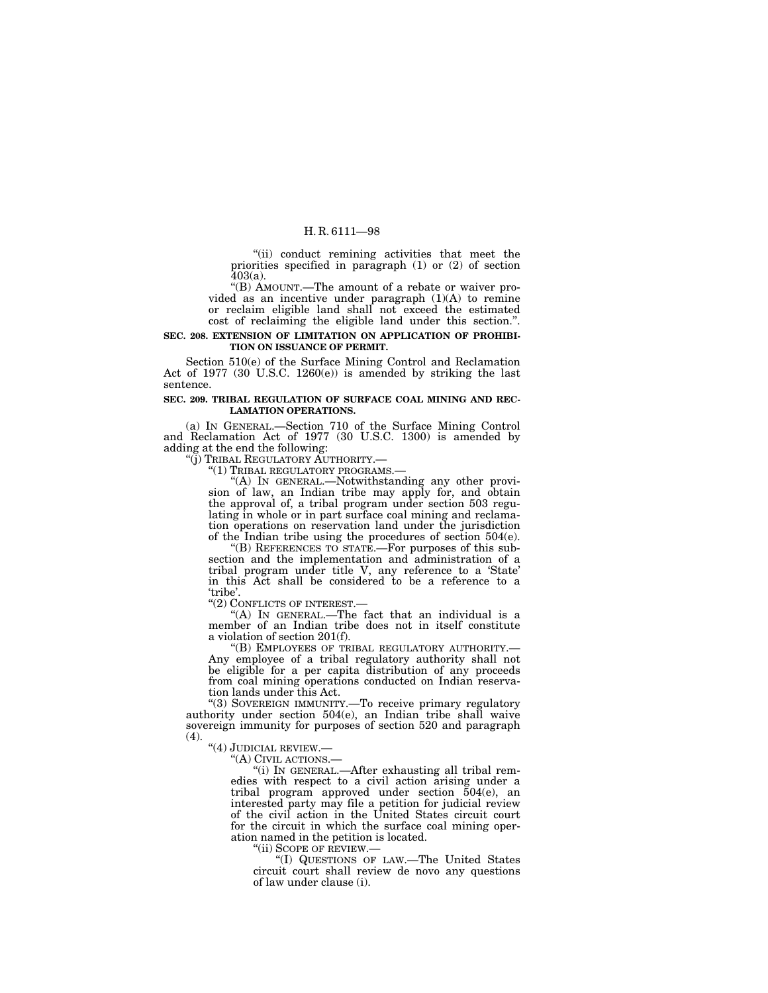"(ii) conduct remining activities that meet the priorities specified in paragraph (1) or (2) of section  $403(a)$ .

''(B) AMOUNT.—The amount of a rebate or waiver provided as an incentive under paragraph (1)(A) to remine or reclaim eligible land shall not exceed the estimated cost of reclaiming the eligible land under this section.''.

### **SEC. 208. EXTENSION OF LIMITATION ON APPLICATION OF PROHIBI-TION ON ISSUANCE OF PERMIT.**

Section 510(e) of the Surface Mining Control and Reclamation Act of 1977 (30 U.S.C. 1260(e)) is amended by striking the last sentence.

#### **SEC. 209. TRIBAL REGULATION OF SURFACE COAL MINING AND REC-LAMATION OPERATIONS.**

(a) IN GENERAL.—Section 710 of the Surface Mining Control and Reclamation Act of 1977 (30 U.S.C. 1300) is amended by adding at the end the following:<br>"(i) TRIBAL REGULATORY AUTHORITY.—

"(1) TRIBAL REGULATORY PROGRAMS.—<br>"(A) IN GENERAL.—Notwithstanding any other provision of law, an Indian tribe may apply for, and obtain the approval of, a tribal program under section 503 regulating in whole or in part surface coal mining and reclamation operations on reservation land under the jurisdiction of the Indian tribe using the procedures of section 504(e).

''(B) REFERENCES TO STATE.—For purposes of this subsection and the implementation and administration of a tribal program under title V, any reference to a 'State' in this Act shall be considered to be a reference to a 'tribe'.<br>"(2) CONFLICTS OF INTEREST.—

"(A) IN GENERAL.—The fact that an individual is a member of an Indian tribe does not in itself constitute a violation of section  $201(f)$ .<br>
"(B) EMPLOYEES OF TRIBAL REGULATORY AUTHORITY.

Any employee of a tribal regulatory authority shall not be eligible for a per capita distribution of any proceeds from coal mining operations conducted on Indian reservation lands under this Act.

"(3) SOVEREIGN IMMUNITY.-To receive primary regulatory authority under section 504(e), an Indian tribe shall waive sovereign immunity for purposes of section 520 and paragraph (4).  $"$ (4) JUDICIAL REVIEW.

"(A) CIVIL ACTIONS.—<br>"(i) IN GENERAL.—After exhausting all tribal remedies with respect to a civil action arising under a tribal program approved under section 504(e), an interested party may file a petition for judicial review of the civil action in the United States circuit court for the circuit in which the surface coal mining operation named in the petition is located.<br>"(ii) SCOPE OF REVIEW.—

"(I) QUESTIONS OF LAW.—The United States circuit court shall review de novo any questions of law under clause (i).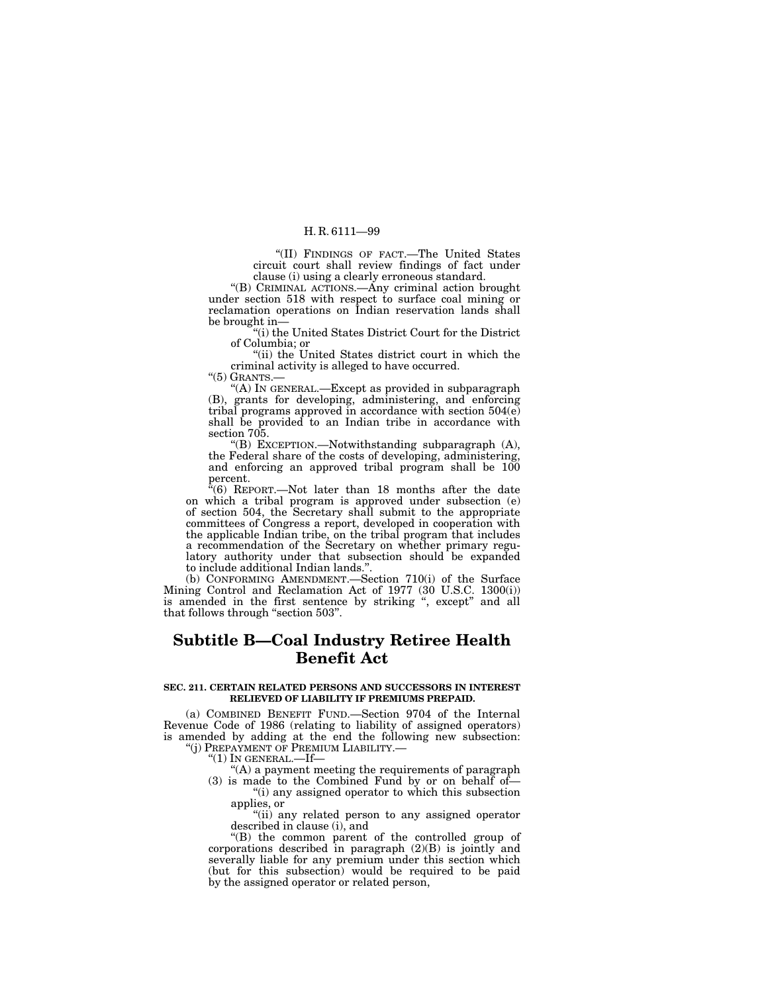''(II) FINDINGS OF FACT.—The United States circuit court shall review findings of fact under clause (i) using a clearly erroneous standard.

''(B) CRIMINAL ACTIONS.—Any criminal action brought under section 518 with respect to surface coal mining or reclamation operations on Indian reservation lands shall be brought in—

''(i) the United States District Court for the District of Columbia; or

"(ii) the United States district court in which the criminal activity is alleged to have occurred.

 $"(5)$  GRANTS.

''(A) IN GENERAL.—Except as provided in subparagraph (B), grants for developing, administering, and enforcing tribal programs approved in accordance with section 504(e) shall be provided to an Indian tribe in accordance with section 705.

''(B) EXCEPTION.—Notwithstanding subparagraph (A), the Federal share of the costs of developing, administering, and enforcing an approved tribal program shall be 100 percent.

''(6) REPORT.—Not later than 18 months after the date on which a tribal program is approved under subsection (e) of section 504, the Secretary shall submit to the appropriate committees of Congress a report, developed in cooperation with the applicable Indian tribe, on the tribal program that includes a recommendation of the Secretary on whether primary regulatory authority under that subsection should be expanded to include additional Indian lands.''.

(b) CONFORMING AMENDMENT.—Section 710(i) of the Surface Mining Control and Reclamation Act of 1977 (30 U.S.C. 1300(i)) is amended in the first sentence by striking '', except'' and all that follows through "section 503".

## **Subtitle B—Coal Industry Retiree Health Benefit Act**

## **SEC. 211. CERTAIN RELATED PERSONS AND SUCCESSORS IN INTEREST RELIEVED OF LIABILITY IF PREMIUMS PREPAID.**

(a) COMBINED BENEFIT FUND.—Section 9704 of the Internal Revenue Code of 1986 (relating to liability of assigned operators) is amended by adding at the end the following new subsection: ''(j) PREPAYMENT OF PREMIUM LIABILITY.—

 $"(1)$  In GENERAL.—If—

''(A) a payment meeting the requirements of paragraph (3) is made to the Combined Fund by or on behalf of—

''(i) any assigned operator to which this subsection applies, or

''(ii) any related person to any assigned operator described in clause (i), and

''(B) the common parent of the controlled group of corporations described in paragraph (2)(B) is jointly and severally liable for any premium under this section which (but for this subsection) would be required to be paid by the assigned operator or related person,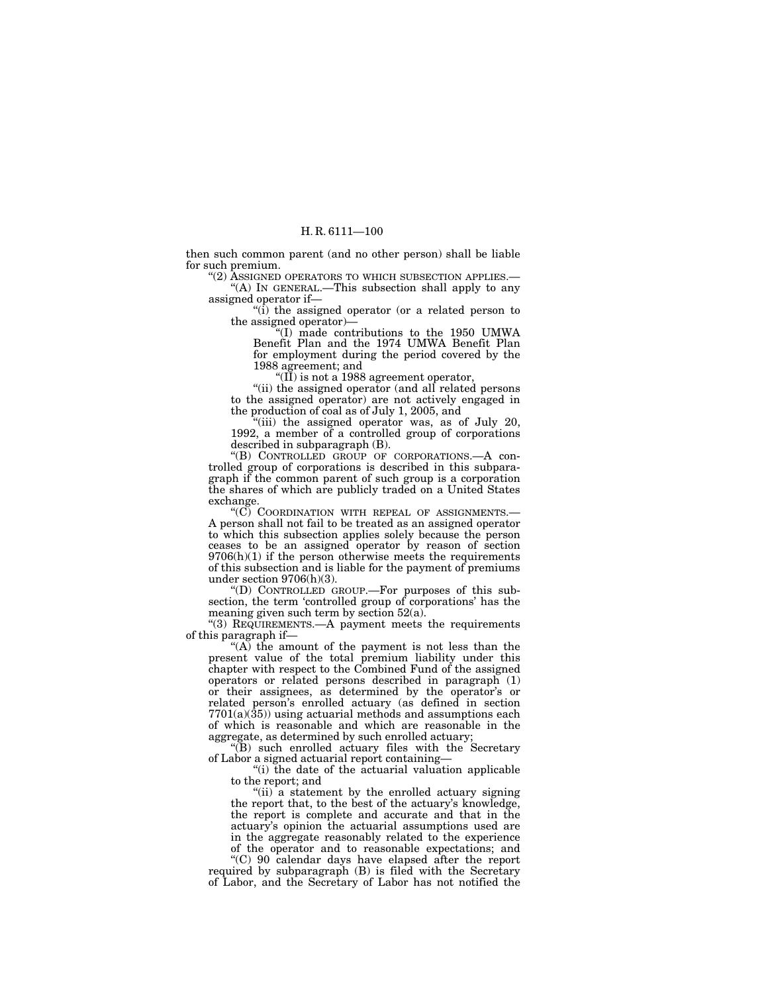then such common parent (and no other person) shall be liable for such premium.

''(2) ASSIGNED OPERATORS TO WHICH SUBSECTION APPLIES.—

''(A) IN GENERAL.—This subsection shall apply to any assigned operator if—

''(i) the assigned operator (or a related person to the assigned operator)—

''(I) made contributions to the 1950 UMWA Benefit Plan and the 1974 UMWA Benefit Plan for employment during the period covered by the 1988 agreement; and

" $(\tilde{II})$  is not a 1988 agreement operator,

"(ii) the assigned operator (and all related persons to the assigned operator) are not actively engaged in the production of coal as of July 1, 2005, and

 $(iii)$  the assigned operator was, as of July 20, 1992, a member of a controlled group of corporations described in subparagraph (B).

''(B) CONTROLLED GROUP OF CORPORATIONS.—A controlled group of corporations is described in this subparagraph if the common parent of such group is a corporation the shares of which are publicly traded on a United States exchange.

"(C) COORDINATION WITH REPEAL OF ASSIGNMENTS.-A person shall not fail to be treated as an assigned operator to which this subsection applies solely because the person ceases to be an assigned operator by reason of section  $9706(h)(1)$  if the person otherwise meets the requirements of this subsection and is liable for the payment of premiums under section 9706(h)(3).

''(D) CONTROLLED GROUP.—For purposes of this subsection, the term 'controlled group of corporations' has the meaning given such term by section  $52(a)$ .

''(3) REQUIREMENTS.—A payment meets the requirements of this paragraph if—

" $(A)$  the amount of the payment is not less than the present value of the total premium liability under this chapter with respect to the Combined Fund of the assigned operators or related persons described in paragraph (1) or their assignees, as determined by the operator's or related person's enrolled actuary (as defined in section  $7701(a)(35)$ ) using actuarial methods and assumptions each of which is reasonable and which are reasonable in the aggregate, as determined by such enrolled actuary;

''(B) such enrolled actuary files with the Secretary of Labor a signed actuarial report containing—

"(i) the date of the actuarial valuation applicable to the report; and

"(ii) a statement by the enrolled actuary signing the report that, to the best of the actuary's knowledge, the report is complete and accurate and that in the actuary's opinion the actuarial assumptions used are in the aggregate reasonably related to the experience of the operator and to reasonable expectations; and

''(C) 90 calendar days have elapsed after the report required by subparagraph (B) is filed with the Secretary of Labor, and the Secretary of Labor has not notified the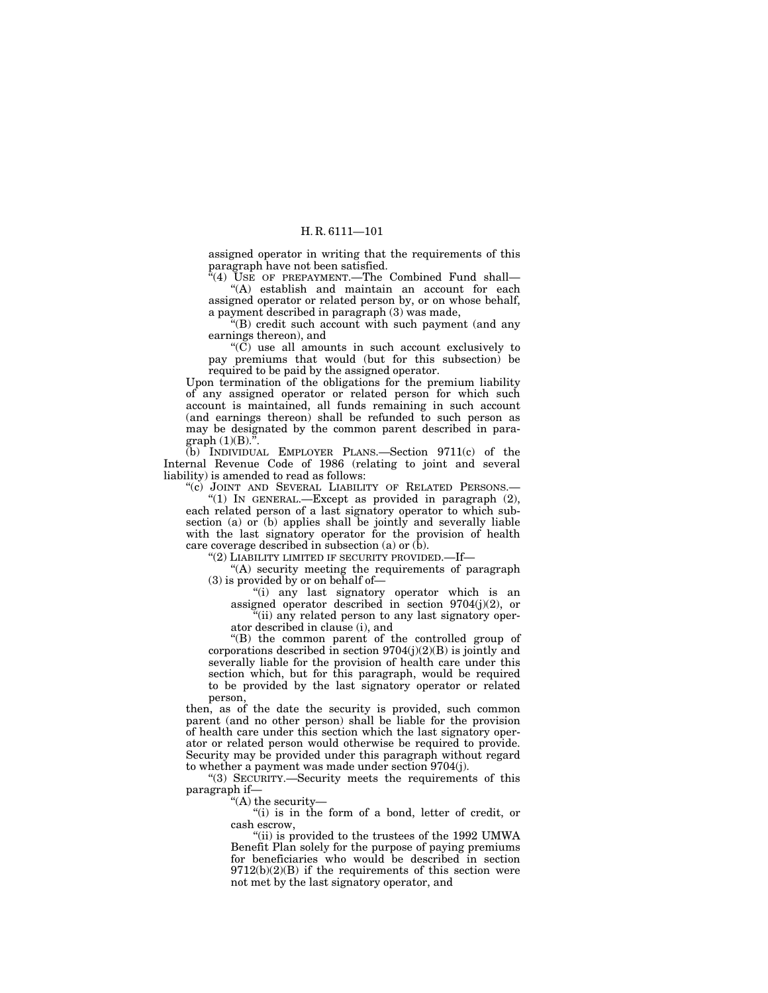assigned operator in writing that the requirements of this paragraph have not been satisfied.

"(4) USE OF PREPAYMENT.—The Combined Fund shall— ''(A) establish and maintain an account for each assigned operator or related person by, or on whose behalf, a payment described in paragraph (3) was made,

''(B) credit such account with such payment (and any earnings thereon), and

 $\rm C$ ) use all amounts in such account exclusively to pay premiums that would (but for this subsection) be required to be paid by the assigned operator.

Upon termination of the obligations for the premium liability of any assigned operator or related person for which such account is maintained, all funds remaining in such account  $(and\text{ earnings}$  thereon) shall be refunded to such person as may be designated by the common parent described in para $graph(1)(B).$ <sup>5</sup>

(b) INDIVIDUAL EMPLOYER PLANS.—Section 9711(c) of the Internal Revenue Code of 1986 (relating to joint and several liability) is amended to read as follows:

"(c) JOINT AND SEVERAL LIABILITY OF RELATED PERSONS.-"(1) IN GENERAL.—Except as provided in paragraph  $(2)$ ,

each related person of a last signatory operator to which subsection (a) or (b) applies shall be jointly and severally liable with the last signatory operator for the provision of health care coverage described in subsection (a) or (b).

"(2) LIABILITY LIMITED IF SECURITY PROVIDED.—If-

''(A) security meeting the requirements of paragraph (3) is provided by or on behalf of—

''(i) any last signatory operator which is an assigned operator described in section 9704(j)(2), or ''(ii) any related person to any last signatory oper-

ator described in clause (i), and

''(B) the common parent of the controlled group of corporations described in section 9704(j)(2)(B) is jointly and severally liable for the provision of health care under this section which, but for this paragraph, would be required to be provided by the last signatory operator or related person,

then, as of the date the security is provided, such common parent (and no other person) shall be liable for the provision of health care under this section which the last signatory operator or related person would otherwise be required to provide. Security may be provided under this paragraph without regard to whether a payment was made under section 9704(j).

"(3) SECURITY.—Security meets the requirements of this paragraph if—

''(A) the security—

"(i) is in the form of a bond, letter of credit, or cash escrow,

"(ii) is provided to the trustees of the 1992 UMWA Benefit Plan solely for the purpose of paying premiums for beneficiaries who would be described in section  $9712(b)(2)(B)$  if the requirements of this section were not met by the last signatory operator, and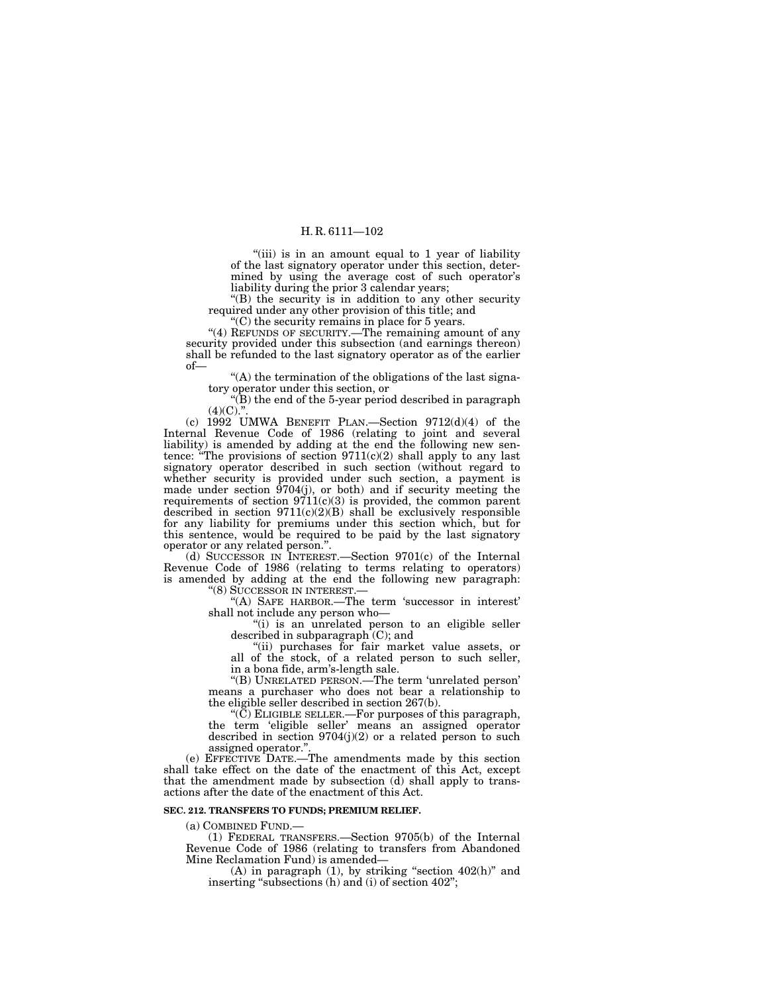"(iii) is in an amount equal to 1 year of liability of the last signatory operator under this section, determined by using the average cost of such operator's liability during the prior 3 calendar years;

''(B) the security is in addition to any other security required under any other provision of this title; and

''(C) the security remains in place for 5 years.

"(4) REFUNDS OF SECURITY.—The remaining amount of any security provided under this subsection (and earnings thereon) shall be refunded to the last signatory operator as of the earlier of—

 $(A)$  the termination of the obligations of the last signatory operator under this section, or

''(B) the end of the 5-year period described in paragraph  $(4)(C)$ ."

(c)  $1992$  UMWA BENEFIT PLAN.—Section  $9712(d)(4)$  of the Internal Revenue Code of 1986 (relating to joint and several liability) is amended by adding at the end the following new sentence: "The provisions of section  $9711(c)(2)$  shall apply to any last signatory operator described in such section (without regard to whether security is provided under such section, a payment is made under section 9704(j), or both) and if security meeting the requirements of section 9711(c)(3) is provided, the common parent described in section 9711(c)(2)(B) shall be exclusively responsible for any liability for premiums under this section which, but for this sentence, would be required to be paid by the last signatory operator or any related person.''.

(d) SUCCESSOR IN INTEREST.—Section 9701(c) of the Internal Revenue Code of 1986 (relating to terms relating to operators) is amended by adding at the end the following new paragraph: ''(8) SUCCESSOR IN INTEREST.—

''(A) SAFE HARBOR.—The term 'successor in interest' shall not include any person who—

''(i) is an unrelated person to an eligible seller described in subparagraph (C); and

"(ii) purchases for fair market value assets, or all of the stock, of a related person to such seller, in a bona fide, arm's-length sale.

''(B) UNRELATED PERSON.—The term 'unrelated person' means a purchaser who does not bear a relationship to the eligible seller described in section 267(b).

''(C) ELIGIBLE SELLER.—For purposes of this paragraph, the term 'eligible seller' means an assigned operator described in section 9704(j)(2) or a related person to such assigned operator.''.

(e) EFFECTIVE DATE.—The amendments made by this section shall take effect on the date of the enactment of this Act, except that the amendment made by subsection (d) shall apply to transactions after the date of the enactment of this Act.

#### **SEC. 212. TRANSFERS TO FUNDS; PREMIUM RELIEF.**

(a) COMBINED FUND.—

(1) FEDERAL TRANSFERS.—Section 9705(b) of the Internal Revenue Code of 1986 (relating to transfers from Abandoned Mine Reclamation Fund) is amended—

(A) in paragraph  $(1)$ , by striking "section  $402(h)$ " and inserting "subsections (h) and (i) of section 402";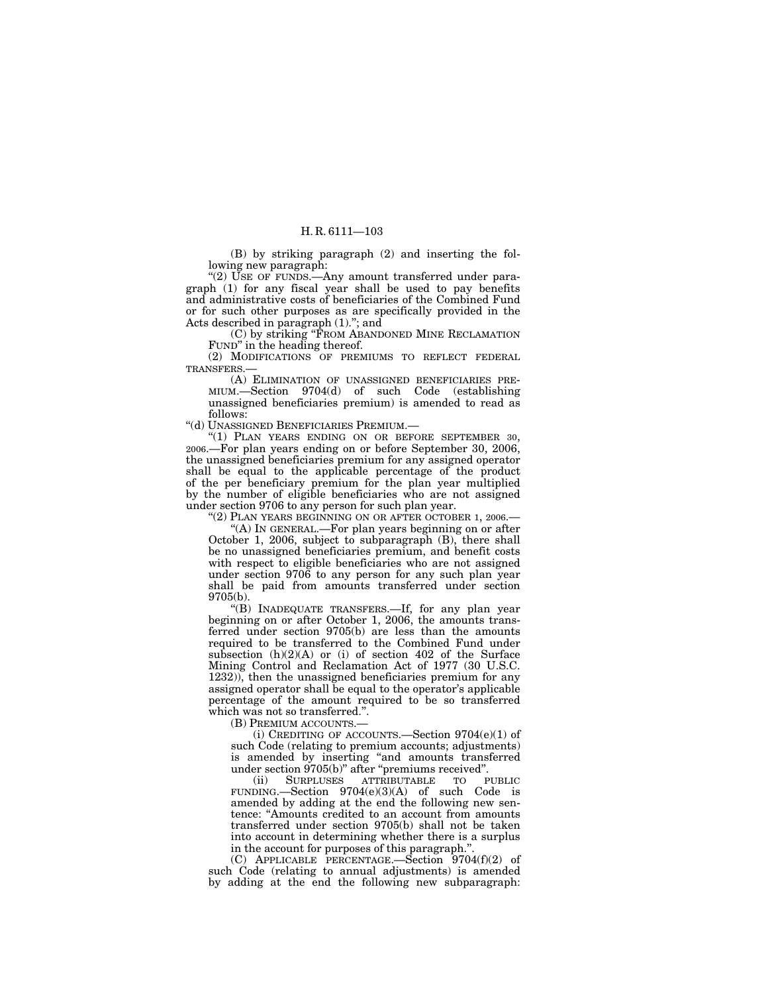(B) by striking paragraph (2) and inserting the following new paragraph:

"(2) USE OF FUNDS.—Any amount transferred under paragraph (1) for any fiscal year shall be used to pay benefits and administrative costs of beneficiaries of the Combined Fund or for such other purposes as are specifically provided in the Acts described in paragraph (1)."; and

(C) by striking ''FROM ABANDONED MINE RECLAMATION FUND'' in the heading thereof.

(2) MODIFICATIONS OF PREMIUMS TO REFLECT FEDERAL TRANSFERS.—

(A) ELIMINATION OF UNASSIGNED BENEFICIARIES PRE-MIUM.—Section 9704(d) of such Code (establishing unassigned beneficiaries premium) is amended to read as follows:

''(d) UNASSIGNED BENEFICIARIES PREMIUM.—

''(1) PLAN YEARS ENDING ON OR BEFORE SEPTEMBER 30, 2006.—For plan years ending on or before September 30, 2006, the unassigned beneficiaries premium for any assigned operator shall be equal to the applicable percentage of the product of the per beneficiary premium for the plan year multiplied by the number of eligible beneficiaries who are not assigned under section 9706 to any person for such plan year.

''(2) PLAN YEARS BEGINNING ON OR AFTER OCTOBER 1, 2006.—

''(A) IN GENERAL.—For plan years beginning on or after October 1, 2006, subject to subparagraph (B), there shall be no unassigned beneficiaries premium, and benefit costs with respect to eligible beneficiaries who are not assigned under section 9706 to any person for any such plan year shall be paid from amounts transferred under section 9705(b).

''(B) INADEQUATE TRANSFERS.—If, for any plan year beginning on or after October 1, 2006, the amounts transferred under section 9705(b) are less than the amounts required to be transferred to the Combined Fund under subsection  $(h)(2)(A)$  or (i) of section 402 of the Surface Mining Control and Reclamation Act of 1977 (30 U.S.C. 1232)), then the unassigned beneficiaries premium for any assigned operator shall be equal to the operator's applicable percentage of the amount required to be so transferred which was not so transferred.''.

(B) PREMIUM ACCOUNTS.—

(i) CREDITING OF ACCOUNTS.—Section 9704(e)(1) of such Code (relating to premium accounts; adjustments) is amended by inserting ''and amounts transferred under section 9705(b)" after "premiums received".<br>(ii) SURPLUSES ATTRIBUTABLE TO F

(ii) SURPLUSES ATTRIBUTABLE TO PUBLIC FUNDING.—Section 9704(e)(3)(A) of such Code is amended by adding at the end the following new sentence: ''Amounts credited to an account from amounts transferred under section 9705(b) shall not be taken into account in determining whether there is a surplus in the account for purposes of this paragraph."

(C) APPLICABLE PERCENTAGE.—Section 9704(f)(2) of such Code (relating to annual adjustments) is amended by adding at the end the following new subparagraph: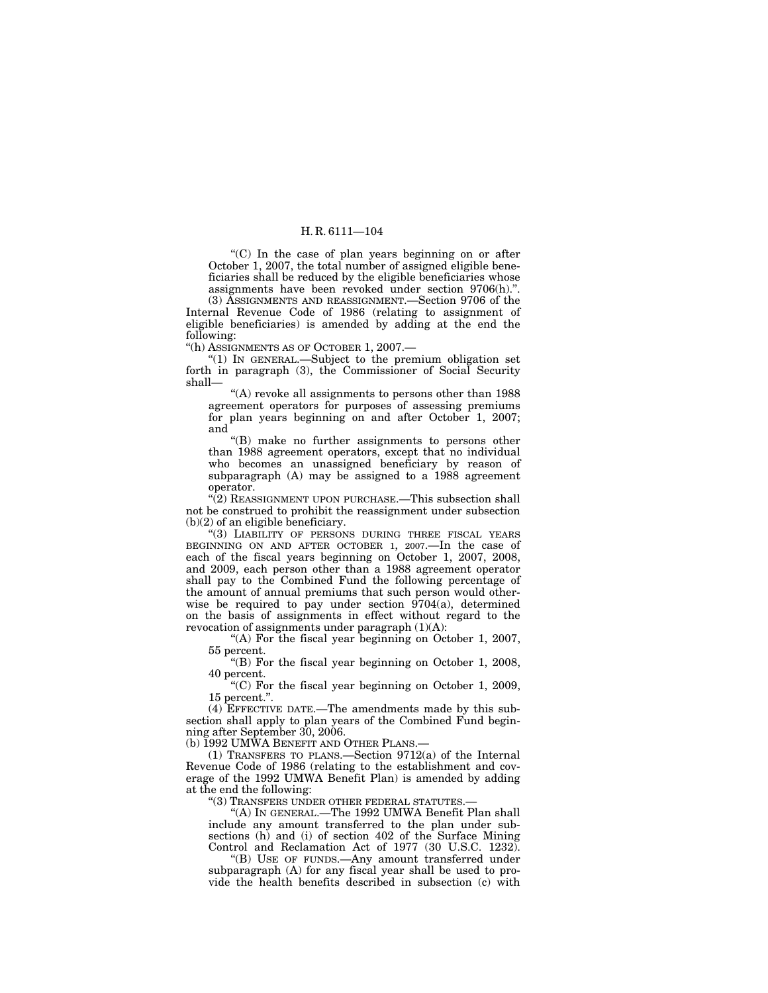''(C) In the case of plan years beginning on or after October 1, 2007, the total number of assigned eligible beneficiaries shall be reduced by the eligible beneficiaries whose assignments have been revoked under section 9706(h).''.

(3) ASSIGNMENTS AND REASSIGNMENT.—Section 9706 of the Internal Revenue Code of 1986 (relating to assignment of eligible beneficiaries) is amended by adding at the end the following:

''(h) ASSIGNMENTS AS OF OCTOBER 1, 2007.—

''(1) IN GENERAL.—Subject to the premium obligation set forth in paragraph (3), the Commissioner of Social Security shall—

"(A) revoke all assignments to persons other than 1988" agreement operators for purposes of assessing premiums for plan years beginning on and after October 1, 2007; and

''(B) make no further assignments to persons other than 1988 agreement operators, except that no individual who becomes an unassigned beneficiary by reason of subparagraph (A) may be assigned to a 1988 agreement operator.

"(2) REASSIGNMENT UPON PURCHASE.—This subsection shall not be construed to prohibit the reassignment under subsection (b)(2) of an eligible beneficiary.

"(3) LIABILITY OF PERSONS DURING THREE FISCAL YEARS BEGINNING ON AND AFTER OCTOBER 1, 2007.—In the case of each of the fiscal years beginning on October 1, 2007, 2008, and 2009, each person other than a 1988 agreement operator shall pay to the Combined Fund the following percentage of the amount of annual premiums that such person would otherwise be required to pay under section  $9704(a)$ , determined on the basis of assignments in effect without regard to the revocation of assignments under paragraph (1)(A):

"(A) For the fiscal year beginning on October 1, 2007, 55 percent.

''(B) For the fiscal year beginning on October 1, 2008, 40 percent.

''(C) For the fiscal year beginning on October 1, 2009, 15 percent.''.

(4) EFFECTIVE DATE.—The amendments made by this subsection shall apply to plan years of the Combined Fund beginning after September 30, 2006.

(b) 1992 UMWA BENEFIT AND OTHER PLANS.—

(1) TRANSFERS TO PLANS.—Section 9712(a) of the Internal Revenue Code of 1986 (relating to the establishment and coverage of the 1992 UMWA Benefit Plan) is amended by adding at the end the following:

''(3) TRANSFERS UNDER OTHER FEDERAL STATUTES.—

''(A) IN GENERAL.—The 1992 UMWA Benefit Plan shall include any amount transferred to the plan under subsections (h) and (i) of section 402 of the Surface Mining Control and Reclamation Act of 1977 (30 U.S.C. 1232).

''(B) USE OF FUNDS.—Any amount transferred under subparagraph (A) for any fiscal year shall be used to provide the health benefits described in subsection (c) with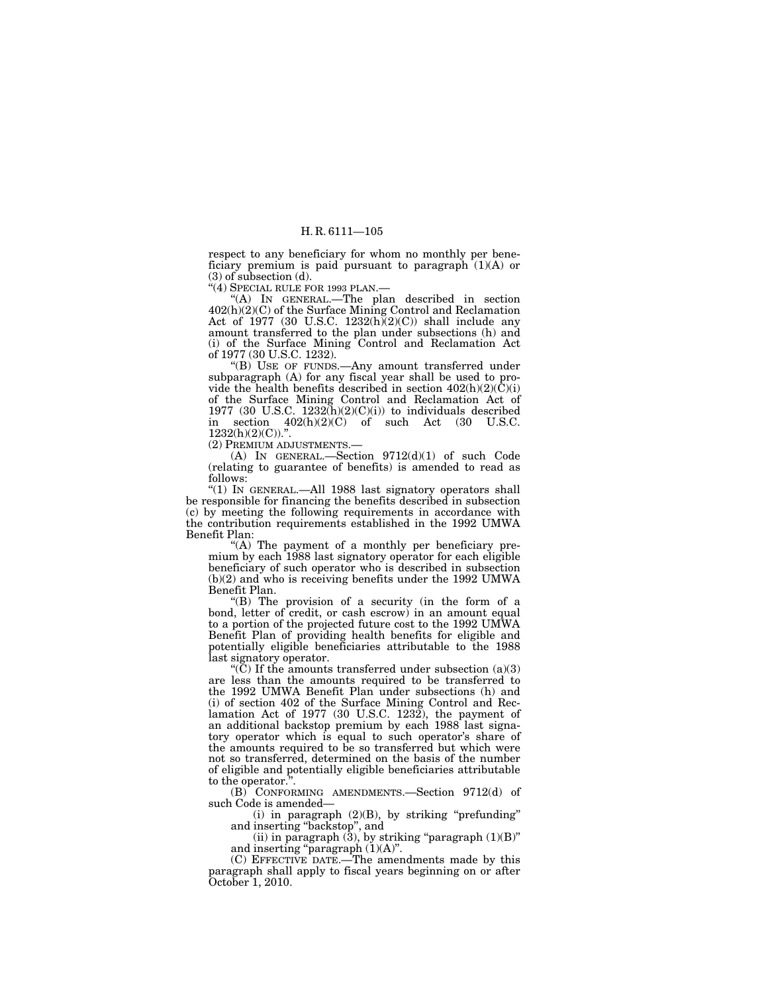respect to any beneficiary for whom no monthly per beneficiary premium is paid pursuant to paragraph  $(1)(A)$  or (3) of subsection (d).<br>"(4) SPECIAL RULE FOR 1993 PLAN.—

"(A) In GENERAL.—The plan described in section 402(h)(2)(C) of the Surface Mining Control and Reclamation Act of 1977 (30 U.S.C. 1232 $(h)(2)(C)$ ) shall include any amount transferred to the plan under subsections (h) and (i) of the Surface Mining Control and Reclamation Act of 1977 (30 U.S.C. 1232).

''(B) USE OF FUNDS.—Any amount transferred under subparagraph (A) for any fiscal year shall be used to provide the health benefits described in section  $402(h)(2)(\dot{C})(i)$ of the Surface Mining Control and Reclamation Act of 1977 (30 U.S.C. 1232 $(h)(2)(C)(i)$ ) to individuals described in section  $402(h)(2)(C)$  of such Act (30 U.S.C.  $1232(h)(2)(C)$ .".

(2) PREMIUM ADJUSTMENTS.—

(A) IN GENERAL.—Section 9712(d)(1) of such Code (relating to guarantee of benefits) is amended to read as follows:

''(1) IN GENERAL.—All 1988 last signatory operators shall be responsible for financing the benefits described in subsection (c) by meeting the following requirements in accordance with the contribution requirements established in the 1992 UMWA Benefit Plan:

"(A) The payment of a monthly per beneficiary premium by each 1988 last signatory operator for each eligible beneficiary of such operator who is described in subsection (b)(2) and who is receiving benefits under the 1992 UMWA Benefit Plan.

''(B) The provision of a security (in the form of a bond, letter of credit, or cash escrow) in an amount equal to a portion of the projected future cost to the 1992 UMWA Benefit Plan of providing health benefits for eligible and potentially eligible beneficiaries attributable to the 1988 last signatory operator.

 $\widetilde{C}$ ) If the amounts transferred under subsection (a)(3) are less than the amounts required to be transferred to the 1992 UMWA Benefit Plan under subsections (h) and (i) of section 402 of the Surface Mining Control and Reclamation Act of 1977 (30 U.S.C. 1232), the payment of an additional backstop premium by each 1988 last signatory operator which is equal to such operator's share of the amounts required to be so transferred but which were not so transferred, determined on the basis of the number of eligible and potentially eligible beneficiaries attributable to the operator.

(B) CONFORMING AMENDMENTS.—Section 9712(d) of such Code is amended—

(i) in paragraph  $(2)(B)$ , by striking "prefunding" and inserting ''backstop'', and

(ii) in paragraph  $(3)$ , by striking "paragraph  $(1)(B)$ " and inserting "paragraph  $(1)(A)$ ".

(C) EFFECTIVE DATE.—The amendments made by this paragraph shall apply to fiscal years beginning on or after October 1, 2010.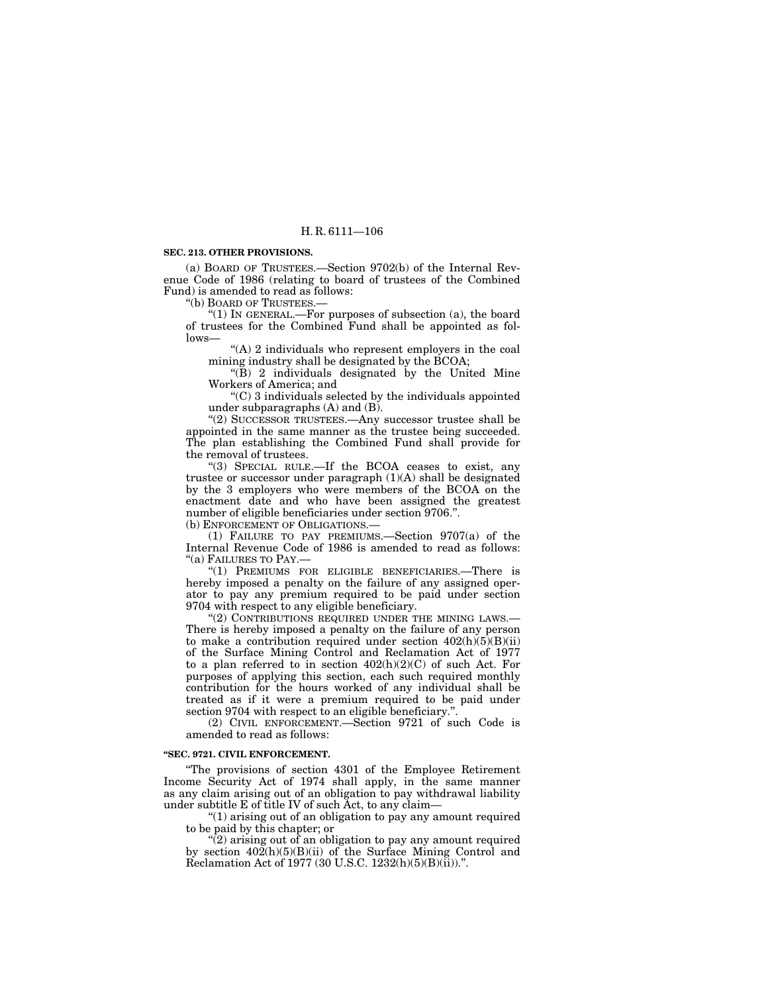#### **SEC. 213. OTHER PROVISIONS.**

(a) BOARD OF TRUSTEES.—Section 9702(b) of the Internal Revenue Code of 1986 (relating to board of trustees of the Combined Fund) is amended to read as follows:

''(b) BOARD OF TRUSTEES.—

" $(1)$  In GENERAL.—For purposes of subsection  $(a)$ , the board of trustees for the Combined Fund shall be appointed as follows—

" $(A)$  2 individuals who represent employers in the coal mining industry shall be designated by the BCOA;

''(B) 2 individuals designated by the United Mine Workers of America; and

 $C$ ) 3 individuals selected by the individuals appointed under subparagraphs (A) and (B).

"(2) SUCCESSOR TRUSTEES.—Any successor trustee shall be appointed in the same manner as the trustee being succeeded. The plan establishing the Combined Fund shall provide for the removal of trustees.

''(3) SPECIAL RULE.—If the BCOA ceases to exist, any trustee or successor under paragraph (1)(A) shall be designated by the 3 employers who were members of the BCOA on the enactment date and who have been assigned the greatest number of eligible beneficiaries under section 9706.''.

(b) ENFORCEMENT OF OBLIGATIONS.—

(1) FAILURE TO PAY PREMIUMS.—Section 9707(a) of the Internal Revenue Code of 1986 is amended to read as follows: ''(a) FAILURES TO PAY.—

''(1) PREMIUMS FOR ELIGIBLE BENEFICIARIES.—There is hereby imposed a penalty on the failure of any assigned operator to pay any premium required to be paid under section 9704 with respect to any eligible beneficiary.

"(2) CONTRIBUTIONS REQUIRED UNDER THE MINING LAWS.-There is hereby imposed a penalty on the failure of any person to make a contribution required under section  $402(h)(5)(B)(ii)$ of the Surface Mining Control and Reclamation Act of 1977 to a plan referred to in section  $402(h)(2)(C)$  of such Act. For purposes of applying this section, each such required monthly contribution for the hours worked of any individual shall be treated as if it were a premium required to be paid under section 9704 with respect to an eligible beneficiary."

(2) CIVIL ENFORCEMENT.—Section 9721 of such Code is amended to read as follows:

#### **''SEC. 9721. CIVIL ENFORCEMENT.**

''The provisions of section 4301 of the Employee Retirement Income Security Act of 1974 shall apply, in the same manner as any claim arising out of an obligation to pay withdrawal liability under subtitle E of title IV of such Act, to any claim-

''(1) arising out of an obligation to pay any amount required to be paid by this chapter; or

"(2) arising out of an obligation to pay any amount required by section 402(h)(5)(B)(ii) of the Surface Mining Control and Reclamation Act of 1977 (30 U.S.C. 1232(h)(5)(B)(ii)).''.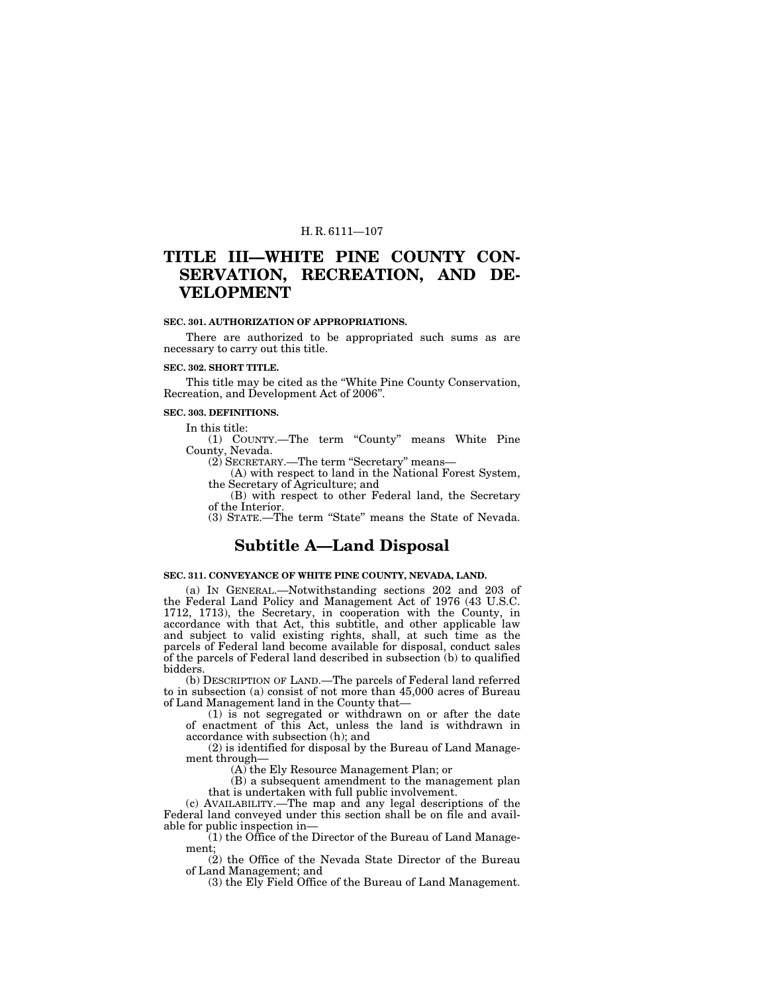# **TITLE III—WHITE PINE COUNTY CON-SERVATION, RECREATION, AND DE-VELOPMENT**

#### **SEC. 301. AUTHORIZATION OF APPROPRIATIONS.**

There are authorized to be appropriated such sums as are necessary to carry out this title.

#### **SEC. 302. SHORT TITLE.**

This title may be cited as the ''White Pine County Conservation, Recreation, and Development Act of 2006''.

#### **SEC. 303. DEFINITIONS.**

In this title:

(1) COUNTY.—The term ''County'' means White Pine County, Nevada.

(2) SECRETARY.—The term ''Secretary'' means—

(A) with respect to land in the National Forest System, the Secretary of Agriculture; and

(B) with respect to other Federal land, the Secretary of the Interior.

(3) STATE.—The term ''State'' means the State of Nevada.

## **Subtitle A—Land Disposal**

## **SEC. 311. CONVEYANCE OF WHITE PINE COUNTY, NEVADA, LAND.**

(a) IN GENERAL.—Notwithstanding sections 202 and 203 of the Federal Land Policy and Management Act of 1976 (43 U.S.C. 1712, 1713), the Secretary, in cooperation with the County, in accordance with that Act, this subtitle, and other applicable law and subject to valid existing rights, shall, at such time as the parcels of Federal land become available for disposal, conduct sales of the parcels of Federal land described in subsection (b) to qualified bidders.

(b) DESCRIPTION OF LAND.—The parcels of Federal land referred to in subsection (a) consist of not more than 45,000 acres of Bureau of Land Management land in the County that—

(1) is not segregated or withdrawn on or after the date of enactment of this Act, unless the land is withdrawn in accordance with subsection (h); and

(2) is identified for disposal by the Bureau of Land Management through—

(A) the Ely Resource Management Plan; or

(B) a subsequent amendment to the management plan that is undertaken with full public involvement.

(c) AVAILABILITY.—The map and any legal descriptions of the Federal land conveyed under this section shall be on file and available for public inspection in—

(1) the Office of the Director of the Bureau of Land Management;

(2) the Office of the Nevada State Director of the Bureau of Land Management; and

(3) the Ely Field Office of the Bureau of Land Management.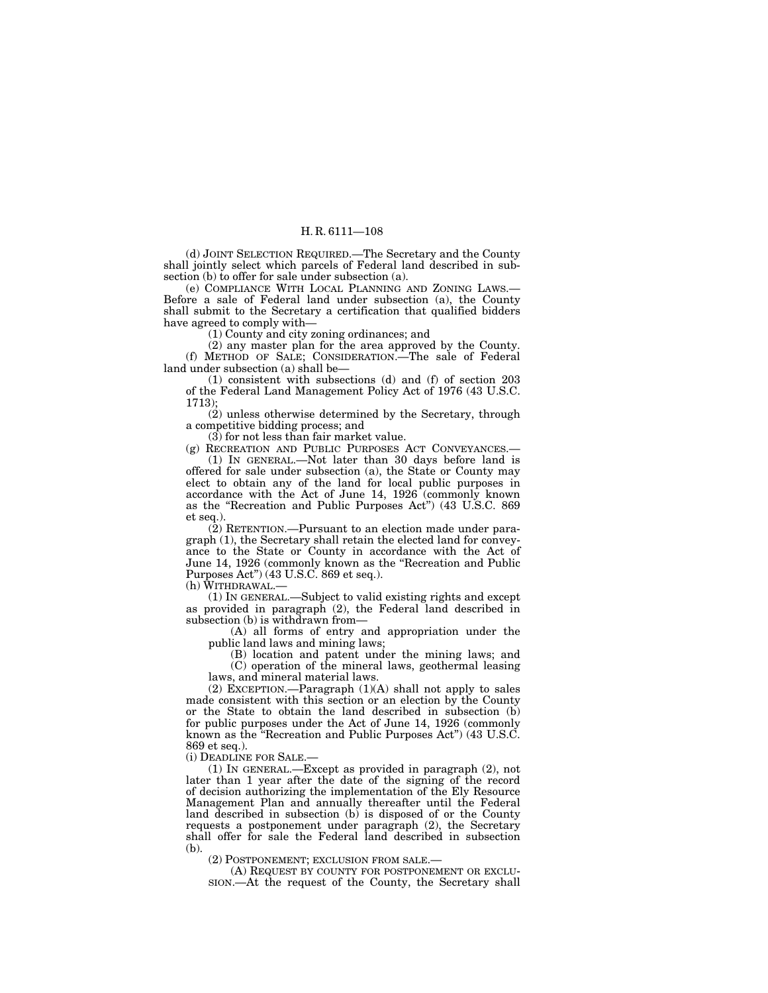(d) JOINT SELECTION REQUIRED.—The Secretary and the County shall jointly select which parcels of Federal land described in subsection (b) to offer for sale under subsection (a).

(e) COMPLIANCE WITH LOCAL PLANNING AND ZONING LAWS.— Before a sale of Federal land under subsection (a), the County shall submit to the Secretary a certification that qualified bidders have agreed to comply with—

(1) County and city zoning ordinances; and

(2) any master plan for the area approved by the County. (f) METHOD OF SALE; CONSIDERATION.—The sale of Federal land under subsection (a) shall be—

(1) consistent with subsections (d) and (f) of section 203 of the Federal Land Management Policy Act of 1976 (43 U.S.C. 1713);

(2) unless otherwise determined by the Secretary, through a competitive bidding process; and

(3) for not less than fair market value.

(g) RECREATION AND PUBLIC PURPOSES ACT CONVEYANCES.—

(1) IN GENERAL.—Not later than 30 days before land is offered for sale under subsection (a), the State or County may elect to obtain any of the land for local public purposes in accordance with the Act of June 14, 1926 (commonly known as the ''Recreation and Public Purposes Act'') (43 U.S.C. 869 et seq.).

(2) RETENTION.—Pursuant to an election made under paragraph (1), the Secretary shall retain the elected land for conveyance to the State or County in accordance with the Act of June 14, 1926 (commonly known as the ''Recreation and Public Purposes Act'') (43 U.S.C. 869 et seq.).

(h) WITHDRAWAL.—

(1) IN GENERAL.—Subject to valid existing rights and except as provided in paragraph (2), the Federal land described in subsection (b) is withdrawn from—

(A) all forms of entry and appropriation under the public land laws and mining laws;

(B) location and patent under the mining laws; and (C) operation of the mineral laws, geothermal leasing laws, and mineral material laws.

(2) EXCEPTION.—Paragraph (1)(A) shall not apply to sales made consistent with this section or an election by the County or the State to obtain the land described in subsection (b) for public purposes under the Act of June 14, 1926 (commonly known as the ''Recreation and Public Purposes Act'') (43 U.S.C. 869 et seq.).

(i) DEADLINE FOR SALE.—

(1) IN GENERAL.—Except as provided in paragraph (2), not later than 1 year after the date of the signing of the record of decision authorizing the implementation of the Ely Resource Management Plan and annually thereafter until the Federal land described in subsection (b) is disposed of or the County requests a postponement under paragraph (2), the Secretary shall offer for sale the Federal land described in subsection (b).

(2) POSTPONEMENT; EXCLUSION FROM SALE.—

(A) REQUEST BY COUNTY FOR POSTPONEMENT OR EXCLU-SION.—At the request of the County, the Secretary shall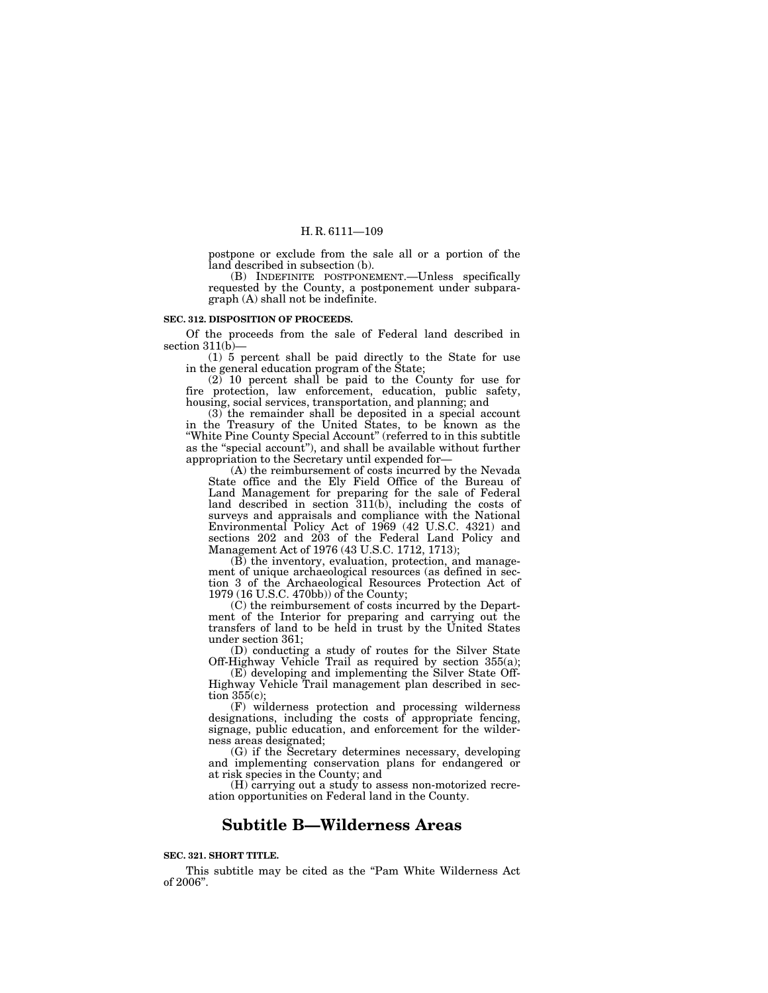postpone or exclude from the sale all or a portion of the land described in subsection (b).

(B) INDEFINITE POSTPONEMENT.—Unless specifically requested by the County, a postponement under subparagraph (A) shall not be indefinite.

### **SEC. 312. DISPOSITION OF PROCEEDS.**

Of the proceeds from the sale of Federal land described in section 311(b)—

(1) 5 percent shall be paid directly to the State for use in the general education program of the State;

(2) 10 percent shall be paid to the County for use for fire protection, law enforcement, education, public safety, housing, social services, transportation, and planning; and

(3) the remainder shall be deposited in a special account in the Treasury of the United States, to be known as the ''White Pine County Special Account'' (referred to in this subtitle as the ''special account''), and shall be available without further appropriation to the Secretary until expended for—

(A) the reimbursement of costs incurred by the Nevada State office and the Ely Field Office of the Bureau of Land Management for preparing for the sale of Federal land described in section 311(b), including the costs of surveys and appraisals and compliance with the National Environmental Policy Act of 1969 (42 U.S.C. 4321) and sections 202 and 203 of the Federal Land Policy and Management Act of 1976 (43 U.S.C. 1712, 1713);

(B) the inventory, evaluation, protection, and management of unique archaeological resources (as defined in section 3 of the Archaeological Resources Protection Act of 1979 (16 U.S.C. 470bb)) of the County;

(C) the reimbursement of costs incurred by the Department of the Interior for preparing and carrying out the transfers of land to be held in trust by the United States under section 361;

(D) conducting a study of routes for the Silver State Off-Highway Vehicle Trail as required by section 355(a);

(E) developing and implementing the Silver State Off-Highway Vehicle Trail management plan described in section  $355(c)$ ;

(F) wilderness protection and processing wilderness designations, including the costs of appropriate fencing, signage, public education, and enforcement for the wilderness areas designated;

(G) if the Secretary determines necessary, developing and implementing conservation plans for endangered or at risk species in the County; and

(H) carrying out a study to assess non-motorized recreation opportunities on Federal land in the County.

## **Subtitle B—Wilderness Areas**

### **SEC. 321. SHORT TITLE.**

This subtitle may be cited as the ''Pam White Wilderness Act of 2006''.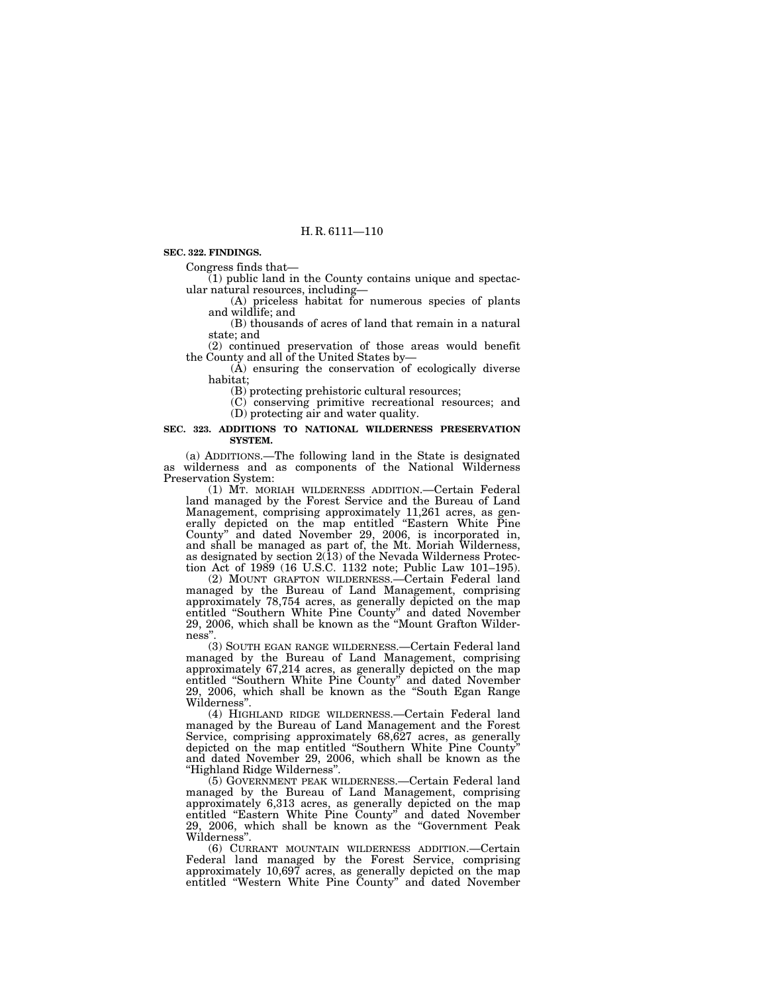### **SEC. 322. FINDINGS.**

Congress finds that—

 $(1)$  public land in the County contains unique and spectacular natural resources, including—

(A) priceless habitat for numerous species of plants and wildlife; and

(B) thousands of acres of land that remain in a natural state; and

(2) continued preservation of those areas would benefit the County and all of the United States by—

(A) ensuring the conservation of ecologically diverse habitat;

(B) protecting prehistoric cultural resources;

(C) conserving primitive recreational resources; and (D) protecting air and water quality.

#### **SEC. 323. ADDITIONS TO NATIONAL WILDERNESS PRESERVATION SYSTEM.**

(a) ADDITIONS.—The following land in the State is designated as wilderness and as components of the National Wilderness Preservation System:

(1) MT. MORIAH WILDERNESS ADDITION.—Certain Federal land managed by the Forest Service and the Bureau of Land Management, comprising approximately 11,261 acres, as generally depicted on the map entitled ''Eastern White Pine County'' and dated November 29, 2006, is incorporated in, and shall be managed as part of, the Mt. Moriah Wilderness, as designated by section 2(13) of the Nevada Wilderness Protection Act of 1989 (16 U.S.C. 1132 note; Public Law 101–195).

(2) MOUNT GRAFTON WILDERNESS.—Certain Federal land managed by the Bureau of Land Management, comprising approximately 78,754 acres, as generally depicted on the map entitled ''Southern White Pine County'' and dated November 29, 2006, which shall be known as the ''Mount Grafton Wilderness"

(3) SOUTH EGAN RANGE WILDERNESS.—Certain Federal land managed by the Bureau of Land Management, comprising approximately 67,214 acres, as generally depicted on the map entitled ''Southern White Pine County'' and dated November 29, 2006, which shall be known as the ''South Egan Range Wilderness''.

(4) HIGHLAND RIDGE WILDERNESS.—Certain Federal land managed by the Bureau of Land Management and the Forest Service, comprising approximately 68,627 acres, as generally depicted on the map entitled ''Southern White Pine County'' and dated November 29, 2006, which shall be known as the ''Highland Ridge Wilderness''.

(5) GOVERNMENT PEAK WILDERNESS.—Certain Federal land managed by the Bureau of Land Management, comprising approximately 6,313 acres, as generally depicted on the map entitled ''Eastern White Pine County'' and dated November 29, 2006, which shall be known as the ''Government Peak Wilderness'

(6) CURRANT MOUNTAIN WILDERNESS ADDITION.—Certain Federal land managed by the Forest Service, comprising approximately 10,697 acres, as generally depicted on the map entitled ''Western White Pine County'' and dated November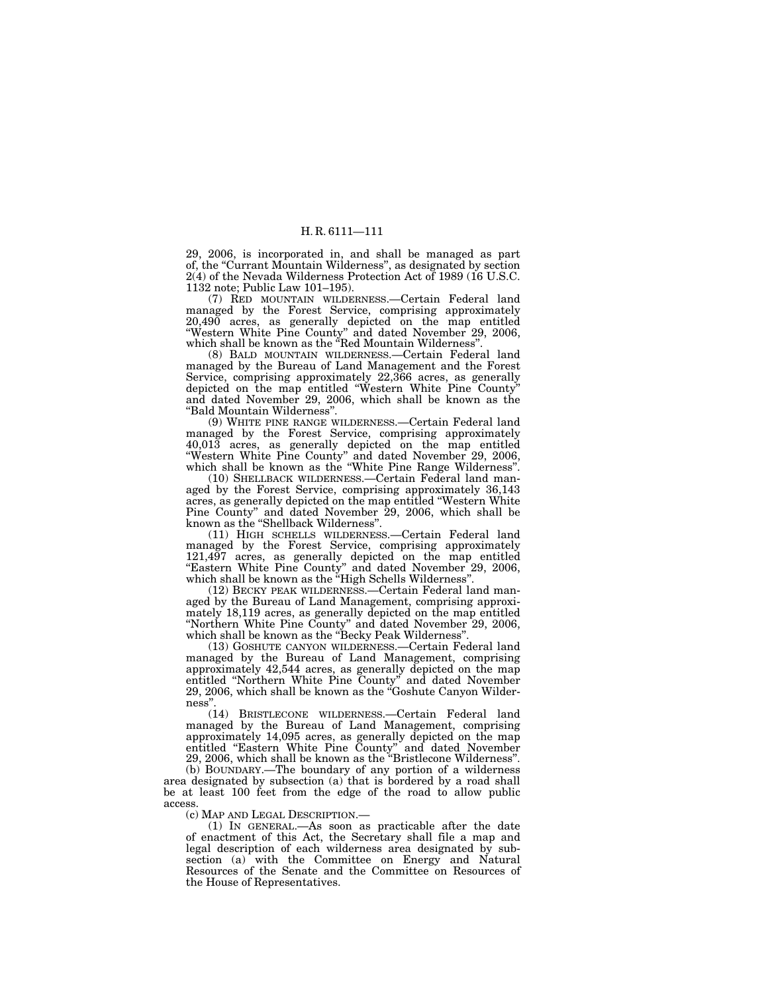29, 2006, is incorporated in, and shall be managed as part of, the "Currant Mountain Wilderness", as designated by section 2(4) of the Nevada Wilderness Protection Act of 1989 (16 U.S.C. 1132 note; Public Law 101–195).

(7) RED MOUNTAIN WILDERNESS.—Certain Federal land managed by the Forest Service, comprising approximately 20,490 acres, as generally depicted on the map entitled ''Western White Pine County'' and dated November 29, 2006, which shall be known as the "Red Mountain Wilderness".

(8) BALD MOUNTAIN WILDERNESS.—Certain Federal land managed by the Bureau of Land Management and the Forest Service, comprising approximately 22,366 acres, as generally depicted on the map entitled ''Western White Pine County'' and dated November 29, 2006, which shall be known as the ''Bald Mountain Wilderness''.

(9) WHITE PINE RANGE WILDERNESS.—Certain Federal land managed by the Forest Service, comprising approximately 40,013 acres, as generally depicted on the map entitled ''Western White Pine County'' and dated November 29, 2006, which shall be known as the ''White Pine Range Wilderness''.

(10) SHELLBACK WILDERNESS.—Certain Federal land managed by the Forest Service, comprising approximately 36,143 acres, as generally depicted on the map entitled ''Western White Pine County'' and dated November 29, 2006, which shall be known as the ''Shellback Wilderness''.

(11) HIGH SCHELLS WILDERNESS.—Certain Federal land managed by the Forest Service, comprising approximately 121,497 acres, as generally depicted on the map entitled ''Eastern White Pine County'' and dated November 29, 2006, which shall be known as the ''High Schells Wilderness''.

(12) BECKY PEAK WILDERNESS.—Certain Federal land managed by the Bureau of Land Management, comprising approximately 18,119 acres, as generally depicted on the map entitled ''Northern White Pine County'' and dated November 29, 2006, which shall be known as the "Becky Peak Wilderness"

(13) GOSHUTE CANYON WILDERNESS.—Certain Federal land managed by the Bureau of Land Management, comprising approximately 42,544 acres, as generally depicted on the map entitled ''Northern White Pine County'' and dated November 29, 2006, which shall be known as the "Goshute Canyon Wilderness''.

(14) BRISTLECONE WILDERNESS.—Certain Federal land managed by the Bureau of Land Management, comprising approximately 14,095 acres, as generally depicted on the map entitled ''Eastern White Pine County'' and dated November 29, 2006, which shall be known as the ''Bristlecone Wilderness''.

(b) BOUNDARY.—The boundary of any portion of a wilderness area designated by subsection (a) that is bordered by a road shall be at least 100 feet from the edge of the road to allow public access.<br>(c) MAP AND LEGAL DESCRIPTION.—

 $(1)$  In GENERAL.—As soon as practicable after the date of enactment of this Act, the Secretary shall file a map and legal description of each wilderness area designated by subsection (a) with the Committee on Energy and Natural Resources of the Senate and the Committee on Resources of the House of Representatives.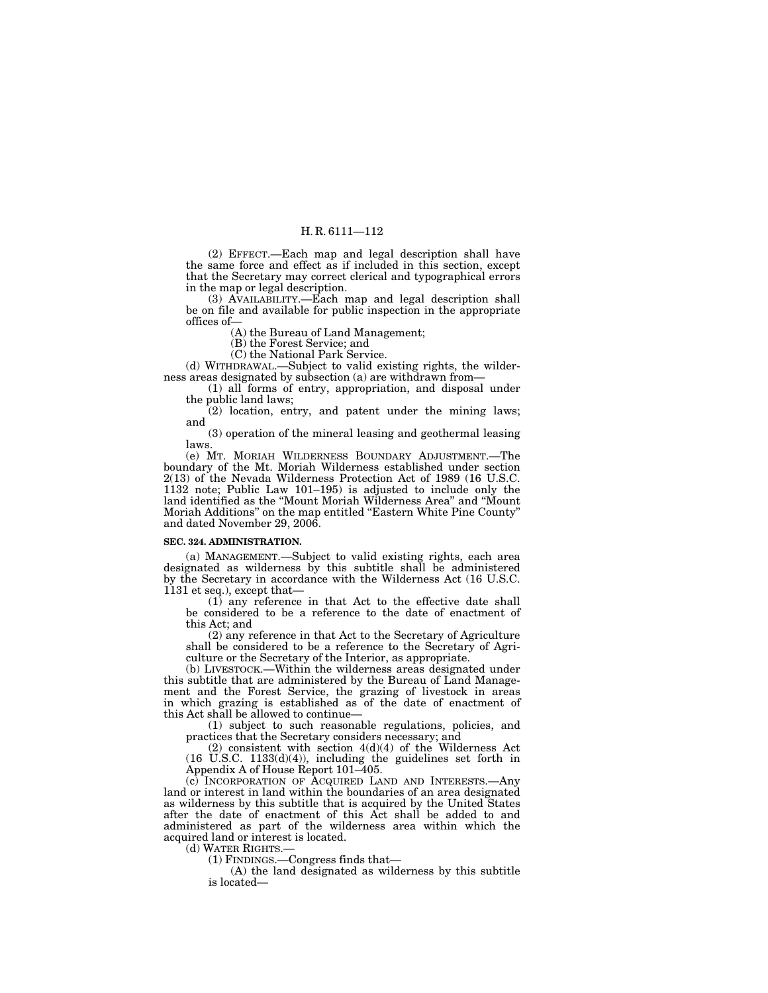(2) EFFECT.—Each map and legal description shall have the same force and effect as if included in this section, except that the Secretary may correct clerical and typographical errors in the map or legal description.

(3) AVAILABILITY.—Each map and legal description shall be on file and available for public inspection in the appropriate offices of—

(A) the Bureau of Land Management;

(B) the Forest Service; and

(C) the National Park Service.

(d) WITHDRAWAL.—Subject to valid existing rights, the wilderness areas designated by subsection (a) are withdrawn from—

(1) all forms of entry, appropriation, and disposal under the public land laws;

(2) location, entry, and patent under the mining laws; and

(3) operation of the mineral leasing and geothermal leasing laws.

(e) MT. MORIAH WILDERNESS BOUNDARY ADJUSTMENT.—The boundary of the Mt. Moriah Wilderness established under section 2(13) of the Nevada Wilderness Protection Act of 1989 (16 U.S.C. 1132 note; Public Law 101–195) is adjusted to include only the land identified as the ''Mount Moriah Wilderness Area'' and ''Mount Moriah Additions'' on the map entitled ''Eastern White Pine County'' and dated November 29, 2006.

#### **SEC. 324. ADMINISTRATION.**

(a) MANAGEMENT.—Subject to valid existing rights, each area designated as wilderness by this subtitle shall be administered by the Secretary in accordance with the Wilderness Act (16 U.S.C. 1131 et seq.), except that—

(1) any reference in that Act to the effective date shall be considered to be a reference to the date of enactment of this Act; and

(2) any reference in that Act to the Secretary of Agriculture shall be considered to be a reference to the Secretary of Agriculture or the Secretary of the Interior, as appropriate.

(b) LIVESTOCK.—Within the wilderness areas designated under this subtitle that are administered by the Bureau of Land Management and the Forest Service, the grazing of livestock in areas in which grazing is established as of the date of enactment of this Act shall be allowed to continue—

(1) subject to such reasonable regulations, policies, and practices that the Secretary considers necessary; and

(2) consistent with section 4(d)(4) of the Wilderness Act (16  $\overline{U}$ .S.C. 1133(d)(4)), including the guidelines set forth in Appendix A of House Report 101–405.

(c) INCORPORATION OF ACQUIRED LAND AND INTERESTS.—Any land or interest in land within the boundaries of an area designated as wilderness by this subtitle that is acquired by the United States after the date of enactment of this Act shall be added to and administered as part of the wilderness area within which the acquired land or interest is located.<br>(d) WATER RIGHTS.—

 $(1)$  FINDINGS.—Congress finds that—

(A) the land designated as wilderness by this subtitle is located—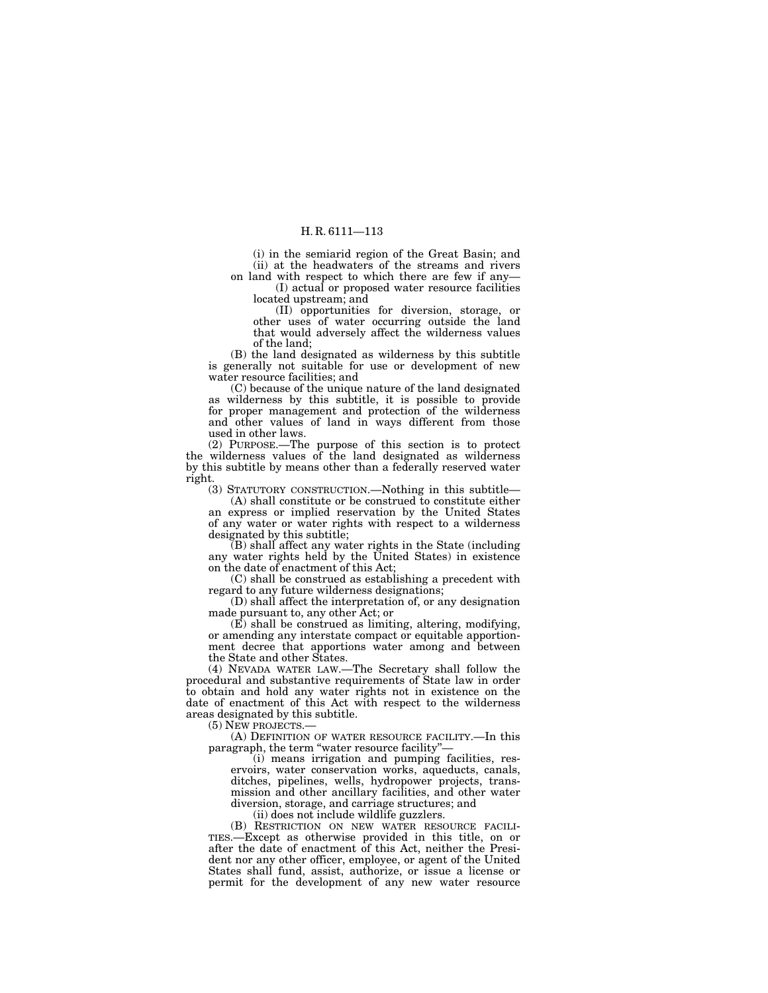(i) in the semiarid region of the Great Basin; and (ii) at the headwaters of the streams and rivers on land with respect to which there are few if any—

(I) actual or proposed water resource facilities located upstream; and

(II) opportunities for diversion, storage, or other uses of water occurring outside the land that would adversely affect the wilderness values of the land;

(B) the land designated as wilderness by this subtitle is generally not suitable for use or development of new water resource facilities; and

(C) because of the unique nature of the land designated as wilderness by this subtitle, it is possible to provide for proper management and protection of the wilderness and other values of land in ways different from those used in other laws.

(2) PURPOSE.—The purpose of this section is to protect the wilderness values of the land designated as wilderness by this subtitle by means other than a federally reserved water right.

(3) STATUTORY CONSTRUCTION.—Nothing in this subtitle— (A) shall constitute or be construed to constitute either

an express or implied reservation by the United States of any water or water rights with respect to a wilderness designated by this subtitle;

(B) shall affect any water rights in the State (including any water rights held by the United States) in existence on the date of enactment of this Act;

(C) shall be construed as establishing a precedent with regard to any future wilderness designations;

(D) shall affect the interpretation of, or any designation made pursuant to, any other Act; or

(E) shall be construed as limiting, altering, modifying, or amending any interstate compact or equitable apportionment decree that apportions water among and between the State and other States.

(4) NEVADA WATER LAW.—The Secretary shall follow the procedural and substantive requirements of State law in order to obtain and hold any water rights not in existence on the date of enactment of this Act with respect to the wilderness areas designated by this subtitle.

(5) NEW PROJECTS.—

(A) DEFINITION OF WATER RESOURCE FACILITY.—In this paragraph, the term "water resource facility"-

(i) means irrigation and pumping facilities, reservoirs, water conservation works, aqueducts, canals, ditches, pipelines, wells, hydropower projects, transmission and other ancillary facilities, and other water diversion, storage, and carriage structures; and

(ii) does not include wildlife guzzlers.

(B) RESTRICTION ON NEW WATER RESOURCE FACILI-TIES.—Except as otherwise provided in this title, on or after the date of enactment of this Act, neither the President nor any other officer, employee, or agent of the United States shall fund, assist, authorize, or issue a license or permit for the development of any new water resource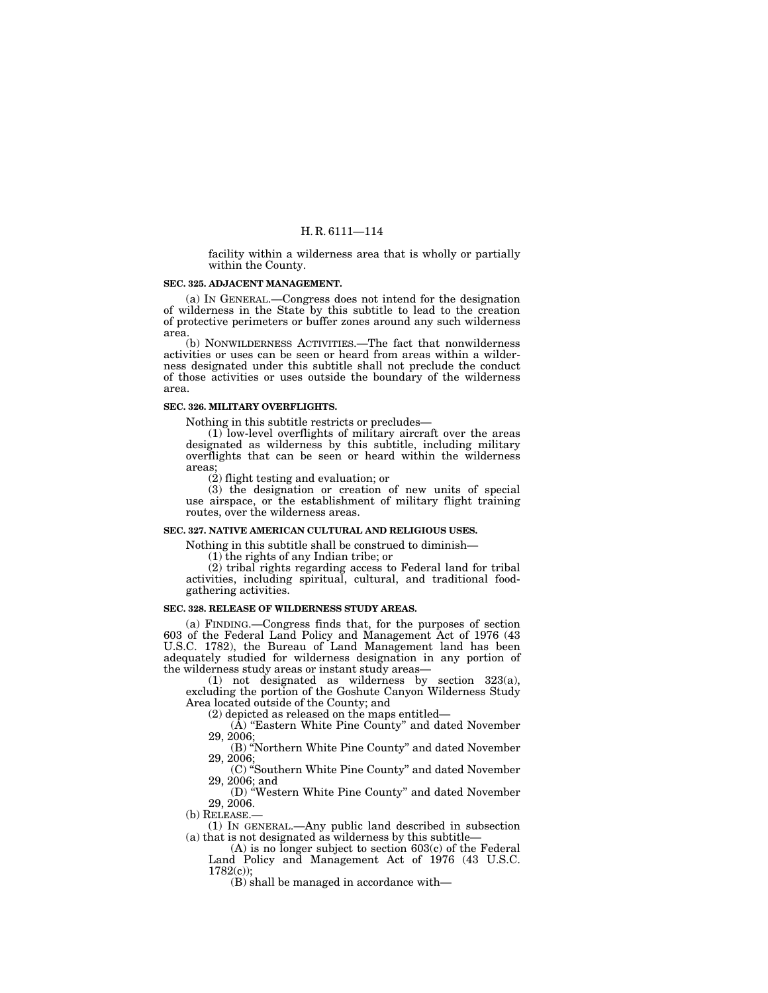facility within a wilderness area that is wholly or partially within the County.

#### **SEC. 325. ADJACENT MANAGEMENT.**

(a) IN GENERAL.—Congress does not intend for the designation of wilderness in the State by this subtitle to lead to the creation of protective perimeters or buffer zones around any such wilderness area.

(b) NONWILDERNESS ACTIVITIES.—The fact that nonwilderness activities or uses can be seen or heard from areas within a wilderness designated under this subtitle shall not preclude the conduct of those activities or uses outside the boundary of the wilderness area.

#### **SEC. 326. MILITARY OVERFLIGHTS.**

Nothing in this subtitle restricts or precludes—

(1) low-level overflights of military aircraft over the areas designated as wilderness by this subtitle, including military overflights that can be seen or heard within the wilderness areas;

(2) flight testing and evaluation; or

(3) the designation or creation of new units of special use airspace, or the establishment of military flight training routes, over the wilderness areas.

### **SEC. 327. NATIVE AMERICAN CULTURAL AND RELIGIOUS USES.**

Nothing in this subtitle shall be construed to diminish—

(1) the rights of any Indian tribe; or

(2) tribal rights regarding access to Federal land for tribal activities, including spiritual, cultural, and traditional foodgathering activities.

### **SEC. 328. RELEASE OF WILDERNESS STUDY AREAS.**

(a) FINDING.—Congress finds that, for the purposes of section 603 of the Federal Land Policy and Management Act of 1976 (43 U.S.C. 1782), the Bureau of Land Management land has been adequately studied for wilderness designation in any portion of the wilderness study areas or instant study areas—

(1) not designated as wilderness by section 323(a), excluding the portion of the Goshute Canyon Wilderness Study Area located outside of the County; and

(2) depicted as released on the maps entitled—

(A) ''Eastern White Pine County'' and dated November 29, 2006;

(B) ''Northern White Pine County'' and dated November 29, 2006;

(C) ''Southern White Pine County'' and dated November 29, 2006; and

(D) ''Western White Pine County'' and dated November 29, 2006.<br>
(b) RELEASE.

(1) IN GENERAL.—Any public land described in subsection (a) that is not designated as wilderness by this subtitle—

 $(A)$  is no longer subject to section  $603(c)$  of the Federal Land Policy and Management Act of 1976 (43 U.S.C. 1782(c));

(B) shall be managed in accordance with—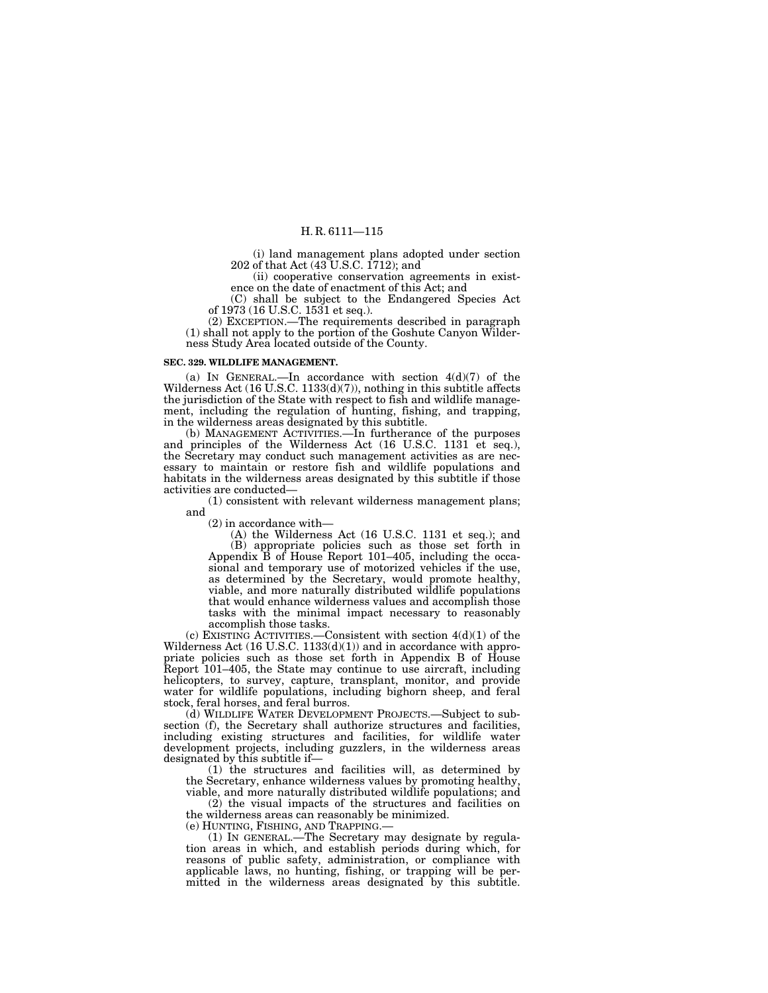(i) land management plans adopted under section 202 of that Act (43 U.S.C. 1712); and

(ii) cooperative conservation agreements in existence on the date of enactment of this Act; and

(C) shall be subject to the Endangered Species Act of 1973 (16 U.S.C. 1531 et seq.).

(2) EXCEPTION.—The requirements described in paragraph (1) shall not apply to the portion of the Goshute Canyon Wilderness Study Area located outside of the County.

#### **SEC. 329. WILDLIFE MANAGEMENT.**

(a) In GENERAL.—In accordance with section  $4(d)(7)$  of the Wilderness Act (16 U.S.C. 1133(d)(7)), nothing in this subtitle affects the jurisdiction of the State with respect to fish and wildlife management, including the regulation of hunting, fishing, and trapping, in the wilderness areas designated by this subtitle.

(b) MANAGEMENT ACTIVITIES.—In furtherance of the purposes and principles of the Wilderness Act (16 U.S.C. 1131 et seq.), the Secretary may conduct such management activities as are necessary to maintain or restore fish and wildlife populations and habitats in the wilderness areas designated by this subtitle if those activities are conducted—

(1) consistent with relevant wilderness management plans; and

(2) in accordance with—

(A) the Wilderness Act (16 U.S.C. 1131 et seq.); and

(B) appropriate policies such as those set forth in Appendix B of House Report 101–405, including the occasional and temporary use of motorized vehicles if the use, as determined by the Secretary, would promote healthy, viable, and more naturally distributed wildlife populations that would enhance wilderness values and accomplish those tasks with the minimal impact necessary to reasonably accomplish those tasks.

(c) EXISTING ACTIVITIES.—Consistent with section 4(d)(1) of the Wilderness Act (16 U.S.C. 1133(d)(1)) and in accordance with appropriate policies such as those set forth in Appendix B of House Report 101–405, the State may continue to use aircraft, including helicopters, to survey, capture, transplant, monitor, and provide water for wildlife populations, including bighorn sheep, and feral stock, feral horses, and feral burros.

(d) WILDLIFE WATER DEVELOPMENT PROJECTS.—Subject to subsection (f), the Secretary shall authorize structures and facilities, including existing structures and facilities, for wildlife water development projects, including guzzlers, in the wilderness areas designated by this subtitle if—

(1) the structures and facilities will, as determined by the Secretary, enhance wilderness values by promoting healthy, viable, and more naturally distributed wildlife populations; and

(2) the visual impacts of the structures and facilities on the wilderness areas can reasonably be minimized.

(e) HUNTING, FISHING, AND TRAPPING.—

(1) IN GENERAL.—The Secretary may designate by regulation areas in which, and establish periods during which, for reasons of public safety, administration, or compliance with applicable laws, no hunting, fishing, or trapping will be permitted in the wilderness areas designated by this subtitle.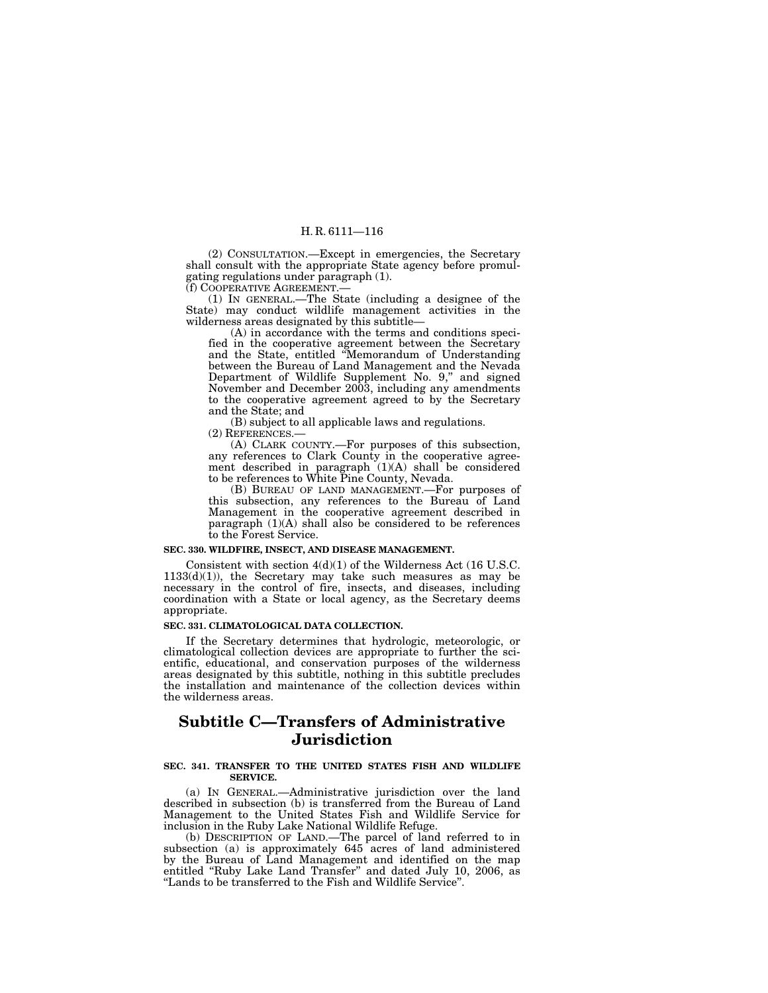(2) CONSULTATION.—Except in emergencies, the Secretary shall consult with the appropriate State agency before promulgating regulations under paragraph (1).<br>(f) COOPERATIVE AGREEMENT.—

(f) COOPERATIVE AGREEMENT.— (1) IN GENERAL.—The State (including a designee of the State) may conduct wildlife management activities in the wilderness areas designated by this subtitle—

(A) in accordance with the terms and conditions specified in the cooperative agreement between the Secretary and the State, entitled ''Memorandum of Understanding between the Bureau of Land Management and the Nevada Department of Wildlife Supplement No. 9," and signed November and December 2003, including any amendments to the cooperative agreement agreed to by the Secretary and the State; and

(B) subject to all applicable laws and regulations.<br>(2) REFERENCES.—

(2) REFERENCES.— (A) CLARK COUNTY.—For purposes of this subsection, any references to Clark County in the cooperative agreement described in paragraph (1)(A) shall be considered to be references to White Pine County, Nevada.

(B) BUREAU OF LAND MANAGEMENT.—For purposes of this subsection, any references to the Bureau of Land Management in the cooperative agreement described in paragraph  $(1)(A)$  shall also be considered to be references to the Forest Service.

#### **SEC. 330. WILDFIRE, INSECT, AND DISEASE MANAGEMENT.**

Consistent with section 4(d)(1) of the Wilderness Act (16 U.S.C. 1133(d)(1)), the Secretary may take such measures as may be necessary in the control of fire, insects, and diseases, including coordination with a State or local agency, as the Secretary deems appropriate.

#### **SEC. 331. CLIMATOLOGICAL DATA COLLECTION.**

If the Secretary determines that hydrologic, meteorologic, or climatological collection devices are appropriate to further the scientific, educational, and conservation purposes of the wilderness areas designated by this subtitle, nothing in this subtitle precludes the installation and maintenance of the collection devices within the wilderness areas.

# **Subtitle C—Transfers of Administrative Jurisdiction**

### **SEC. 341. TRANSFER TO THE UNITED STATES FISH AND WILDLIFE SERVICE.**

(a) IN GENERAL.—Administrative jurisdiction over the land described in subsection (b) is transferred from the Bureau of Land Management to the United States Fish and Wildlife Service for inclusion in the Ruby Lake National Wildlife Refuge.

(b) DESCRIPTION OF LAND.—The parcel of land referred to in subsection (a) is approximately 645 acres of land administered by the Bureau of Land Management and identified on the map entitled ''Ruby Lake Land Transfer'' and dated July 10, 2006, as ''Lands to be transferred to the Fish and Wildlife Service''.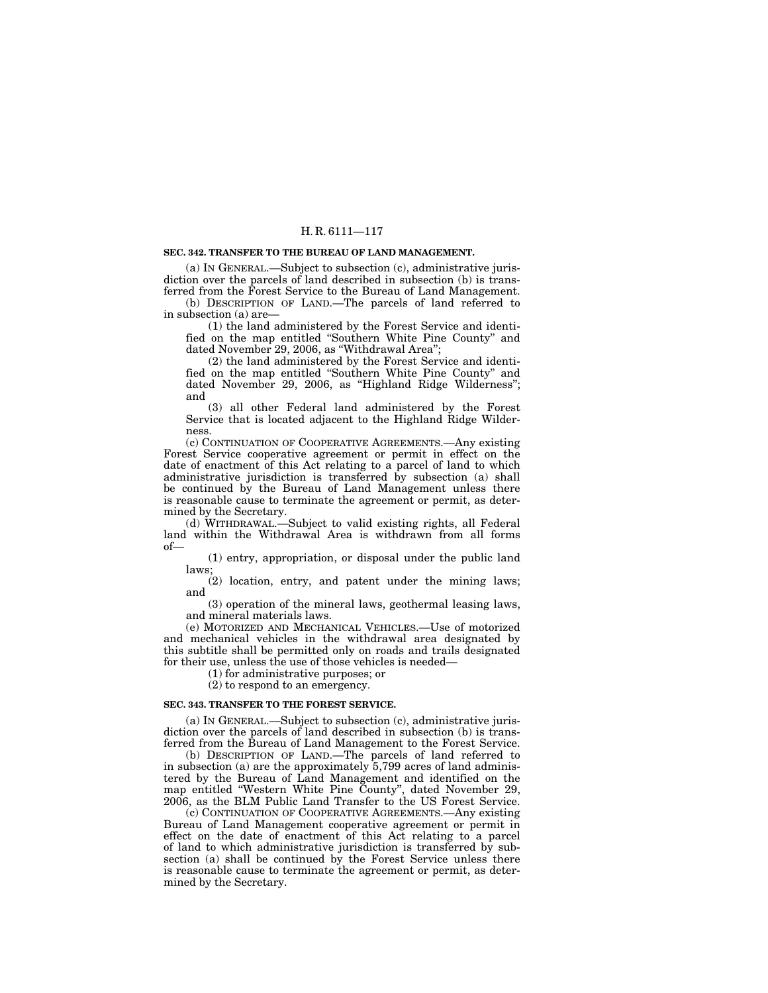#### **SEC. 342. TRANSFER TO THE BUREAU OF LAND MANAGEMENT.**

(a) IN GENERAL.—Subject to subsection (c), administrative jurisdiction over the parcels of land described in subsection (b) is transferred from the Forest Service to the Bureau of Land Management.

(b) DESCRIPTION OF LAND.—The parcels of land referred to in subsection (a) are—

(1) the land administered by the Forest Service and identified on the map entitled ''Southern White Pine County'' and dated November 29, 2006, as ''Withdrawal Area'';

(2) the land administered by the Forest Service and identified on the map entitled ''Southern White Pine County'' and dated November 29, 2006, as ''Highland Ridge Wilderness''; and

(3) all other Federal land administered by the Forest Service that is located adjacent to the Highland Ridge Wilderness.

(c) CONTINUATION OF COOPERATIVE AGREEMENTS.—Any existing Forest Service cooperative agreement or permit in effect on the date of enactment of this Act relating to a parcel of land to which administrative jurisdiction is transferred by subsection (a) shall be continued by the Bureau of Land Management unless there is reasonable cause to terminate the agreement or permit, as determined by the Secretary.

(d) WITHDRAWAL.—Subject to valid existing rights, all Federal land within the Withdrawal Area is withdrawn from all forms of—

(1) entry, appropriation, or disposal under the public land laws;

(2) location, entry, and patent under the mining laws; and

(3) operation of the mineral laws, geothermal leasing laws, and mineral materials laws.

(e) MOTORIZED AND MECHANICAL VEHICLES.—Use of motorized and mechanical vehicles in the withdrawal area designated by this subtitle shall be permitted only on roads and trails designated for their use, unless the use of those vehicles is needed—

(1) for administrative purposes; or

(2) to respond to an emergency.

#### **SEC. 343. TRANSFER TO THE FOREST SERVICE.**

(a) IN GENERAL.—Subject to subsection (c), administrative jurisdiction over the parcels of land described in subsection (b) is transferred from the Bureau of Land Management to the Forest Service.

(b) DESCRIPTION OF LAND.—The parcels of land referred to in subsection (a) are the approximately 5,799 acres of land administered by the Bureau of Land Management and identified on the map entitled ''Western White Pine County'', dated November 29, 2006, as the BLM Public Land Transfer to the US Forest Service.

(c) CONTINUATION OF COOPERATIVE AGREEMENTS.—Any existing Bureau of Land Management cooperative agreement or permit in effect on the date of enactment of this Act relating to a parcel of land to which administrative jurisdiction is transferred by subsection (a) shall be continued by the Forest Service unless there is reasonable cause to terminate the agreement or permit, as determined by the Secretary.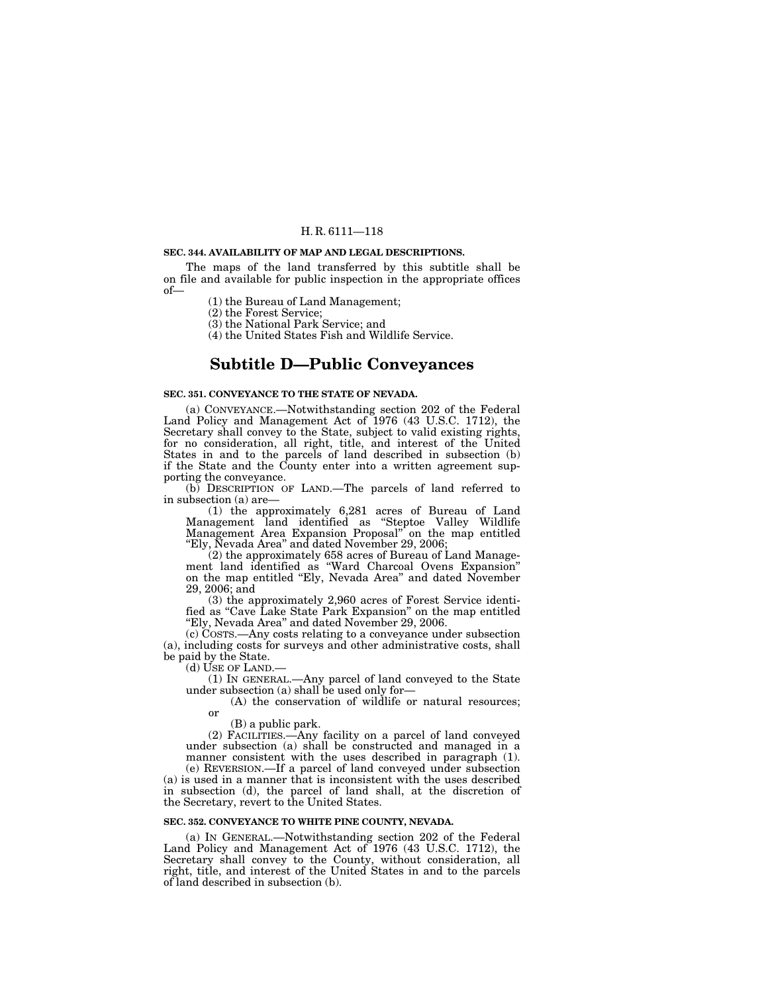#### **SEC. 344. AVAILABILITY OF MAP AND LEGAL DESCRIPTIONS.**

The maps of the land transferred by this subtitle shall be on file and available for public inspection in the appropriate offices of—

(1) the Bureau of Land Management;

(2) the Forest Service;

(3) the National Park Service; and

(4) the United States Fish and Wildlife Service.

# **Subtitle D—Public Conveyances**

### **SEC. 351. CONVEYANCE TO THE STATE OF NEVADA.**

(a) CONVEYANCE.—Notwithstanding section 202 of the Federal Land Policy and Management Act of 1976 (43 U.S.C. 1712), the Secretary shall convey to the State, subject to valid existing rights, for no consideration, all right, title, and interest of the United States in and to the parcels of land described in subsection (b) if the State and the County enter into a written agreement supporting the conveyance.

(b) DESCRIPTION OF LAND.—The parcels of land referred to in subsection (a) are—

(1) the approximately 6,281 acres of Bureau of Land Management land identified as ''Steptoe Valley Wildlife Management Area Expansion Proposal'' on the map entitled ''Ely, Nevada Area'' and dated November 29, 2006;

(2) the approximately 658 acres of Bureau of Land Management land identified as ''Ward Charcoal Ovens Expansion'' on the map entitled ''Ely, Nevada Area'' and dated November 29, 2006; and

(3) the approximately 2,960 acres of Forest Service identified as ''Cave Lake State Park Expansion'' on the map entitled ''Ely, Nevada Area'' and dated November 29, 2006.

(c) COSTS.—Any costs relating to a conveyance under subsection (a), including costs for surveys and other administrative costs, shall be paid by the State.

(d) USE OF LAND.—

(1) IN GENERAL.—Any parcel of land conveyed to the State under subsection (a) shall be used only for—

(A) the conservation of wildlife or natural resources; or

(B) a public park.

(2) FACILITIES.—Any facility on a parcel of land conveyed under subsection (a) shall be constructed and managed in a manner consistent with the uses described in paragraph (1).

(e) REVERSION.—If a parcel of land conveyed under subsection (a) is used in a manner that is inconsistent with the uses described in subsection (d), the parcel of land shall, at the discretion of the Secretary, revert to the United States.

### **SEC. 352. CONVEYANCE TO WHITE PINE COUNTY, NEVADA.**

(a) IN GENERAL.—Notwithstanding section 202 of the Federal Land Policy and Management Act of 1976 (43 U.S.C. 1712), the Secretary shall convey to the County, without consideration, all right, title, and interest of the United States in and to the parcels of land described in subsection (b).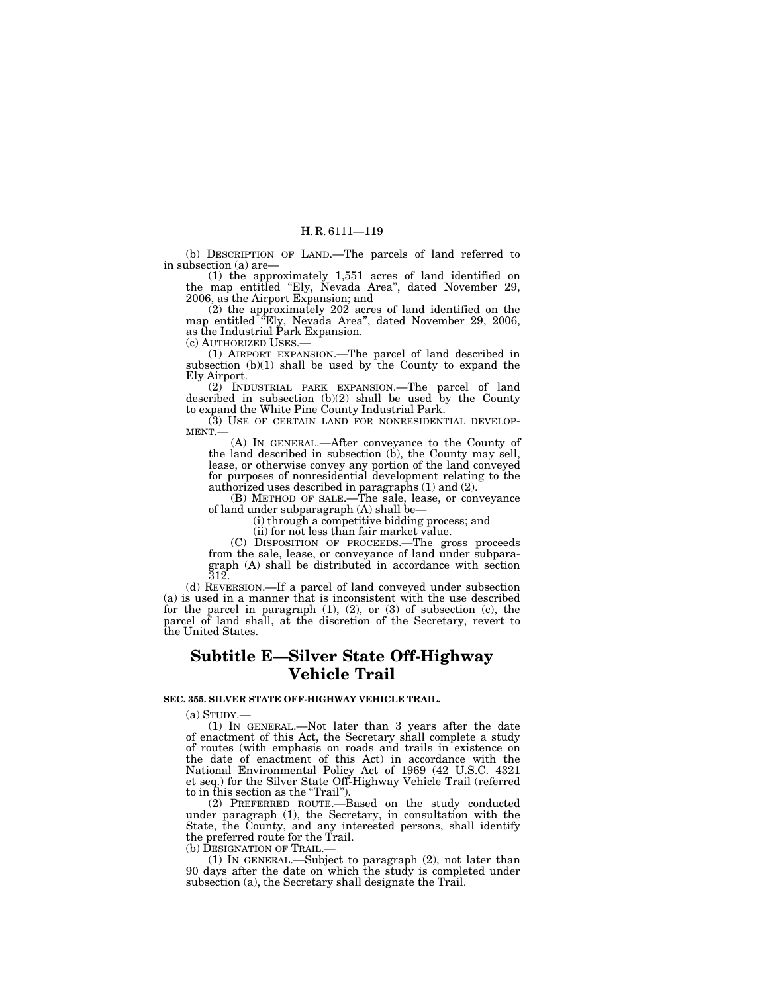(b) DESCRIPTION OF LAND.—The parcels of land referred to in subsection (a) are—

(1) the approximately 1,551 acres of land identified on the map entitled ''Ely, Nevada Area'', dated November 29, 2006, as the Airport Expansion; and

(2) the approximately 202 acres of land identified on the map entitled ''Ely, Nevada Area'', dated November 29, 2006, as the Industrial Park Expansion.<br>(c) AUTHORIZED USES.—

 $(1)$  AIRPORT EXPANSION.—The parcel of land described in subsection  $(b)(1)$  shall be used by the County to expand the Ely Airport.

(2) INDUSTRIAL PARK EXPANSION.—The parcel of land described in subsection (b)(2) shall be used by the County to expand the White Pine County Industrial Park.

(3) USE OF CERTAIN LAND FOR NONRESIDENTIAL DEVELOP-<br>MENT.— (A) IN GENERAL.—After conveyance to the County of

the land described in subsection (b), the County may sell, lease, or otherwise convey any portion of the land conveyed for purposes of nonresidential development relating to the authorized uses described in paragraphs (1) and (2).

(B) METHOD OF SALE.—The sale, lease, or conveyance of land under subparagraph (A) shall be—

(i) through a competitive bidding process; and

(ii) for not less than fair market value.

(C) DISPOSITION OF PROCEEDS.—The gross proceeds from the sale, lease, or conveyance of land under subparagraph (A) shall be distributed in accordance with section 312.

(d) REVERSION.—If a parcel of land conveyed under subsection (a) is used in a manner that is inconsistent with the use described for the parcel in paragraph (1), (2), or (3) of subsection (c), the parcel of land shall, at the discretion of the Secretary, revert to the United States.

## **Subtitle E—Silver State Off-Highway Vehicle Trail**

### **SEC. 355. SILVER STATE OFF-HIGHWAY VEHICLE TRAIL.**

(a) STUDY.— (1) IN GENERAL.—Not later than 3 years after the date of enactment of this Act, the Secretary shall complete a study of routes (with emphasis on roads and trails in existence on the date of enactment of this Act) in accordance with the National Environmental Policy Act of 1969 (42 U.S.C. 4321 et seq.) for the Silver State Off-Highway Vehicle Trail (referred to in this section as the "Trail").

(2) PREFERRED ROUTE.—Based on the study conducted under paragraph (1), the Secretary, in consultation with the State, the County, and any interested persons, shall identify the preferred route for the Trail.<br>(b) DESIGNATION OF TRAIL.—

(1) IN GENERAL.—Subject to paragraph  $(2)$ , not later than 90 days after the date on which the study is completed under subsection (a), the Secretary shall designate the Trail.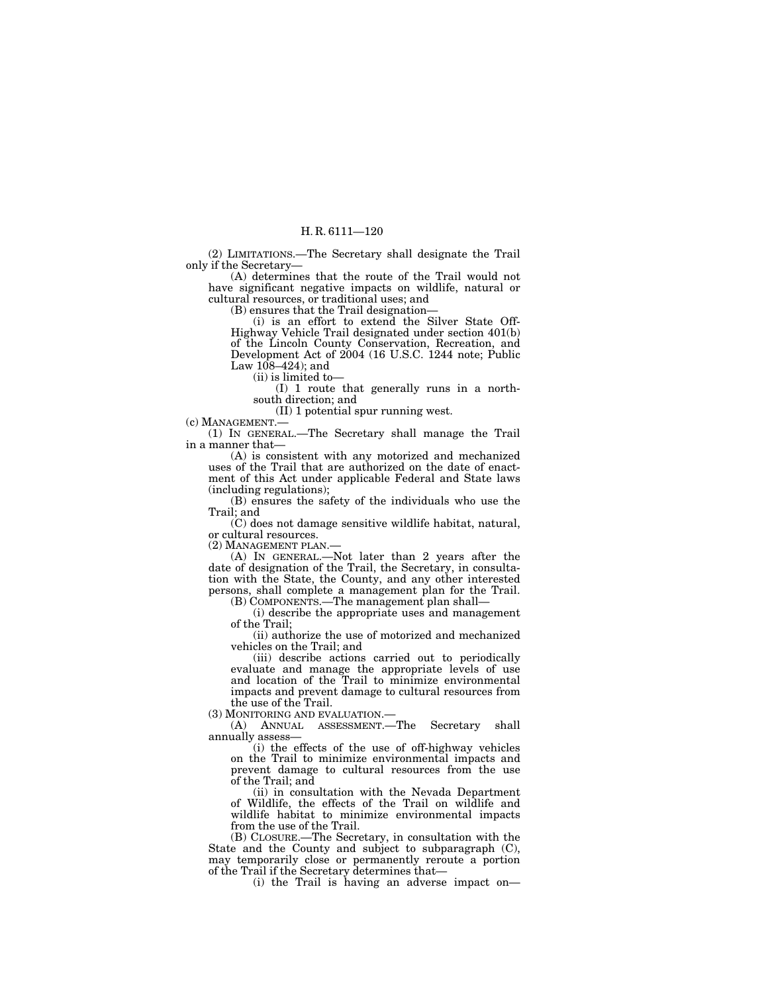(2) LIMITATIONS.—The Secretary shall designate the Trail only if the Secretary—

(A) determines that the route of the Trail would not have significant negative impacts on wildlife, natural or cultural resources, or traditional uses; and

(B) ensures that the Trail designation—

(i) is an effort to extend the Silver State Off-Highway Vehicle Trail designated under section 401(b) of the Lincoln County Conservation, Recreation, and Development Act of 2004 (16 U.S.C. 1244 note; Public Law 108–424); and

(ii) is limited to—

(I) 1 route that generally runs in a northsouth direction; and

(II) 1 potential spur running west.

(c) MANAGEMENT.— (1) IN GENERAL.—The Secretary shall manage the Trail in a manner that—

(A) is consistent with any motorized and mechanized uses of the Trail that are authorized on the date of enactment of this Act under applicable Federal and State laws (including regulations);

(B) ensures the safety of the individuals who use the Trail; and

(C) does not damage sensitive wildlife habitat, natural, or cultural resources.

(2) MANAGEMENT PLAN.—

(A) IN GENERAL.—Not later than 2 years after the date of designation of the Trail, the Secretary, in consultation with the State, the County, and any other interested persons, shall complete a management plan for the Trail. (B) COMPONENTS.—The management plan shall—

(i) describe the appropriate uses and management of the Trail;

(ii) authorize the use of motorized and mechanized vehicles on the Trail; and

(iii) describe actions carried out to periodically evaluate and manage the appropriate levels of use and location of the Trail to minimize environmental impacts and prevent damage to cultural resources from the use of the Trail.

(3) MONITORING AND EVALUATION.—

ANNUAL ASSESSMENT.—The Secretary shall annually assess—

(i) the effects of the use of off-highway vehicles on the Trail to minimize environmental impacts and prevent damage to cultural resources from the use of the Trail; and

(ii) in consultation with the Nevada Department of Wildlife, the effects of the Trail on wildlife and wildlife habitat to minimize environmental impacts from the use of the Trail.

(B) CLOSURE.—The Secretary, in consultation with the State and the County and subject to subparagraph (C), may temporarily close or permanently reroute a portion of the Trail if the Secretary determines that—

(i) the Trail is having an adverse impact on—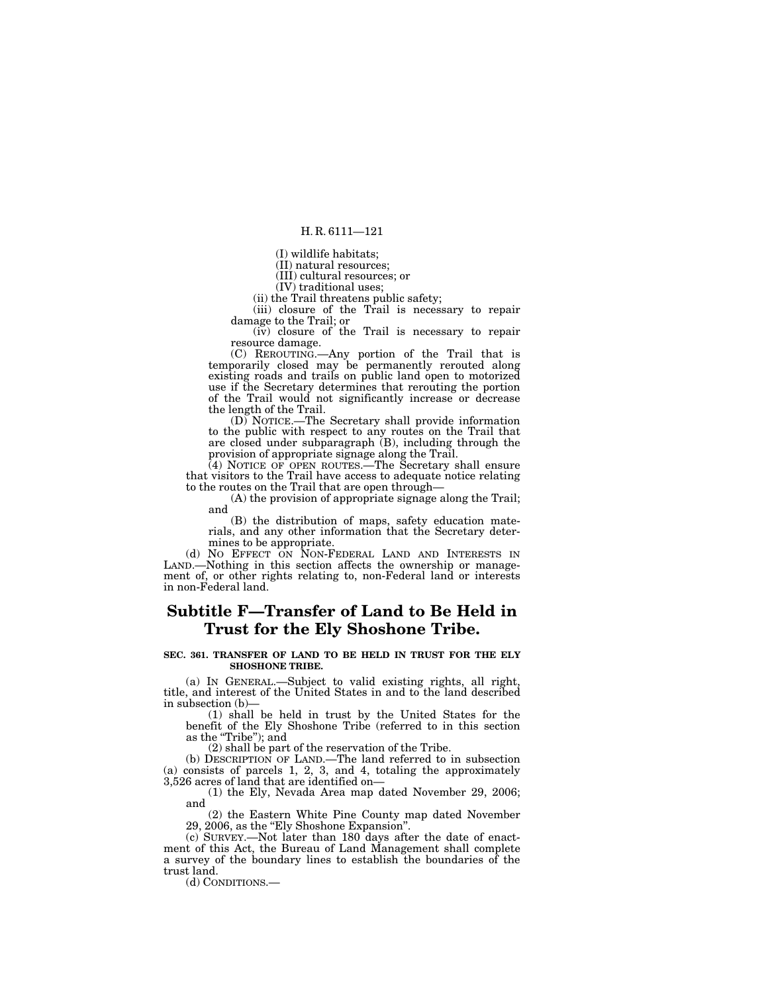(I) wildlife habitats;

(II) natural resources;

(III) cultural resources; or

(IV) traditional uses;

(ii) the Trail threatens public safety;

(iii) closure of the Trail is necessary to repair damage to the Trail; or

(iv) closure of the Trail is necessary to repair resource damage.

(C) REROUTING.—Any portion of the Trail that is temporarily closed may be permanently rerouted along existing roads and trails on public land open to motorized use if the Secretary determines that rerouting the portion of the Trail would not significantly increase or decrease the length of the Trail.

(D) NOTICE.—The Secretary shall provide information to the public with respect to any routes on the Trail that are closed under subparagraph (B), including through the provision of appropriate signage along the Trail.

(4) NOTICE OF OPEN ROUTES.—The Secretary shall ensure that visitors to the Trail have access to adequate notice relating to the routes on the Trail that are open through—

(A) the provision of appropriate signage along the Trail; and

(B) the distribution of maps, safety education materials, and any other information that the Secretary determines to be appropriate.

(d) NO EFFECT ON NON-FEDERAL LAND AND INTERESTS IN LAND.—Nothing in this section affects the ownership or management of, or other rights relating to, non-Federal land or interests in non-Federal land.

## **Subtitle F—Transfer of Land to Be Held in Trust for the Ely Shoshone Tribe.**

#### **SEC. 361. TRANSFER OF LAND TO BE HELD IN TRUST FOR THE ELY SHOSHONE TRIBE.**

(a) IN GENERAL.—Subject to valid existing rights, all right, title, and interest of the United States in and to the land described in subsection (b)—

(1) shall be held in trust by the United States for the benefit of the Ely Shoshone Tribe (referred to in this section as the "Tribe"); and

(2) shall be part of the reservation of the Tribe.

(b) DESCRIPTION OF LAND.—The land referred to in subsection (a) consists of parcels 1, 2, 3, and 4, totaling the approximately 3,526 acres of land that are identified on—

(1) the Ely, Nevada Area map dated November 29, 2006; and

(2) the Eastern White Pine County map dated November 29, 2006, as the "Ely Shoshone Expansion"

(c) SURVEY.—Not later than 180 days after the date of enactment of this Act, the Bureau of Land Management shall complete a survey of the boundary lines to establish the boundaries of the trust land.

(d) CONDITIONS.—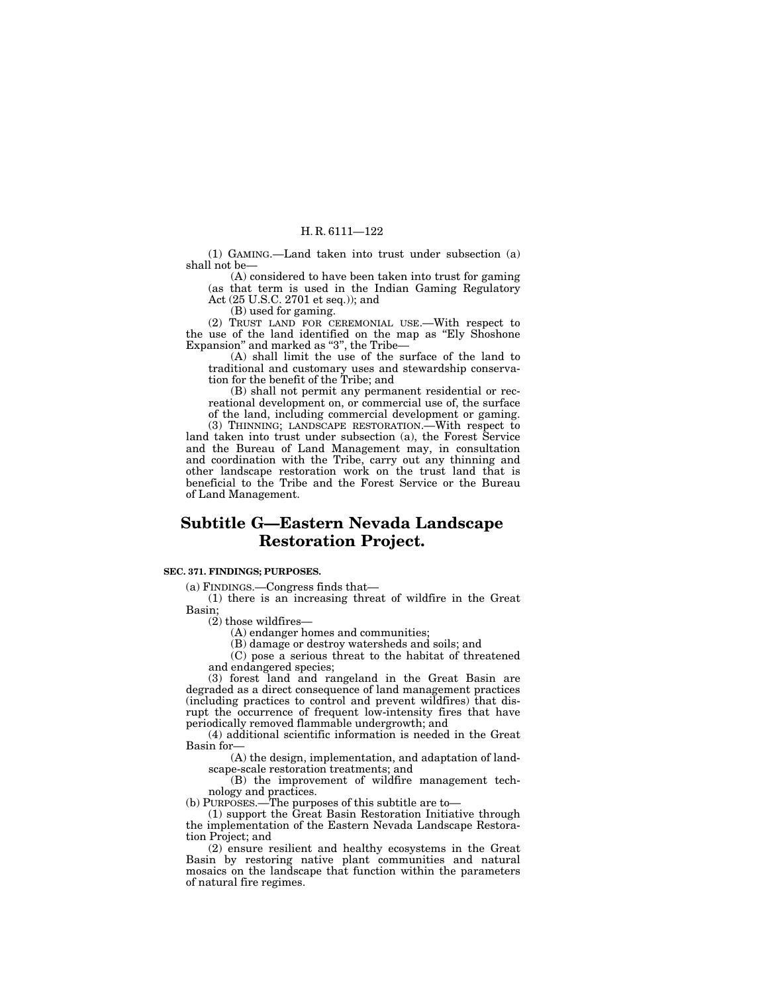(1) GAMING.—Land taken into trust under subsection (a) shall not be—

(A) considered to have been taken into trust for gaming (as that term is used in the Indian Gaming Regulatory Act (25 U.S.C. 2701 et seq.)); and

(B) used for gaming.

(2) TRUST LAND FOR CEREMONIAL USE.—With respect to the use of the land identified on the map as ''Ely Shoshone Expansion'' and marked as ''3'', the Tribe—

(A) shall limit the use of the surface of the land to traditional and customary uses and stewardship conservation for the benefit of the Tribe; and

(B) shall not permit any permanent residential or recreational development on, or commercial use of, the surface of the land, including commercial development or gaming.

(3) THINNING; LANDSCAPE RESTORATION.—With respect to land taken into trust under subsection (a), the Forest Service and the Bureau of Land Management may, in consultation and coordination with the Tribe, carry out any thinning and other landscape restoration work on the trust land that is beneficial to the Tribe and the Forest Service or the Bureau of Land Management.

# **Subtitle G—Eastern Nevada Landscape Restoration Project.**

#### **SEC. 371. FINDINGS; PURPOSES.**

(a) FINDINGS.—Congress finds that—

(1) there is an increasing threat of wildfire in the Great Basin;

(2) those wildfires—

(A) endanger homes and communities;

(B) damage or destroy watersheds and soils; and

(C) pose a serious threat to the habitat of threatened and endangered species;

(3) forest land and rangeland in the Great Basin are degraded as a direct consequence of land management practices (including practices to control and prevent wildfires) that disrupt the occurrence of frequent low-intensity fires that have periodically removed flammable undergrowth; and

(4) additional scientific information is needed in the Great Basin for—

(A) the design, implementation, and adaptation of landscape-scale restoration treatments; and

(B) the improvement of wildfire management technology and practices.

(b) PURPOSES.—The purposes of this subtitle are to—

(1) support the Great Basin Restoration Initiative through the implementation of the Eastern Nevada Landscape Restoration Project; and

(2) ensure resilient and healthy ecosystems in the Great Basin by restoring native plant communities and natural mosaics on the landscape that function within the parameters of natural fire regimes.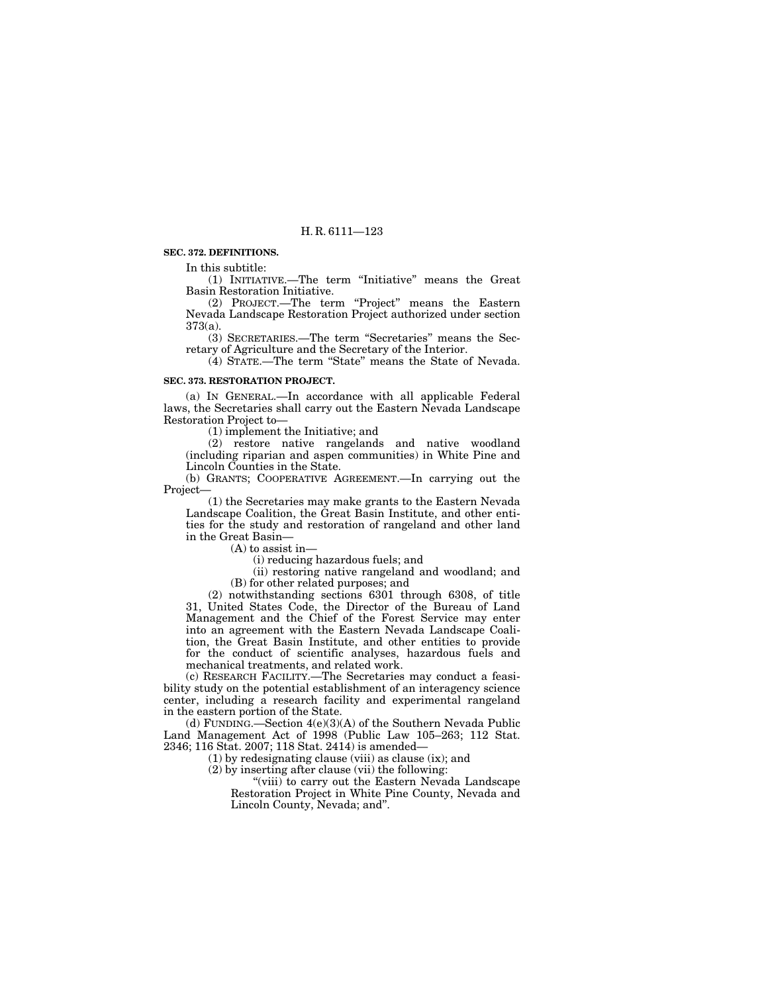### **SEC. 372. DEFINITIONS.**

In this subtitle:

(1) INITIATIVE.—The term ''Initiative'' means the Great Basin Restoration Initiative.

(2) PROJECT.—The term ''Project'' means the Eastern Nevada Landscape Restoration Project authorized under section 373(a).

(3) SECRETARIES.—The term ''Secretaries'' means the Secretary of Agriculture and the Secretary of the Interior.

(4) STATE.—The term ''State'' means the State of Nevada.

### **SEC. 373. RESTORATION PROJECT.**

(a) IN GENERAL.—In accordance with all applicable Federal laws, the Secretaries shall carry out the Eastern Nevada Landscape Restoration Project to—

(1) implement the Initiative; and

(2) restore native rangelands and native woodland (including riparian and aspen communities) in White Pine and Lincoln Counties in the State.

(b) GRANTS; COOPERATIVE AGREEMENT.—In carrying out the Project—

(1) the Secretaries may make grants to the Eastern Nevada Landscape Coalition, the Great Basin Institute, and other entities for the study and restoration of rangeland and other land in the Great Basin—

(A) to assist in—

(i) reducing hazardous fuels; and

(ii) restoring native rangeland and woodland; and (B) for other related purposes; and

(2) notwithstanding sections 6301 through 6308, of title 31, United States Code, the Director of the Bureau of Land Management and the Chief of the Forest Service may enter into an agreement with the Eastern Nevada Landscape Coalition, the Great Basin Institute, and other entities to provide for the conduct of scientific analyses, hazardous fuels and mechanical treatments, and related work.

(c) RESEARCH FACILITY.—The Secretaries may conduct a feasibility study on the potential establishment of an interagency science center, including a research facility and experimental rangeland in the eastern portion of the State.

(d) FUNDING.—Section 4(e)(3)(A) of the Southern Nevada Public Land Management Act of 1998 (Public Law 105–263; 112 Stat. 2346; 116 Stat. 2007; 118 Stat. 2414) is amended—

(1) by redesignating clause (viii) as clause (ix); and

(2) by inserting after clause (vii) the following:

"(viii) to carry out the Eastern Nevada Landscape Restoration Project in White Pine County, Nevada and Lincoln County, Nevada; and''.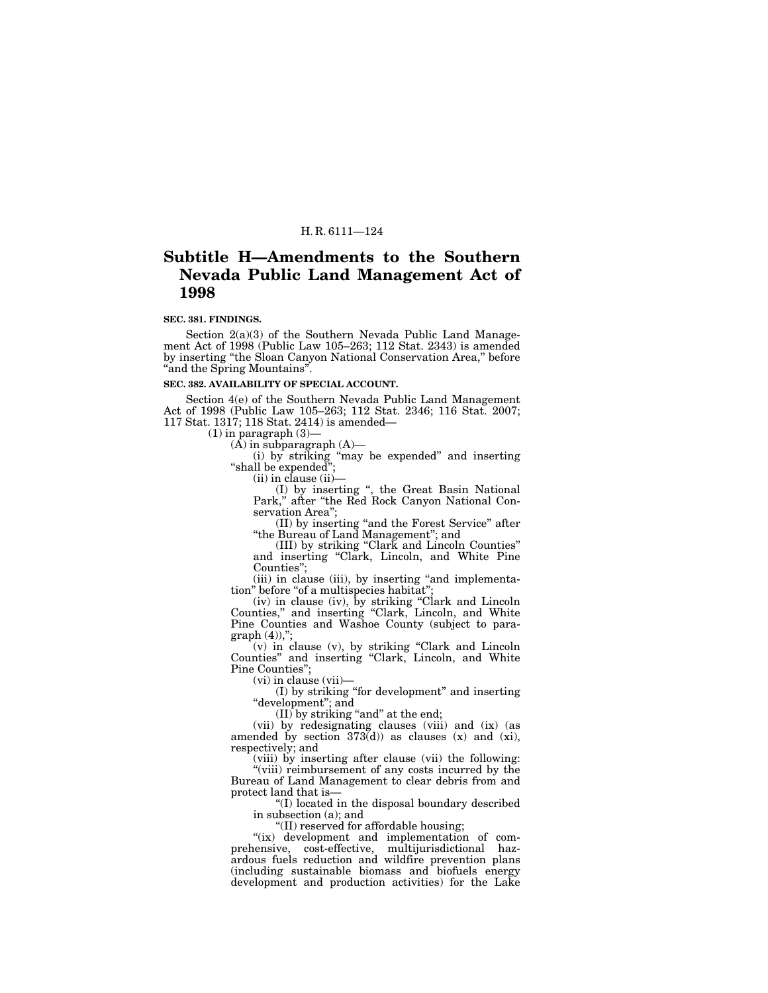# **Subtitle H—Amendments to the Southern Nevada Public Land Management Act of 1998**

### **SEC. 381. FINDINGS.**

Section 2(a)(3) of the Southern Nevada Public Land Management Act of 1998 (Public Law 105–263; 112 Stat. 2343) is amended by inserting ''the Sloan Canyon National Conservation Area,'' before "and the Spring Mountains".

### **SEC. 382. AVAILABILITY OF SPECIAL ACCOUNT.**

Section 4(e) of the Southern Nevada Public Land Management Act of 1998 (Public Law 105–263; 112 Stat. 2346; 116 Stat. 2007; 117 Stat. 1317; 118 Stat. 2414) is amended—

 $(1)$  in paragraph  $(3)$ 

 $(A)$  in subparagraph  $(A)$ —

(i) by striking ''may be expended'' and inserting ''shall be expended'';

(ii) in clause (ii)—

(I) by inserting '', the Great Basin National Park,'' after ''the Red Rock Canyon National Conservation Area'';

(II) by inserting ''and the Forest Service'' after ''the Bureau of Land Management''; and

(III) by striking ''Clark and Lincoln Counties'' and inserting "Clark, Lincoln, and White Pine Counties'';

(iii) in clause (iii), by inserting ''and implementation" before "of a multispecies habitat"

(iv) in clause (iv), by striking ''Clark and Lincoln Counties,'' and inserting ''Clark, Lincoln, and White Pine Counties and Washoe County (subject to para $graph(4)$ ,";

(v) in clause (v), by striking ''Clark and Lincoln Counties'' and inserting ''Clark, Lincoln, and White Pine Counties'';

(vi) in clause (vii)—

 $(1)$  by striking "for development" and inserting "development"; and

 $(II)$  by striking "and" at the end;

 $(vii)$  by redesignating clauses  $(viii)$  and  $(ix)$  (as amended by section  $373(d)$  as clauses (x) and (xi), respectively; and

(viii) by inserting after clause (vii) the following: "(viii) reimbursement of any costs incurred by the Bureau of Land Management to clear debris from and protect land that is—

''(I) located in the disposal boundary described in subsection (a); and

''(II) reserved for affordable housing;

"(ix) development and implementation of comprehensive, cost-effective, multijurisdictional hazardous fuels reduction and wildfire prevention plans (including sustainable biomass and biofuels energy development and production activities) for the Lake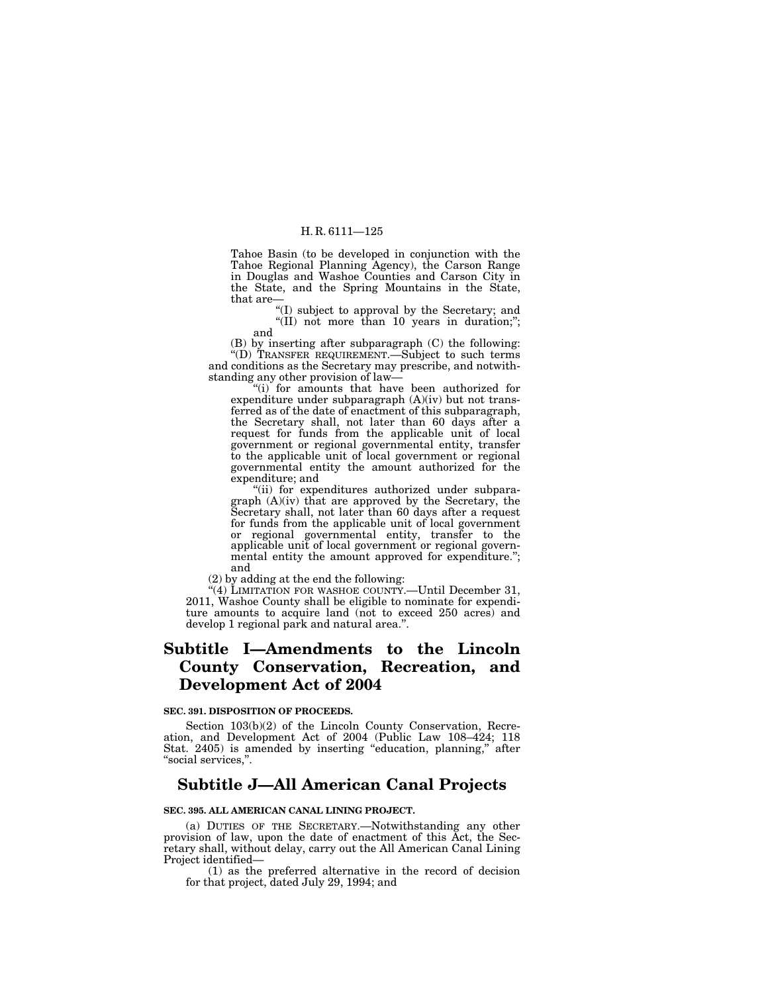Tahoe Basin (to be developed in conjunction with the Tahoe Regional Planning Agency), the Carson Range in Douglas and Washoe Counties and Carson City in the State, and the Spring Mountains in the State, that are—

''(I) subject to approval by the Secretary; and "(II) not more than 10 years in duration;";

and

(B) by inserting after subparagraph (C) the following: ''(D) TRANSFER REQUIREMENT.—Subject to such terms and conditions as the Secretary may prescribe, and notwithstanding any other provision of law—

''(i) for amounts that have been authorized for expenditure under subparagraph (A)(iv) but not transferred as of the date of enactment of this subparagraph, the Secretary shall, not later than 60 days after a request for funds from the applicable unit of local government or regional governmental entity, transfer to the applicable unit of local government or regional governmental entity the amount authorized for the expenditure; and

"(ii) for expenditures authorized under subparagraph (A)(iv) that are approved by the Secretary, the Secretary shall, not later than 60 days after a request for funds from the applicable unit of local government or regional governmental entity, transfer to the applicable unit of local government or regional governmental entity the amount approved for expenditure."; and

(2) by adding at the end the following:

"(4) LIMITATION FOR WASHOE COUNTY.—Until December 31, 2011, Washoe County shall be eligible to nominate for expenditure amounts to acquire land (not to exceed 250 acres) and develop 1 regional park and natural area.''.

# **Subtitle I—Amendments to the Lincoln County Conservation, Recreation, and Development Act of 2004**

#### **SEC. 391. DISPOSITION OF PROCEEDS.**

Section 103(b)(2) of the Lincoln County Conservation, Recreation, and Development Act of 2004 (Public Law 108–424; 118 Stat. 2405) is amended by inserting "education, planning," after ''social services,''.

## **Subtitle J—All American Canal Projects**

### **SEC. 395. ALL AMERICAN CANAL LINING PROJECT.**

(a) DUTIES OF THE SECRETARY.—Notwithstanding any other provision of law, upon the date of enactment of this Act, the Secretary shall, without delay, carry out the All American Canal Lining Project identified—

(1) as the preferred alternative in the record of decision for that project, dated July 29, 1994; and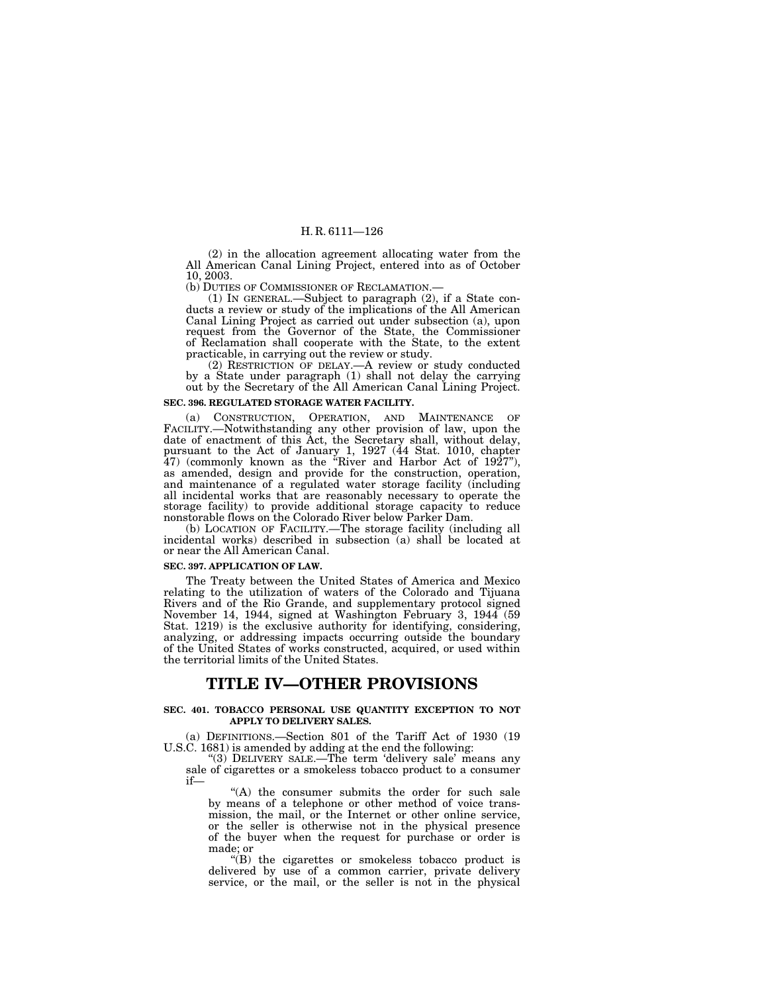(2) in the allocation agreement allocating water from the All American Canal Lining Project, entered into as of October 10, 2003.<br>(b) DUTIES OF COMMISSIONER OF RECLAMATION.

(1) IN GENERAL.—Subject to paragraph  $(2)$ , if a State conducts a review or study of the implications of the All American Canal Lining Project as carried out under subsection (a), upon request from the Governor of the State, the Commissioner of Reclamation shall cooperate with the State, to the extent practicable, in carrying out the review or study.

(2) RESTRICTION OF DELAY.—A review or study conducted by a State under paragraph (1) shall not delay the carrying out by the Secretary of the All American Canal Lining Project.

#### **SEC. 396. REGULATED STORAGE WATER FACILITY.**

(a) CONSTRUCTION, OPERATION, AND MAINTENANCE OF FACILITY.—Notwithstanding any other provision of law, upon the date of enactment of this Act, the Secretary shall, without delay, pursuant to the Act of January 1, 1927 (44 Stat. 1010, chapter 47) (commonly known as the ''River and Harbor Act of 1927''), as amended, design and provide for the construction, operation, and maintenance of a regulated water storage facility (including all incidental works that are reasonably necessary to operate the storage facility) to provide additional storage capacity to reduce nonstorable flows on the Colorado River below Parker Dam.

(b) LOCATION OF FACILITY.—The storage facility (including all incidental works) described in subsection (a) shall be located at or near the All American Canal.

#### **SEC. 397. APPLICATION OF LAW.**

The Treaty between the United States of America and Mexico relating to the utilization of waters of the Colorado and Tijuana Rivers and of the Rio Grande, and supplementary protocol signed November 14, 1944, signed at Washington February 3, 1944 (59 Stat. 1219) is the exclusive authority for identifying, considering, analyzing, or addressing impacts occurring outside the boundary of the United States of works constructed, acquired, or used within the territorial limits of the United States.

## **TITLE IV—OTHER PROVISIONS**

### **SEC. 401. TOBACCO PERSONAL USE QUANTITY EXCEPTION TO NOT APPLY TO DELIVERY SALES.**

(a) DEFINITIONS.—Section 801 of the Tariff Act of 1930 (19 U.S.C. 1681) is amended by adding at the end the following:

"(3) DELIVERY SALE.—The term 'delivery sale' means any sale of cigarettes or a smokeless tobacco product to a consumer if—

"(A) the consumer submits the order for such sale by means of a telephone or other method of voice transmission, the mail, or the Internet or other online service, or the seller is otherwise not in the physical presence of the buyer when the request for purchase or order is made; or

''(B) the cigarettes or smokeless tobacco product is delivered by use of a common carrier, private delivery service, or the mail, or the seller is not in the physical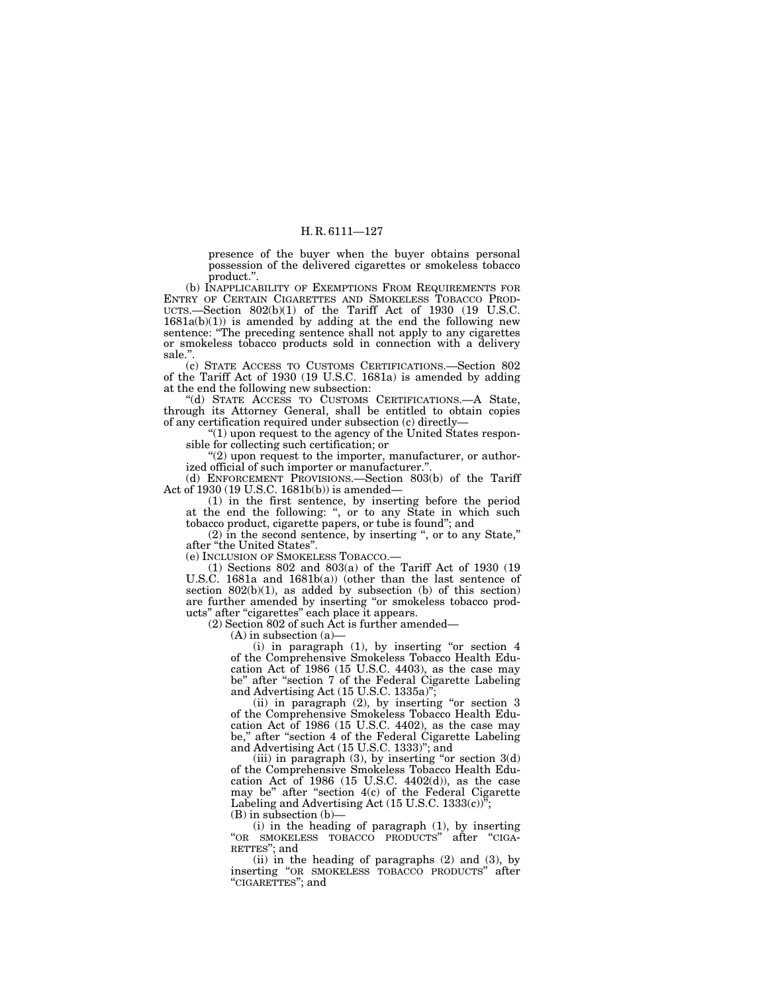presence of the buyer when the buyer obtains personal possession of the delivered cigarettes or smokeless tobacco product.''.

(b) INAPPLICABILITY OF EXEMPTIONS FROM REQUIREMENTS FOR ENTRY OF CERTAIN CIGARETTES AND SMOKELESS TOBACCO PROD-UCTS.—Section 802(b)(1) of the Tariff Act of 1930 (19 U.S.C.  $1681a(b)(1)$ ) is amended by adding at the end the following new sentence: ''The preceding sentence shall not apply to any cigarettes or smokeless tobacco products sold in connection with a delivery sale.''.

(c) STATE ACCESS TO CUSTOMS CERTIFICATIONS.—Section 802 of the Tariff Act of 1930 (19 U.S.C. 1681a) is amended by adding at the end the following new subsection:

''(d) STATE ACCESS TO CUSTOMS CERTIFICATIONS.—A State, through its Attorney General, shall be entitled to obtain copies of any certification required under subsection (c) directly—

 $''(1)$  upon request to the agency of the United States responsible for collecting such certification; or

 $(2)$  upon request to the importer, manufacturer, or authorized official of such importer or manufacturer."

(d) ENFORCEMENT PROVISIONS.—Section 803(b) of the Tariff Act of 1930 (19 U.S.C. 1681b(b)) is amended—

(1) in the first sentence, by inserting before the period at the end the following: ", or to any State in which such tobacco product, cigarette papers, or tube is found''; and

 $(2)$  in the second sentence, by inserting ", or to any State,"

after "the United States".<br>(e) INCLUSION OF SMOKELESS TOBACCO.

(1) Sections  $802$  and  $803(a)$  of the Tariff Act of 1930 (19 U.S.C. 1681a and 1681b(a)) (other than the last sentence of section  $802(b)(1)$ , as added by subsection (b) of this section) are further amended by inserting ''or smokeless tobacco products'' after ''cigarettes'' each place it appears.

(2) Section 802 of such Act is further amended—

 $(A)$  in subsection  $(a)$ 

(i) in paragraph (1), by inserting "or section 4 of the Comprehensive Smokeless Tobacco Health Education Act of 1986 (15 U.S.C. 4403), as the case may be'' after ''section 7 of the Federal Cigarette Labeling and Advertising Act (15 U.S.C. 1335a)'';

(ii) in paragraph (2), by inserting "or section 3 of the Comprehensive Smokeless Tobacco Health Education Act of  $1986$  (15 U.S.C. 4402), as the case may be," after "section 4 of the Federal Cigarette Labeling and Advertising Act (15 U.S.C. 1333)''; and

(iii) in paragraph  $(3)$ , by inserting "or section  $3(d)$ of the Comprehensive Smokeless Tobacco Health Education Act of  $1986$  (15 U.S.C.  $4402(d)$ ), as the case may be'' after ''section 4(c) of the Federal Cigarette Labeling and Advertising Act (15 U.S.C. 1333(c))";

(B) in subsection (b)—

(i) in the heading of paragraph (1), by inserting "OR SMOKELESS TOBACCO PRODUCTS" after "CIGA-RETTES''; and

(ii) in the heading of paragraphs (2) and (3), by inserting ''OR SMOKELESS TOBACCO PRODUCTS'' after "CIGARETTES"; and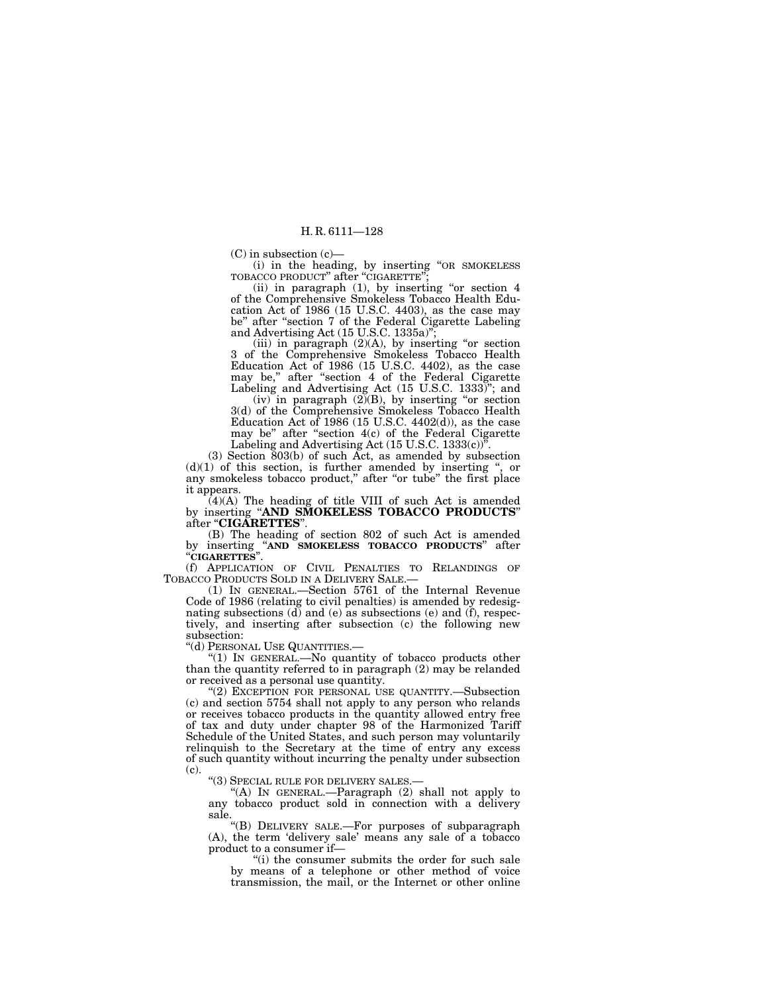$(C)$  in subsection  $(c)$ —

(i) in the heading, by inserting ''OR SMOKELESS TOBACCO PRODUCT'' after ''CIGARETTE'';

(ii) in paragraph (1), by inserting "or section 4 of the Comprehensive Smokeless Tobacco Health Education Act of 1986 (15 U.S.C. 4403), as the case may be" after "section 7 of the Federal Cigarette Labeling and Advertising Act (15 U.S.C. 1335a)'';

(iii) in paragraph  $(2)(A)$ , by inserting "or section of the Comprehensive Smokeless Tobacco Health Education Act of 1986 (15 U.S.C. 4402), as the case may be," after "section 4 of the Federal Cigarette Labeling and Advertising Act (15 U.S.C. 1333)"; and

 $(iv)$  in paragraph  $(2)(B)$ , by inserting "or section 3(d) of the Comprehensive Smokeless Tobacco Health Education Act of 1986 (15 U.S.C. 4402(d)), as the case may be'' after ''section 4(c) of the Federal Cigarette Labeling and Advertising Act (15 U.S.C. 1333(c))''.

(3) Section 803(b) of such Act, as amended by subsection  $(d)(1)$  of this section, is further amended by inserting ", or any smokeless tobacco product," after "or tube" the first place it appears.

 $(A)(A)$  The heading of title VIII of such Act is amended by inserting ''**AND SMOKELESS TOBACCO PRODUCTS**'' after ''**CIGARETTES**''.

(B) The heading of section 802 of such Act is amended by inserting ''**AND SMOKELESS TOBACCO PRODUCTS**'' after ''**CIGARETTES**''.

(f) APPLICATION OF CIVIL PENALTIES TO RELANDINGS OF TOBACCO PRODUCTS SOLD IN A DELIVERY SALE.—

(1) IN GENERAL.—Section 5761 of the Internal Revenue Code of 1986 (relating to civil penalties) is amended by redesignating subsections  $(d)$  and  $(e)$  as subsections  $(e)$  and  $(f)$ , respectively, and inserting after subsection (c) the following new subsection:<br>"(d) PERSONAL USE QUANTITIES.—

" $(1)$  In GENERAL.—No quantity of tobacco products other than the quantity referred to in paragraph (2) may be relanded or received as a personal use quantity.

''(2) EXCEPTION FOR PERSONAL USE QUANTITY.—Subsection (c) and section 5754 shall not apply to any person who relands or receives tobacco products in the quantity allowed entry free of tax and duty under chapter 98 of the Harmonized Tariff Schedule of the United States, and such person may voluntarily relinquish to the Secretary at the time of entry any excess of such quantity without incurring the penalty under subsection (c).

''(3) SPECIAL RULE FOR DELIVERY SALES.—

"(A) IN GENERAL.—Paragraph (2) shall not apply to any tobacco product sold in connection with a delivery sale.

''(B) DELIVERY SALE.—For purposes of subparagraph (A), the term 'delivery sale' means any sale of a tobacco product to a consumer if—

"(i) the consumer submits the order for such sale by means of a telephone or other method of voice transmission, the mail, or the Internet or other online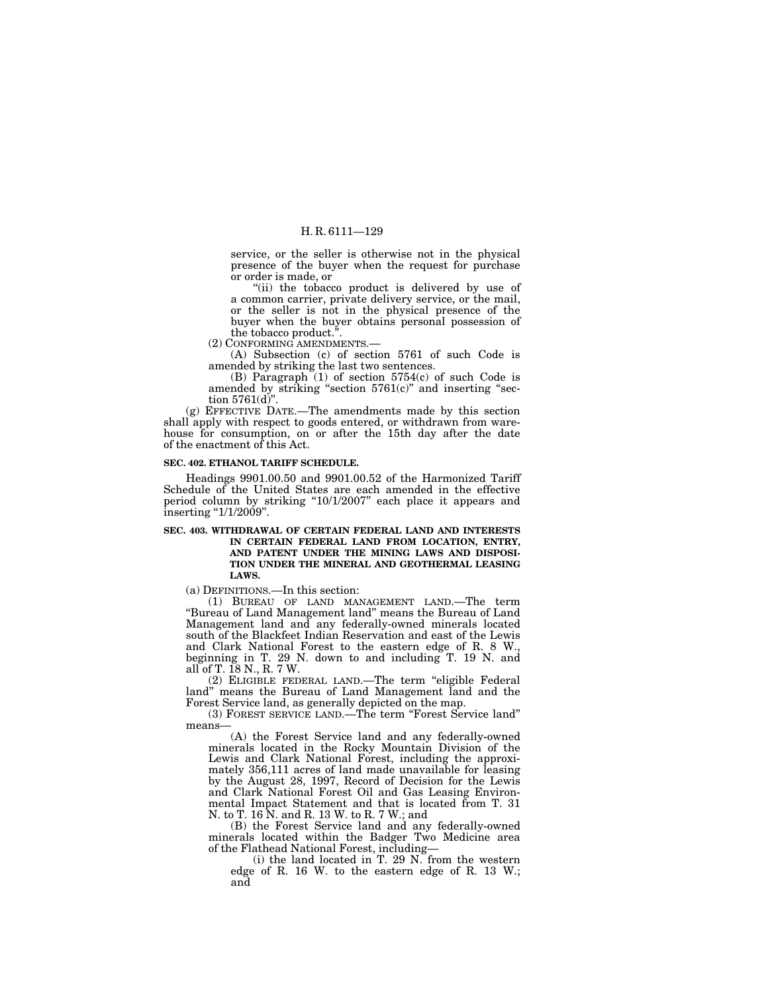service, or the seller is otherwise not in the physical presence of the buyer when the request for purchase or order is made, or

''(ii) the tobacco product is delivered by use of a common carrier, private delivery service, or the mail, or the seller is not in the physical presence of the buyer when the buyer obtains personal possession of the tobacco product.''.

(2) CONFORMING AMENDMENTS.—

(A) Subsection (c) of section 5761 of such Code is amended by striking the last two sentences.

(B) Paragraph  $(1)$  of section 5754 $(c)$  of such Code is amended by striking "section  $5761(c)$ " and inserting "section  $5761(d)$ ".

(g) EFFECTIVE DATE.—The amendments made by this section shall apply with respect to goods entered, or withdrawn from warehouse for consumption, on or after the 15th day after the date of the enactment of this Act.

#### **SEC. 402. ETHANOL TARIFF SCHEDULE.**

Headings 9901.00.50 and 9901.00.52 of the Harmonized Tariff Schedule of the United States are each amended in the effective period column by striking "10/1/2007" each place it appears and inserting "1/1/2009".

#### **SEC. 403. WITHDRAWAL OF CERTAIN FEDERAL LAND AND INTERESTS IN CERTAIN FEDERAL LAND FROM LOCATION, ENTRY, AND PATENT UNDER THE MINING LAWS AND DISPOSI-TION UNDER THE MINERAL AND GEOTHERMAL LEASING LAWS.**

(a) DEFINITIONS.—In this section:

(1) BUREAU OF LAND MANAGEMENT LAND.—The term ''Bureau of Land Management land'' means the Bureau of Land Management land and any federally-owned minerals located south of the Blackfeet Indian Reservation and east of the Lewis and Clark National Forest to the eastern edge of R. 8 W., beginning in T. 29 N. down to and including T. 19 N. and all of T. 18 N., R. 7 W.

(2) ELIGIBLE FEDERAL LAND.—The term ''eligible Federal land" means the Bureau of Land Management land and the Forest Service land, as generally depicted on the map.

(3) FOREST SERVICE LAND.—The term ''Forest Service land'' means—

(A) the Forest Service land and any federally-owned minerals located in the Rocky Mountain Division of the Lewis and Clark National Forest, including the approximately 356,111 acres of land made unavailable for leasing by the August 28, 1997, Record of Decision for the Lewis and Clark National Forest Oil and Gas Leasing Environmental Impact Statement and that is located from T. 31 N. to T. 16 N. and R. 13 W. to R. 7 W.; and

(B) the Forest Service land and any federally-owned minerals located within the Badger Two Medicine area of the Flathead National Forest, including—

(i) the land located in T. 29 N. from the western edge of R. 16 W. to the eastern edge of R. 13 W.; and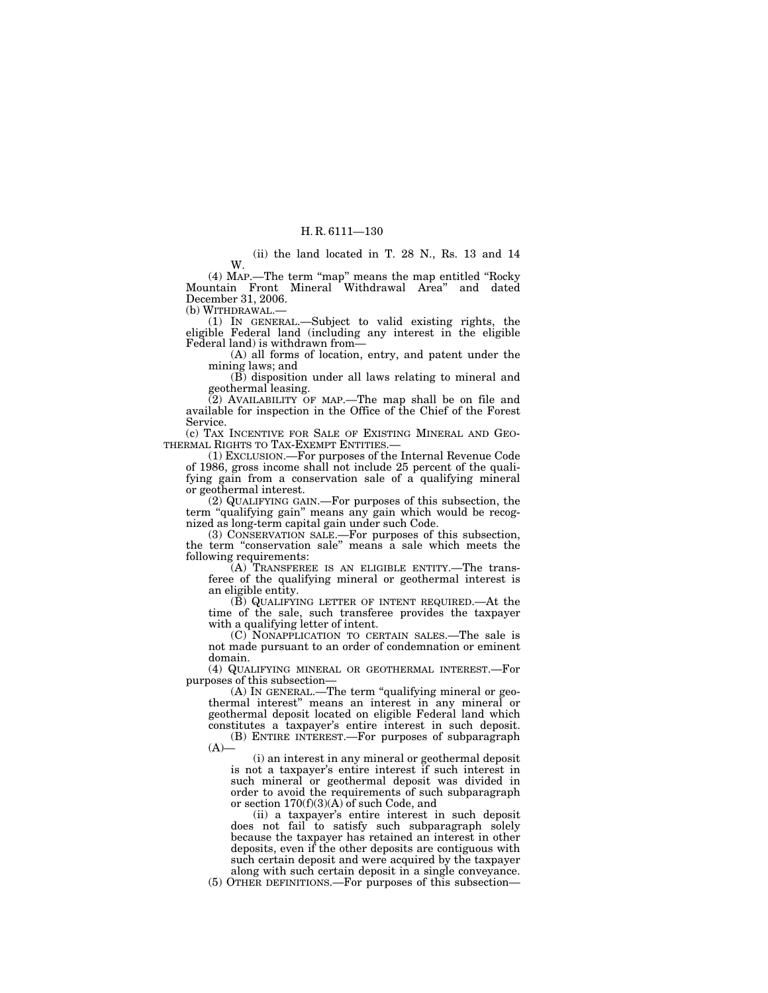(ii) the land located in T. 28 N., Rs. 13 and 14 W.

(4) MAP.—The term ''map'' means the map entitled ''Rocky Mountain Front Mineral Withdrawal Area'' and dated December 31, 2006.

(b) WITHDRAWAL.—

(1) IN GENERAL.—Subject to valid existing rights, the eligible Federal land (including any interest in the eligible Federal land) is withdrawn from—

(A) all forms of location, entry, and patent under the mining laws; and

(B) disposition under all laws relating to mineral and geothermal leasing.

(2) AVAILABILITY OF MAP.—The map shall be on file and available for inspection in the Office of the Chief of the Forest Service.

(c) TAX INCENTIVE FOR SALE OF EXISTING MINERAL AND GEO-THERMAL RIGHTS TO TAX-EXEMPT ENTITIES.—

(1) EXCLUSION.—For purposes of the Internal Revenue Code of 1986, gross income shall not include 25 percent of the qualifying gain from a conservation sale of a qualifying mineral or geothermal interest.

(2) QUALIFYING GAIN.—For purposes of this subsection, the term "qualifying gain" means any gain which would be recognized as long-term capital gain under such Code.

(3) CONSERVATION SALE.—For purposes of this subsection, the term ''conservation sale'' means a sale which meets the following requirements:

(A) TRANSFEREE IS AN ELIGIBLE ENTITY.—The transferee of the qualifying mineral or geothermal interest is an eligible entity.

(B) QUALIFYING LETTER OF INTENT REQUIRED.—At the time of the sale, such transferee provides the taxpayer with a qualifying letter of intent.

(C) NONAPPLICATION TO CERTAIN SALES.—The sale is not made pursuant to an order of condemnation or eminent domain.

(4) QUALIFYING MINERAL OR GEOTHERMAL INTEREST.—For purposes of this subsection—

(A) IN GENERAL.—The term ''qualifying mineral or geothermal interest'' means an interest in any mineral or geothermal deposit located on eligible Federal land which constitutes a taxpayer's entire interest in such deposit.

(B) ENTIRE INTEREST.—For purposes of subparagraph  $(A)$ 

(i) an interest in any mineral or geothermal deposit is not a taxpayer's entire interest if such interest in such mineral or geothermal deposit was divided in order to avoid the requirements of such subparagraph or section 170(f)(3)(A) of such Code, and

(ii) a taxpayer's entire interest in such deposit does not fail to satisfy such subparagraph solely because the taxpayer has retained an interest in other deposits, even if the other deposits are contiguous with such certain deposit and were acquired by the taxpayer along with such certain deposit in a single conveyance.

(5) OTHER DEFINITIONS.—For purposes of this subsection—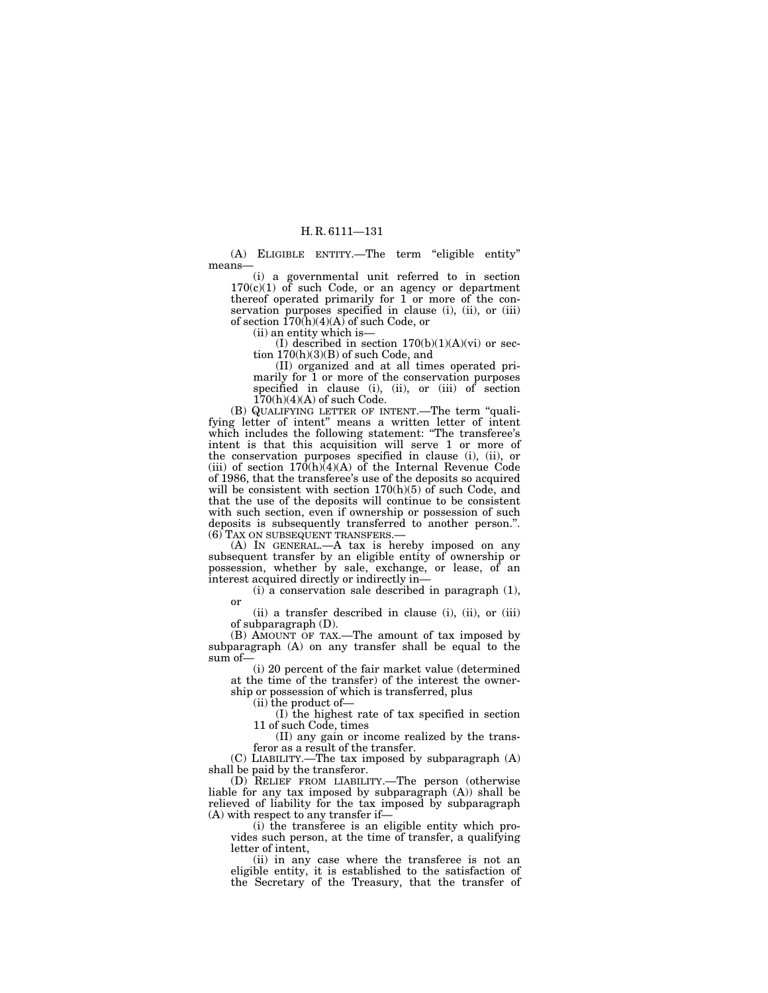(A) ELIGIBLE ENTITY.—The term ''eligible entity''

(i) a governmental unit referred to in section  $170(c)(1)$  of such Code, or an agency or department thereof operated primarily for  $1$  or more of the conservation purposes specified in clause (i), (ii), or (iii) of section  $170(h)(4)(A)$  of such Code, or

(ii) an entity which is—

(I) described in section  $170(b)(1)(A)(vi)$  or section 170(h)(3)(B) of such Code, and

(II) organized and at all times operated primarily for 1 or more of the conservation purposes specified in clause (i), (ii), or (iii) of section  $170(h)(4)(A)$  of such Code.

(B) QUALIFYING LETTER OF INTENT.—The term ''qualifying letter of intent'' means a written letter of intent which includes the following statement: ''The transferee's intent is that this acquisition will serve 1 or more of the conservation purposes specified in clause (i), (ii), or (iii) of section  $170(h)(4)(A)$  of the Internal Revenue Code of 1986, that the transferee's use of the deposits so acquired will be consistent with section 170(h)(5) of such Code, and that the use of the deposits will continue to be consistent with such section, even if ownership or possession of such deposits is subsequently transferred to another person.".<br>(6) TAX ON SUBSEQUENT TRANSFERS.—

 $(A)$  IN GENERAL.— $A$  tax is hereby imposed on any subsequent transfer by an eligible entity of ownership or possession, whether by sale, exchange, or lease, of an interest acquired directly or indirectly in—

(i) a conservation sale described in paragraph (1), or

(ii) a transfer described in clause (i), (ii), or (iii) of subparagraph (D).

(B) AMOUNT OF TAX.—The amount of tax imposed by subparagraph (A) on any transfer shall be equal to the sum of—

(i) 20 percent of the fair market value (determined at the time of the transfer) of the interest the ownership or possession of which is transferred, plus

(ii) the product of—

(I) the highest rate of tax specified in section 11 of such Code, times

(II) any gain or income realized by the transferor as a result of the transfer.

(C) LIABILITY.—The tax imposed by subparagraph (A) shall be paid by the transferor.

(D) RELIEF FROM LIABILITY.—The person (otherwise liable for any tax imposed by subparagraph (A)) shall be relieved of liability for the tax imposed by subparagraph (A) with respect to any transfer if—

(i) the transferee is an eligible entity which provides such person, at the time of transfer, a qualifying letter of intent,

(ii) in any case where the transferee is not an eligible entity, it is established to the satisfaction of the Secretary of the Treasury, that the transfer of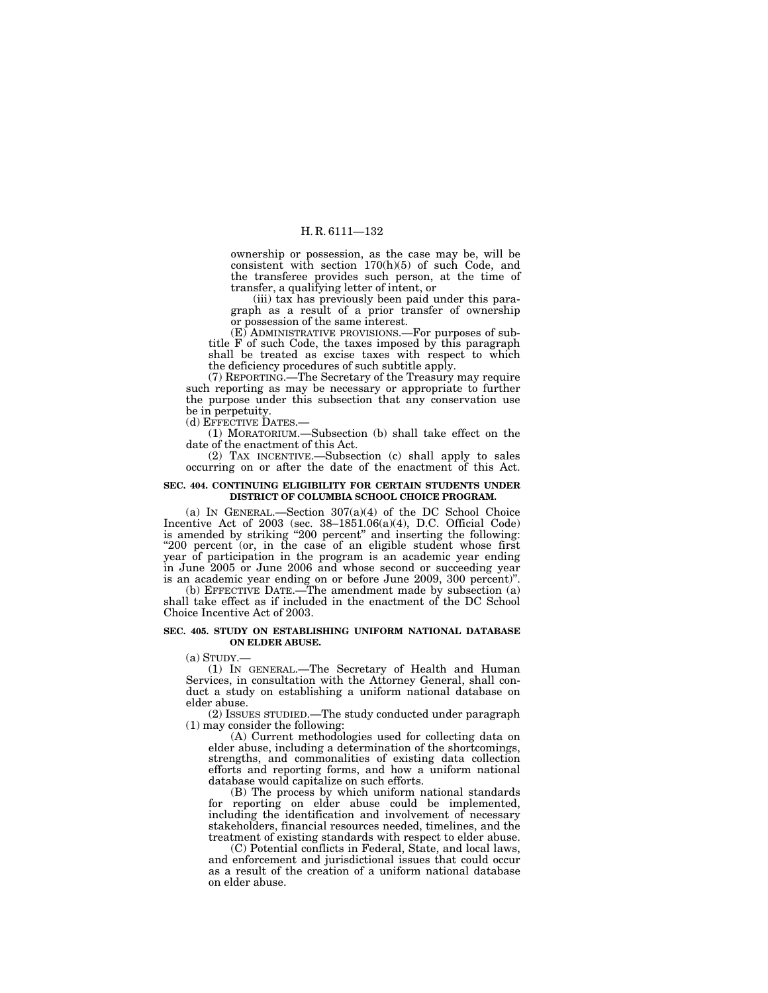ownership or possession, as the case may be, will be consistent with section  $170(h)(5)$  of such Code, and the transferee provides such person, at the time of transfer, a qualifying letter of intent, or

(iii) tax has previously been paid under this paragraph as a result of a prior transfer of ownership or possession of the same interest.

(E) ADMINISTRATIVE PROVISIONS.—For purposes of subtitle F of such Code, the taxes imposed by this paragraph shall be treated as excise taxes with respect to which the deficiency procedures of such subtitle apply.

(7) REPORTING.—The Secretary of the Treasury may require such reporting as may be necessary or appropriate to further the purpose under this subsection that any conservation use be in perpetuity.

(d) EFFECTIVE DATES.— (1) MORATORIUM.—Subsection (b) shall take effect on the date of the enactment of this Act.

(2) TAX INCENTIVE.—Subsection (c) shall apply to sales occurring on or after the date of the enactment of this Act.

#### **SEC. 404. CONTINUING ELIGIBILITY FOR CERTAIN STUDENTS UNDER DISTRICT OF COLUMBIA SCHOOL CHOICE PROGRAM.**

(a) IN GENERAL.—Section 307(a)(4) of the DC School Choice Incentive Act of 2003 (sec. 38–1851.06(a)(4), D.C. Official Code) is amended by striking "200 percent" and inserting the following: "200 percent (or, in the case of an eligible student whose first year of participation in the program is an academic year ending in June 2005 or June 2006 and whose second or succeeding year is an academic year ending on or before June 2009, 300 percent)''.

(b) EFFECTIVE DATE.—The amendment made by subsection (a) shall take effect as if included in the enactment of the DC School Choice Incentive Act of 2003.

#### **SEC. 405. STUDY ON ESTABLISHING UNIFORM NATIONAL DATABASE ON ELDER ABUSE.**

(a) STUDY.—

(1) IN GENERAL.—The Secretary of Health and Human Services, in consultation with the Attorney General, shall conduct a study on establishing a uniform national database on elder abuse.

(2) ISSUES STUDIED.—The study conducted under paragraph (1) may consider the following:

(A) Current methodologies used for collecting data on elder abuse, including a determination of the shortcomings, strengths, and commonalities of existing data collection efforts and reporting forms, and how a uniform national database would capitalize on such efforts.

(B) The process by which uniform national standards for reporting on elder abuse could be implemented, including the identification and involvement of necessary stakeholders, financial resources needed, timelines, and the treatment of existing standards with respect to elder abuse.

(C) Potential conflicts in Federal, State, and local laws, and enforcement and jurisdictional issues that could occur as a result of the creation of a uniform national database on elder abuse.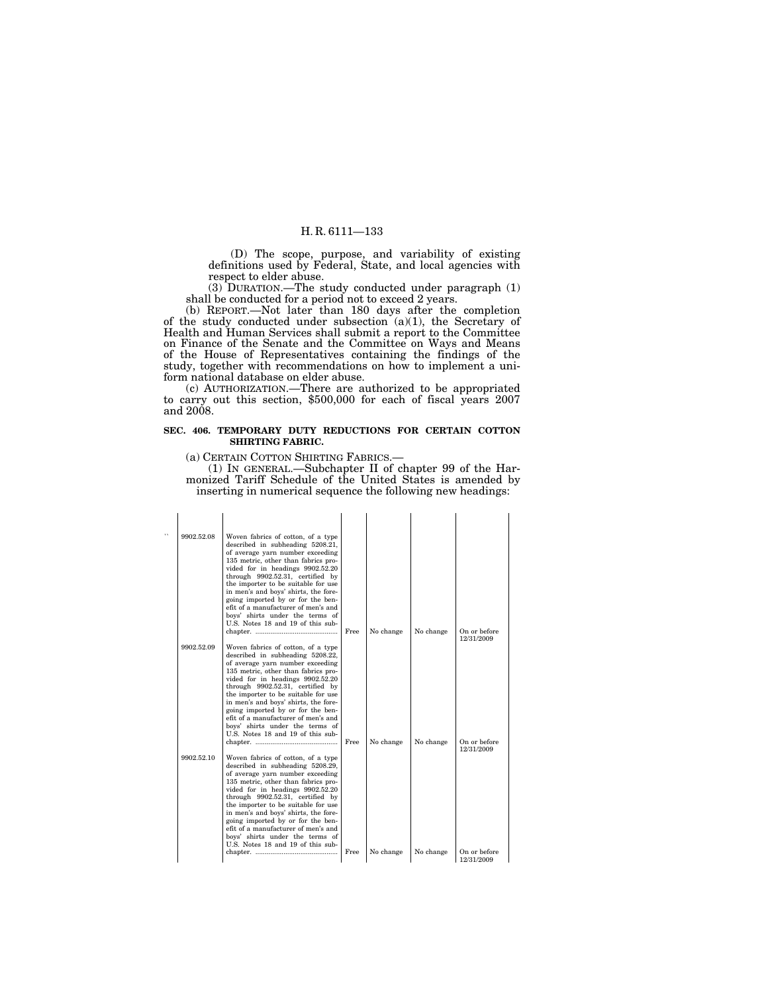(D) The scope, purpose, and variability of existing definitions used by Federal, State, and local agencies with respect to elder abuse.

(3) DURATION.—The study conducted under paragraph (1) shall be conducted for a period not to exceed 2 years.

(b) REPORT.—Not later than 180 days after the completion of the study conducted under subsection (a)(1), the Secretary of Health and Human Services shall submit a report to the Committee on Finance of the Senate and the Committee on Ways and Means of the House of Representatives containing the findings of the study, together with recommendations on how to implement a uniform national database on elder abuse.

(c) AUTHORIZATION.—There are authorized to be appropriated to carry out this section, \$500,000 for each of fiscal years 2007 and 2008.

### **SEC. 406. TEMPORARY DUTY REDUCTIONS FOR CERTAIN COTTON SHIRTING FABRIC.**

(a) CERTAIN COTTON SHIRTING FABRICS.—

(1) IN GENERAL.—Subchapter II of chapter 99 of the Harmonized Tariff Schedule of the United States is amended by inserting in numerical sequence the following new headings:

| $\cdot$ | 9902.52.08 | Woven fabrics of cotton, of a type<br>described in subheading 5208.21,<br>of average yarn number exceeding<br>135 metric, other than fabrics pro-<br>vided for in headings 9902.52.20<br>through 9902.52.31, certified by<br>the importer to be suitable for use<br>in men's and boys' shirts, the fore-<br>going imported by or for the ben-<br>efit of a manufacturer of men's and<br>boys' shirts under the terms of<br>U.S. Notes 18 and 19 of this sub- | Free         | No change              | No change              | On or before               |
|---------|------------|--------------------------------------------------------------------------------------------------------------------------------------------------------------------------------------------------------------------------------------------------------------------------------------------------------------------------------------------------------------------------------------------------------------------------------------------------------------|--------------|------------------------|------------------------|----------------------------|
|         | 9902.52.09 | Woven fabrics of cotton, of a type<br>described in subheading 5208.22,<br>of average yarn number exceeding<br>135 metric, other than fabrics pro-<br>vided for in headings 9902.52.20<br>through 9902.52.31, certified by<br>the importer to be suitable for use<br>in men's and boys' shirts, the fore-<br>going imported by or for the ben-<br>efit of a manufacturer of men's and<br>boys' shirts under the terms of<br>U.S. Notes 18 and 19 of this sub- |              |                        |                        | 12/31/2009<br>On or before |
|         | 9902.52.10 | Woven fabrics of cotton, of a type<br>described in subheading 5208.29.<br>of average yarn number exceeding<br>135 metric, other than fabrics pro-<br>vided for in headings 9902.52.20<br>through 9902.52.31, certified by<br>the importer to be suitable for use<br>in men's and boys' shirts, the fore-<br>going imported by or for the ben-<br>efit of a manufacturer of men's and<br>boys' shirts under the terms of<br>U.S. Notes 18 and 19 of this sub- | Free<br>Free | No change<br>No change | No change<br>No change | 12/31/2009<br>On or before |
|         |            |                                                                                                                                                                                                                                                                                                                                                                                                                                                              |              |                        |                        | 12/31/2009                 |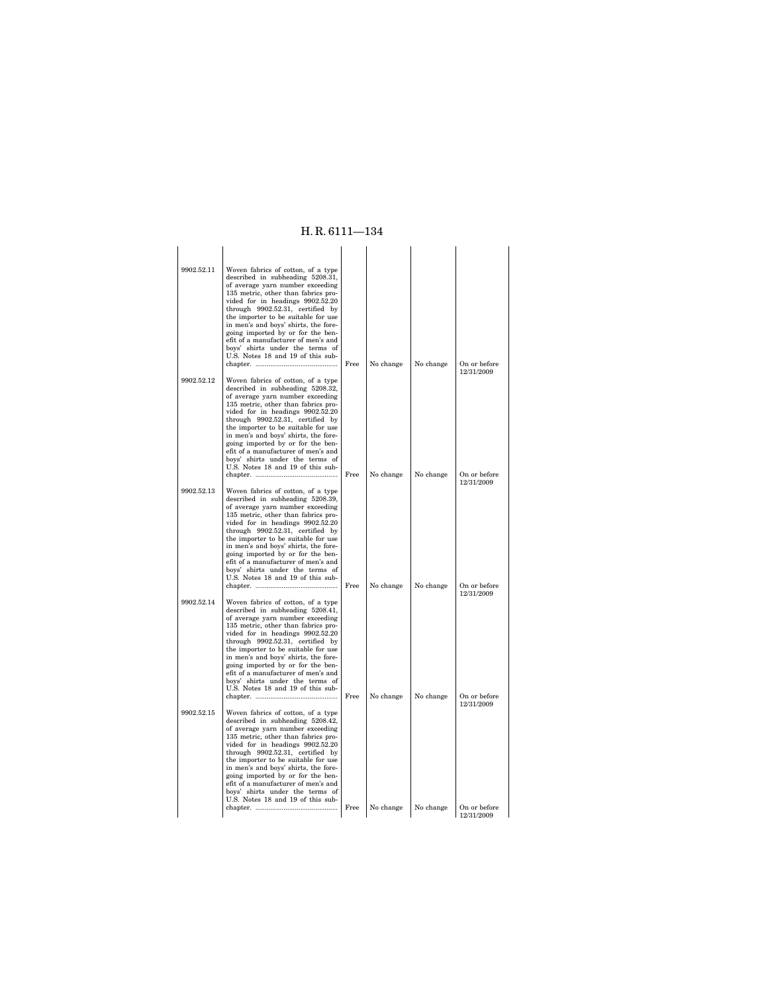| 9902.52.11 | Woven fabrics of cotton, of a type<br>described in subheading 5208.31,<br>of average yarn number exceeding<br>135 metric, other than fabrics pro-<br>vided for in headings 9902.52.20<br>through 9902.52.31, certified by<br>the importer to be suitable for use<br>in men's and boys' shirts, the fore-<br>going imported by or for the ben-<br>efit of a manufacturer of men's and<br>boys' shirts under the terms of<br>U.S. Notes 18 and 19 of this sub- | Free | No change | No change | On or before<br>12/31/2009 |
|------------|--------------------------------------------------------------------------------------------------------------------------------------------------------------------------------------------------------------------------------------------------------------------------------------------------------------------------------------------------------------------------------------------------------------------------------------------------------------|------|-----------|-----------|----------------------------|
| 9902.52.12 | Woven fabrics of cotton, of a type<br>described in subheading 5208.32,<br>of average yarn number exceeding<br>135 metric, other than fabrics pro-<br>vided for in headings 9902.52.20<br>through 9902.52.31, certified by<br>the importer to be suitable for use<br>in men's and boys' shirts, the fore-<br>going imported by or for the ben-<br>efit of a manufacturer of men's and<br>boys' shirts under the terms of<br>U.S. Notes 18 and 19 of this sub- | Free | No change | No change | On or before               |
| 9902.52.13 | Woven fabrics of cotton, of a type<br>described in subheading 5208.39,<br>of average yarn number exceeding<br>135 metric, other than fabrics pro-<br>vided for in headings 9902.52.20<br>through 9902.52.31, certified by<br>the importer to be suitable for use<br>in men's and boys' shirts, the fore-<br>going imported by or for the ben-<br>efit of a manufacturer of men's and<br>boys' shirts under the terms of<br>U.S. Notes 18 and 19 of this sub- | Free | No change | No change | 12/31/2009<br>On or before |
| 9902.52.14 | Woven fabrics of cotton, of a type<br>described in subheading 5208.41,<br>of average yarn number exceeding<br>135 metric, other than fabrics pro-<br>vided for in headings 9902.52.20<br>through 9902.52.31, certified by<br>the importer to be suitable for use<br>in men's and boys' shirts, the fore-<br>going imported by or for the ben-<br>efit of a manufacturer of men's and<br>boys' shirts under the terms of<br>U.S. Notes 18 and 19 of this sub- | Free | No change | No change | 12/31/2009<br>On or before |
| 9902.52.15 | Woven fabrics of cotton, of a type<br>described in subheading 5208.42,<br>of average yarn number exceeding<br>135 metric, other than fabrics pro-<br>vided for in headings 9902.52.20<br>through 9902.52.31, certified by<br>the importer to be suitable for use<br>in men's and boys' shirts, the fore-<br>going imported by or for the ben-<br>efit of a manufacturer of men's and<br>boys' shirts under the terms of<br>U.S. Notes 18 and 19 of this sub- | Free | No change | No change | 12/31/2009<br>On or before |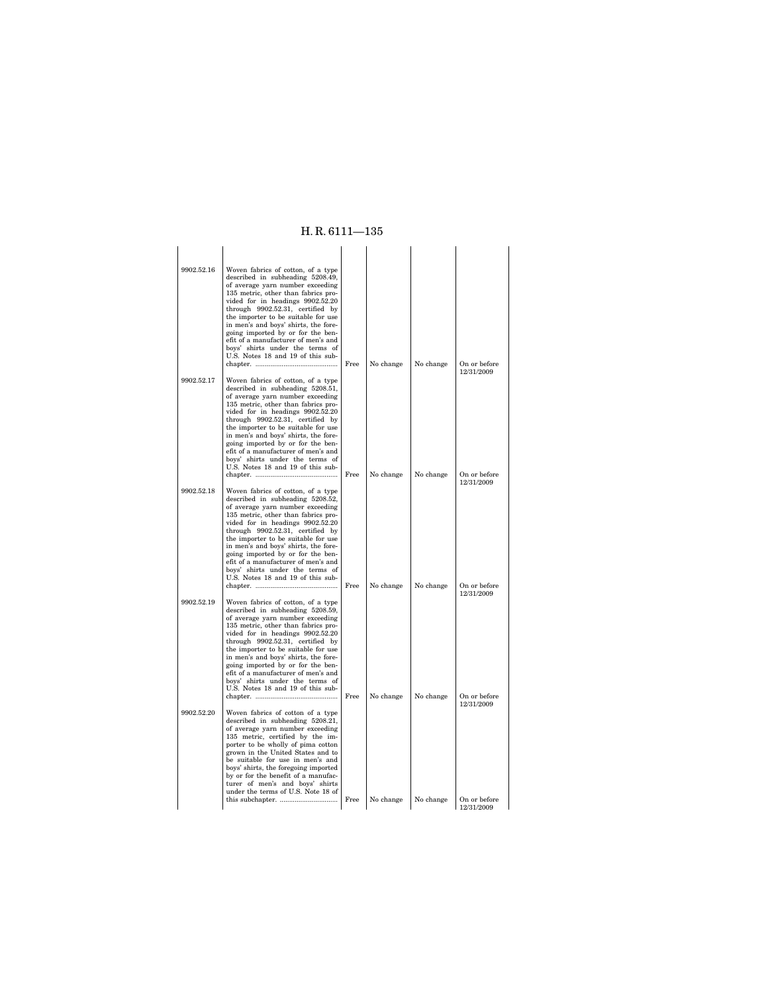| 9902.52.16 | Woven fabrics of cotton, of a type<br>described in subheading 5208.49,<br>of average yarn number exceeding<br>135 metric, other than fabrics pro-<br>vided for in headings 9902.52.20<br>through 9902.52.31, certified by<br>the importer to be suitable for use<br>in men's and boys' shirts, the fore-<br>going imported by or for the ben-<br>efit of a manufacturer of men's and<br>boys' shirts under the terms of<br>U.S. Notes 18 and 19 of this sub- | Free | No change | No change | On or before<br>12/31/2009 |
|------------|--------------------------------------------------------------------------------------------------------------------------------------------------------------------------------------------------------------------------------------------------------------------------------------------------------------------------------------------------------------------------------------------------------------------------------------------------------------|------|-----------|-----------|----------------------------|
| 9902.52.17 | Woven fabrics of cotton, of a type<br>described in subheading 5208.51,<br>of average yarn number exceeding<br>135 metric, other than fabrics pro-<br>vided for in headings 9902.52.20<br>through 9902.52.31, certified by<br>the importer to be suitable for use<br>in men's and boys' shirts, the fore-<br>going imported by or for the ben-<br>efit of a manufacturer of men's and<br>boys' shirts under the terms of<br>U.S. Notes 18 and 19 of this sub- | Free | No change | No change | On or before<br>12/31/2009 |
| 9902.52.18 | Woven fabrics of cotton, of a type<br>described in subheading 5208.52,<br>of average yarn number exceeding<br>135 metric, other than fabrics pro-<br>vided for in headings 9902.52.20<br>through 9902.52.31, certified by<br>the importer to be suitable for use<br>in men's and boys' shirts, the fore-<br>going imported by or for the ben-<br>efit of a manufacturer of men's and<br>boys' shirts under the terms of<br>U.S. Notes 18 and 19 of this sub- | Free | No change | No change | On or before               |
| 9902.52.19 | Woven fabrics of cotton, of a type<br>described in subheading 5208.59,<br>of average yarn number exceeding<br>135 metric, other than fabrics pro-<br>vided for in headings 9902.52.20<br>through 9902.52.31, certified by<br>the importer to be suitable for use<br>in men's and boys' shirts, the fore-<br>going imported by or for the ben-<br>efit of a manufacturer of men's and<br>boys' shirts under the terms of<br>U.S. Notes 18 and 19 of this sub- | Free | No change | No change | 12/31/2009<br>On or before |
| 9902.52.20 | Woven fabrics of cotton of a type<br>described in subheading 5208.21,<br>of average yarn number exceeding<br>135 metric, certified by the im-<br>porter to be wholly of pima cotton<br>grown in the United States and to<br>be suitable for use in men's and<br>boys' shirts, the foregoing imported<br>by or for the benefit of a manufac-<br>turer of men's and boys' shirts<br>under the terms of U.S. Note 18 of                                         |      |           |           | 12/31/2009                 |
|            |                                                                                                                                                                                                                                                                                                                                                                                                                                                              | Free | No change | No change | On or before<br>12/31/2009 |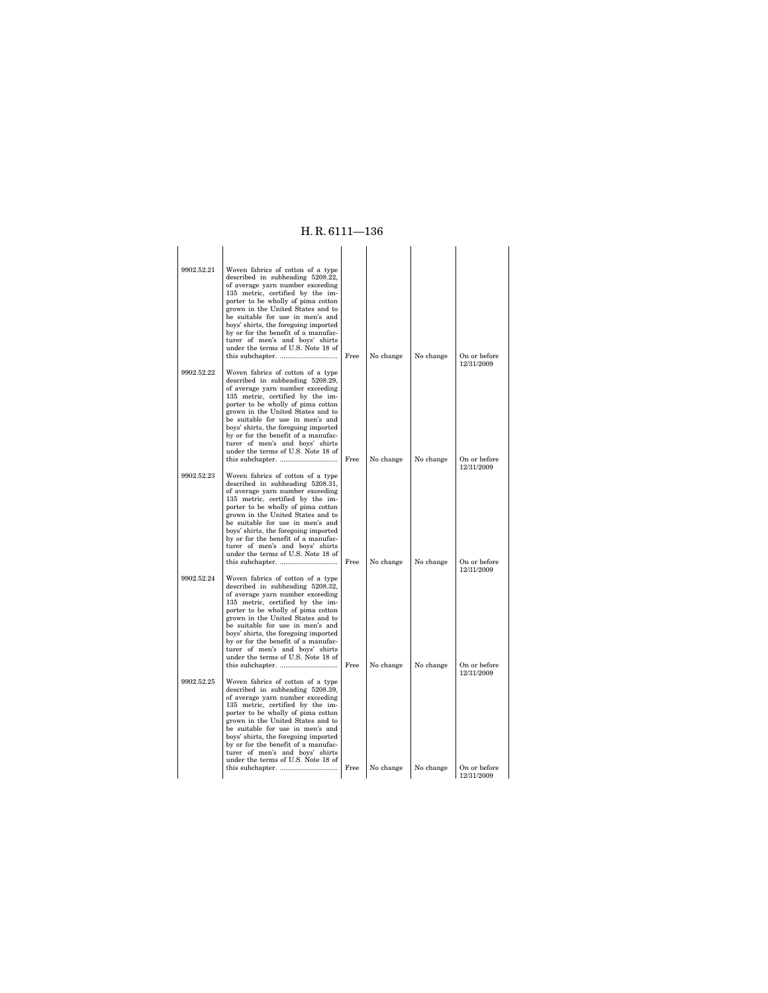| 9902.52.21 | Woven fabrics of cotton of a type<br>described in subheading 5208.22,<br>of average yarn number exceeding<br>135 metric, certified by the im-<br>porter to be wholly of pima cotton<br>grown in the United States and to<br>be suitable for use in men's and<br>boys' shirts, the foregoing imported<br>by or for the benefit of a manufac-<br>turer of men's and boys' shirts<br>under the terms of U.S. Note 18 of                     | Free | No change | No change | On or before<br>12/31/2009 |
|------------|------------------------------------------------------------------------------------------------------------------------------------------------------------------------------------------------------------------------------------------------------------------------------------------------------------------------------------------------------------------------------------------------------------------------------------------|------|-----------|-----------|----------------------------|
| 9902.52.22 | Woven fabrics of cotton of a type<br>described in subheading 5208.29,<br>of average yarn number exceeding<br>135 metric, certified by the im-<br>porter to be wholly of pima cotton<br>grown in the United States and to<br>be suitable for use in men's and<br>boys' shirts, the foregoing imported<br>by or for the benefit of a manufac-<br>turer of men's and boys' shirts<br>under the terms of U.S. Note 18 of                     | Free | No change | No change | On or before<br>12/31/2009 |
| 9902.52.23 | Woven fabrics of cotton of a type<br>described in subheading 5208.31,<br>of average yarn number exceeding<br>135 metric, certified by the im-<br>porter to be wholly of pima cotton<br>grown in the United States and to<br>be suitable for use in men's and<br>boys' shirts, the foregoing imported<br>by or for the benefit of a manufac-<br>turer of men's and boys' shirts<br>under the terms of U.S. Note 18 of<br>this subchapter. | Free | No change | No change | On or before               |
| 9902.52.24 | Woven fabrics of cotton of a type<br>described in subheading 5208.32,<br>of average yarn number exceeding<br>135 metric, certified by the im-<br>porter to be wholly of pima cotton<br>grown in the United States and to<br>be suitable for use in men's and<br>boys' shirts, the foregoing imported<br>by or for the benefit of a manufac-<br>turer of men's and boys' shirts<br>under the terms of U.S. Note 18 of                     |      |           |           | 12/31/2009<br>On or before |
| 9902.52.25 | Woven fabrics of cotton of a type<br>described in subheading 5208.39,<br>of average yarn number exceeding<br>135 metric, certified by the im-<br>porter to be wholly of pima cotton<br>grown in the United States and to<br>be suitable for use in men's and<br>boys' shirts, the foregoing imported<br>by or for the benefit of a manufac-<br>turer of men's and boys' shirts<br>under the terms of U.S. Note 18 of                     | Free | No change | No change | 12/31/2009                 |
|            | this subchapter.                                                                                                                                                                                                                                                                                                                                                                                                                         | Free | No change | No change | On or before<br>12/31/2009 |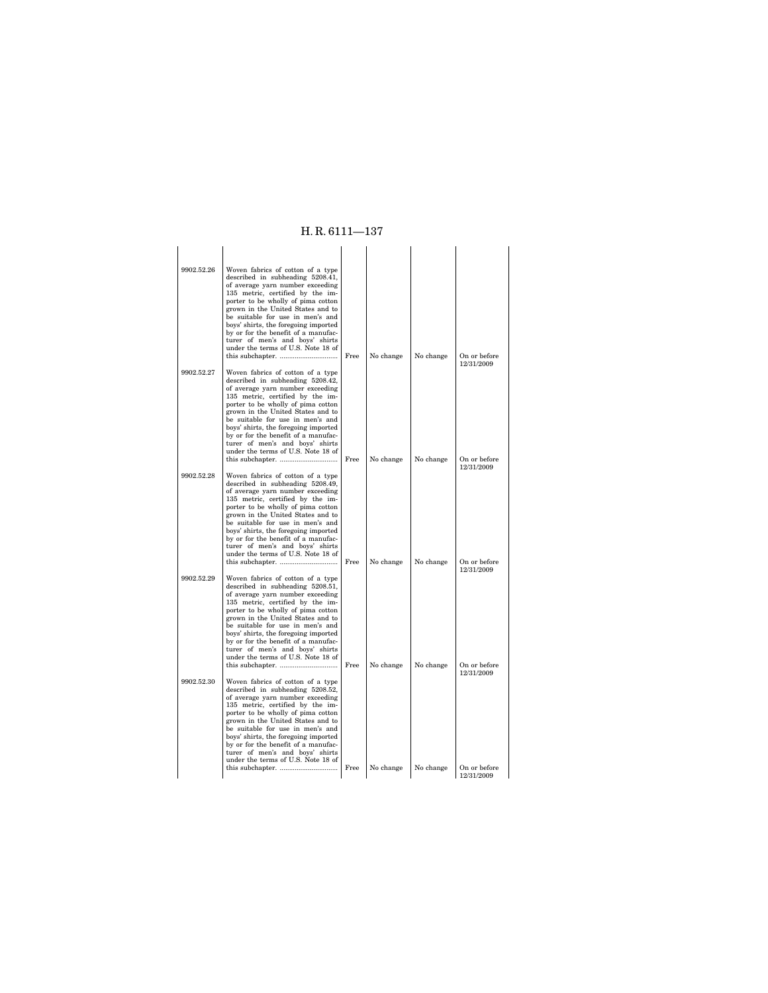| 9902.52.26 | Woven fabrics of cotton of a type<br>described in subheading 5208.41,<br>of average yarn number exceeding<br>135 metric, certified by the im-<br>porter to be wholly of pima cotton<br>grown in the United States and to<br>be suitable for use in men's and<br>boys' shirts, the foregoing imported<br>by or for the benefit of a manufac-<br>turer of men's and boys' shirts<br>under the terms of U.S. Note 18 of | Free | No change | No change | On or before<br>12/31/2009 |
|------------|----------------------------------------------------------------------------------------------------------------------------------------------------------------------------------------------------------------------------------------------------------------------------------------------------------------------------------------------------------------------------------------------------------------------|------|-----------|-----------|----------------------------|
| 9902.52.27 | Woven fabrics of cotton of a type<br>described in subheading 5208.42,<br>of average yarn number exceeding<br>135 metric, certified by the im-<br>porter to be wholly of pima cotton<br>grown in the United States and to<br>be suitable for use in men's and<br>boys' shirts, the foregoing imported<br>by or for the benefit of a manufac-<br>turer of men's and boys' shirts<br>under the terms of U.S. Note 18 of | Free | No change | No change | On or before<br>12/31/2009 |
| 9902.52.28 | Woven fabrics of cotton of a type<br>described in subheading 5208.49,<br>of average yarn number exceeding<br>135 metric, certified by the im-<br>porter to be wholly of pima cotton<br>grown in the United States and to<br>be suitable for use in men's and<br>boys' shirts, the foregoing imported<br>by or for the benefit of a manufac-<br>turer of men's and boys' shirts<br>under the terms of U.S. Note 18 of | Free | No change | No change | On or before               |
| 9902.52.29 | Woven fabrics of cotton of a type<br>described in subheading 5208.51,<br>of average yarn number exceeding<br>135 metric, certified by the im-<br>porter to be wholly of pima cotton<br>grown in the United States and to<br>be suitable for use in men's and<br>boys' shirts, the foregoing imported<br>by or for the benefit of a manufac-<br>turer of men's and boys' shirts<br>under the terms of U.S. Note 18 of | Free | No change | No change | 12/31/2009<br>On or before |
| 9902.52.30 | Woven fabrics of cotton of a type<br>described in subheading 5208.52,<br>of average yarn number exceeding<br>135 metric, certified by the im-<br>porter to be wholly of pima cotton<br>grown in the United States and to<br>be suitable for use in men's and<br>boys' shirts, the foregoing imported<br>by or for the benefit of a manufac-<br>turer of men's and boys' shirts<br>under the terms of U.S. Note 18 of |      |           |           | 12/31/2009<br>On or before |
|            | this subchapter.                                                                                                                                                                                                                                                                                                                                                                                                     | Free | No change | No change | 12/31/2009                 |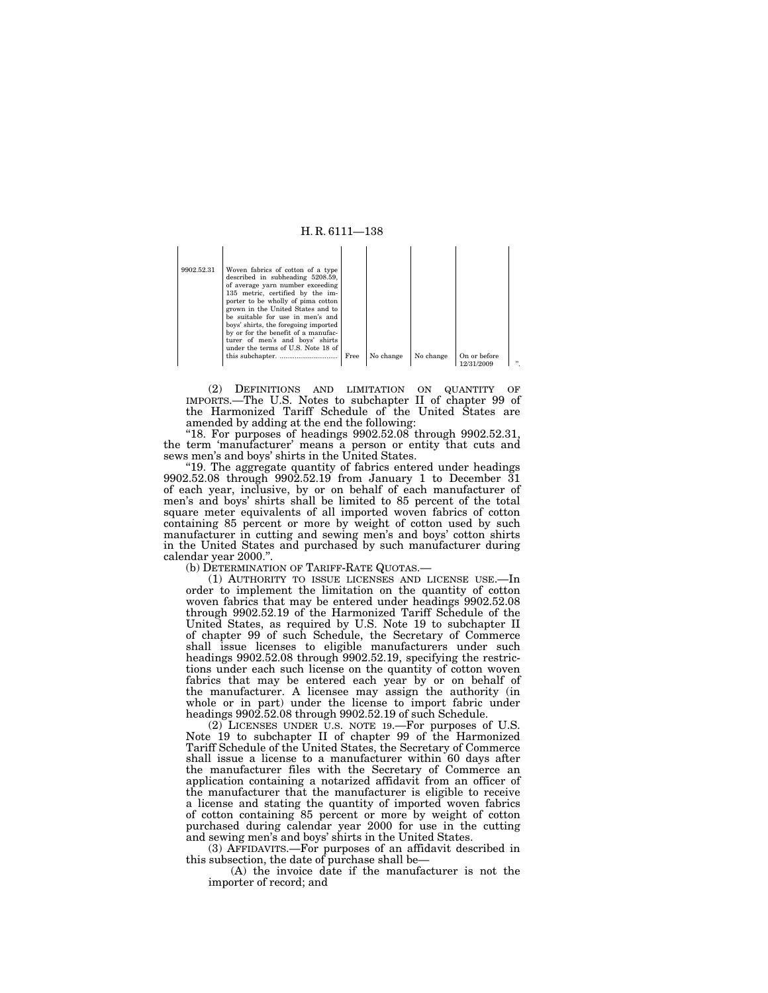H. R. 6111—138

| 9902.52.31 | Woven fabrics of cotton of a type<br>described in subheading 5208.59,<br>of average yarn number exceeding<br>135 metric, certified by the im-<br>porter to be wholly of pima cotton<br>grown in the United States and to<br>be suitable for use in men's and<br>boys' shirts, the foregoing imported<br>by or for the benefit of a manufac-<br>turer of men's and boys' shirts<br>under the terms of U.S. Note 18 of | Free | No change | No change | On or before |  |
|------------|----------------------------------------------------------------------------------------------------------------------------------------------------------------------------------------------------------------------------------------------------------------------------------------------------------------------------------------------------------------------------------------------------------------------|------|-----------|-----------|--------------|--|
|------------|----------------------------------------------------------------------------------------------------------------------------------------------------------------------------------------------------------------------------------------------------------------------------------------------------------------------------------------------------------------------------------------------------------------------|------|-----------|-----------|--------------|--|

(2) DEFINITIONS AND LIMITATION ON QUANTITY OF IMPORTS.—The U.S. Notes to subchapter II of chapter 99 of the Harmonized Tariff Schedule of the United States are amended by adding at the end the following:

"18. For purposes of headings 9902.52.08 through 9902.52.31, the term 'manufacturer' means a person or entity that cuts and sews men's and boys' shirts in the United States.

"19. The aggregate quantity of fabrics entered under headings 9902.52.08 through 9902.52.19 from January 1 to December 31 of each year, inclusive, by or on behalf of each manufacturer of men's and boys' shirts shall be limited to 85 percent of the total square meter equivalents of all imported woven fabrics of cotton containing 85 percent or more by weight of cotton used by such manufacturer in cutting and sewing men's and boys' cotton shirts in the United States and purchased by such manufacturer during calendar year 2000.".<br>
(b) DETERMINATION OF TARIFF-RATE QUOTAS.—

(1) AUTHORITY TO ISSUE LICENSES AND LICENSE USE.—In order to implement the limitation on the quantity of cotton woven fabrics that may be entered under headings 9902.52.08 through 9902.52.19 of the Harmonized Tariff Schedule of the United States, as required by U.S. Note 19 to subchapter II of chapter 99 of such Schedule, the Secretary of Commerce shall issue licenses to eligible manufacturers under such headings 9902.52.08 through 9902.52.19, specifying the restrictions under each such license on the quantity of cotton woven fabrics that may be entered each year by or on behalf of the manufacturer. A licensee may assign the authority (in whole or in part) under the license to import fabric under headings 9902.52.08 through 9902.52.19 of such Schedule.

(2) LICENSES UNDER U.S. NOTE 19.—For purposes of U.S. Note 19 to subchapter II of chapter 99 of the Harmonized Tariff Schedule of the United States, the Secretary of Commerce shall issue a license to a manufacturer within 60 days after the manufacturer files with the Secretary of Commerce an application containing a notarized affidavit from an officer of the manufacturer that the manufacturer is eligible to receive a license and stating the quantity of imported woven fabrics of cotton containing 85 percent or more by weight of cotton purchased during calendar year 2000 for use in the cutting and sewing men's and boys' shirts in the United States.

(3) AFFIDAVITS.—For purposes of an affidavit described in this subsection, the date of purchase shall be—

(A) the invoice date if the manufacturer is not the importer of record; and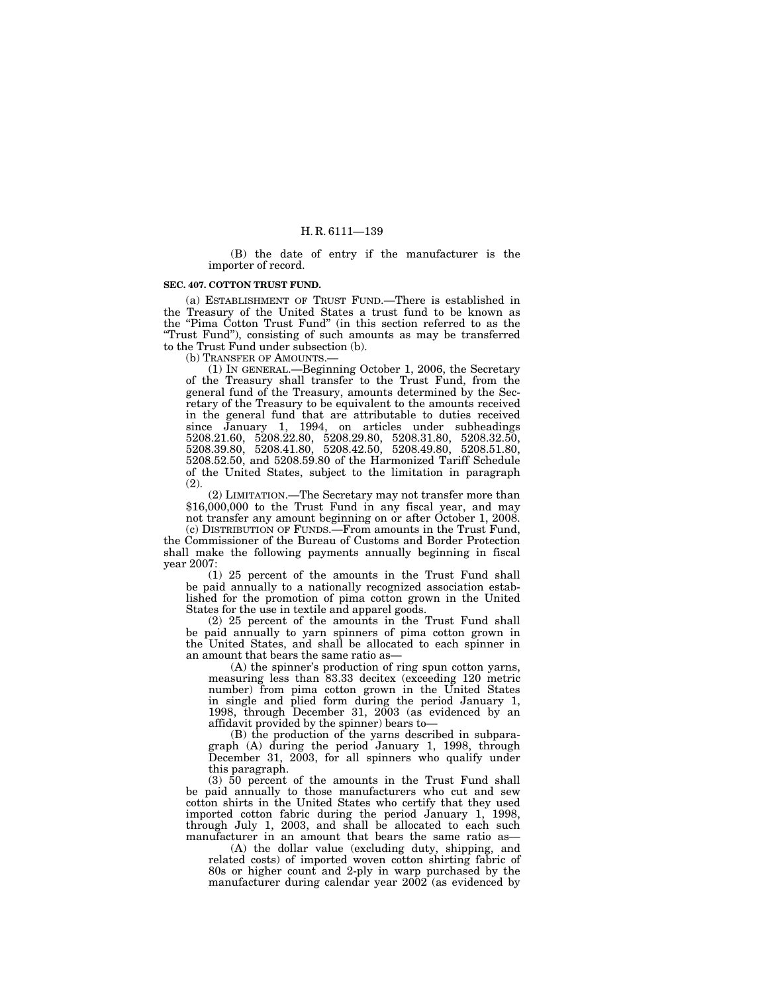(B) the date of entry if the manufacturer is the importer of record.

### **SEC. 407. COTTON TRUST FUND.**

(a) ESTABLISHMENT OF TRUST FUND.—There is established in the Treasury of the United States a trust fund to be known as the ''Pima Cotton Trust Fund'' (in this section referred to as the ''Trust Fund''), consisting of such amounts as may be transferred to the Trust Fund under subsection (b).

(b) TRANSFER OF AMOUNTS.—

(1) IN GENERAL.—Beginning October 1, 2006, the Secretary of the Treasury shall transfer to the Trust Fund, from the general fund of the Treasury, amounts determined by the Secretary of the Treasury to be equivalent to the amounts received in the general fund that are attributable to duties received since January 1, 1994, on articles under subheadings 5208.21.60, 5208.22.80, 5208.29.80, 5208.31.80, 5208.32.50, 5208.39.80, 5208.41.80, 5208.42.50, 5208.49.80, 5208.51.80, 5208.52.50, and 5208.59.80 of the Harmonized Tariff Schedule of the United States, subject to the limitation in paragraph (2).

(2) LIMITATION.—The Secretary may not transfer more than \$16,000,000 to the Trust Fund in any fiscal year, and may not transfer any amount beginning on or after October 1, 2008.

(c) DISTRIBUTION OF FUNDS.—From amounts in the Trust Fund, the Commissioner of the Bureau of Customs and Border Protection shall make the following payments annually beginning in fiscal year 2007:

(1) 25 percent of the amounts in the Trust Fund shall be paid annually to a nationally recognized association established for the promotion of pima cotton grown in the United States for the use in textile and apparel goods.

(2) 25 percent of the amounts in the Trust Fund shall be paid annually to yarn spinners of pima cotton grown in the United States, and shall be allocated to each spinner in an amount that bears the same ratio as—

(A) the spinner's production of ring spun cotton yarns, measuring less than 83.33 decitex (exceeding 120 metric number) from pima cotton grown in the United States in single and plied form during the period January 1, 1998, through December 31, 2003 (as evidenced by an affidavit provided by the spinner) bears to—

(B) the production of the yarns described in subparagraph (A) during the period January 1, 1998, through December 31, 2003, for all spinners who qualify under this paragraph.

(3) 50 percent of the amounts in the Trust Fund shall be paid annually to those manufacturers who cut and sew cotton shirts in the United States who certify that they used imported cotton fabric during the period January 1, 1998, through July 1, 2003, and shall be allocated to each such manufacturer in an amount that bears the same ratio as—

(A) the dollar value (excluding duty, shipping, and related costs) of imported woven cotton shirting fabric of 80s or higher count and 2-ply in warp purchased by the manufacturer during calendar year 2002 (as evidenced by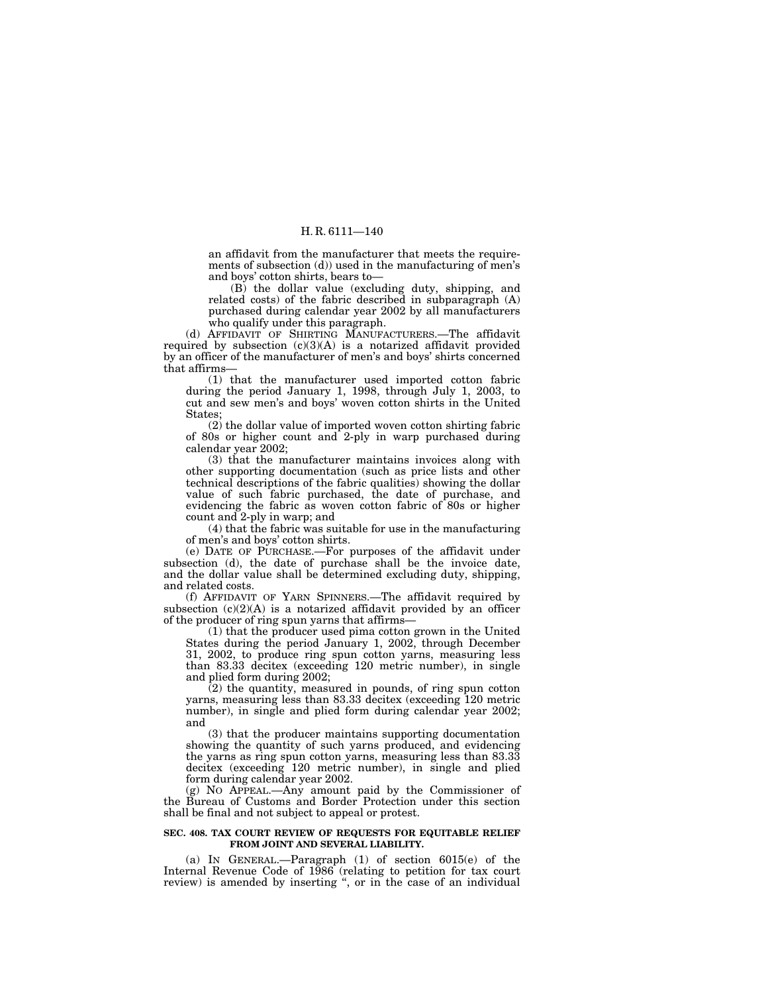an affidavit from the manufacturer that meets the requirements of subsection (d)) used in the manufacturing of men's and boys' cotton shirts, bears to—

(B) the dollar value (excluding duty, shipping, and related costs) of the fabric described in subparagraph (A) purchased during calendar year 2002 by all manufacturers who qualify under this paragraph.

(d) AFFIDAVIT OF SHIRTING MANUFACTURERS.—The affidavit required by subsection (c)(3)(A) is a notarized affidavit provided by an officer of the manufacturer of men's and boys' shirts concerned that affirms—

(1) that the manufacturer used imported cotton fabric during the period January 1, 1998, through July 1, 2003, to cut and sew men's and boys' woven cotton shirts in the United States;

(2) the dollar value of imported woven cotton shirting fabric of 80s or higher count and 2-ply in warp purchased during calendar year 2002;

(3) that the manufacturer maintains invoices along with other supporting documentation (such as price lists and other technical descriptions of the fabric qualities) showing the dollar value of such fabric purchased, the date of purchase, and evidencing the fabric as woven cotton fabric of 80s or higher count and 2-ply in warp; and

(4) that the fabric was suitable for use in the manufacturing of men's and boys' cotton shirts.

(e) DATE OF PURCHASE.—For purposes of the affidavit under subsection (d), the date of purchase shall be the invoice date, and the dollar value shall be determined excluding duty, shipping, and related costs.

(f) AFFIDAVIT OF YARN SPINNERS.—The affidavit required by subsection  $(c)(2)(A)$  is a notarized affidavit provided by an officer of the producer of ring spun yarns that affirms—

(1) that the producer used pima cotton grown in the United States during the period January 1, 2002, through December 31, 2002, to produce ring spun cotton yarns, measuring less than 83.33 decitex (exceeding 120 metric number), in single and plied form during 2002;

(2) the quantity, measured in pounds, of ring spun cotton yarns, measuring less than 83.33 decitex (exceeding 120 metric number), in single and plied form during calendar year 2002; and

(3) that the producer maintains supporting documentation showing the quantity of such yarns produced, and evidencing the yarns as ring spun cotton yarns, measuring less than 83.33 decitex (exceeding 120 metric number), in single and plied form during calendar year 2002.

(g) NO APPEAL.—Any amount paid by the Commissioner of the Bureau of Customs and Border Protection under this section shall be final and not subject to appeal or protest.

#### **SEC. 408. TAX COURT REVIEW OF REQUESTS FOR EQUITABLE RELIEF FROM JOINT AND SEVERAL LIABILITY.**

(a) IN GENERAL.—Paragraph (1) of section 6015(e) of the Internal Revenue Code of 1986 (relating to petition for tax court review) is amended by inserting ", or in the case of an individual